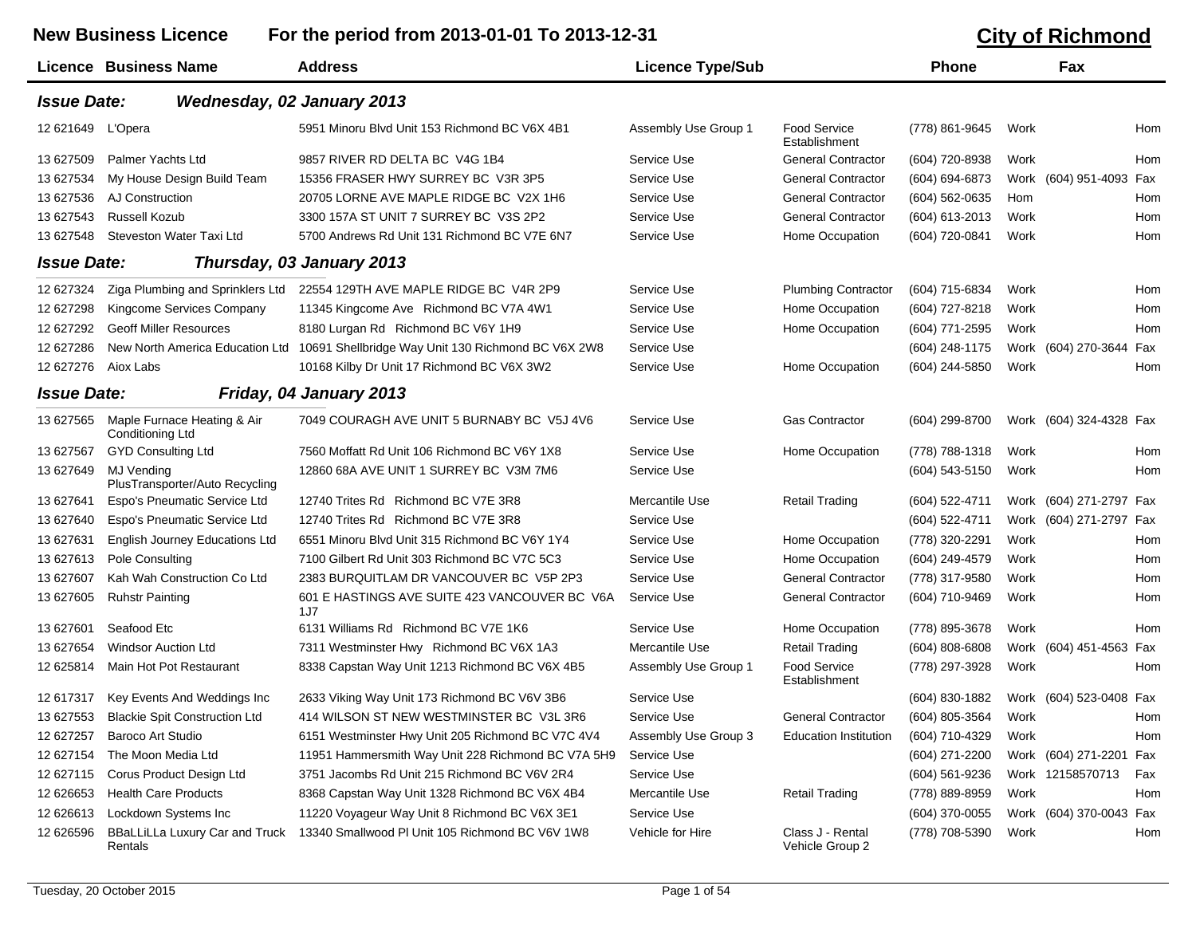## New Business Licence For the period from 2013-01-01 To 2013-12-31 **City of Richmond**

|                    |                                                     |                                                                                    |                         |                                      |                |      | טווטוווווטווווט וט         |
|--------------------|-----------------------------------------------------|------------------------------------------------------------------------------------|-------------------------|--------------------------------------|----------------|------|----------------------------|
|                    | Licence Business Name                               | <b>Address</b>                                                                     | <b>Licence Type/Sub</b> |                                      | <b>Phone</b>   |      | <b>Fax</b>                 |
| <b>Issue Date:</b> |                                                     | Wednesday, 02 January 2013                                                         |                         |                                      |                |      |                            |
| 12 621649          | L'Opera                                             | 5951 Minoru Blvd Unit 153 Richmond BC V6X 4B1                                      | Assembly Use Group 1    | Food Service<br>Establishment        | (778) 861-9645 | Work | Hom                        |
| 13 627509          | <b>Palmer Yachts Ltd</b>                            | 9857 RIVER RD DELTA BC V4G 1B4                                                     | Service Use             | <b>General Contractor</b>            | (604) 720-8938 | Work | Hom                        |
| 13 627534          | My House Design Build Team                          | 15356 FRASER HWY SURREY BC V3R 3P5                                                 | Service Use             | <b>General Contractor</b>            | (604) 694-6873 |      | Work (604) 951-4093<br>Fax |
| 13 627536          | AJ Construction                                     | 20705 LORNE AVE MAPLE RIDGE BC V2X 1H6                                             | Service Use             | <b>General Contractor</b>            | (604) 562-0635 | Hom  | Hom                        |
| 13 627543          | <b>Russell Kozub</b>                                | 3300 157A ST UNIT 7 SURREY BC V3S 2P2                                              | Service Use             | <b>General Contractor</b>            | (604) 613-2013 | Work | Hom                        |
| 13 627548          | Steveston Water Taxi Ltd                            | 5700 Andrews Rd Unit 131 Richmond BC V7E 6N7                                       | Service Use             | Home Occupation                      | (604) 720-0841 | Work | <b>Hom</b>                 |
| <b>Issue Date:</b> |                                                     | Thursday, 03 January 2013                                                          |                         |                                      |                |      |                            |
| 12 627324          | Ziga Plumbing and Sprinklers Ltd                    | 22554 129TH AVE MAPLE RIDGE BC V4R 2P9                                             | Service Use             | <b>Plumbing Contractor</b>           | (604) 715-6834 | Work | Hom                        |
| 12 627298          | Kingcome Services Company                           | 11345 Kingcome Ave Richmond BC V7A 4W1                                             | Service Use             | Home Occupation                      | (604) 727-8218 | Work | Hom                        |
| 12 627292          | <b>Geoff Miller Resources</b>                       | 8180 Lurgan Rd Richmond BC V6Y 1H9                                                 | Service Use             | Home Occupation                      | (604) 771-2595 | Work | Hom                        |
| 12 627286          |                                                     | New North America Education Ltd 10691 Shellbridge Way Unit 130 Richmond BC V6X 2W8 | Service Use             |                                      | (604) 248-1175 |      | Work (604) 270-3644<br>Fax |
| 12 627276          | Aiox Labs                                           | 10168 Kilby Dr Unit 17 Richmond BC V6X 3W2                                         | Service Use             | Home Occupation                      | (604) 244-5850 | Work | Hom                        |
| <b>Issue Date:</b> |                                                     | Friday, 04 January 2013                                                            |                         |                                      |                |      |                            |
| 13 627565          | Maple Furnace Heating & Air<br>Conditioning Ltd     | 7049 COURAGH AVE UNIT 5 BURNABY BC V5J 4V6                                         | Service Use             | <b>Gas Contractor</b>                | (604) 299-8700 |      | Work (604) 324-4328 Fax    |
| 13 627567          | <b>GYD Consulting Ltd</b>                           | 7560 Moffatt Rd Unit 106 Richmond BC V6Y 1X8                                       | Service Use             | Home Occupation                      | (778) 788-1318 | Work | Hom                        |
| 13 627649          | <b>MJ Vending</b><br>PlusTransporter/Auto Recycling | 12860 68A AVE UNIT 1 SURREY BC V3M 7M6                                             | Service Use             |                                      | (604) 543-5150 | Work | Hom                        |
| 13 627641          | Espo's Pneumatic Service Ltd                        | 12740 Trites Rd Richmond BC V7E 3R8                                                | Mercantile Use          | <b>Retail Trading</b>                | (604) 522-4711 |      | Work (604) 271-2797 Fax    |
| 13 627640          | Espo's Pneumatic Service Ltd                        | 12740 Trites Rd Richmond BC V7E 3R8                                                | Service Use             |                                      | (604) 522-4711 |      | Work (604) 271-2797<br>Fax |
| 13 627631          | <b>English Journey Educations Ltd</b>               | 6551 Minoru Blvd Unit 315 Richmond BC V6Y 1Y4                                      | Service Use             | Home Occupation                      | (778) 320-2291 | Work | Hom                        |
| 13 627613          | Pole Consulting                                     | 7100 Gilbert Rd Unit 303 Richmond BC V7C 5C3                                       | Service Use             | Home Occupation                      | (604) 249-4579 | Work | Hom                        |
| 13 627607          | Kah Wah Construction Co Ltd                         | 2383 BURQUITLAM DR VANCOUVER BC V5P 2P3                                            | Service Use             | <b>General Contractor</b>            | (778) 317-9580 | Work | Hom                        |
| 13 627605          | <b>Ruhstr Painting</b>                              | 601 E HASTINGS AVE SUITE 423 VANCOUVER BC V6A<br>1J7                               | Service Use             | <b>General Contractor</b>            | (604) 710-9469 | Work | Hom                        |
| 13 627601          | Seafood Etc                                         | 6131 Williams Rd Richmond BC V7E 1K6                                               | Service Use             | Home Occupation                      | (778) 895-3678 | Work | Hom                        |
| 13 627654          | <b>Windsor Auction Ltd</b>                          | 7311 Westminster Hwy Richmond BC V6X 1A3                                           | Mercantile Use          | <b>Retail Trading</b>                | (604) 808-6808 | Work | (604) 451-4563<br>Fax      |
| 12 625814          | Main Hot Pot Restaurant                             | 8338 Capstan Way Unit 1213 Richmond BC V6X 4B5                                     | Assembly Use Group 1    | <b>Food Service</b><br>Establishment | (778) 297-3928 | Work | Hom                        |
| 12 617317          | Key Events And Weddings Inc                         | 2633 Viking Way Unit 173 Richmond BC V6V 3B6                                       | Service Use             |                                      | (604) 830-1882 |      | Work (604) 523-0408<br>Fax |
| 13 627553          | <b>Blackie Spit Construction Ltd</b>                | 414 WILSON ST NEW WESTMINSTER BC V3L 3R6                                           | Service Use             | <b>General Contractor</b>            | (604) 805-3564 | Work | <b>Hom</b>                 |
| 12 627257          | <b>Baroco Art Studio</b>                            | 6151 Westminster Hwy Unit 205 Richmond BC V7C 4V4                                  | Assembly Use Group 3    | <b>Education Institution</b>         | (604) 710-4329 | Work | Hom                        |
| 12 627154          | The Moon Media Ltd                                  | 11951 Hammersmith Way Unit 228 Richmond BC V7A 5H9                                 | Service Use             |                                      | (604) 271-2200 |      | Work (604) 271-2201<br>Fax |
| 12 627115          | Corus Product Design Ltd                            | 3751 Jacombs Rd Unit 215 Richmond BC V6V 2R4                                       | Service Use             |                                      | (604) 561-9236 |      | Work 12158570713<br>Fax    |
| 12 62 6653         | <b>Health Care Products</b>                         | 8368 Capstan Way Unit 1328 Richmond BC V6X 4B4                                     | Mercantile Use          | Retail Trading                       | (778) 889-8959 | Work | Hom                        |
| 12 626613          | Lockdown Systems Inc                                | 11220 Voyageur Way Unit 8 Richmond BC V6X 3E1                                      | Service Use             |                                      | (604) 370-0055 |      | Work (604) 370-0043 Fax    |

12 626596 BBaLLiLLa Luxury Car and Truck 13340 Smallwood Pl Unit 105 Richmond BC V6V 1W8Rentals

Vehicle for Hire Class J - Rental

Vehicle Group 2

Vehicle for Hire Class J - Rental (778) 708-5390 Work Hom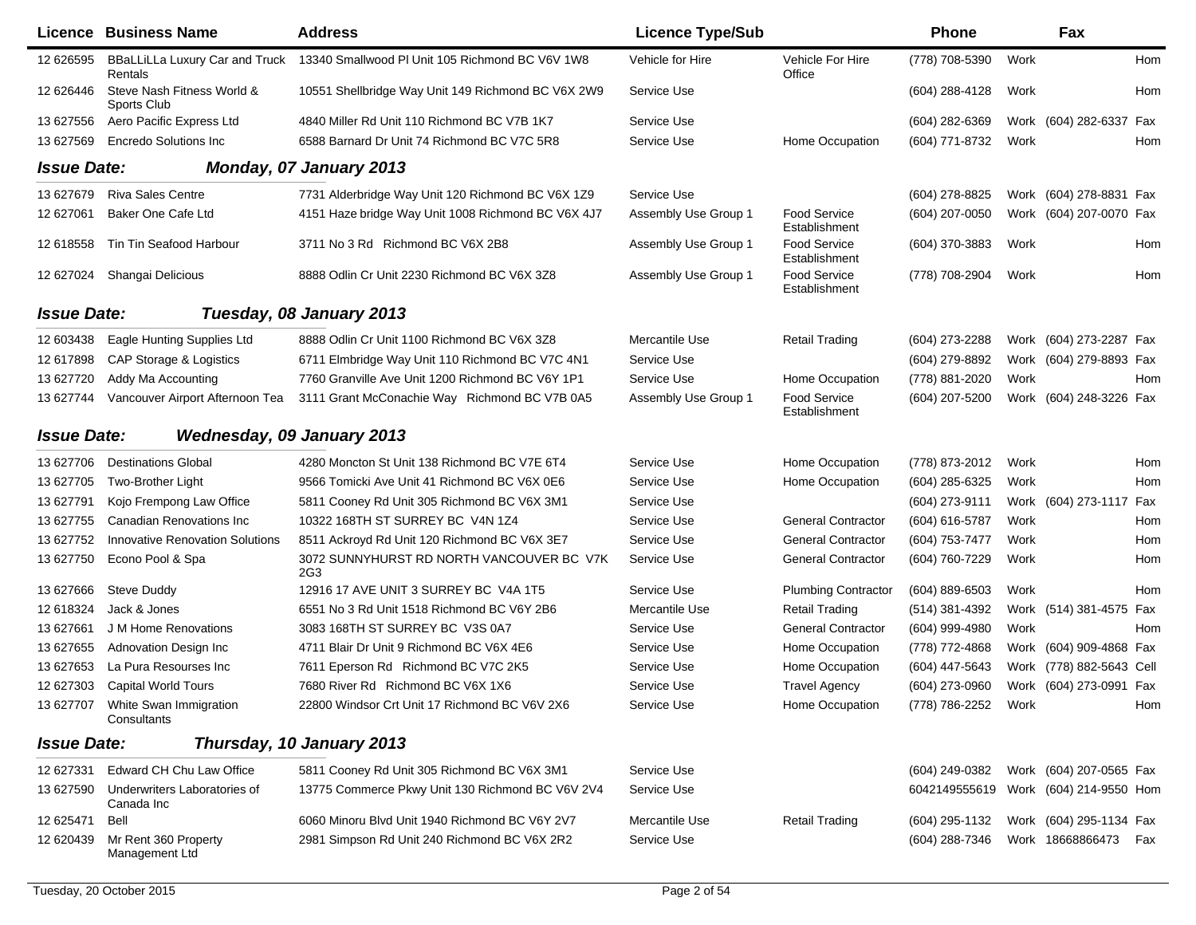|                    | <b>Licence Business Name</b>                     | <b>Address</b>                                     | <b>Licence Type/Sub</b> |                                      | <b>Phone</b>        |      | Fax                                   |            |
|--------------------|--------------------------------------------------|----------------------------------------------------|-------------------------|--------------------------------------|---------------------|------|---------------------------------------|------------|
| 12 626595          | <b>BBaLLiLLa Luxury Car and Truck</b><br>Rentals | 13340 Smallwood PI Unit 105 Richmond BC V6V 1W8    | Vehicle for Hire        | Vehicle For Hire<br>Office           | (778) 708-5390      | Work |                                       | <b>Hom</b> |
| 12 626446          | Steve Nash Fitness World &<br>Sports Club        | 10551 Shellbridge Way Unit 149 Richmond BC V6X 2W9 | Service Use             |                                      | (604) 288-4128      | Work |                                       | Hom        |
| 13 627556          | Aero Pacific Express Ltd                         | 4840 Miller Rd Unit 110 Richmond BC V7B 1K7        | Service Use             |                                      | (604) 282-6369      |      | Work (604) 282-6337 Fax               |            |
| 13 627569          | <b>Encredo Solutions Inc.</b>                    | 6588 Barnard Dr Unit 74 Richmond BC V7C 5R8        | Service Use             | Home Occupation                      | (604) 771-8732      | Work |                                       | Hom        |
| <b>Issue Date:</b> |                                                  | Monday, 07 January 2013                            |                         |                                      |                     |      |                                       |            |
| 13 627679          | <b>Riva Sales Centre</b>                         | 7731 Alderbridge Way Unit 120 Richmond BC V6X 1Z9  | Service Use             |                                      | (604) 278-8825      |      | Work (604) 278-8831 Fax               |            |
| 12 627061          | Baker One Cafe Ltd                               | 4151 Haze bridge Way Unit 1008 Richmond BC V6X 4J7 | Assembly Use Group 1    | <b>Food Service</b><br>Establishment | (604) 207-0050      |      | Work (604) 207-0070 Fax               |            |
| 12 618558          | Tin Tin Seafood Harbour                          | 3711 No 3 Rd Richmond BC V6X 2B8                   | Assembly Use Group 1    | <b>Food Service</b><br>Establishment | (604) 370-3883      | Work |                                       | Hom        |
| 12 627024          | Shangai Delicious                                | 8888 Odlin Cr Unit 2230 Richmond BC V6X 3Z8        | Assembly Use Group 1    | <b>Food Service</b><br>Establishment | (778) 708-2904      | Work |                                       | Hom        |
| <b>Issue Date:</b> |                                                  | Tuesday, 08 January 2013                           |                         |                                      |                     |      |                                       |            |
| 12 603438          | Eagle Hunting Supplies Ltd                       | 8888 Odlin Cr Unit 1100 Richmond BC V6X 3Z8        | Mercantile Use          | <b>Retail Trading</b>                | (604) 273-2288      |      | Work (604) 273-2287 Fax               |            |
| 12 617898          | CAP Storage & Logistics                          | 6711 Elmbridge Way Unit 110 Richmond BC V7C 4N1    | Service Use             |                                      | (604) 279-8892      |      | Work (604) 279-8893 Fax               |            |
| 13 627720          | Addy Ma Accounting                               | 7760 Granville Ave Unit 1200 Richmond BC V6Y 1P1   | Service Use             | Home Occupation                      | (778) 881-2020      | Work |                                       | Hom        |
| 13 627744          | Vancouver Airport Afternoon Tea                  | 3111 Grant McConachie Way Richmond BC V7B 0A5      | Assembly Use Group 1    | <b>Food Service</b><br>Establishment | (604) 207-5200      |      | Work (604) 248-3226 Fax               |            |
| <b>Issue Date:</b> |                                                  | Wednesday, 09 January 2013                         |                         |                                      |                     |      |                                       |            |
| 13 627706          | <b>Destinations Global</b>                       | 4280 Moncton St Unit 138 Richmond BC V7E 6T4       | Service Use             | Home Occupation                      | (778) 873-2012      | Work |                                       | Hom        |
| 13 627705          | Two-Brother Light                                | 9566 Tomicki Ave Unit 41 Richmond BC V6X 0E6       | Service Use             | Home Occupation                      | (604) 285-6325      | Work |                                       | Hom        |
| 13 627791          | Kojo Frempong Law Office                         | 5811 Cooney Rd Unit 305 Richmond BC V6X 3M1        | Service Use             |                                      | (604) 273-9111      |      | Work (604) 273-1117 Fax               |            |
| 13 627755          | Canadian Renovations Inc                         | 10322 168TH ST SURREY BC V4N 1Z4                   | Service Use             | <b>General Contractor</b>            | (604) 616-5787      | Work |                                       | Hom        |
| 13 627752          | <b>Innovative Renovation Solutions</b>           | 8511 Ackroyd Rd Unit 120 Richmond BC V6X 3E7       | Service Use             | <b>General Contractor</b>            | (604) 753-7477      | Work |                                       | Hom        |
| 13 627750          | Econo Pool & Spa                                 | 3072 SUNNYHURST RD NORTH VANCOUVER BC V7K<br>2G3   | Service Use             | <b>General Contractor</b>            | (604) 760-7229      | Work |                                       | Hom        |
| 13 627666          | Steve Duddy                                      | 12916 17 AVE UNIT 3 SURREY BC V4A 1T5              | Service Use             | <b>Plumbing Contractor</b>           | (604) 889-6503      | Work |                                       | Hom        |
| 12 618324          | Jack & Jones                                     | 6551 No 3 Rd Unit 1518 Richmond BC V6Y 2B6         | Mercantile Use          | <b>Retail Trading</b>                | (514) 381-4392      |      | Work (514) 381-4575 Fax               |            |
| 13 627661          | J M Home Renovations                             | 3083 168TH ST SURREY BC V3S 0A7                    | Service Use             | <b>General Contractor</b>            | (604) 999-4980      | Work |                                       | Hom        |
| 13 627655          | <b>Adnovation Design Inc.</b>                    | 4711 Blair Dr Unit 9 Richmond BC V6X 4E6           | Service Use             | Home Occupation                      | (778) 772-4868      |      | Work (604) 909-4868 Fax               |            |
| 13 627653          | La Pura Resourses Inc                            | 7611 Eperson Rd Richmond BC V7C 2K5                | Service Use             | Home Occupation                      | (604) 447-5643      |      | Work (778) 882-5643 Cell              |            |
| 12 627303          | <b>Capital World Tours</b>                       | 7680 River Rd Richmond BC V6X 1X6                  | Service Use             | <b>Travel Agency</b>                 | (604) 273-0960      |      | Work (604) 273-0991 Fax               |            |
|                    | 13 627707 White Swan Immigration<br>Consultants  | 22800 Windsor Crt Unit 17 Richmond BC V6V 2X6      | Service Use             | Home Occupation                      | (778) 786-2252 Work |      |                                       | Hom        |
| <b>Issue Date:</b> |                                                  | Thursday, 10 January 2013                          |                         |                                      |                     |      |                                       |            |
| 12 627331          | Edward CH Chu Law Office                         | 5811 Cooney Rd Unit 305 Richmond BC V6X 3M1        | Service Use             |                                      | (604) 249-0382      |      | Work (604) 207-0565 Fax               |            |
| 13 627590          | Underwriters Laboratories of<br>Canada Inc       | 13775 Commerce Pkwy Unit 130 Richmond BC V6V 2V4   | Service Use             |                                      |                     |      | 6042149555619 Work (604) 214-9550 Hom |            |
| 12 625471          | Bell                                             | 6060 Minoru Blvd Unit 1940 Richmond BC V6Y 2V7     | Mercantile Use          | <b>Retail Trading</b>                | (604) 295-1132      |      | Work (604) 295-1134 Fax               |            |
| 12 620439          | Mr Rent 360 Property<br>Management Ltd           | 2981 Simpson Rd Unit 240 Richmond BC V6X 2R2       | Service Use             |                                      | (604) 288-7346      |      | Work 18668866473 Fax                  |            |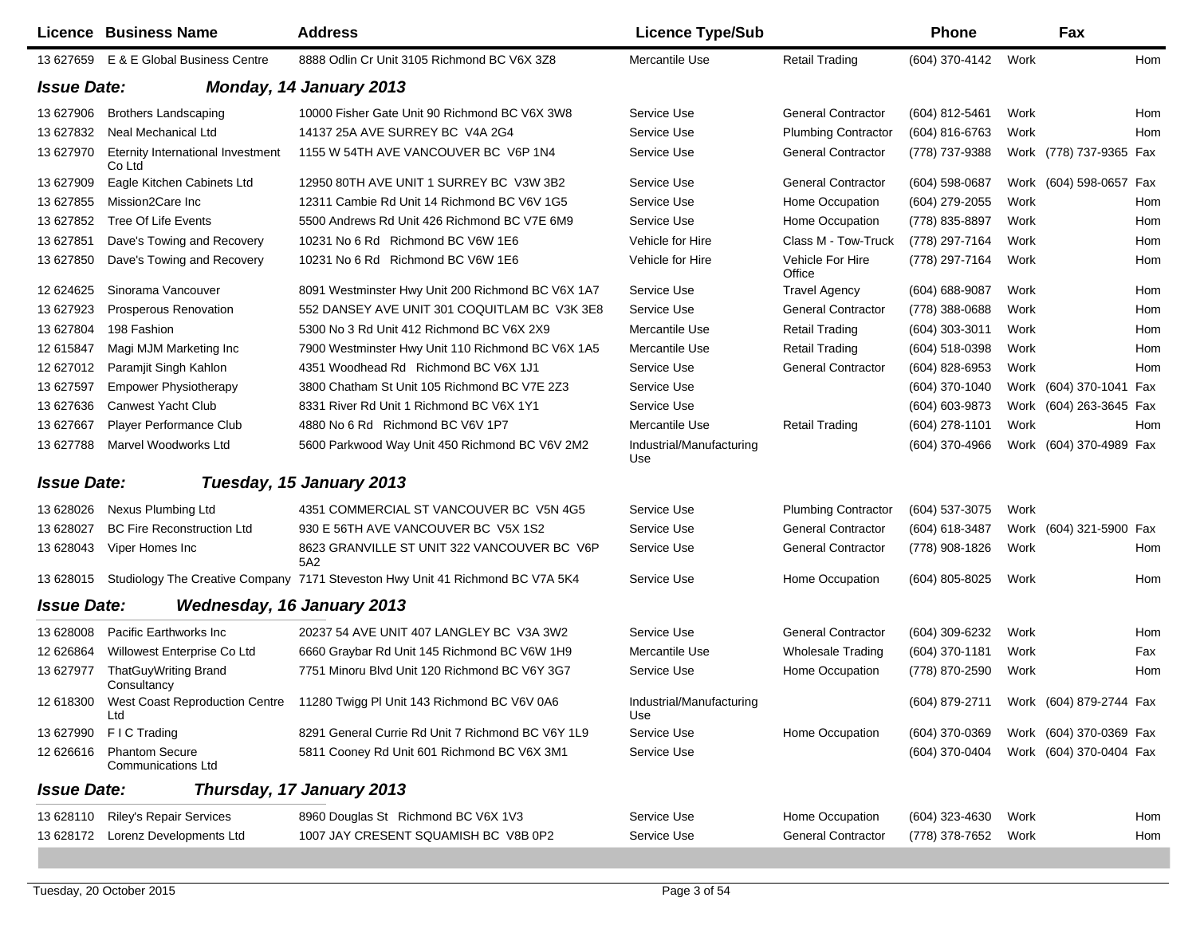|                    | Licence Business Name                              | <b>Address</b>                                                                 | <b>Licence Type/Sub</b>         |                            | <b>Phone</b>                           |      | Fax                     |            |
|--------------------|----------------------------------------------------|--------------------------------------------------------------------------------|---------------------------------|----------------------------|----------------------------------------|------|-------------------------|------------|
|                    | 13 627659 E & E Global Business Centre             | 8888 Odlin Cr Unit 3105 Richmond BC V6X 3Z8                                    | Mercantile Use                  | <b>Retail Trading</b>      | (604) 370-4142                         | Work |                         | Hom        |
| <b>Issue Date:</b> |                                                    | <b>Monday, 14 January 2013</b>                                                 |                                 |                            |                                        |      |                         |            |
| 13 627906          | <b>Brothers Landscaping</b>                        | 10000 Fisher Gate Unit 90 Richmond BC V6X 3W8                                  | Service Use                     | <b>General Contractor</b>  | (604) 812-5461                         | Work |                         | <b>Hom</b> |
| 13 627832          | Neal Mechanical Ltd                                | 14137 25A AVE SURREY BC V4A 2G4                                                | Service Use                     | <b>Plumbing Contractor</b> | (604) 816-6763                         | Work |                         | Hom        |
| 13 627970          | Eternity International Investment<br>Co Ltd        | 1155 W 54TH AVE VANCOUVER BC V6P 1N4                                           | Service Use                     | <b>General Contractor</b>  | (778) 737-9388                         |      | Work (778) 737-9365 Fax |            |
| 13 627909          | Eagle Kitchen Cabinets Ltd                         | 12950 80TH AVE UNIT 1 SURREY BC V3W 3B2                                        | Service Use                     | <b>General Contractor</b>  | (604) 598-0687                         |      | Work (604) 598-0657 Fax |            |
| 13 627855          | Mission2Care Inc                                   | 12311 Cambie Rd Unit 14 Richmond BC V6V 1G5                                    | Service Use                     | Home Occupation            | (604) 279-2055                         | Work |                         | Hom        |
| 13 627852          | Tree Of Life Events                                | 5500 Andrews Rd Unit 426 Richmond BC V7E 6M9                                   | Service Use                     | Home Occupation            | (778) 835-8897                         | Work |                         | Hom        |
| 13 627851          | Dave's Towing and Recovery                         | 10231 No 6 Rd Richmond BC V6W 1E6                                              | Vehicle for Hire                | Class M - Tow-Truck        | (778) 297-7164                         | Work |                         | Hom        |
| 13 627850          | Dave's Towing and Recovery                         | 10231 No 6 Rd Richmond BC V6W 1E6                                              | Vehicle for Hire                | Vehicle For Hire<br>Office | (778) 297-7164                         | Work |                         | Hom        |
| 12 624625          | Sinorama Vancouver                                 | 8091 Westminster Hwy Unit 200 Richmond BC V6X 1A7                              | Service Use                     | <b>Travel Agency</b>       | (604) 688-9087                         | Work |                         | Hom        |
| 13 627923          | <b>Prosperous Renovation</b>                       | 552 DANSEY AVE UNIT 301 COQUITLAM BC V3K 3E8                                   | Service Use                     | <b>General Contractor</b>  | (778) 388-0688                         | Work |                         | Hom        |
| 13 627804          | 198 Fashion                                        | 5300 No 3 Rd Unit 412 Richmond BC V6X 2X9                                      | Mercantile Use                  | <b>Retail Trading</b>      | $(604)$ 303-3011                       | Work |                         | Hom        |
| 12 615847          | Magi MJM Marketing Inc                             | 7900 Westminster Hwy Unit 110 Richmond BC V6X 1A5                              | Mercantile Use                  | <b>Retail Trading</b>      | (604) 518-0398                         | Work |                         | Hom        |
| 12 627012          | Paramjit Singh Kahlon                              | 4351 Woodhead Rd Richmond BC V6X 1J1                                           | Service Use                     | <b>General Contractor</b>  | (604) 828-6953                         | Work |                         | Hom        |
| 13 627597          | <b>Empower Physiotherapy</b>                       | 3800 Chatham St Unit 105 Richmond BC V7E 2Z3                                   | Service Use                     |                            | (604) 370-1040                         | Work | (604) 370-1041 Fax      |            |
| 13 627636          | Canwest Yacht Club                                 | 8331 River Rd Unit 1 Richmond BC V6X 1Y1                                       | Service Use                     |                            | (604) 603-9873                         | Work | (604) 263-3645 Fax      |            |
| 13 627667          | Player Performance Club                            | 4880 No 6 Rd Richmond BC V6V 1P7                                               | Mercantile Use                  | <b>Retail Trading</b>      | (604) 278-1101                         | Work |                         | Hom        |
| 13 627788          | Marvel Woodworks Ltd                               | 5600 Parkwood Way Unit 450 Richmond BC V6V 2M2                                 | Industrial/Manufacturing<br>Use |                            | (604) 370-4966                         |      | Work (604) 370-4989 Fax |            |
| <b>Issue Date:</b> |                                                    | Tuesday, 15 January 2013                                                       |                                 |                            |                                        |      |                         |            |
| 13 628026          | <b>Nexus Plumbing Ltd</b>                          | 4351 COMMERCIAL ST VANCOUVER BC V5N 4G5                                        | Service Use                     | <b>Plumbing Contractor</b> | (604) 537-3075                         | Work |                         |            |
| 13 628027          | <b>BC Fire Reconstruction Ltd</b>                  | 930 E 56TH AVE VANCOUVER BC V5X 1S2                                            | Service Use                     | <b>General Contractor</b>  | (604) 618-3487                         |      | Work (604) 321-5900 Fax |            |
| 13 628043          | Viper Homes Inc                                    | 8623 GRANVILLE ST UNIT 322 VANCOUVER BC V6P<br>5A2                             | Service Use                     | <b>General Contractor</b>  | (778) 908-1826                         | Work |                         | Hom        |
| 13 628015          |                                                    | Studiology The Creative Company 7171 Steveston Hwy Unit 41 Richmond BC V7A 5K4 | Service Use                     | Home Occupation            | (604) 805-8025                         | Work |                         | Hom        |
| <b>Issue Date:</b> |                                                    | Wednesday, 16 January 2013                                                     |                                 |                            |                                        |      |                         |            |
| 13 628008          | Pacific Earthworks Inc.                            | 20237 54 AVE UNIT 407 LANGLEY BC V3A 3W2                                       | Service Use                     | <b>General Contractor</b>  | (604) 309-6232                         | Work |                         | Hom        |
| 12 626864          | Willowest Enterprise Co Ltd                        | 6660 Graybar Rd Unit 145 Richmond BC V6W 1H9                                   | Mercantile Use                  | <b>Wholesale Trading</b>   | (604) 370-1181                         | Work |                         | Fax        |
| 13 627977          | ThatGuyWriting Brand<br>Consultancy                | 7751 Minoru Blvd Unit 120 Richmond BC V6Y 3G7                                  | Service Use                     | Home Occupation            | (778) 870-2590                         | Work |                         | Hom        |
| 12 618300          | Ltd                                                | West Coast Reproduction Centre 11280 Twigg PI Unit 143 Richmond BC V6V 0A6     | Industrial/Manufacturing<br>Use |                            | (604) 879-2711 Work (604) 879-2744 Fax |      |                         |            |
| 13 627990          | F I C Trading                                      | 8291 General Currie Rd Unit 7 Richmond BC V6Y 1L9                              | Service Use                     | Home Occupation            | (604) 370-0369                         |      | Work (604) 370-0369 Fax |            |
| 12 62 6616         | <b>Phantom Secure</b><br><b>Communications Ltd</b> | 5811 Cooney Rd Unit 601 Richmond BC V6X 3M1                                    | Service Use                     |                            | (604) 370-0404                         |      | Work (604) 370-0404 Fax |            |
| <b>Issue Date:</b> |                                                    | Thursday, 17 January 2013                                                      |                                 |                            |                                        |      |                         |            |
|                    | 13 628110 Riley's Repair Services                  | 8960 Douglas St Richmond BC V6X 1V3                                            | Service Use                     | Home Occupation            | (604) 323-4630                         | Work |                         | Hom        |
|                    | 13 628172 Lorenz Developments Ltd                  | 1007 JAY CRESENT SQUAMISH BC V8B 0P2                                           | Service Use                     | <b>General Contractor</b>  | (778) 378-7652                         | Work |                         | Hom        |
|                    |                                                    |                                                                                |                                 |                            |                                        |      |                         |            |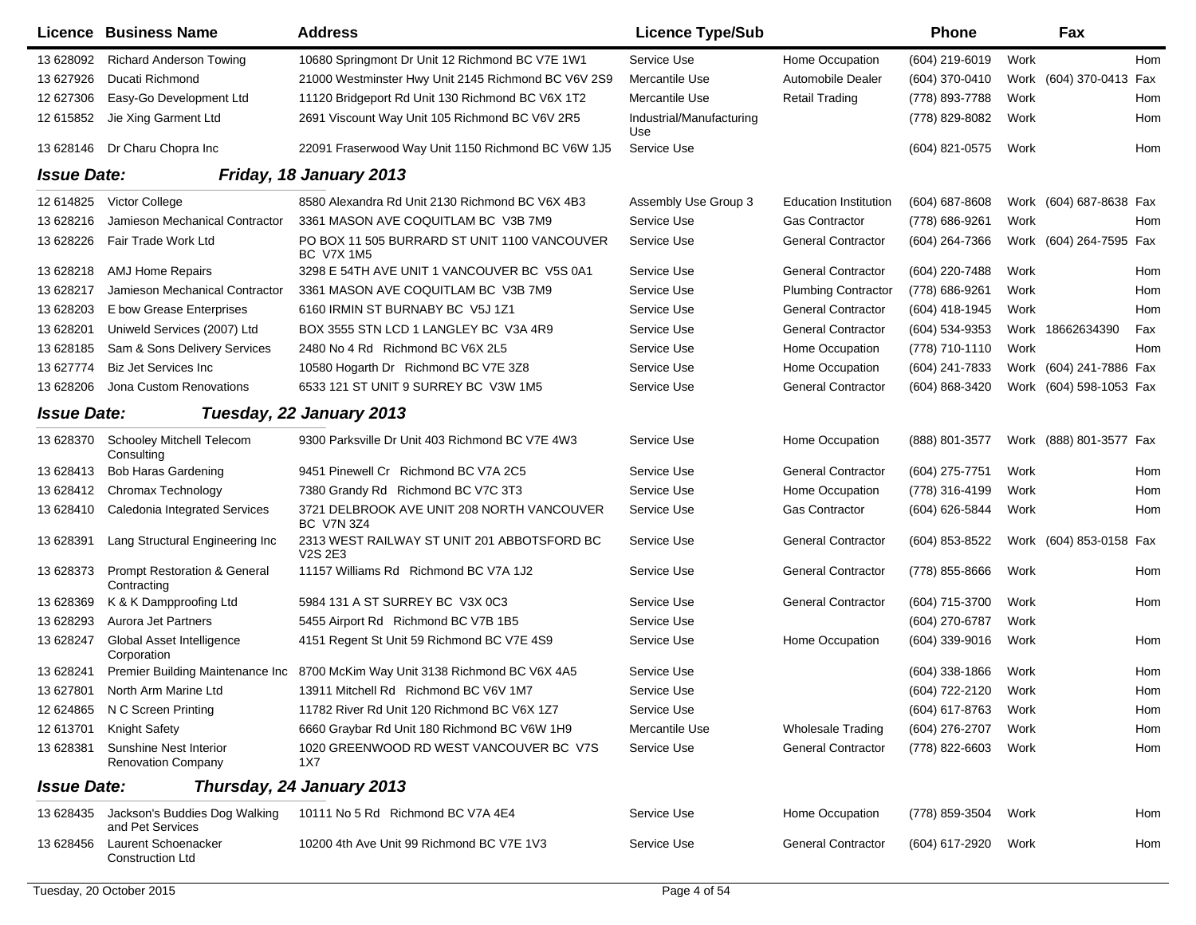|                    | Licence Business Name                                  | <b>Address</b>                                                                | <b>Licence Type/Sub</b>         |                              | <b>Phone</b>     |      | Fax                     |     |
|--------------------|--------------------------------------------------------|-------------------------------------------------------------------------------|---------------------------------|------------------------------|------------------|------|-------------------------|-----|
| 13 628092          | <b>Richard Anderson Towing</b>                         | 10680 Springmont Dr Unit 12 Richmond BC V7E 1W1                               | Service Use                     | Home Occupation              | (604) 219-6019   | Work |                         | Hom |
| 13 627926          | Ducati Richmond                                        | 21000 Westminster Hwy Unit 2145 Richmond BC V6V 2S9                           | Mercantile Use                  | Automobile Dealer            | (604) 370-0410   |      | Work (604) 370-0413 Fax |     |
| 12 627306          | Easy-Go Development Ltd                                | 11120 Bridgeport Rd Unit 130 Richmond BC V6X 1T2                              | Mercantile Use                  | <b>Retail Trading</b>        | (778) 893-7788   | Work |                         | Hom |
| 12 615852          | Jie Xing Garment Ltd                                   | 2691 Viscount Way Unit 105 Richmond BC V6V 2R5                                | Industrial/Manufacturing<br>Use |                              | (778) 829-8082   | Work |                         | Hom |
| 13 628146          | Dr Charu Chopra Inc                                    | 22091 Fraserwood Way Unit 1150 Richmond BC V6W 1J5                            | Service Use                     |                              | (604) 821-0575   | Work |                         | Hom |
| <b>Issue Date:</b> |                                                        | Friday, 18 January 2013                                                       |                                 |                              |                  |      |                         |     |
| 12 614825          | Victor College                                         | 8580 Alexandra Rd Unit 2130 Richmond BC V6X 4B3                               | Assembly Use Group 3            | <b>Education Institution</b> | $(604)$ 687-8608 |      | Work (604) 687-8638 Fax |     |
| 13 628216          | Jamieson Mechanical Contractor                         | 3361 MASON AVE COQUITLAM BC V3B 7M9                                           | Service Use                     | <b>Gas Contractor</b>        | (778) 686-9261   | Work |                         | Hom |
| 13 628226          | Fair Trade Work Ltd                                    | PO BOX 11 505 BURRARD ST UNIT 1100 VANCOUVER<br><b>BC V7X 1M5</b>             | Service Use                     | <b>General Contractor</b>    | (604) 264-7366   |      | Work (604) 264-7595 Fax |     |
| 13 628218          | <b>AMJ Home Repairs</b>                                | 3298 E 54TH AVE UNIT 1 VANCOUVER BC V5S 0A1                                   | Service Use                     | <b>General Contractor</b>    | (604) 220-7488   | Work |                         | Hom |
| 13 628217          | Jamieson Mechanical Contractor                         | 3361 MASON AVE COQUITLAM BC V3B 7M9                                           | Service Use                     | <b>Plumbing Contractor</b>   | (778) 686-9261   | Work |                         | Hom |
| 13 628203          | E bow Grease Enterprises                               | 6160 IRMIN ST BURNABY BC V5J 1Z1                                              | Service Use                     | <b>General Contractor</b>    | (604) 418-1945   | Work |                         | Hom |
| 13 628201          | Uniweld Services (2007) Ltd                            | BOX 3555 STN LCD 1 LANGLEY BC V3A 4R9                                         | Service Use                     | <b>General Contractor</b>    | (604) 534-9353   |      | Work 18662634390        | Fax |
| 13 628185          | Sam & Sons Delivery Services                           | 2480 No 4 Rd Richmond BC V6X 2L5                                              | Service Use                     | Home Occupation              | (778) 710-1110   | Work |                         | Hom |
| 13 627774          | <b>Biz Jet Services Inc</b>                            | 10580 Hogarth Dr Richmond BC V7E 3Z8                                          | Service Use                     | Home Occupation              | (604) 241-7833   |      | Work (604) 241-7886 Fax |     |
| 13 628206          | Jona Custom Renovations                                | 6533 121 ST UNIT 9 SURREY BC V3W 1M5                                          | Service Use                     | <b>General Contractor</b>    | (604) 868-3420   |      | Work (604) 598-1053 Fax |     |
| <b>Issue Date:</b> |                                                        | Tuesday, 22 January 2013                                                      |                                 |                              |                  |      |                         |     |
| 13 628370          | Schooley Mitchell Telecom<br>Consulting                | 9300 Parksville Dr Unit 403 Richmond BC V7E 4W3                               | Service Use                     | Home Occupation              | (888) 801-3577   |      | Work (888) 801-3577 Fax |     |
| 13 628413          | <b>Bob Haras Gardening</b>                             | 9451 Pinewell Cr Richmond BC V7A 2C5                                          | Service Use                     | <b>General Contractor</b>    | (604) 275-7751   | Work |                         | Hom |
| 13 628412          | Chromax Technology                                     | 7380 Grandy Rd Richmond BC V7C 3T3                                            | Service Use                     | Home Occupation              | (778) 316-4199   | Work |                         | Hom |
| 13 628410          | Caledonia Integrated Services                          | 3721 DELBROOK AVE UNIT 208 NORTH VANCOUVER<br><b>BC V7N 3Z4</b>               | Service Use                     | Gas Contractor               | (604) 626-5844   | Work |                         | Hom |
| 13 628391          | Lang Structural Engineering Inc                        | 2313 WEST RAILWAY ST UNIT 201 ABBOTSFORD BC<br>V <sub>2</sub> S 2E3           | Service Use                     | <b>General Contractor</b>    | (604) 853-8522   |      | Work (604) 853-0158 Fax |     |
| 13 628373          | <b>Prompt Restoration &amp; General</b><br>Contracting | 11157 Williams Rd Richmond BC V7A 1J2                                         | Service Use                     | <b>General Contractor</b>    | (778) 855-8666   | Work |                         | Hom |
| 13 628369          | K & K Dampproofing Ltd                                 | 5984 131 A ST SURREY BC V3X 0C3                                               | Service Use                     | <b>General Contractor</b>    | (604) 715-3700   | Work |                         | Hom |
| 13 628293          | Aurora Jet Partners                                    | 5455 Airport Rd Richmond BC V7B 1B5                                           | Service Use                     |                              | (604) 270-6787   | Work |                         |     |
| 13 628247          | Global Asset Intelligence<br>Corporation               | 4151 Regent St Unit 59 Richmond BC V7E 4S9                                    | Service Use                     | Home Occupation              | (604) 339-9016   | Work |                         | Hom |
| 13 628241          |                                                        | Premier Building Maintenance Inc 8700 McKim Way Unit 3138 Richmond BC V6X 4A5 | Service Use                     |                              | $(604)$ 338-1866 | Work |                         | Hom |
| 13 627801          | North Arm Marine Ltd                                   | 13911 Mitchell Rd Richmond BC V6V 1M7                                         | Service Use                     |                              | (604) 722-2120   | Work |                         | Hom |
| 12 624865          | N C Screen Printing                                    | 11782 River Rd Unit 120 Richmond BC V6X 1Z7                                   | Service Use                     |                              | (604) 617-8763   | Work |                         | Hom |
| 12 613701          | Knight Safety                                          | 6660 Graybar Rd Unit 180 Richmond BC V6W 1H9                                  | Mercantile Use                  | <b>Wholesale Trading</b>     | (604) 276-2707   | Work |                         | Hom |
| 13 628381          | Sunshine Nest Interior<br><b>Renovation Company</b>    | 1020 GREENWOOD RD WEST VANCOUVER BC V7S<br>1X7                                | Service Use                     | <b>General Contractor</b>    | (778) 822-6603   | Work |                         | Hom |
| <b>Issue Date:</b> |                                                        | Thursday, 24 January 2013                                                     |                                 |                              |                  |      |                         |     |
| 13 628435          | Jackson's Buddies Dog Walking<br>and Pet Services      | 10111 No 5 Rd Richmond BC V7A 4E4                                             | Service Use                     | Home Occupation              | (778) 859-3504   | Work |                         | Hom |
| 13 628456          | Laurent Schoenacker<br><b>Construction Ltd</b>         | 10200 4th Ave Unit 99 Richmond BC V7E 1V3                                     | Service Use                     | <b>General Contractor</b>    | (604) 617-2920   | Work |                         | Hom |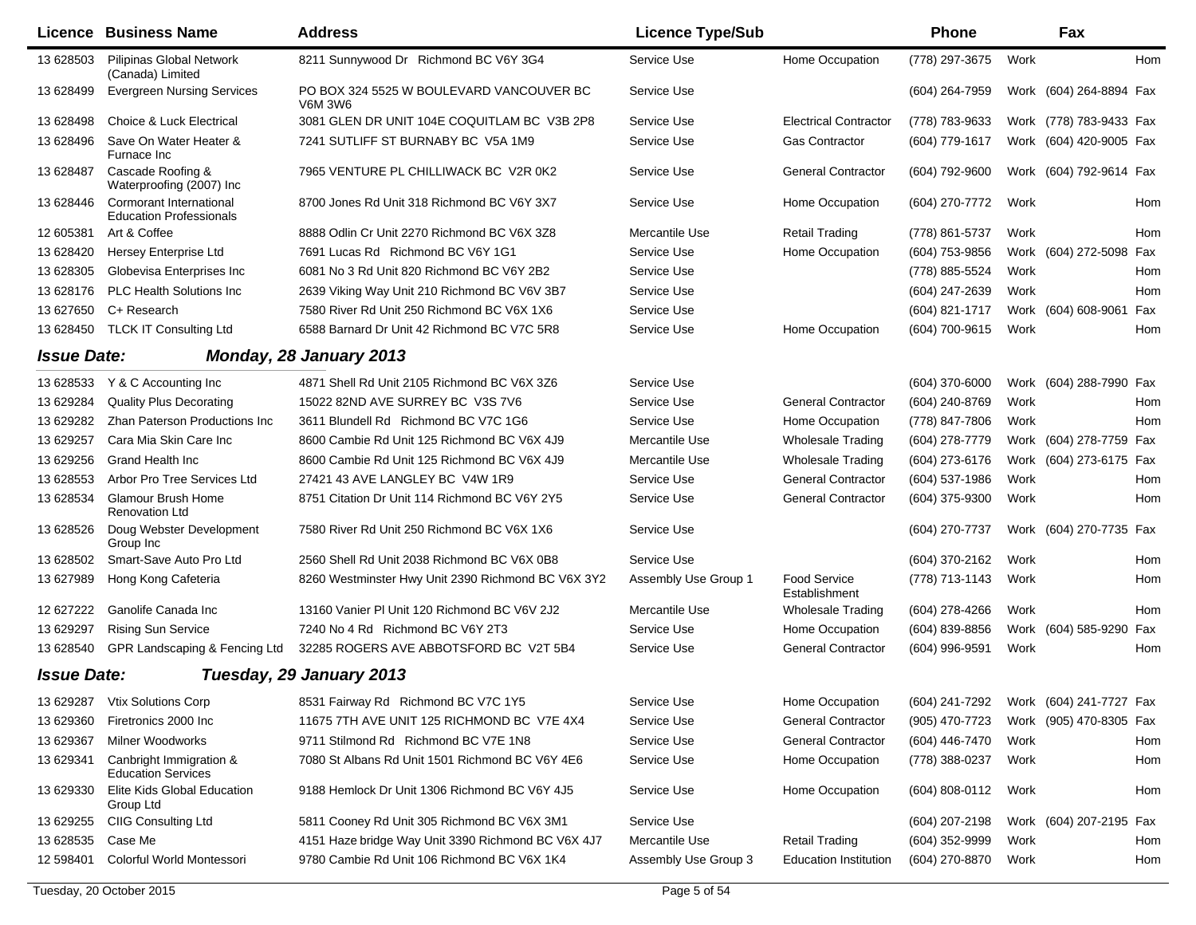|                    | <b>Licence Business Name</b>                                     | <b>Address</b>                                      | <b>Licence Type/Sub</b> |                                      | <b>Phone</b>                           |      | Fax                     |     |
|--------------------|------------------------------------------------------------------|-----------------------------------------------------|-------------------------|--------------------------------------|----------------------------------------|------|-------------------------|-----|
| 13 628503          | Pilipinas Global Network<br>(Canada) Limited                     | 8211 Sunnywood Dr Richmond BC V6Y 3G4               | Service Use             | Home Occupation                      | (778) 297-3675                         | Work |                         | Hom |
| 13 628499          | <b>Evergreen Nursing Services</b>                                | PO BOX 324 5525 W BOULEVARD VANCOUVER BC<br>V6M 3W6 | Service Use             |                                      | (604) 264-7959                         |      | Work (604) 264-8894 Fax |     |
| 13 628498          | <b>Choice &amp; Luck Electrical</b>                              | 3081 GLEN DR UNIT 104E COQUITLAM BC V3B 2P8         | Service Use             | <b>Electrical Contractor</b>         | (778) 783-9633                         |      | Work (778) 783-9433 Fax |     |
| 13 628496          | Save On Water Heater &<br>Furnace Inc                            | 7241 SUTLIFF ST BURNABY BC V5A 1M9                  | Service Use             | <b>Gas Contractor</b>                | (604) 779-1617                         |      | Work (604) 420-9005 Fax |     |
| 13 628487          | Cascade Roofing &<br>Waterproofing (2007) Inc                    | 7965 VENTURE PL CHILLIWACK BC V2R 0K2               | Service Use             | <b>General Contractor</b>            | (604) 792-9600                         |      | Work (604) 792-9614 Fax |     |
| 13 628446          | <b>Cormorant International</b><br><b>Education Professionals</b> | 8700 Jones Rd Unit 318 Richmond BC V6Y 3X7          | Service Use             | Home Occupation                      | (604) 270-7772                         | Work |                         | Hom |
| 12 605381          | Art & Coffee                                                     | 8888 Odlin Cr Unit 2270 Richmond BC V6X 3Z8         | Mercantile Use          | <b>Retail Trading</b>                | (778) 861-5737                         | Work |                         | Hom |
| 13 628420          | Hersey Enterprise Ltd                                            | 7691 Lucas Rd Richmond BC V6Y 1G1                   | Service Use             | Home Occupation                      | (604) 753-9856                         |      | Work (604) 272-5098 Fax |     |
| 13 628305          | Globevisa Enterprises Inc                                        | 6081 No 3 Rd Unit 820 Richmond BC V6Y 2B2           | Service Use             |                                      | (778) 885-5524                         | Work |                         | Hom |
| 13 628176          | PLC Health Solutions Inc                                         | 2639 Viking Way Unit 210 Richmond BC V6V 3B7        | Service Use             |                                      | (604) 247-2639                         | Work |                         | Hom |
| 13 627650          | C+ Research                                                      | 7580 River Rd Unit 250 Richmond BC V6X 1X6          | Service Use             |                                      | (604) 821-1717                         |      | Work (604) 608-9061     | Fax |
| 13 628450          | <b>TLCK IT Consulting Ltd</b>                                    | 6588 Barnard Dr Unit 42 Richmond BC V7C 5R8         | Service Use             | Home Occupation                      | (604) 700-9615                         | Work |                         | Hom |
| <b>Issue Date:</b> |                                                                  | Monday, 28 January 2013                             |                         |                                      |                                        |      |                         |     |
| 13 628533          | Y & C Accounting Inc                                             | 4871 Shell Rd Unit 2105 Richmond BC V6X 3Z6         | Service Use             |                                      | (604) 370-6000                         |      | Work (604) 288-7990 Fax |     |
| 13 629284          | <b>Quality Plus Decorating</b>                                   | 15022 82ND AVE SURREY BC V3S 7V6                    | Service Use             | <b>General Contractor</b>            | (604) 240-8769                         | Work |                         | Hom |
| 13 629282          | Zhan Paterson Productions Inc                                    | 3611 Blundell Rd Richmond BC V7C 1G6                | Service Use             | Home Occupation                      | (778) 847-7806                         | Work |                         | Hom |
| 13 629257          | Cara Mia Skin Care Inc                                           | 8600 Cambie Rd Unit 125 Richmond BC V6X 4J9         | Mercantile Use          | <b>Wholesale Trading</b>             | (604) 278-7779                         | Work | (604) 278-7759 Fax      |     |
| 13 629256          | <b>Grand Health Inc.</b>                                         | 8600 Cambie Rd Unit 125 Richmond BC V6X 4J9         | Mercantile Use          | Wholesale Trading                    | (604) 273-6176                         |      | Work (604) 273-6175 Fax |     |
| 13 628553          | Arbor Pro Tree Services Ltd                                      | 27421 43 AVE LANGLEY BC V4W 1R9                     | Service Use             | <b>General Contractor</b>            | (604) 537-1986                         | Work |                         | Hom |
| 13 628534          | <b>Glamour Brush Home</b><br><b>Renovation Ltd</b>               | 8751 Citation Dr Unit 114 Richmond BC V6Y 2Y5       | Service Use             | <b>General Contractor</b>            | (604) 375-9300                         | Work |                         | Hom |
| 13 628526          | Doug Webster Development<br>Group Inc                            | 7580 River Rd Unit 250 Richmond BC V6X 1X6          | Service Use             |                                      | (604) 270-7737                         |      | Work (604) 270-7735 Fax |     |
| 13 628502          | Smart-Save Auto Pro Ltd                                          | 2560 Shell Rd Unit 2038 Richmond BC V6X 0B8         | Service Use             |                                      | (604) 370-2162                         | Work |                         | Hom |
| 13 627989          | Hong Kong Cafeteria                                              | 8260 Westminster Hwy Unit 2390 Richmond BC V6X 3Y2  | Assembly Use Group 1    | <b>Food Service</b><br>Establishment | (778) 713-1143                         | Work |                         | Hom |
| 12 627222          | Ganolife Canada Inc                                              | 13160 Vanier PI Unit 120 Richmond BC V6V 2J2        | Mercantile Use          | <b>Wholesale Trading</b>             | (604) 278-4266                         | Work |                         | Hom |
| 13 629297          | <b>Rising Sun Service</b>                                        | 7240 No 4 Rd Richmond BC V6Y 2T3                    | Service Use             | Home Occupation                      | (604) 839-8856                         |      | Work (604) 585-9290 Fax |     |
| 13 628540          | GPR Landscaping & Fencing Ltd                                    | 32285 ROGERS AVE ABBOTSFORD BC V2T 5B4              | Service Use             | <b>General Contractor</b>            | (604) 996-9591                         | Work |                         | Hom |
| <b>Issue Date:</b> |                                                                  | Tuesday, 29 January 2013                            |                         |                                      |                                        |      |                         |     |
|                    | 13 629287 Vtix Solutions Corp                                    | 8531 Fairway Rd Richmond BC V7C 1Y5                 | Service Use             | Home Occupation                      | (604) 241-7292 Work (604) 241-7727 Fax |      |                         |     |
| 13 629360          | Firetronics 2000 Inc                                             | 11675 7TH AVE UNIT 125 RICHMOND BC V7E 4X4          | Service Use             | <b>General Contractor</b>            | (905) 470-7723                         |      | Work (905) 470-8305 Fax |     |
| 13 629367          | Milner Woodworks                                                 | 9711 Stilmond Rd Richmond BC V7E 1N8                | Service Use             | <b>General Contractor</b>            | (604) 446-7470                         | Work |                         | Hom |
| 13 629341          | Canbright Immigration &<br><b>Education Services</b>             | 7080 St Albans Rd Unit 1501 Richmond BC V6Y 4E6     | Service Use             | Home Occupation                      | (778) 388-0237                         | Work |                         | Hom |
| 13 629330          | Elite Kids Global Education<br>Group Ltd                         | 9188 Hemlock Dr Unit 1306 Richmond BC V6Y 4J5       | Service Use             | Home Occupation                      | (604) 808-0112                         | Work |                         | Hom |
| 13 629255          | CIIG Consulting Ltd                                              | 5811 Cooney Rd Unit 305 Richmond BC V6X 3M1         | Service Use             |                                      | (604) 207-2198                         |      | Work (604) 207-2195 Fax |     |
| 13 628535          | Case Me                                                          | 4151 Haze bridge Way Unit 3390 Richmond BC V6X 4J7  | Mercantile Use          | <b>Retail Trading</b>                | (604) 352-9999                         | Work |                         | Hom |
| 12 598401          | Colorful World Montessori                                        | 9780 Cambie Rd Unit 106 Richmond BC V6X 1K4         | Assembly Use Group 3    | <b>Education Institution</b>         | (604) 270-8870                         | Work |                         | Hom |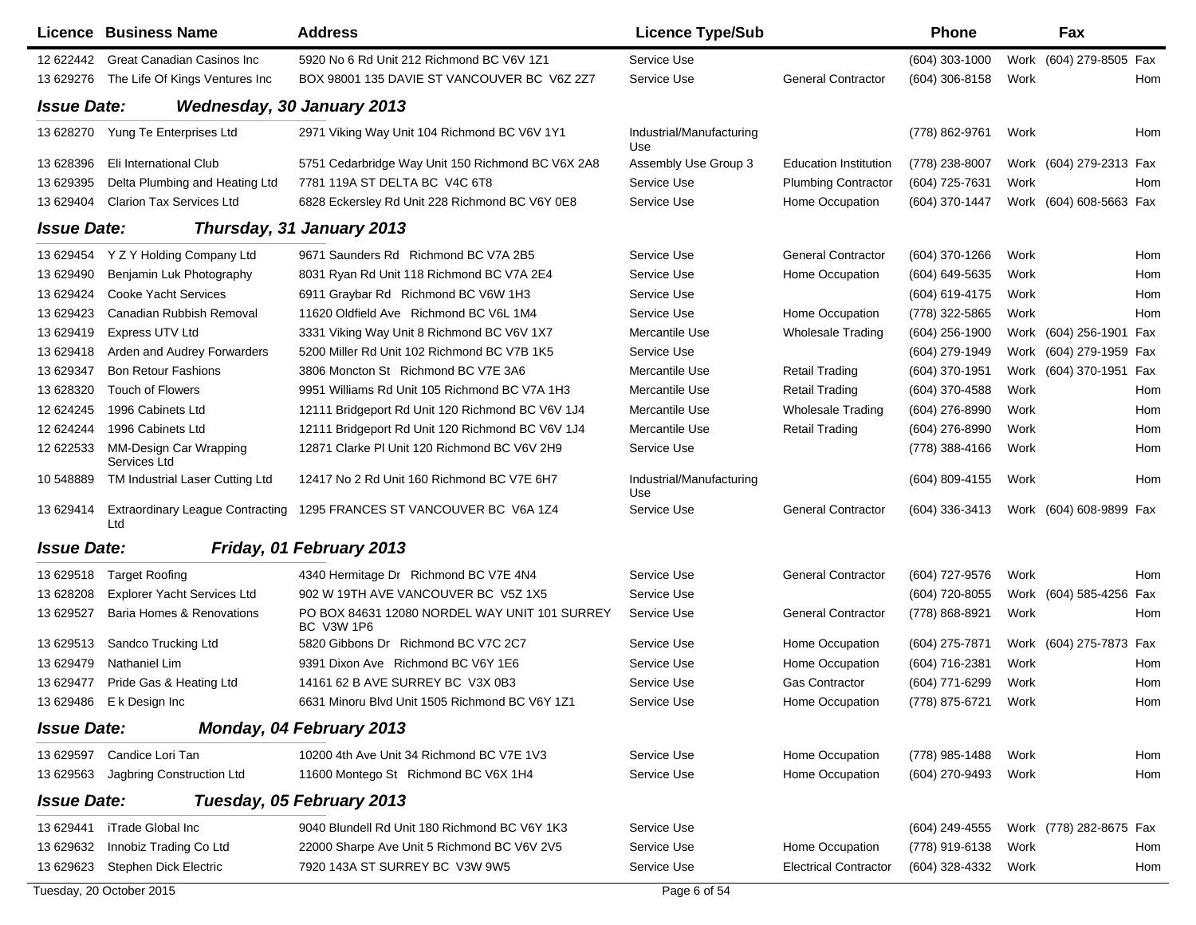|                    | Licence Business Name                          | <b>Address</b>                                              | <b>Licence Type/Sub</b>         |                              | <b>Phone</b>     |      | Fax                     |            |
|--------------------|------------------------------------------------|-------------------------------------------------------------|---------------------------------|------------------------------|------------------|------|-------------------------|------------|
| 12 622442          | <b>Great Canadian Casinos Inc</b>              | 5920 No 6 Rd Unit 212 Richmond BC V6V 1Z1                   | Service Use                     |                              | (604) 303-1000   |      | Work (604) 279-8505 Fax |            |
| 13 629276          | The Life Of Kings Ventures Inc                 | BOX 98001 135 DAVIE ST VANCOUVER BC V6Z 2Z7                 | Service Use                     | <b>General Contractor</b>    | (604) 306-8158   | Work |                         | Hom        |
| <b>Issue Date:</b> | <b>Wednesday, 30 January 2013</b>              |                                                             |                                 |                              |                  |      |                         |            |
| 13 628270          | Yung Te Enterprises Ltd                        | 2971 Viking Way Unit 104 Richmond BC V6V 1Y1                | Industrial/Manufacturing<br>Use |                              | (778) 862-9761   | Work |                         | Hom        |
| 13 628396          | Eli International Club                         | 5751 Cedarbridge Way Unit 150 Richmond BC V6X 2A8           | Assembly Use Group 3            | <b>Education Institution</b> | (778) 238-8007   |      | Work (604) 279-2313 Fax |            |
| 13 629395          | Delta Plumbing and Heating Ltd                 | 7781 119A ST DELTA BC V4C 6T8                               | Service Use                     | <b>Plumbing Contractor</b>   | (604) 725-7631   | Work |                         | Hom        |
| 13 629404          | <b>Clarion Tax Services Ltd</b>                | 6828 Eckersley Rd Unit 228 Richmond BC V6Y 0E8              | Service Use                     | Home Occupation              | (604) 370-1447   |      | Work (604) 608-5663 Fax |            |
| <b>Issue Date:</b> |                                                | Thursday, 31 January 2013                                   |                                 |                              |                  |      |                         |            |
| 13 629454          | Y Z Y Holding Company Ltd                      | 9671 Saunders Rd Richmond BC V7A 2B5                        | Service Use                     | <b>General Contractor</b>    | (604) 370-1266   | Work |                         | Hom        |
| 13 629490          | Benjamin Luk Photography                       | 8031 Ryan Rd Unit 118 Richmond BC V7A 2E4                   | Service Use                     | Home Occupation              | (604) 649-5635   | Work |                         | Hom        |
| 13 629424          | <b>Cooke Yacht Services</b>                    | 6911 Graybar Rd Richmond BC V6W 1H3                         | Service Use                     |                              | (604) 619-4175   | Work |                         | <b>Hom</b> |
| 13 629423          | Canadian Rubbish Removal                       | 11620 Oldfield Ave Richmond BC V6L 1M4                      | Service Use                     | Home Occupation              | (778) 322-5865   | Work |                         | Hom        |
| 13 629419          | <b>Express UTV Ltd</b>                         | 3331 Viking Way Unit 8 Richmond BC V6V 1X7                  | Mercantile Use                  | <b>Wholesale Trading</b>     | (604) 256-1900   |      | Work (604) 256-1901 Fax |            |
| 13 629418          | Arden and Audrey Forwarders                    | 5200 Miller Rd Unit 102 Richmond BC V7B 1K5                 | Service Use                     |                              | (604) 279-1949   |      | Work (604) 279-1959 Fax |            |
| 13 629347          | <b>Bon Retour Fashions</b>                     | 3806 Moncton St Richmond BC V7E 3A6                         | Mercantile Use                  | <b>Retail Trading</b>        | (604) 370-1951   |      | Work (604) 370-1951 Fax |            |
| 13 628320          | <b>Touch of Flowers</b>                        | 9951 Williams Rd Unit 105 Richmond BC V7A 1H3               | Mercantile Use                  | <b>Retail Trading</b>        | (604) 370-4588   | Work |                         | Hom        |
| 12 624245          | 1996 Cabinets Ltd                              | 12111 Bridgeport Rd Unit 120 Richmond BC V6V 1J4            | Mercantile Use                  | <b>Wholesale Trading</b>     | (604) 276-8990   | Work |                         | Hom        |
| 12 624244          | 1996 Cabinets Ltd                              | 12111 Bridgeport Rd Unit 120 Richmond BC V6V 1J4            | Mercantile Use                  | <b>Retail Trading</b>        | (604) 276-8990   | Work |                         | Hom        |
| 12 622533          | MM-Design Car Wrapping<br>Services Ltd         | 12871 Clarke PI Unit 120 Richmond BC V6V 2H9                | Service Use                     |                              | (778) 388-4166   | Work |                         | Hom        |
| 10 548889          | TM Industrial Laser Cutting Ltd                | 12417 No 2 Rd Unit 160 Richmond BC V7E 6H7                  | Industrial/Manufacturing<br>Use |                              | $(604)$ 809-4155 | Work |                         | Hom        |
| 13 629414          | <b>Extraordinary League Contracting</b><br>Ltd | 1295 FRANCES ST VANCOUVER BC V6A 1Z4                        | Service Use                     | <b>General Contractor</b>    | (604) 336-3413   |      | Work (604) 608-9899 Fax |            |
| <b>Issue Date:</b> |                                                | Friday, 01 February 2013                                    |                                 |                              |                  |      |                         |            |
| 13 629518          | <b>Target Roofing</b>                          | 4340 Hermitage Dr Richmond BC V7E 4N4                       | Service Use                     | <b>General Contractor</b>    | (604) 727-9576   | Work |                         | <b>Hom</b> |
| 13 628208          | <b>Explorer Yacht Services Ltd</b>             | 902 W 19TH AVE VANCOUVER BC V5Z 1X5                         | Service Use                     |                              | (604) 720-8055   |      | Work (604) 585-4256     | Fax        |
| 13 629527          | Baria Homes & Renovations                      | PO BOX 84631 12080 NORDEL WAY UNIT 101 SURREY<br>BC V3W 1P6 | Service Use                     | <b>General Contractor</b>    | (778) 868-8921   | Work |                         | Hom        |
| 13 629513          | Sandco Trucking Ltd                            | 5820 Gibbons Dr Richmond BC V7C 2C7                         | Service Use                     | Home Occupation              | (604) 275-7871   |      | Work (604) 275-7873 Fax |            |
| 13 629479          | Nathaniel Lim                                  | 9391 Dixon Ave Richmond BC V6Y 1E6                          | Service Use                     | Home Occupation              | (604) 716-2381   | Work |                         | Hom        |
| 13 629477          | Pride Gas & Heating Ltd                        | 14161 62 B AVE SURREY BC V3X 0B3                            | Service Use                     | <b>Gas Contractor</b>        | (604) 771-6299   | Work |                         | Hom        |
|                    | 13 629486 E k Design Inc                       | 6631 Minoru Blvd Unit 1505 Richmond BC V6Y 1Z1              | Service Use                     | Home Occupation              | (778) 875-6721   | Work |                         | Hom        |
| <b>Issue Date:</b> |                                                | Monday, 04 February 2013                                    |                                 |                              |                  |      |                         |            |
| 13 629597          | Candice Lori Tan                               | 10200 4th Ave Unit 34 Richmond BC V7E 1V3                   | Service Use                     | Home Occupation              | (778) 985-1488   | Work |                         | Hom        |
| 13 629563          | Jagbring Construction Ltd                      | 11600 Montego St Richmond BC V6X 1H4                        | Service Use                     | Home Occupation              | (604) 270-9493   | Work |                         | Hom        |
| <b>Issue Date:</b> |                                                | Tuesday, 05 February 2013                                   |                                 |                              |                  |      |                         |            |
| 13 629441          | iTrade Global Inc                              | 9040 Blundell Rd Unit 180 Richmond BC V6Y 1K3               | Service Use                     |                              | (604) 249-4555   |      | Work (778) 282-8675 Fax |            |
| 13 629632          | Innobiz Trading Co Ltd                         | 22000 Sharpe Ave Unit 5 Richmond BC V6V 2V5                 | Service Use                     | Home Occupation              | (778) 919-6138   | Work |                         | Hom        |
| 13 629623          | Stephen Dick Electric                          | 7920 143A ST SURREY BC V3W 9W5                              | Service Use                     | <b>Electrical Contractor</b> | (604) 328-4332   | Work |                         | Hom        |
|                    | Tuesday, 20 October 2015                       |                                                             | Page 6 of 54                    |                              |                  |      |                         |            |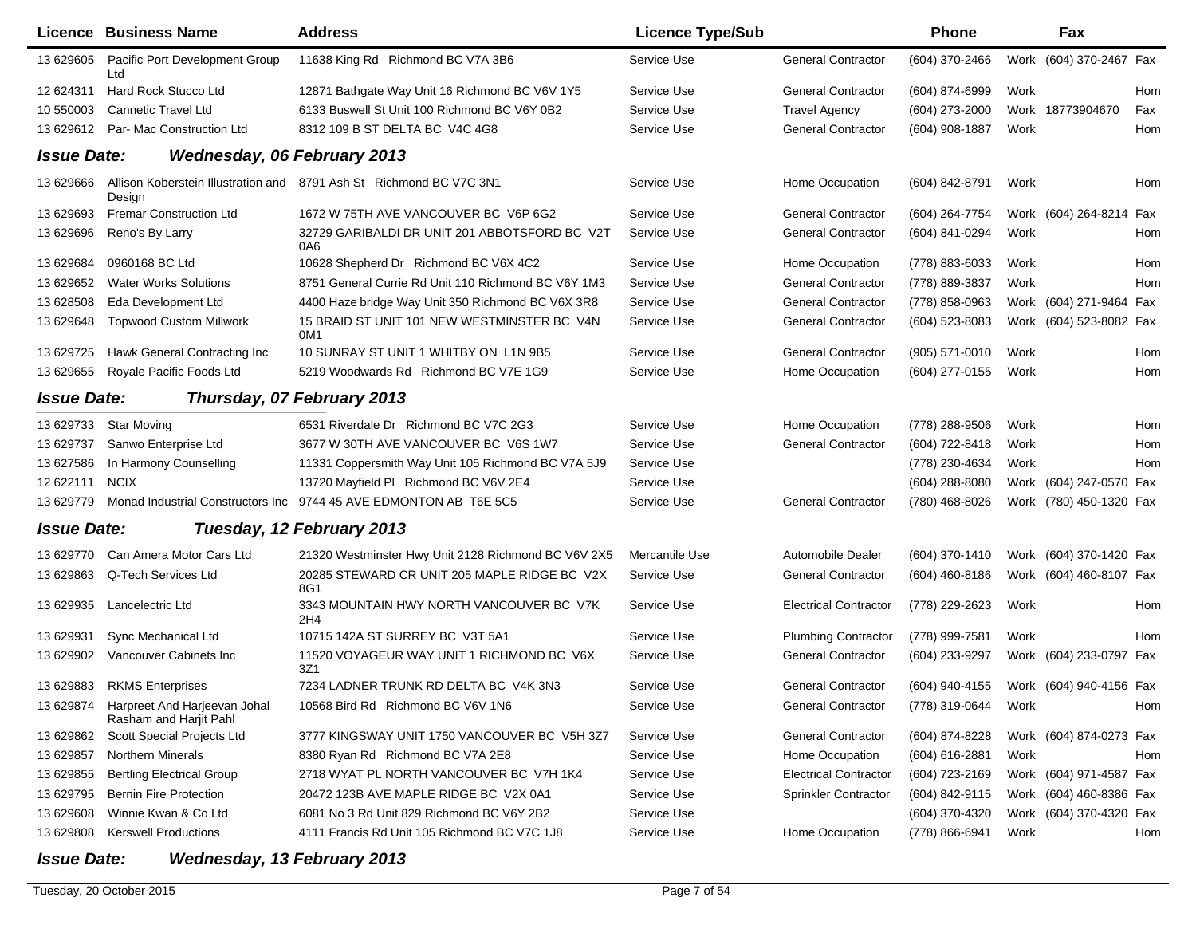|                    | Licence Business Name                                  | <b>Address</b>                                                      | <b>Licence Type/Sub</b> |                              | <b>Phone</b>       |      | Fax                     |     |
|--------------------|--------------------------------------------------------|---------------------------------------------------------------------|-------------------------|------------------------------|--------------------|------|-------------------------|-----|
| 13 629605          | Pacific Port Development Group<br>Ltd                  | 11638 King Rd Richmond BC V7A 3B6                                   | Service Use             | <b>General Contractor</b>    | (604) 370-2466     |      | Work (604) 370-2467 Fax |     |
| 12 624311          | Hard Rock Stucco Ltd                                   | 12871 Bathgate Way Unit 16 Richmond BC V6V 1Y5                      | Service Use             | <b>General Contractor</b>    | (604) 874-6999     | Work |                         | Hom |
| 10 550003          | <b>Cannetic Travel Ltd</b>                             | 6133 Buswell St Unit 100 Richmond BC V6Y 0B2                        | Service Use             | <b>Travel Agency</b>         | (604) 273-2000     |      | Work 18773904670        | Fax |
| 13 629612          | Par- Mac Construction Ltd                              | 8312 109 B ST DELTA BC V4C 4G8                                      | Service Use             | <b>General Contractor</b>    | (604) 908-1887     | Work |                         | Hom |
| <b>Issue Date:</b> | <b>Wednesday, 06 February 2013</b>                     |                                                                     |                         |                              |                    |      |                         |     |
| 13 629666          | Design                                                 | Allison Koberstein Illustration and 8791 Ash St Richmond BC V7C 3N1 | Service Use             | Home Occupation              | (604) 842-8791     | Work |                         | Hom |
| 13 629693          | <b>Fremar Construction Ltd</b>                         | 1672 W 75TH AVE VANCOUVER BC V6P 6G2                                | Service Use             | <b>General Contractor</b>    | (604) 264-7754     |      | Work (604) 264-8214 Fax |     |
| 13 629696          | Reno's By Larry                                        | 32729 GARIBALDI DR UNIT 201 ABBOTSFORD BC V2T<br>0A6                | Service Use             | <b>General Contractor</b>    | (604) 841-0294     | Work |                         | Hom |
| 13 629684          | 0960168 BC Ltd                                         | 10628 Shepherd Dr Richmond BC V6X 4C2                               | Service Use             | Home Occupation              | (778) 883-6033     | Work |                         | Hom |
| 13 629652          | <b>Water Works Solutions</b>                           | 8751 General Currie Rd Unit 110 Richmond BC V6Y 1M3                 | Service Use             | <b>General Contractor</b>    | (778) 889-3837     | Work |                         | Hom |
| 13 628508          | Eda Development Ltd                                    | 4400 Haze bridge Way Unit 350 Richmond BC V6X 3R8                   | Service Use             | <b>General Contractor</b>    | (778) 858-0963     |      | Work (604) 271-9464 Fax |     |
| 13 629648          | <b>Topwood Custom Millwork</b>                         | 15 BRAID ST UNIT 101 NEW WESTMINSTER BC V4N<br>OM <sub>1</sub>      | Service Use             | <b>General Contractor</b>    | (604) 523-8083     |      | Work (604) 523-8082 Fax |     |
| 13 629725          | Hawk General Contracting Inc                           | 10 SUNRAY ST UNIT 1 WHITBY ON L1N 9B5                               | Service Use             | <b>General Contractor</b>    | (905) 571-0010     | Work |                         | Hom |
| 13 629655          | Royale Pacific Foods Ltd                               | 5219 Woodwards Rd Richmond BC V7E 1G9                               | Service Use             | Home Occupation              | (604) 277-0155     | Work |                         | Hom |
| <b>Issue Date:</b> |                                                        | Thursday, 07 February 2013                                          |                         |                              |                    |      |                         |     |
| 13 629733          | <b>Star Moving</b>                                     | 6531 Riverdale Dr Richmond BC V7C 2G3                               | Service Use             | Home Occupation              | (778) 288-9506     | Work |                         | Hom |
| 13 629737          | Sanwo Enterprise Ltd                                   | 3677 W 30TH AVE VANCOUVER BC V6S 1W7                                | Service Use             | <b>General Contractor</b>    | (604) 722-8418     | Work |                         | Hom |
| 13 627586          | In Harmony Counselling                                 | 11331 Coppersmith Way Unit 105 Richmond BC V7A 5J9                  | Service Use             |                              | (778) 230-4634     | Work |                         | Hom |
| 12 622111          | <b>NCIX</b>                                            | 13720 Mayfield PI Richmond BC V6V 2E4                               | Service Use             |                              | (604) 288-8080     |      | Work (604) 247-0570 Fax |     |
| 13 629779          |                                                        | Monad Industrial Constructors Inc 9744 45 AVE EDMONTON AB T6E 5C5   | Service Use             | <b>General Contractor</b>    | (780) 468-8026     |      | Work (780) 450-1320 Fax |     |
| <b>Issue Date:</b> |                                                        | Tuesday, 12 February 2013                                           |                         |                              |                    |      |                         |     |
| 13 629770          | Can Amera Motor Cars Ltd                               | 21320 Westminster Hwy Unit 2128 Richmond BC V6V 2X5                 | Mercantile Use          | Automobile Dealer            | (604) 370-1410     |      | Work (604) 370-1420 Fax |     |
| 13 629863          | Q-Tech Services Ltd                                    | 20285 STEWARD CR UNIT 205 MAPLE RIDGE BC V2X<br>8G1                 | Service Use             | <b>General Contractor</b>    | $(604)$ 460-8186   |      | Work (604) 460-8107 Fax |     |
| 13 629935          | Lancelectric Ltd                                       | 3343 MOUNTAIN HWY NORTH VANCOUVER BC V7K<br>2H4                     | Service Use             | <b>Electrical Contractor</b> | (778) 229-2623     | Work |                         | Hom |
| 13 629931          | Sync Mechanical Ltd                                    | 10715 142A ST SURREY BC V3T 5A1                                     | Service Use             | <b>Plumbing Contractor</b>   | (778) 999-7581     | Work |                         | Hom |
| 13 629902          | Vancouver Cabinets Inc                                 | 11520 VOYAGEUR WAY UNIT 1 RICHMOND BC V6X<br>3Z1                    | Service Use             | <b>General Contractor</b>    | (604) 233-9297     |      | Work (604) 233-0797 Fax |     |
| 13 629883          | <b>RKMS Enterprises</b>                                | 7234 LADNER TRUNK RD DELTA BC V4K 3N3                               | Service Use             | <b>General Contractor</b>    | (604) 940-4155     |      | Work (604) 940-4156 Fax |     |
| 13 629874          | Harpreet And Harjeevan Johal<br>Rasham and Harjit Pahl | 10568 Bird Rd Richmond BC V6V 1N6                                   | Service Use             | <b>General Contractor</b>    | (778) 319-0644     | Work |                         | Hom |
| 13 629862          | Scott Special Projects Ltd                             | 3777 KINGSWAY UNIT 1750 VANCOUVER BC V5H 3Z7                        | Service Use             | <b>General Contractor</b>    | (604) 874-8228     |      | Work (604) 874-0273 Fax |     |
| 13 629857          | Northern Minerals                                      | 8380 Ryan Rd Richmond BC V7A 2E8                                    | Service Use             | Home Occupation              | $(604) 616 - 2881$ | Work |                         | Hom |
| 13 629855          | <b>Bertling Electrical Group</b>                       | 2718 WYAT PL NORTH VANCOUVER BC V7H 1K4                             | Service Use             | <b>Electrical Contractor</b> | (604) 723-2169     |      | Work (604) 971-4587 Fax |     |
| 13 629795          | <b>Bernin Fire Protection</b>                          | 20472 123B AVE MAPLE RIDGE BC V2X 0A1                               | Service Use             | Sprinkler Contractor         | (604) 842-9115     |      | Work (604) 460-8386 Fax |     |
| 13 629608          | Winnie Kwan & Co Ltd                                   | 6081 No 3 Rd Unit 829 Richmond BC V6Y 2B2                           | Service Use             |                              | (604) 370-4320     |      | Work (604) 370-4320 Fax |     |
| 13 629808          | <b>Kerswell Productions</b>                            | 4111 Francis Rd Unit 105 Richmond BC V7C 1J8                        | Service Use             | Home Occupation              | (778) 866-6941     | Work |                         | Hom |

## *Issue Date:Wednesday, 13 February 2013*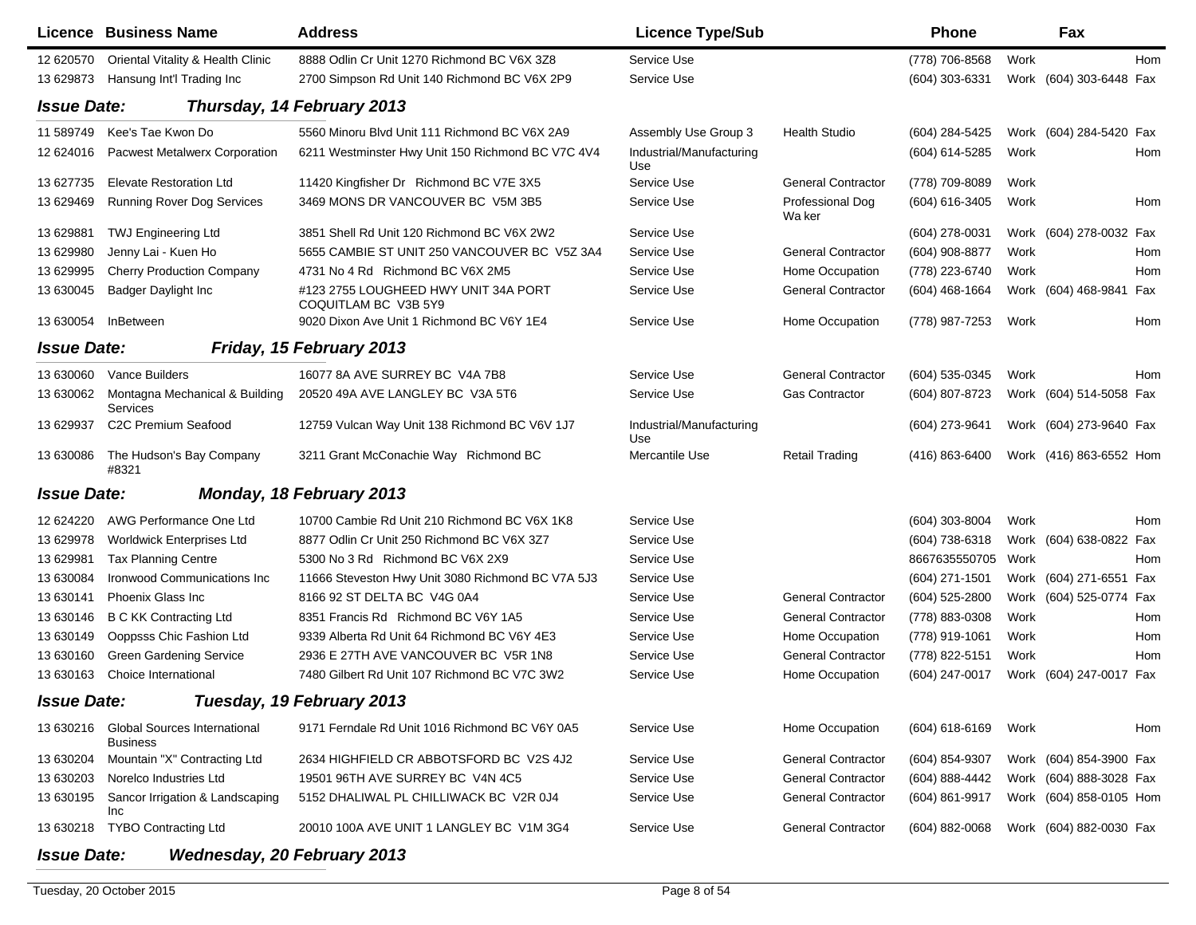|                    | Licence Business Name                                     | <b>Address</b>                                               | <b>Licence Type/Sub</b>         |                            | <b>Phone</b>     |      | Fax                        |
|--------------------|-----------------------------------------------------------|--------------------------------------------------------------|---------------------------------|----------------------------|------------------|------|----------------------------|
| 12 620570          | Oriental Vitality & Health Clinic                         | 8888 Odlin Cr Unit 1270 Richmond BC V6X 3Z8                  | Service Use                     |                            | (778) 706-8568   | Work | Hom                        |
| 13 629873          | Hansung Int'l Trading Inc                                 | 2700 Simpson Rd Unit 140 Richmond BC V6X 2P9                 | Service Use                     |                            | (604) 303-6331   |      | Work (604) 303-6448 Fax    |
| <b>Issue Date:</b> |                                                           | Thursday, 14 February 2013                                   |                                 |                            |                  |      |                            |
| 11 589749          | Kee's Tae Kwon Do                                         | 5560 Minoru Blvd Unit 111 Richmond BC V6X 2A9                | Assembly Use Group 3            | <b>Health Studio</b>       | (604) 284-5425   |      | Work (604) 284-5420 Fax    |
| 12 624016          | <b>Pacwest Metalwerx Corporation</b>                      | 6211 Westminster Hwy Unit 150 Richmond BC V7C 4V4            | Industrial/Manufacturing<br>Use |                            | (604) 614-5285   | Work | Hom                        |
| 13 627735          | <b>Elevate Restoration Ltd</b>                            | 11420 Kingfisher Dr Richmond BC V7E 3X5                      | Service Use                     | <b>General Contractor</b>  | (778) 709-8089   | Work |                            |
| 13 629469          | <b>Running Rover Dog Services</b>                         | 3469 MONS DR VANCOUVER BC V5M 3B5                            | Service Use                     | Professional Dog<br>Wa ker | (604) 616-3405   | Work | Hom                        |
| 13 629881          | <b>TWJ Engineering Ltd</b>                                | 3851 Shell Rd Unit 120 Richmond BC V6X 2W2                   | Service Use                     |                            | (604) 278-0031   |      | Work (604) 278-0032 Fax    |
| 13 629980          | Jenny Lai - Kuen Ho                                       | 5655 CAMBIE ST UNIT 250 VANCOUVER BC V5Z 3A4                 | Service Use                     | <b>General Contractor</b>  | (604) 908-8877   | Work | Hom                        |
| 13 629995          | <b>Cherry Production Company</b>                          | 4731 No 4 Rd Richmond BC V6X 2M5                             | Service Use                     | Home Occupation            | (778) 223-6740   | Work | Hom                        |
| 13 630045          | Badger Daylight Inc                                       | #123 2755 LOUGHEED HWY UNIT 34A PORT<br>COQUITLAM BC V3B 5Y9 | Service Use                     | <b>General Contractor</b>  | (604) 468-1664   |      | Work (604) 468-9841<br>Fax |
| 13 630054          | InBetween                                                 | 9020 Dixon Ave Unit 1 Richmond BC V6Y 1E4                    | Service Use                     | Home Occupation            | (778) 987-7253   | Work | Hom                        |
| <b>Issue Date:</b> |                                                           | Friday, 15 February 2013                                     |                                 |                            |                  |      |                            |
| 13 630060          | Vance Builders                                            | 16077 8A AVE SURREY BC V4A 7B8                               | Service Use                     | <b>General Contractor</b>  | (604) 535-0345   | Work | Hom                        |
| 13 630062          | Montagna Mechanical & Building<br>Services                | 20520 49A AVE LANGLEY BC V3A 5T6                             | Service Use                     | <b>Gas Contractor</b>      | (604) 807-8723   |      | Work (604) 514-5058 Fax    |
| 13 629937          | C2C Premium Seafood                                       | 12759 Vulcan Way Unit 138 Richmond BC V6V 1J7                | Industrial/Manufacturing<br>Use |                            | (604) 273-9641   |      | Work (604) 273-9640 Fax    |
| 13 630086          | The Hudson's Bay Company<br>#8321                         | 3211 Grant McConachie Way Richmond BC                        | Mercantile Use                  | <b>Retail Trading</b>      | (416) 863-6400   |      | Work (416) 863-6552 Hom    |
| <b>Issue Date:</b> |                                                           | Monday, 18 February 2013                                     |                                 |                            |                  |      |                            |
| 12 624220          | AWG Performance One Ltd                                   | 10700 Cambie Rd Unit 210 Richmond BC V6X 1K8                 | Service Use                     |                            | $(604)$ 303-8004 | Work | Hom                        |
| 13 629978          | <b>Worldwick Enterprises Ltd</b>                          | 8877 Odlin Cr Unit 250 Richmond BC V6X 3Z7                   | Service Use                     |                            | (604) 738-6318   |      | Work (604) 638-0822 Fax    |
| 13 629981          | <b>Tax Planning Centre</b>                                | 5300 No 3 Rd Richmond BC V6X 2X9                             | Service Use                     |                            | 8667635550705    | Work | Hom                        |
| 13 630084          | Ironwood Communications Inc                               | 11666 Steveston Hwy Unit 3080 Richmond BC V7A 5J3            | Service Use                     |                            | (604) 271-1501   |      | Work (604) 271-6551 Fax    |
| 13 630141          | Phoenix Glass Inc                                         | 8166 92 ST DELTA BC V4G 0A4                                  | Service Use                     | <b>General Contractor</b>  | (604) 525-2800   |      | Work (604) 525-0774 Fax    |
| 13 630146          | <b>B C KK Contracting Ltd</b>                             | 8351 Francis Rd Richmond BC V6Y 1A5                          | Service Use                     | <b>General Contractor</b>  | (778) 883-0308   | Work | Hom                        |
| 13 630149          | Ooppsss Chic Fashion Ltd                                  | 9339 Alberta Rd Unit 64 Richmond BC V6Y 4E3                  | Service Use                     | Home Occupation            | (778) 919-1061   | Work | Hom                        |
| 13 630160          | <b>Green Gardening Service</b>                            | 2936 E 27TH AVE VANCOUVER BC V5R 1N8                         | <b>Service Use</b>              | <b>General Contractor</b>  | (778) 822-5151   | Work | Hom                        |
| 13 630163          | Choice International                                      | 7480 Gilbert Rd Unit 107 Richmond BC V7C 3W2                 | Service Use                     | Home Occupation            | (604) 247-0017   |      | Work (604) 247-0017 Fax    |
| <b>Issue Date:</b> |                                                           | Tuesday, 19 February 2013                                    |                                 |                            |                  |      |                            |
|                    | 13 630216 Global Sources International<br><b>Business</b> | 9171 Ferndale Rd Unit 1016 Richmond BC V6Y 0A5               | Service Use                     | Home Occupation            | (604) 618-6169   | Work | Hom                        |
| 13 630204          | Mountain "X" Contracting Ltd                              | 2634 HIGHFIELD CR ABBOTSFORD BC V2S 4J2                      | Service Use                     | <b>General Contractor</b>  | (604) 854-9307   |      | Work (604) 854-3900 Fax    |
| 13 630203          | Norelco Industries Ltd                                    | 19501 96TH AVE SURREY BC V4N 4C5                             | Service Use                     | <b>General Contractor</b>  | (604) 888-4442   |      | Work (604) 888-3028 Fax    |
| 13 630195          | Sancor Irrigation & Landscaping<br>Inc                    | 5152 DHALIWAL PL CHILLIWACK BC V2R 0J4                       | Service Use                     | <b>General Contractor</b>  | (604) 861-9917   |      | Work (604) 858-0105 Hom    |
| 13 630218          | <b>TYBO Contracting Ltd</b>                               | 20010 100A AVE UNIT 1 LANGLEY BC V1M 3G4                     | Service Use                     | <b>General Contractor</b>  | $(604)$ 882-0068 |      | Work (604) 882-0030 Fax    |
| <b>Issue Date:</b> | Wednesday, 20 February 2013                               |                                                              |                                 |                            |                  |      |                            |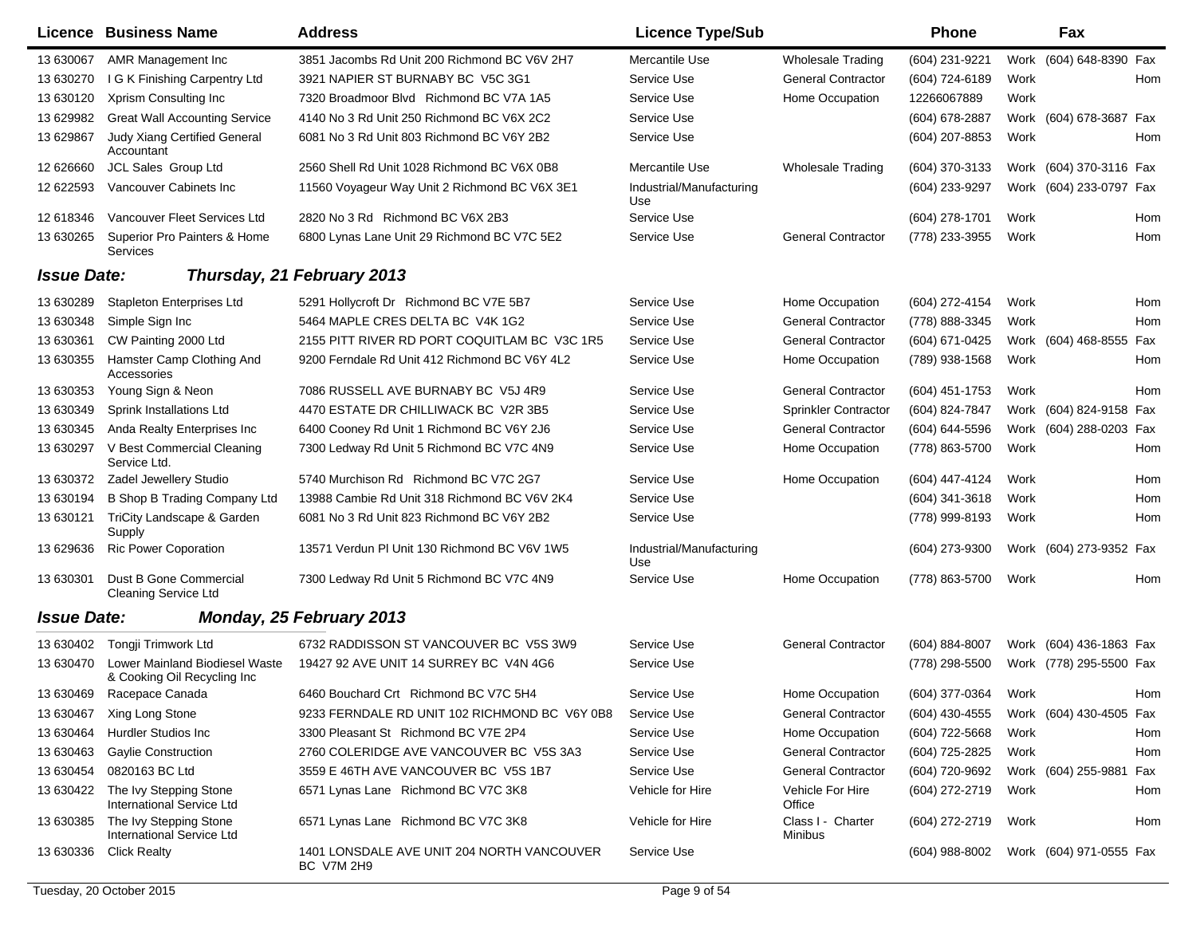|                    | Licence Business Name                                         | <b>Address</b>                                           | <b>Licence Type/Sub</b>         |                              | <b>Phone</b>                           |      | Fax                     |     |
|--------------------|---------------------------------------------------------------|----------------------------------------------------------|---------------------------------|------------------------------|----------------------------------------|------|-------------------------|-----|
| 13 630067          | AMR Management Inc                                            | 3851 Jacombs Rd Unit 200 Richmond BC V6V 2H7             | Mercantile Use                  | <b>Wholesale Trading</b>     | (604) 231-9221                         |      | Work (604) 648-8390 Fax |     |
| 13 630270          | I G K Finishing Carpentry Ltd                                 | 3921 NAPIER ST BURNABY BC V5C 3G1                        | Service Use                     | <b>General Contractor</b>    | (604) 724-6189                         | Work |                         | Hom |
| 13 630120          | Xprism Consulting Inc                                         | 7320 Broadmoor Blvd Richmond BC V7A 1A5                  | Service Use                     | Home Occupation              | 12266067889                            | Work |                         |     |
| 13 629982          | <b>Great Wall Accounting Service</b>                          | 4140 No 3 Rd Unit 250 Richmond BC V6X 2C2                | Service Use                     |                              | $(604)$ 678-2887                       |      | Work (604) 678-3687 Fax |     |
| 13 629867          | Judy Xiang Certified General<br>Accountant                    | 6081 No 3 Rd Unit 803 Richmond BC V6Y 2B2                | Service Use                     |                              | (604) 207-8853                         | Work |                         | Hom |
| 12 626660          | JCL Sales Group Ltd                                           | 2560 Shell Rd Unit 1028 Richmond BC V6X 0B8              | Mercantile Use                  | <b>Wholesale Trading</b>     | (604) 370-3133                         |      | Work (604) 370-3116 Fax |     |
| 12 622593          | Vancouver Cabinets Inc                                        | 11560 Voyageur Way Unit 2 Richmond BC V6X 3E1            | Industrial/Manufacturing<br>Use |                              | (604) 233-9297                         |      | Work (604) 233-0797 Fax |     |
| 12 618346          | Vancouver Fleet Services Ltd                                  | 2820 No 3 Rd Richmond BC V6X 2B3                         | Service Use                     |                              | (604) 278-1701                         | Work |                         | Hom |
| 13 630265          | Superior Pro Painters & Home<br><b>Services</b>               | 6800 Lynas Lane Unit 29 Richmond BC V7C 5E2              | Service Use                     | <b>General Contractor</b>    | (778) 233-3955                         | Work |                         | Hom |
| <b>Issue Date:</b> |                                                               | Thursday, 21 February 2013                               |                                 |                              |                                        |      |                         |     |
| 13 630289          | <b>Stapleton Enterprises Ltd</b>                              | 5291 Hollycroft Dr Richmond BC V7E 5B7                   | Service Use                     | Home Occupation              | (604) 272-4154                         | Work |                         | Hom |
| 13 630348          | Simple Sign Inc                                               | 5464 MAPLE CRES DELTA BC V4K 1G2                         | Service Use                     | <b>General Contractor</b>    | (778) 888-3345                         | Work |                         | Hom |
| 13 630361          | CW Painting 2000 Ltd                                          | 2155 PITT RIVER RD PORT COQUITLAM BC V3C 1R5             | Service Use                     | <b>General Contractor</b>    | (604) 671-0425                         |      | Work (604) 468-8555     | Fax |
| 13 630355          | Hamster Camp Clothing And<br>Accessories                      | 9200 Ferndale Rd Unit 412 Richmond BC V6Y 4L2            | Service Use                     | Home Occupation              | (789) 938-1568                         | Work |                         | Hom |
| 13 630353          | Young Sign & Neon                                             | 7086 RUSSELL AVE BURNABY BC V5J 4R9                      | Service Use                     | <b>General Contractor</b>    | $(604)$ 451-1753                       | Work |                         | Hom |
| 13 630349          | Sprink Installations Ltd                                      | 4470 ESTATE DR CHILLIWACK BC V2R 3B5                     | Service Use                     | Sprinkler Contractor         | (604) 824-7847                         |      | Work (604) 824-9158 Fax |     |
| 13 630345          | Anda Realty Enterprises Inc                                   | 6400 Cooney Rd Unit 1 Richmond BC V6Y 2J6                | Service Use                     | <b>General Contractor</b>    | (604) 644-5596                         |      | Work (604) 288-0203 Fax |     |
| 13 630297          | V Best Commercial Cleaning<br>Service Ltd.                    | 7300 Ledway Rd Unit 5 Richmond BC V7C 4N9                | Service Use                     | Home Occupation              | (778) 863-5700                         | Work |                         | Hom |
| 13 630372          | Zadel Jewellery Studio                                        | 5740 Murchison Rd Richmond BC V7C 2G7                    | Service Use                     | Home Occupation              | (604) 447-4124                         | Work |                         | Hom |
| 13 630194          | <b>B Shop B Trading Company Ltd</b>                           | 13988 Cambie Rd Unit 318 Richmond BC V6V 2K4             | Service Use                     |                              | $(604)$ 341-3618                       | Work |                         | Hom |
| 13 630121          | TriCity Landscape & Garden<br>Supply                          | 6081 No 3 Rd Unit 823 Richmond BC V6Y 2B2                | Service Use                     |                              | (778) 999-8193                         | Work |                         | Hom |
| 13 629636          | <b>Ric Power Coporation</b>                                   | 13571 Verdun PI Unit 130 Richmond BC V6V 1W5             | Industrial/Manufacturing<br>Use |                              | (604) 273-9300                         |      | Work (604) 273-9352 Fax |     |
| 13 630301          | Dust B Gone Commercial<br><b>Cleaning Service Ltd</b>         | 7300 Ledway Rd Unit 5 Richmond BC V7C 4N9                | Service Use                     | Home Occupation              | (778) 863-5700                         | Work |                         | Hom |
| <b>Issue Date:</b> |                                                               | Monday, 25 February 2013                                 |                                 |                              |                                        |      |                         |     |
| 13 630402          | Tongji Trimwork Ltd                                           | 6732 RADDISSON ST VANCOUVER BC V5S 3W9                   | Service Use                     | <b>General Contractor</b>    | (604) 884-8007                         |      | Work (604) 436-1863 Fax |     |
| 13 630470          | Lower Mainland Biodiesel Waste<br>& Cooking Oil Recycling Inc | 19427 92 AVE UNIT 14 SURREY BC V4N 4G6                   | Service Use                     |                              | (778) 298-5500                         |      | Work (778) 295-5500 Fax |     |
| 13 630469          | Racepace Canada                                               | 6460 Bouchard Crt Richmond BC V7C 5H4                    | Service Use                     | Home Occupation              | (604) 377-0364                         | Work |                         | Hom |
|                    | 13 630467 Xing Long Stone                                     | 9233 FERNDALE RD UNIT 102 RICHMOND BC V6Y 0B8            | Service Use                     | <b>General Contractor</b>    | (604) 430-4555 Work (604) 430-4505 Fax |      |                         |     |
| 13 630464          | <b>Hurdler Studios Inc</b>                                    | 3300 Pleasant St Richmond BC V7E 2P4                     | Service Use                     | Home Occupation              | (604) 722-5668                         | Work |                         | Hom |
| 13 630463          | <b>Gaylie Construction</b>                                    | 2760 COLERIDGE AVE VANCOUVER BC V5S 3A3                  | Service Use                     | <b>General Contractor</b>    | (604) 725-2825                         | Work |                         | Hom |
| 13 630454          | 0820163 BC Ltd                                                | 3559 E 46TH AVE VANCOUVER BC V5S 1B7                     | Service Use                     | <b>General Contractor</b>    | (604) 720-9692                         |      | Work (604) 255-9881 Fax |     |
| 13 630422          | The Ivy Stepping Stone<br>International Service Ltd           | 6571 Lynas Lane Richmond BC V7C 3K8                      | Vehicle for Hire                | Vehicle For Hire<br>Office   | (604) 272-2719                         | Work |                         | Hom |
| 13 630385          | The Ivy Stepping Stone<br>International Service Ltd           | 6571 Lynas Lane Richmond BC V7C 3K8                      | Vehicle for Hire                | Class I - Charter<br>Minibus | (604) 272-2719                         | Work |                         | Hom |
|                    | 13 630336 Click Realty                                        | 1401 LONSDALE AVE UNIT 204 NORTH VANCOUVER<br>BC V7M 2H9 | Service Use                     |                              | (604) 988-8002 Work (604) 971-0555 Fax |      |                         |     |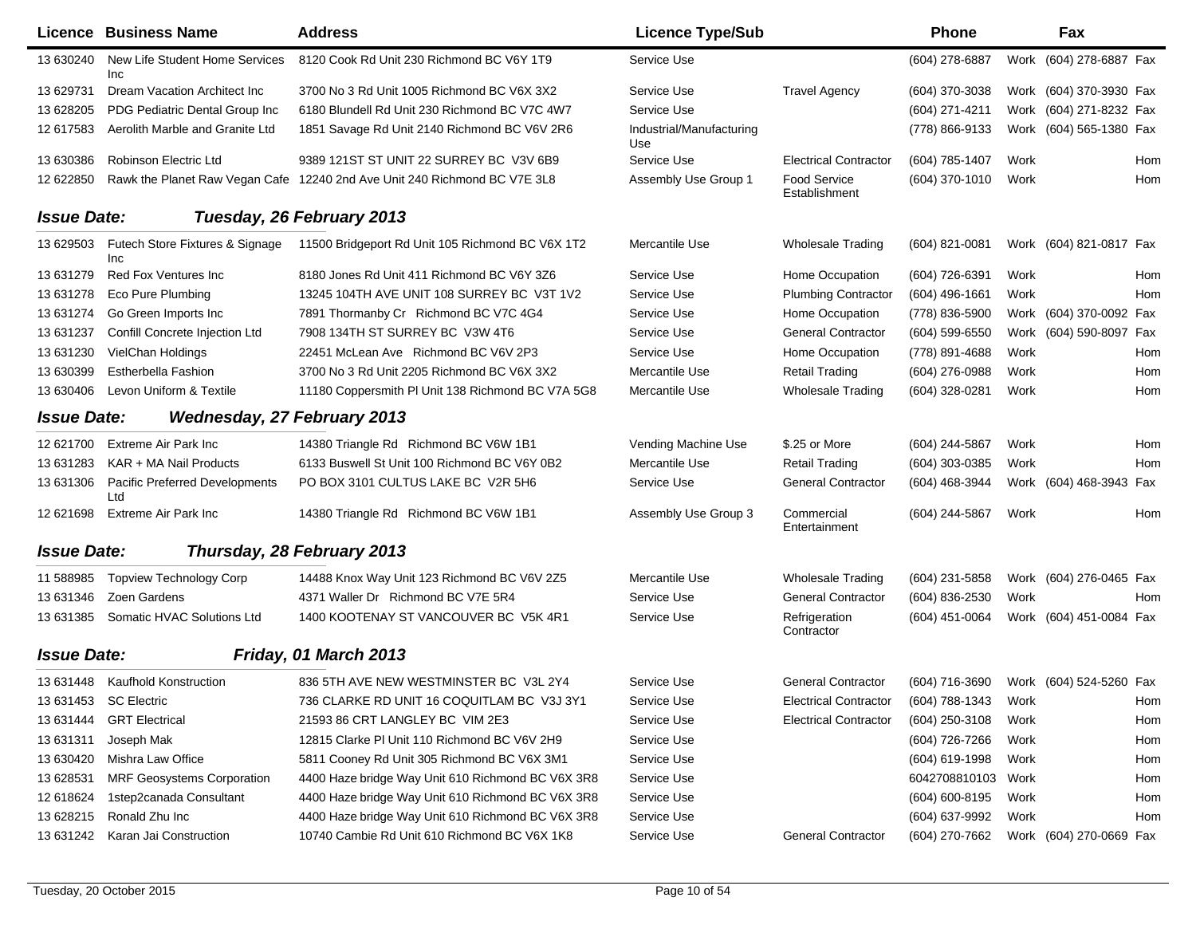|                    | Licence Business Name                  | <b>Address</b>                                                            | <b>Licence Type/Sub</b>         |                               | <b>Phone</b>     |      | Fax                     |     |
|--------------------|----------------------------------------|---------------------------------------------------------------------------|---------------------------------|-------------------------------|------------------|------|-------------------------|-----|
| 13 630240          | New Life Student Home Services<br>Inc  | 8120 Cook Rd Unit 230 Richmond BC V6Y 1T9                                 | Service Use                     |                               | (604) 278-6887   |      | Work (604) 278-6887 Fax |     |
| 13 629731          | Dream Vacation Architect Inc.          | 3700 No 3 Rd Unit 1005 Richmond BC V6X 3X2                                | Service Use                     | <b>Travel Agency</b>          | (604) 370-3038   |      | Work (604) 370-3930 Fax |     |
| 13 628205          | PDG Pediatric Dental Group Inc         | 6180 Blundell Rd Unit 230 Richmond BC V7C 4W7                             | Service Use                     |                               | (604) 271-4211   |      | Work (604) 271-8232 Fax |     |
| 12 617583          | Aerolith Marble and Granite Ltd        | 1851 Savage Rd Unit 2140 Richmond BC V6V 2R6                              | Industrial/Manufacturing<br>Use |                               | (778) 866-9133   |      | Work (604) 565-1380 Fax |     |
| 13 630386          | Robinson Electric Ltd                  | 9389 121ST ST UNIT 22 SURREY BC V3V 6B9                                   | Service Use                     | <b>Electrical Contractor</b>  | (604) 785-1407   | Work |                         | Hom |
| 12 622850          |                                        | Rawk the Planet Raw Vegan Cafe 12240 2nd Ave Unit 240 Richmond BC V7E 3L8 | Assembly Use Group 1            | Food Service<br>Establishment | (604) 370-1010   | Work |                         | Hom |
| <b>Issue Date:</b> |                                        | Tuesday, 26 February 2013                                                 |                                 |                               |                  |      |                         |     |
| 13 629503          | Futech Store Fixtures & Signage<br>Inc | 11500 Bridgeport Rd Unit 105 Richmond BC V6X 1T2                          | Mercantile Use                  | <b>Wholesale Trading</b>      | (604) 821-0081   |      | Work (604) 821-0817 Fax |     |
| 13 631279          | Red Fox Ventures Inc                   | 8180 Jones Rd Unit 411 Richmond BC V6Y 3Z6                                | Service Use                     | Home Occupation               | (604) 726-6391   | Work |                         | Hom |
| 13 631278          | Eco Pure Plumbing                      | 13245 104TH AVE UNIT 108 SURREY BC V3T 1V2                                | Service Use                     | <b>Plumbing Contractor</b>    | (604) 496-1661   | Work |                         | Hom |
| 13 631274          | Go Green Imports Inc                   | 7891 Thormanby Cr Richmond BC V7C 4G4                                     | Service Use                     | Home Occupation               | (778) 836-5900   |      | Work (604) 370-0092 Fax |     |
| 13 631237          | Confill Concrete Injection Ltd         | 7908 134TH ST SURREY BC V3W 4T6                                           | Service Use                     | <b>General Contractor</b>     | (604) 599-6550   |      | Work (604) 590-8097 Fax |     |
| 13 631230          | VielChan Holdings                      | 22451 McLean Ave Richmond BC V6V 2P3                                      | Service Use                     | Home Occupation               | (778) 891-4688   | Work |                         | Hom |
| 13 630399          | Estherbella Fashion                    | 3700 No 3 Rd Unit 2205 Richmond BC V6X 3X2                                | Mercantile Use                  | <b>Retail Trading</b>         | (604) 276-0988   | Work |                         | Hom |
| 13 630406          | Levon Uniform & Textile                | 11180 Coppersmith PI Unit 138 Richmond BC V7A 5G8                         | Mercantile Use                  | <b>Wholesale Trading</b>      | (604) 328-0281   | Work |                         | Hom |
| <b>Issue Date:</b> | <b>Wednesday, 27 February 2013</b>     |                                                                           |                                 |                               |                  |      |                         |     |
| 12 621700          | Extreme Air Park Inc.                  | 14380 Triangle Rd Richmond BC V6W 1B1                                     | Vending Machine Use             | \$.25 or More                 | (604) 244-5867   | Work |                         | Hom |
| 13 631283          | KAR + MA Nail Products                 | 6133 Buswell St Unit 100 Richmond BC V6Y 0B2                              | Mercantile Use                  | Retail Trading                | (604) 303-0385   | Work |                         | Hom |
| 13 631306          | Pacific Preferred Developments<br>Ltd  | PO BOX 3101 CULTUS LAKE BC V2R 5H6                                        | Service Use                     | <b>General Contractor</b>     | (604) 468-3944   |      | Work (604) 468-3943 Fax |     |
| 12 621698          | Extreme Air Park Inc                   | 14380 Triangle Rd Richmond BC V6W 1B1                                     | Assembly Use Group 3            | Commercial<br>Entertainment   | (604) 244-5867   | Work |                         | Hom |
| <b>Issue Date:</b> |                                        | Thursday, 28 February 2013                                                |                                 |                               |                  |      |                         |     |
| 11 588985          | <b>Topview Technology Corp</b>         | 14488 Knox Way Unit 123 Richmond BC V6V 2Z5                               | Mercantile Use                  | <b>Wholesale Trading</b>      | (604) 231-5858   |      | Work (604) 276-0465 Fax |     |
| 13 631346          | Zoen Gardens                           | 4371 Waller Dr Richmond BC V7E 5R4                                        | Service Use                     | <b>General Contractor</b>     | (604) 836-2530   | Work |                         | Hom |
| 13 631385          | Somatic HVAC Solutions Ltd             | 1400 KOOTENAY ST VANCOUVER BC V5K 4R1                                     | Service Use                     | Refrigeration<br>Contractor   | (604) 451-0064   |      | Work (604) 451-0084 Fax |     |
| <b>Issue Date:</b> |                                        | Friday, 01 March 2013                                                     |                                 |                               |                  |      |                         |     |
|                    | 13 631448 Kaufhold Konstruction        | 836 5TH AVE NEW WESTMINSTER BC V3L 2Y4                                    | Service Use                     | <b>General Contractor</b>     | (604) 716-3690   |      | Work (604) 524-5260 Fax |     |
| 13 631453          | SC Electric                            | 736 CLARKE RD UNIT 16 COQUITLAM BC  V3J 3Y1                               | Service Use                     | <b>Electrical Contractor</b>  | (604) 788-1343   | Work |                         | Hom |
| 13 631444          | <b>GRT</b> Electrical                  | 21593 86 CRT LANGLEY BC VIM 2E3                                           | Service Use                     | <b>Electrical Contractor</b>  | $(604)$ 250-3108 | Work |                         | Hom |
| 13 631311          | Joseph Mak                             | 12815 Clarke PI Unit 110 Richmond BC V6V 2H9                              | Service Use                     |                               | (604) 726-7266   | Work |                         | Hom |
| 13 630420          | Mishra Law Office                      | 5811 Cooney Rd Unit 305 Richmond BC V6X 3M1                               | Service Use                     |                               | (604) 619-1998   | Work |                         | Hom |
| 13 628531          | <b>MRF Geosystems Corporation</b>      | 4400 Haze bridge Way Unit 610 Richmond BC V6X 3R8                         | Service Use                     |                               | 6042708810103    | Work |                         | Hom |
| 12 618624          | 1step2canada Consultant                | 4400 Haze bridge Way Unit 610 Richmond BC V6X 3R8                         | Service Use                     |                               | (604) 600-8195   | Work |                         | Hom |
| 13 628215          | Ronald Zhu Inc                         | 4400 Haze bridge Way Unit 610 Richmond BC V6X 3R8                         | Service Use                     |                               | (604) 637-9992   | Work |                         | Hom |
| 13 631242          | Karan Jai Construction                 | 10740 Cambie Rd Unit 610 Richmond BC V6X 1K8                              | Service Use                     | <b>General Contractor</b>     | (604) 270-7662   |      | Work (604) 270-0669 Fax |     |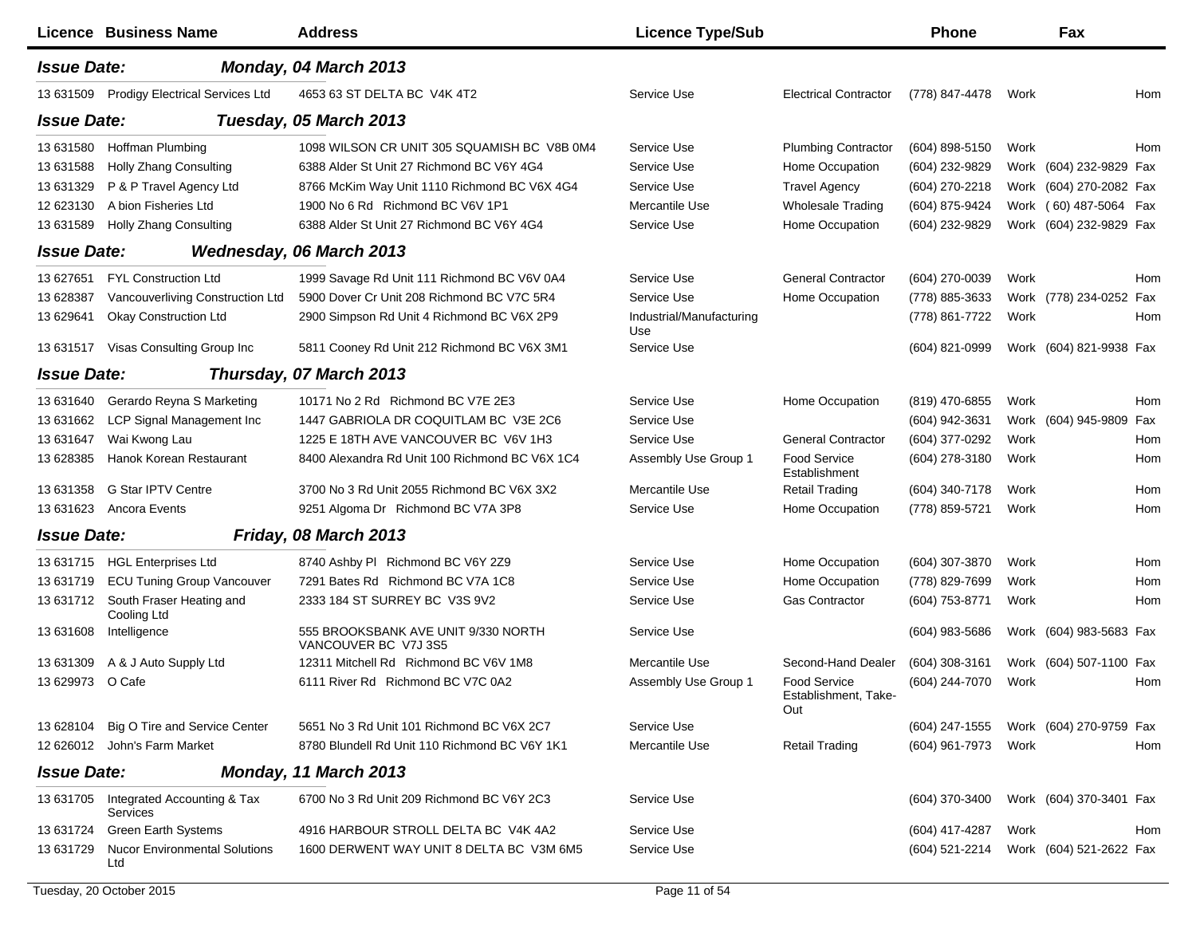|                    | Licence Business Name                             | <b>Address</b>                                              | <b>Licence Type/Sub</b>         |                                                    | <b>Phone</b>   |      | Fax                     |     |
|--------------------|---------------------------------------------------|-------------------------------------------------------------|---------------------------------|----------------------------------------------------|----------------|------|-------------------------|-----|
| <b>Issue Date:</b> |                                                   | Monday, 04 March 2013                                       |                                 |                                                    |                |      |                         |     |
| 13 631509          | <b>Prodigy Electrical Services Ltd</b>            | 4653 63 ST DELTA BC V4K 4T2                                 | Service Use                     | <b>Electrical Contractor</b>                       | (778) 847-4478 | Work |                         | Hom |
| <b>Issue Date:</b> |                                                   | Tuesday, 05 March 2013                                      |                                 |                                                    |                |      |                         |     |
| 13 631580          | Hoffman Plumbing                                  | 1098 WILSON CR UNIT 305 SQUAMISH BC V8B 0M4                 | Service Use                     | <b>Plumbing Contractor</b>                         | (604) 898-5150 | Work |                         | Hom |
| 13 631588          | Holly Zhang Consulting                            | 6388 Alder St Unit 27 Richmond BC V6Y 4G4                   | Service Use                     | Home Occupation                                    | (604) 232-9829 |      | Work (604) 232-9829 Fax |     |
| 13 631329          | P & P Travel Agency Ltd                           | 8766 McKim Way Unit 1110 Richmond BC V6X 4G4                | Service Use                     | <b>Travel Agency</b>                               | (604) 270-2218 |      | Work (604) 270-2082 Fax |     |
| 12 623130          | A bion Fisheries Ltd                              | 1900 No 6 Rd Richmond BC V6V 1P1                            | Mercantile Use                  | <b>Wholesale Trading</b>                           | (604) 875-9424 |      | Work (60) 487-5064 Fax  |     |
| 13 631589          | <b>Holly Zhang Consulting</b>                     | 6388 Alder St Unit 27 Richmond BC V6Y 4G4                   | Service Use                     | Home Occupation                                    | (604) 232-9829 |      | Work (604) 232-9829 Fax |     |
| <b>Issue Date:</b> |                                                   | Wednesday, 06 March 2013                                    |                                 |                                                    |                |      |                         |     |
| 13 627651          | <b>FYL Construction Ltd</b>                       | 1999 Savage Rd Unit 111 Richmond BC V6V 0A4                 | Service Use                     | <b>General Contractor</b>                          | (604) 270-0039 | Work |                         | Hom |
| 13 628387          | Vancouverliving Construction Ltd                  | 5900 Dover Cr Unit 208 Richmond BC V7C 5R4                  | Service Use                     | Home Occupation                                    | (778) 885-3633 |      | Work (778) 234-0252 Fax |     |
| 13 629641          | <b>Okay Construction Ltd</b>                      | 2900 Simpson Rd Unit 4 Richmond BC V6X 2P9                  | Industrial/Manufacturing<br>Use |                                                    | (778) 861-7722 | Work |                         | Hom |
| 13 631517          | Visas Consulting Group Inc                        | 5811 Cooney Rd Unit 212 Richmond BC V6X 3M1                 | Service Use                     |                                                    | (604) 821-0999 |      | Work (604) 821-9938 Fax |     |
| <b>Issue Date:</b> |                                                   | Thursday, 07 March 2013                                     |                                 |                                                    |                |      |                         |     |
| 13 631640          | Gerardo Reyna S Marketing                         | 10171 No 2 Rd Richmond BC V7E 2E3                           | Service Use                     | Home Occupation                                    | (819) 470-6855 | Work |                         | Hom |
| 13 63 1662         | <b>LCP Signal Management Inc</b>                  | 1447 GABRIOLA DR COQUITLAM BC V3E 2C6                       | Service Use                     |                                                    | (604) 942-3631 |      | Work (604) 945-9809     | Fax |
| 13 631647          | Wai Kwong Lau                                     | 1225 E 18TH AVE VANCOUVER BC V6V 1H3                        | Service Use                     | <b>General Contractor</b>                          | (604) 377-0292 | Work |                         | Hom |
| 13 628385          | Hanok Korean Restaurant                           | 8400 Alexandra Rd Unit 100 Richmond BC V6X 1C4              | Assembly Use Group 1            | Food Service<br>Establishment                      | (604) 278-3180 | Work |                         | Hom |
| 13 631358          | <b>G Star IPTV Centre</b>                         | 3700 No 3 Rd Unit 2055 Richmond BC V6X 3X2                  | Mercantile Use                  | <b>Retail Trading</b>                              | (604) 340-7178 | Work |                         | Hom |
| 13 63 16 23        | Ancora Events                                     | 9251 Algoma Dr Richmond BC V7A 3P8                          | Service Use                     | Home Occupation                                    | (778) 859-5721 | Work |                         | Hom |
| <b>Issue Date:</b> |                                                   | Friday, 08 March 2013                                       |                                 |                                                    |                |      |                         |     |
| 13 631715          | <b>HGL Enterprises Ltd</b>                        | 8740 Ashby PI Richmond BC V6Y 2Z9                           | Service Use                     | Home Occupation                                    | (604) 307-3870 | Work |                         | Hom |
| 13 631719          | <b>ECU Tuning Group Vancouver</b>                 | 7291 Bates Rd Richmond BC V7A 1C8                           | Service Use                     | Home Occupation                                    | (778) 829-7699 | Work |                         | Hom |
| 13 631712          | South Fraser Heating and<br>Cooling Ltd           | 2333 184 ST SURREY BC V3S 9V2                               | Service Use                     | Gas Contractor                                     | (604) 753-8771 | Work |                         | Hom |
| 13 631608          | Intelligence                                      | 555 BROOKSBANK AVE UNIT 9/330 NORTH<br>VANCOUVER BC V7J 3S5 | Service Use                     |                                                    | (604) 983-5686 |      | Work (604) 983-5683 Fax |     |
| 13 631309          | A & J Auto Supply Ltd                             | 12311 Mitchell Rd Richmond BC V6V 1M8                       | Mercantile Use                  | Second-Hand Dealer                                 | (604) 308-3161 |      | Work (604) 507-1100 Fax |     |
| 13 629973 O Cafe   |                                                   | 6111 River Rd Richmond BC V7C 0A2                           | Assembly Use Group 1            | <b>Food Service</b><br>Establishment, Take-<br>Out | (604) 244-7070 | Work |                         | Hom |
| 13 628104          | Big O Tire and Service Center                     | 5651 No 3 Rd Unit 101 Richmond BC V6X 2C7                   | Service Use                     |                                                    | (604) 247-1555 |      | Work (604) 270-9759 Fax |     |
|                    | 12 626012 John's Farm Market                      | 8780 Blundell Rd Unit 110 Richmond BC V6Y 1K1               | Mercantile Use                  | <b>Retail Trading</b>                              | (604) 961-7973 | Work |                         | Hom |
| <b>Issue Date:</b> |                                                   | Monday, 11 March 2013                                       |                                 |                                                    |                |      |                         |     |
|                    | 13 631705 Integrated Accounting & Tax<br>Services | 6700 No 3 Rd Unit 209 Richmond BC V6Y 2C3                   | Service Use                     |                                                    | (604) 370-3400 |      | Work (604) 370-3401 Fax |     |
| 13 631724          | Green Earth Systems                               | 4916 HARBOUR STROLL DELTA BC V4K 4A2                        | Service Use                     |                                                    | (604) 417-4287 | Work |                         | Hom |
| 13 631729          | <b>Nucor Environmental Solutions</b><br>Ltd       | 1600 DERWENT WAY UNIT 8 DELTA BC V3M 6M5                    | Service Use                     |                                                    | (604) 521-2214 |      | Work (604) 521-2622 Fax |     |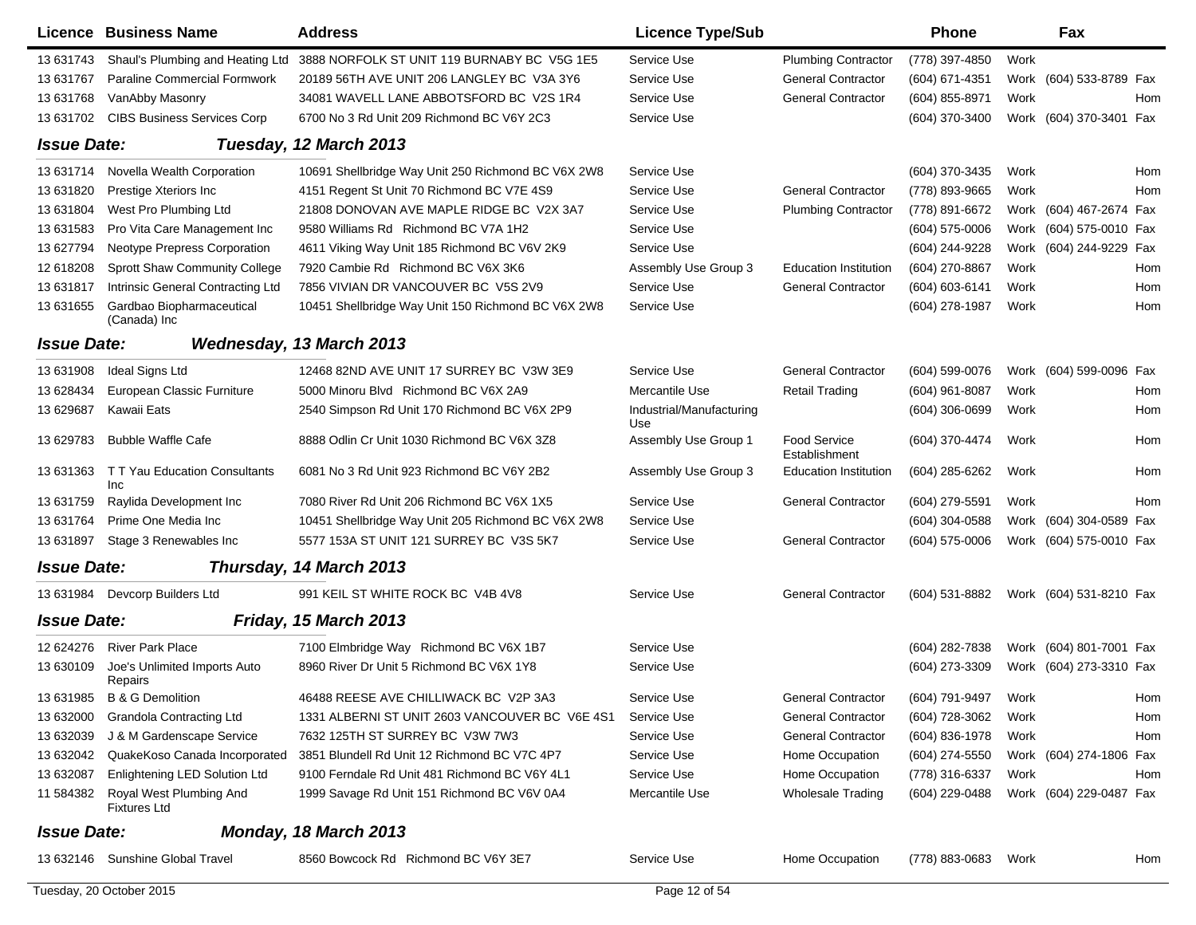|                           | Licence Business Name                          | <b>Address</b>                                     | <b>Licence Type/Sub</b>         |                               | <b>Phone</b>     |      | Fax                     |     |
|---------------------------|------------------------------------------------|----------------------------------------------------|---------------------------------|-------------------------------|------------------|------|-------------------------|-----|
| 13 631743                 | Shaul's Plumbing and Heating Ltd               | 3888 NORFOLK ST UNIT 119 BURNABY BC V5G 1E5        | Service Use                     | <b>Plumbing Contractor</b>    | (778) 397-4850   | Work |                         |     |
| 13 631767                 | Paraline Commercial Formwork                   | 20189 56TH AVE UNIT 206 LANGLEY BC V3A 3Y6         | Service Use                     | <b>General Contractor</b>     | (604) 671-4351   |      | Work (604) 533-8789 Fax |     |
| 13 631768                 | VanAbby Masonry                                | 34081 WAVELL LANE ABBOTSFORD BC V2S 1R4            | Service Use                     | <b>General Contractor</b>     | (604) 855-8971   | Work |                         | Hom |
| 13 631702                 | <b>CIBS Business Services Corp</b>             | 6700 No 3 Rd Unit 209 Richmond BC V6Y 2C3          | Service Use                     |                               | (604) 370-3400   |      | Work (604) 370-3401 Fax |     |
| <b>Issue Date:</b>        |                                                | Tuesday, 12 March 2013                             |                                 |                               |                  |      |                         |     |
| 13 631714                 | Novella Wealth Corporation                     | 10691 Shellbridge Way Unit 250 Richmond BC V6X 2W8 | Service Use                     |                               | (604) 370-3435   | Work |                         | Hom |
| 13 631820                 | Prestige Xteriors Inc                          | 4151 Regent St Unit 70 Richmond BC V7E 4S9         | Service Use                     | <b>General Contractor</b>     | (778) 893-9665   | Work |                         | Hom |
| 13 631804                 | West Pro Plumbing Ltd                          | 21808 DONOVAN AVE MAPLE RIDGE BC V2X 3A7           | Service Use                     | <b>Plumbing Contractor</b>    | (778) 891-6672   |      | Work (604) 467-2674 Fax |     |
| 13 631583                 | Pro Vita Care Management Inc                   | 9580 Williams Rd Richmond BC V7A 1H2               | Service Use                     |                               | $(604)$ 575-0006 |      | Work (604) 575-0010 Fax |     |
| 13 627794                 | Neotype Prepress Corporation                   | 4611 Viking Way Unit 185 Richmond BC V6V 2K9       | Service Use                     |                               | (604) 244-9228   |      | Work (604) 244-9229 Fax |     |
| 12 618208                 | Sprott Shaw Community College                  | 7920 Cambie Rd Richmond BC V6X 3K6                 | Assembly Use Group 3            | <b>Education Institution</b>  | (604) 270-8867   | Work |                         | Hom |
| 13 631817                 | Intrinsic General Contracting Ltd              | 7856 VIVIAN DR VANCOUVER BC V5S 2V9                | Service Use                     | <b>General Contractor</b>     | (604) 603-6141   | Work |                         | Hom |
| 13 63 1655                | Gardbao Biopharmaceutical<br>(Canada) Inc      | 10451 Shellbridge Way Unit 150 Richmond BC V6X 2W8 | Service Use                     |                               | (604) 278-1987   | Work |                         | Hom |
| <i><b>Issue Date:</b></i> |                                                | Wednesday, 13 March 2013                           |                                 |                               |                  |      |                         |     |
| 13 631908                 | Ideal Signs Ltd                                | 12468 82ND AVE UNIT 17 SURREY BC V3W 3E9           | Service Use                     | <b>General Contractor</b>     | (604) 599-0076   |      | Work (604) 599-0096 Fax |     |
| 13 628434                 | European Classic Furniture                     | 5000 Minoru Blvd Richmond BC V6X 2A9               | Mercantile Use                  | <b>Retail Trading</b>         | (604) 961-8087   | Work |                         | Hom |
| 13 629687                 | Kawaii Eats                                    | 2540 Simpson Rd Unit 170 Richmond BC V6X 2P9       | Industrial/Manufacturing<br>Use |                               | (604) 306-0699   | Work |                         | Hom |
| 13 629783                 | <b>Bubble Waffle Cafe</b>                      | 8888 Odlin Cr Unit 1030 Richmond BC V6X 3Z8        | Assembly Use Group 1            | Food Service<br>Establishment | (604) 370-4474   | Work |                         | Hom |
| 13 631363                 | T T Yau Education Consultants<br>Inc           | 6081 No 3 Rd Unit 923 Richmond BC V6Y 2B2          | Assembly Use Group 3            | <b>Education Institution</b>  | (604) 285-6262   | Work |                         | Hom |
| 13 631759                 | Raylida Development Inc                        | 7080 River Rd Unit 206 Richmond BC V6X 1X5         | Service Use                     | <b>General Contractor</b>     | (604) 279-5591   | Work |                         | Hom |
| 13 631764                 | Prime One Media Inc                            | 10451 Shellbridge Way Unit 205 Richmond BC V6X 2W8 | Service Use                     |                               | (604) 304-0588   |      | Work (604) 304-0589 Fax |     |
| 13 631897                 | Stage 3 Renewables Inc                         | 5577 153A ST UNIT 121 SURREY BC V3S 5K7            | Service Use                     | <b>General Contractor</b>     | $(604)$ 575-0006 |      | Work (604) 575-0010 Fax |     |
| <b>Issue Date:</b>        |                                                | Thursday, 14 March 2013                            |                                 |                               |                  |      |                         |     |
|                           | 13 631984 Devcorp Builders Ltd                 | 991 KEIL ST WHITE ROCK BC V4B 4V8                  | Service Use                     | <b>General Contractor</b>     | (604) 531-8882   |      | Work (604) 531-8210 Fax |     |
| <b>Issue Date:</b>        |                                                | Friday, 15 March 2013                              |                                 |                               |                  |      |                         |     |
| 12 624276                 | <b>River Park Place</b>                        | 7100 Elmbridge Way Richmond BC V6X 1B7             | Service Use                     |                               | (604) 282-7838   |      | Work (604) 801-7001 Fax |     |
| 13 630109                 | Joe's Unlimited Imports Auto<br>Repairs        | 8960 River Dr Unit 5 Richmond BC V6X 1Y8           | Service Use                     |                               | (604) 273-3309   |      | Work (604) 273-3310 Fax |     |
|                           | 13 631985 B & G Demolition                     | 46488 REESE AVE CHILLIWACK BC V2P 3A3              | Service Use                     | General Contractor            | (604) 791-9497   | Work |                         | Hom |
|                           | 13 632000 Grandola Contracting Ltd             | 1331 ALBERNI ST UNIT 2603 VANCOUVER BC V6E 4S1     | Service Use                     | <b>General Contractor</b>     | (604) 728-3062   | Work |                         | Hom |
| 13 632039                 | J & M Gardenscape Service                      | 7632 125TH ST SURREY BC V3W 7W3                    | Service Use                     | <b>General Contractor</b>     | (604) 836-1978   | Work |                         | Hom |
| 13 632042                 | QuakeKoso Canada Incorporated                  | 3851 Blundell Rd Unit 12 Richmond BC V7C 4P7       | Service Use                     | Home Occupation               | (604) 274-5550   |      | Work (604) 274-1806 Fax |     |
| 13 632087                 | Enlightening LED Solution Ltd                  | 9100 Ferndale Rd Unit 481 Richmond BC V6Y 4L1      | Service Use                     | Home Occupation               | (778) 316-6337   | Work |                         | Hom |
| 11 584382                 | Royal West Plumbing And<br><b>Fixtures Ltd</b> | 1999 Savage Rd Unit 151 Richmond BC V6V 0A4        | Mercantile Use                  | <b>Wholesale Trading</b>      | (604) 229-0488   |      | Work (604) 229-0487 Fax |     |
| <b>Issue Date:</b>        |                                                | Monday, 18 March 2013                              |                                 |                               |                  |      |                         |     |
|                           | 13 632146 Sunshine Global Travel               | 8560 Bowcock Rd Richmond BC V6Y 3E7                | Service Use                     | Home Occupation               | (778) 883-0683   | Work |                         | Hom |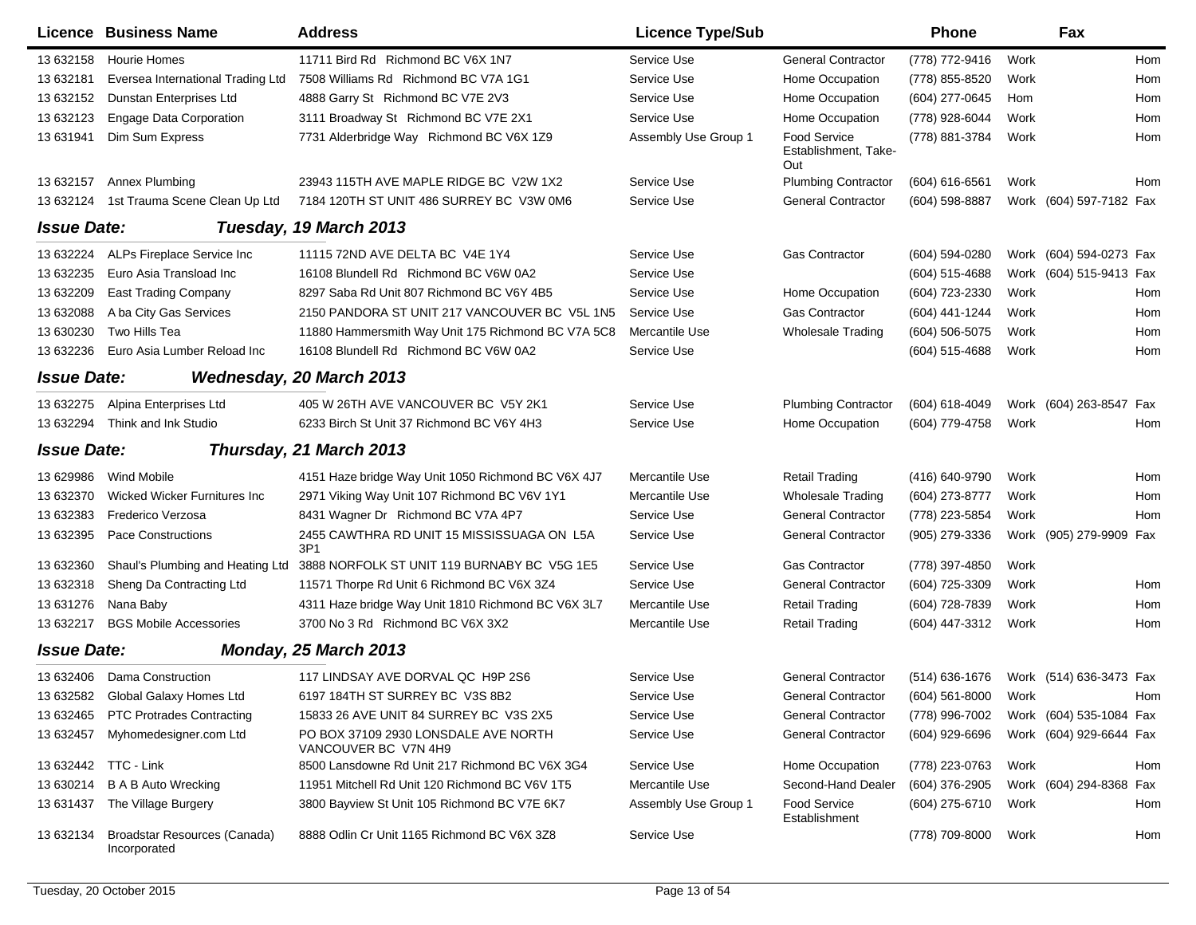|                    | Licence Business Name                        | <b>Address</b>                                               | <b>Licence Type/Sub</b> |                                             | Phone              |      | Fax                     |     |
|--------------------|----------------------------------------------|--------------------------------------------------------------|-------------------------|---------------------------------------------|--------------------|------|-------------------------|-----|
| 13 632158          | <b>Hourie Homes</b>                          | 11711 Bird Rd Richmond BC V6X 1N7                            | Service Use             | <b>General Contractor</b>                   | (778) 772-9416     | Work |                         | Hom |
| 13 632181          | Eversea International Trading Ltd            | 7508 Williams Rd Richmond BC V7A 1G1                         | Service Use             | Home Occupation                             | (778) 855-8520     | Work |                         | Hom |
| 13 632152          | Dunstan Enterprises Ltd                      | 4888 Garry St Richmond BC V7E 2V3                            | Service Use             | Home Occupation                             | (604) 277-0645     | Hom  |                         | Hom |
| 13 632123          | <b>Engage Data Corporation</b>               | 3111 Broadway St Richmond BC V7E 2X1                         | Service Use             | Home Occupation                             | (778) 928-6044     | Work |                         | Hom |
| 13 631941          | Dim Sum Express                              | 7731 Alderbridge Way Richmond BC V6X 1Z9                     | Assembly Use Group 1    | Food Service<br>Establishment, Take-<br>Out | (778) 881-3784     | Work |                         | Hom |
| 13 632157          | Annex Plumbing                               | 23943 115TH AVE MAPLE RIDGE BC V2W 1X2                       | Service Use             | <b>Plumbing Contractor</b>                  | (604) 616-6561     | Work |                         | Hom |
| 13 632124          | 1st Trauma Scene Clean Up Ltd                | 7184 120TH ST UNIT 486 SURREY BC V3W 0M6                     | Service Use             | <b>General Contractor</b>                   | $(604)$ 598-8887   |      | Work (604) 597-7182 Fax |     |
| <b>Issue Date:</b> |                                              | Tuesday, 19 March 2013                                       |                         |                                             |                    |      |                         |     |
| 13 632224          | ALPs Fireplace Service Inc                   | 11115 72ND AVE DELTA BC V4E 1Y4                              | Service Use             | <b>Gas Contractor</b>                       | (604) 594-0280     |      | Work (604) 594-0273 Fax |     |
| 13 632235          | Euro Asia Transload Inc                      | 16108 Blundell Rd Richmond BC V6W 0A2                        | Service Use             |                                             | $(604)$ 515-4688   |      | Work (604) 515-9413 Fax |     |
| 13 632209          | <b>East Trading Company</b>                  | 8297 Saba Rd Unit 807 Richmond BC V6Y 4B5                    | Service Use             | Home Occupation                             | (604) 723-2330     | Work |                         | Hom |
| 13 632088          | A ba City Gas Services                       | 2150 PANDORA ST UNIT 217 VANCOUVER BC V5L 1N5                | Service Use             | <b>Gas Contractor</b>                       | (604) 441-1244     | Work |                         | Hom |
| 13 630230          | Two Hills Tea                                | 11880 Hammersmith Way Unit 175 Richmond BC V7A 5C8           | Mercantile Use          | <b>Wholesale Trading</b>                    | $(604) 506 - 5075$ | Work |                         | Hom |
| 13 632236          | Euro Asia Lumber Reload Inc                  | 16108 Blundell Rd Richmond BC V6W 0A2                        | Service Use             |                                             | $(604)$ 515-4688   | Work |                         | Hom |
| <b>Issue Date:</b> |                                              | <b>Wednesday, 20 March 2013</b>                              |                         |                                             |                    |      |                         |     |
| 13 632275          | Alpina Enterprises Ltd                       | 405 W 26TH AVE VANCOUVER BC V5Y 2K1                          | Service Use             | <b>Plumbing Contractor</b>                  | $(604)$ 618-4049   |      | Work (604) 263-8547 Fax |     |
| 13 632294          | Think and Ink Studio                         | 6233 Birch St Unit 37 Richmond BC V6Y 4H3                    | Service Use             | Home Occupation                             | (604) 779-4758     | Work |                         | Hom |
| <b>Issue Date:</b> |                                              | Thursday, 21 March 2013                                      |                         |                                             |                    |      |                         |     |
| 13 629986          | Wind Mobile                                  | 4151 Haze bridge Way Unit 1050 Richmond BC V6X 4J7           | Mercantile Use          | <b>Retail Trading</b>                       | (416) 640-9790     | Work |                         | Hom |
| 13 632370          | Wicked Wicker Furnitures Inc                 | 2971 Viking Way Unit 107 Richmond BC V6V 1Y1                 | Mercantile Use          | <b>Wholesale Trading</b>                    | (604) 273-8777     | Work |                         | Hom |
| 13 632383          | Frederico Verzosa                            | 8431 Wagner Dr Richmond BC V7A 4P7                           | Service Use             | <b>General Contractor</b>                   | (778) 223-5854     | Work |                         | Hom |
| 13 632395          | Pace Constructions                           | 2455 CAWTHRA RD UNIT 15 MISSISSUAGA ON L5A<br>3P1            | Service Use             | <b>General Contractor</b>                   | (905) 279-3336     |      | Work (905) 279-9909 Fax |     |
| 13 632360          | Shaul's Plumbing and Heating Ltd             | 3888 NORFOLK ST UNIT 119 BURNABY BC V5G 1E5                  | Service Use             | <b>Gas Contractor</b>                       | (778) 397-4850     | Work |                         |     |
| 13 632318          | Sheng Da Contracting Ltd                     | 11571 Thorpe Rd Unit 6 Richmond BC V6X 3Z4                   | Service Use             | <b>General Contractor</b>                   | (604) 725-3309     | Work |                         | Hom |
| 13 631276          | Nana Baby                                    | 4311 Haze bridge Way Unit 1810 Richmond BC V6X 3L7           | Mercantile Use          | <b>Retail Trading</b>                       | (604) 728-7839     | Work |                         | Hom |
| 13 632217          | <b>BGS Mobile Accessories</b>                | 3700 No 3 Rd Richmond BC V6X 3X2                             | Mercantile Use          | <b>Retail Trading</b>                       | (604) 447-3312     | Work |                         | Hom |
| <b>Issue Date:</b> |                                              | Monday, 25 March 2013                                        |                         |                                             |                    |      |                         |     |
| 13 632406          | Dama Construction                            | 117 LINDSAY AVE DORVAL QC H9P 2S6                            | Service Use             | <b>General Contractor</b>                   | (514) 636-1676     |      | Work (514) 636-3473 Fax |     |
|                    | 13 632582 Global Galaxy Homes Ltd            | 6197 184TH ST SURREY BC V3S 8B2                              | Service Use             | General Contractor                          | (604) 561-8000     | Work |                         | Hom |
| 13 632465          | <b>PTC Protrades Contracting</b>             | 15833 26 AVE UNIT 84 SURREY BC V3S 2X5                       | Service Use             | <b>General Contractor</b>                   | (778) 996-7002     |      | Work (604) 535-1084 Fax |     |
| 13 632457          | Myhomedesigner.com Ltd                       | PO BOX 37109 2930 LONSDALE AVE NORTH<br>VANCOUVER BC V7N 4H9 | Service Use             | <b>General Contractor</b>                   | (604) 929-6696     |      | Work (604) 929-6644 Fax |     |
|                    | 13 632442 TTC - Link                         | 8500 Lansdowne Rd Unit 217 Richmond BC V6X 3G4               | Service Use             | Home Occupation                             | (778) 223-0763     | Work |                         | Hom |
| 13 630214          | <b>B A B Auto Wrecking</b>                   | 11951 Mitchell Rd Unit 120 Richmond BC V6V 1T5               | Mercantile Use          | Second-Hand Dealer                          | (604) 376-2905     |      | Work (604) 294-8368 Fax |     |
| 13 631437          | The Village Burgery                          | 3800 Bayview St Unit 105 Richmond BC V7E 6K7                 | Assembly Use Group 1    | Food Service<br>Establishment               | (604) 275-6710     | Work |                         | Hom |
| 13 632134          | Broadstar Resources (Canada)<br>Incorporated | 8888 Odlin Cr Unit 1165 Richmond BC V6X 3Z8                  | Service Use             |                                             | (778) 709-8000     | Work |                         | Hom |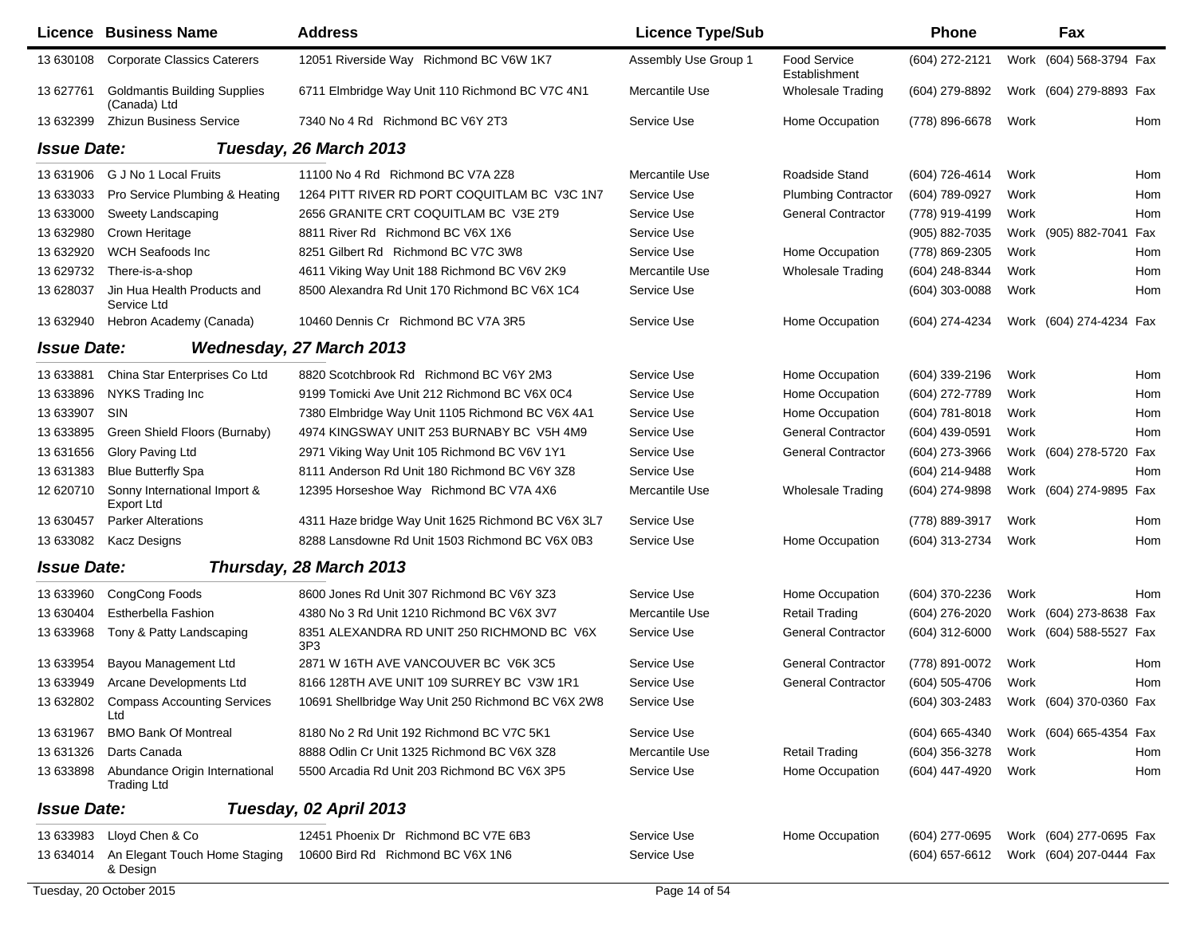|                    | Licence Business Name                                | <b>Address</b>                                     | <b>Licence Type/Sub</b> |                                      | <b>Phone</b>                           |      | Fax                     |     |
|--------------------|------------------------------------------------------|----------------------------------------------------|-------------------------|--------------------------------------|----------------------------------------|------|-------------------------|-----|
| 13 630108          | <b>Corporate Classics Caterers</b>                   | 12051 Riverside Way Richmond BC V6W 1K7            | Assembly Use Group 1    | <b>Food Service</b><br>Establishment | (604) 272-2121                         |      | Work (604) 568-3794 Fax |     |
| 13 627761          | <b>Goldmantis Building Supplies</b><br>(Canada) Ltd  | 6711 Elmbridge Way Unit 110 Richmond BC V7C 4N1    | Mercantile Use          | <b>Wholesale Trading</b>             | (604) 279-8892                         |      | Work (604) 279-8893 Fax |     |
| 13 632399          | <b>Zhizun Business Service</b>                       | 7340 No 4 Rd Richmond BC V6Y 2T3                   | Service Use             | Home Occupation                      | (778) 896-6678                         | Work |                         | Hom |
| <b>Issue Date:</b> |                                                      | Tuesday, 26 March 2013                             |                         |                                      |                                        |      |                         |     |
| 13 631906          | G J No 1 Local Fruits                                | 11100 No 4 Rd Richmond BC V7A 2Z8                  | Mercantile Use          | Roadside Stand                       | (604) 726-4614                         | Work |                         | Hom |
| 13 633033          | Pro Service Plumbing & Heating                       | 1264 PITT RIVER RD PORT COQUITLAM BC V3C 1N7       | Service Use             | <b>Plumbing Contractor</b>           | (604) 789-0927                         | Work |                         | Hom |
| 13 633000          | Sweety Landscaping                                   | 2656 GRANITE CRT COQUITLAM BC V3E 2T9              | Service Use             | <b>General Contractor</b>            | (778) 919-4199                         | Work |                         | Hom |
| 13 632980          | Crown Heritage                                       | 8811 River Rd Richmond BC V6X 1X6                  | Service Use             |                                      | (905) 882-7035                         |      | Work (905) 882-7041     | Fax |
| 13 632920          | WCH Seafoods Inc                                     | 8251 Gilbert Rd Richmond BC V7C 3W8                | Service Use             | Home Occupation                      | (778) 869-2305                         | Work |                         | Hom |
| 13 629732          | There-is-a-shop                                      | 4611 Viking Way Unit 188 Richmond BC V6V 2K9       | Mercantile Use          | <b>Wholesale Trading</b>             | (604) 248-8344                         | Work |                         | Hom |
| 13 628037          | Jin Hua Health Products and<br>Service Ltd           | 8500 Alexandra Rd Unit 170 Richmond BC V6X 1C4     | Service Use             |                                      | (604) 303-0088                         | Work |                         | Hom |
| 13 632940          | Hebron Academy (Canada)                              | 10460 Dennis Cr Richmond BC V7A 3R5                | Service Use             | Home Occupation                      | (604) 274-4234                         |      | Work (604) 274-4234 Fax |     |
| <b>Issue Date:</b> |                                                      | <b>Wednesday, 27 March 2013</b>                    |                         |                                      |                                        |      |                         |     |
| 13 633881          | China Star Enterprises Co Ltd                        | 8820 Scotchbrook Rd Richmond BC V6Y 2M3            | Service Use             | Home Occupation                      | $(604)$ 339-2196                       | Work |                         | Hom |
| 13 633896          | NYKS Trading Inc                                     | 9199 Tomicki Ave Unit 212 Richmond BC V6X 0C4      | Service Use             | Home Occupation                      | (604) 272-7789                         | Work |                         | Hom |
| 13 633907          | SIN                                                  | 7380 Elmbridge Way Unit 1105 Richmond BC V6X 4A1   | Service Use             | Home Occupation                      | (604) 781-8018                         | Work |                         | Hom |
| 13 633895          | Green Shield Floors (Burnaby)                        | 4974 KINGSWAY UNIT 253 BURNABY BC V5H 4M9          | Service Use             | <b>General Contractor</b>            | (604) 439-0591                         | Work |                         | Hom |
| 13 631656          | Glory Paving Ltd                                     | 2971 Viking Way Unit 105 Richmond BC V6V 1Y1       | Service Use             | <b>General Contractor</b>            | (604) 273-3966                         |      | Work (604) 278-5720     | Fax |
| 13 631383          | <b>Blue Butterfly Spa</b>                            | 8111 Anderson Rd Unit 180 Richmond BC V6Y 3Z8      | Service Use             |                                      | (604) 214-9488                         | Work |                         | Hom |
| 12 620710          | Sonny International Import &<br>Export Ltd           | 12395 Horseshoe Way Richmond BC V7A 4X6            | Mercantile Use          | <b>Wholesale Trading</b>             | (604) 274-9898                         |      | Work (604) 274-9895 Fax |     |
| 13 630457          | <b>Parker Alterations</b>                            | 4311 Haze bridge Way Unit 1625 Richmond BC V6X 3L7 | Service Use             |                                      | (778) 889-3917                         | Work |                         | Hom |
| 13 633082          | Kacz Designs                                         | 8288 Lansdowne Rd Unit 1503 Richmond BC V6X 0B3    | Service Use             | Home Occupation                      | (604) 313-2734                         | Work |                         | Hom |
| <b>Issue Date:</b> |                                                      | Thursday, 28 March 2013                            |                         |                                      |                                        |      |                         |     |
| 13 633960          | CongCong Foods                                       | 8600 Jones Rd Unit 307 Richmond BC V6Y 3Z3         | Service Use             | Home Occupation                      | (604) 370-2236                         | Work |                         | Hom |
| 13 630404          | Estherbella Fashion                                  | 4380 No 3 Rd Unit 1210 Richmond BC V6X 3V7         | Mercantile Use          | <b>Retail Trading</b>                | (604) 276-2020                         |      | Work (604) 273-8638 Fax |     |
| 13 633968          | Tony & Patty Landscaping                             | 8351 ALEXANDRA RD UNIT 250 RICHMOND BC V6X<br>3P3  | Service Use             | <b>General Contractor</b>            | (604) 312-6000                         |      | Work (604) 588-5527 Fax |     |
| 13 633954          | Bayou Management Ltd                                 | 2871 W 16TH AVE VANCOUVER BC V6K 3C5               | Service Use             | <b>General Contractor</b>            | (778) 891-0072                         | Work |                         | Hom |
|                    | 13 633949 Arcane Developments Ltd                    | 8166 128TH AVE UNIT 109 SURREY BC V3W 1R1          | Service Use             | <b>General Contractor</b>            | (604) 505-4706                         | Work |                         | Hom |
| 13 632802          | <b>Compass Accounting Services</b><br>Ltd            | 10691 Shellbridge Way Unit 250 Richmond BC V6X 2W8 | Service Use             |                                      | (604) 303-2483 Work (604) 370-0360 Fax |      |                         |     |
| 13 631967          | <b>BMO Bank Of Montreal</b>                          | 8180 No 2 Rd Unit 192 Richmond BC V7C 5K1          | Service Use             |                                      | (604) 665-4340                         |      | Work (604) 665-4354 Fax |     |
| 13 631326          | Darts Canada                                         | 8888 Odlin Cr Unit 1325 Richmond BC V6X 3Z8        | Mercantile Use          | <b>Retail Trading</b>                | (604) 356-3278                         | Work |                         | Hom |
| 13 633898          | Abundance Origin International<br><b>Trading Ltd</b> | 5500 Arcadia Rd Unit 203 Richmond BC V6X 3P5       | Service Use             | Home Occupation                      | (604) 447-4920                         | Work |                         | Hom |
| <b>Issue Date:</b> |                                                      | Tuesday, 02 April 2013                             |                         |                                      |                                        |      |                         |     |
| 13 633983          | Lloyd Chen & Co                                      | 12451 Phoenix Dr Richmond BC V7E 6B3               | Service Use             | Home Occupation                      | $(604)$ 277-0695                       |      | Work (604) 277-0695 Fax |     |
|                    | 13 634014 An Elegant Touch Home Staging<br>& Design  | 10600 Bird Rd Richmond BC V6X 1N6                  | Service Use             |                                      | (604) 657-6612                         |      | Work (604) 207-0444 Fax |     |
|                    | Tuesday, 20 October 2015                             |                                                    | Page 14 of 54           |                                      |                                        |      |                         |     |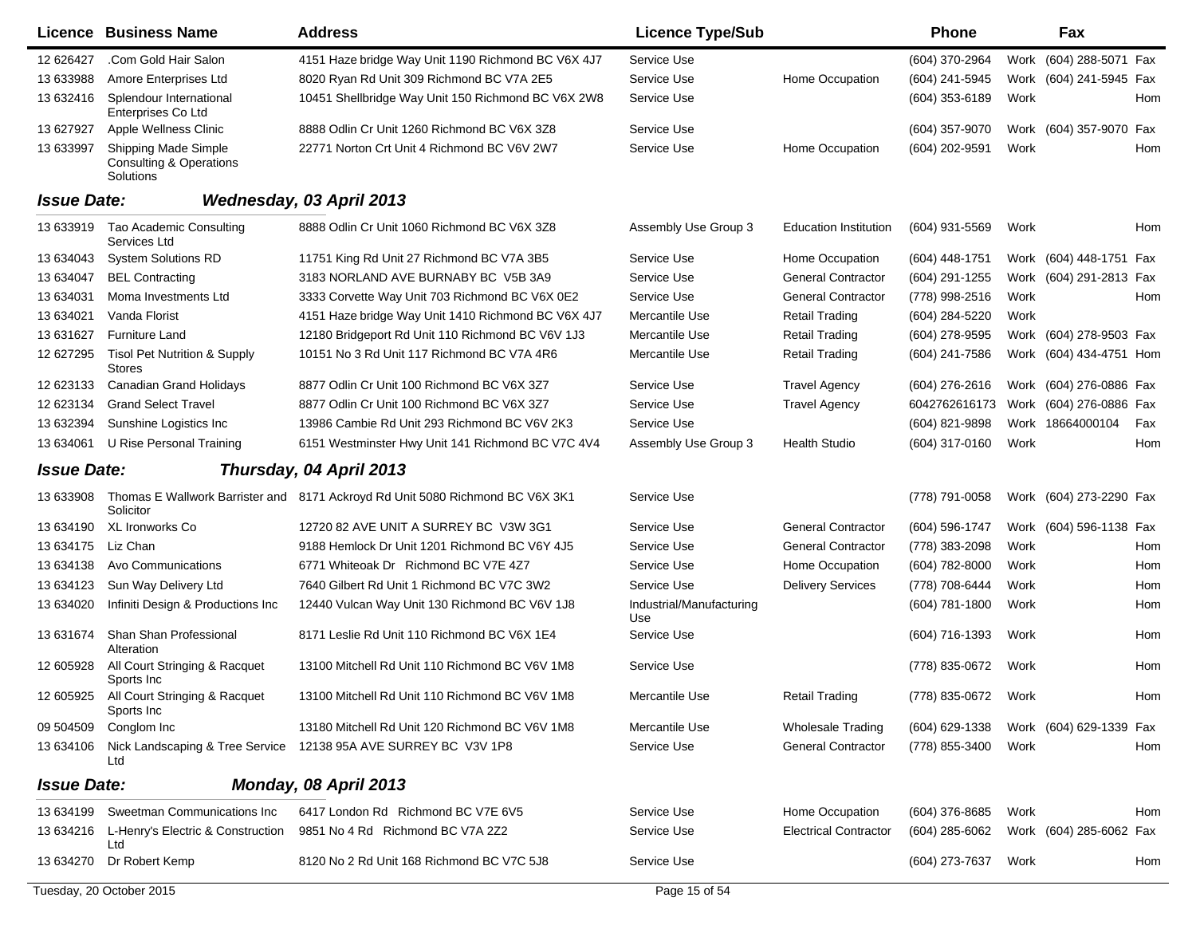|                    | Licence Business Name                                                          | <b>Address</b>                                                                | <b>Licence Type/Sub</b>         |                              | <b>Phone</b>        | Fax                     |     |
|--------------------|--------------------------------------------------------------------------------|-------------------------------------------------------------------------------|---------------------------------|------------------------------|---------------------|-------------------------|-----|
| 12 62 6427         | .Com Gold Hair Salon                                                           | 4151 Haze bridge Way Unit 1190 Richmond BC V6X 4J7                            | Service Use                     |                              | (604) 370-2964      | Work (604) 288-5071 Fax |     |
| 13 633988          | Amore Enterprises Ltd                                                          | 8020 Ryan Rd Unit 309 Richmond BC V7A 2E5                                     | Service Use                     | Home Occupation              | (604) 241-5945      | Work (604) 241-5945 Fax |     |
| 13 632416          | Splendour International<br>Enterprises Co Ltd                                  | 10451 Shellbridge Way Unit 150 Richmond BC V6X 2W8                            | Service Use                     |                              | (604) 353-6189      | Work                    | Hom |
| 13 627927          | Apple Wellness Clinic                                                          | 8888 Odlin Cr Unit 1260 Richmond BC V6X 3Z8                                   | Service Use                     |                              | (604) 357-9070      | Work (604) 357-9070     | Fax |
| 13 633997          | <b>Shipping Made Simple</b><br><b>Consulting &amp; Operations</b><br>Solutions | 22771 Norton Crt Unit 4 Richmond BC V6V 2W7                                   | Service Use                     | Home Occupation              | (604) 202-9591      | Work                    | Hom |
| <b>Issue Date:</b> |                                                                                | Wednesday, 03 April 2013                                                      |                                 |                              |                     |                         |     |
| 13 633919          | Tao Academic Consulting<br>Services Ltd                                        | 8888 Odlin Cr Unit 1060 Richmond BC V6X 3Z8                                   | Assembly Use Group 3            | <b>Education Institution</b> | (604) 931-5569      | Work                    | Hom |
| 13 634043          | <b>System Solutions RD</b>                                                     | 11751 King Rd Unit 27 Richmond BC V7A 3B5                                     | Service Use                     | Home Occupation              | $(604)$ 448-1751    | Work (604) 448-1751 Fax |     |
| 13 634047          | <b>BEL Contracting</b>                                                         | 3183 NORLAND AVE BURNABY BC V5B 3A9                                           | Service Use                     | <b>General Contractor</b>    | (604) 291-1255      | Work (604) 291-2813 Fax |     |
| 13 634031          | Moma Investments Ltd                                                           | 3333 Corvette Way Unit 703 Richmond BC V6X 0E2                                | Service Use                     | <b>General Contractor</b>    | (778) 998-2516      | Work                    | Hom |
| 13 634021          | Vanda Florist                                                                  | 4151 Haze bridge Way Unit 1410 Richmond BC V6X 4J7                            | Mercantile Use                  | <b>Retail Trading</b>        | (604) 284-5220      | Work                    |     |
| 13 631627          | <b>Furniture Land</b>                                                          | 12180 Bridgeport Rd Unit 110 Richmond BC V6V 1J3                              | Mercantile Use                  | <b>Retail Trading</b>        | (604) 278-9595      | Work (604) 278-9503 Fax |     |
| 12 627295          | <b>Tisol Pet Nutrition &amp; Supply</b><br><b>Stores</b>                       | 10151 No 3 Rd Unit 117 Richmond BC V7A 4R6                                    | Mercantile Use                  | <b>Retail Trading</b>        | (604) 241-7586      | Work (604) 434-4751 Hom |     |
| 12 623133          | <b>Canadian Grand Holidays</b>                                                 | 8877 Odlin Cr Unit 100 Richmond BC V6X 3Z7                                    | Service Use                     | <b>Travel Agency</b>         | $(604)$ 276-2616    | Work (604) 276-0886 Fax |     |
| 12 623134          | <b>Grand Select Travel</b>                                                     | 8877 Odlin Cr Unit 100 Richmond BC V6X 3Z7                                    | Service Use                     | <b>Travel Agency</b>         | 6042762616173       | Work (604) 276-0886 Fax |     |
| 13 632394          | Sunshine Logistics Inc                                                         | 13986 Cambie Rd Unit 293 Richmond BC V6V 2K3                                  | Service Use                     |                              | (604) 821-9898      | Work 18664000104        | Fax |
| 13 634061          | U Rise Personal Training                                                       | 6151 Westminster Hwy Unit 141 Richmond BC V7C 4V4                             | Assembly Use Group 3            | <b>Health Studio</b>         | (604) 317-0160      | Work                    | Hom |
| <b>Issue Date:</b> |                                                                                | Thursday, 04 April 2013                                                       |                                 |                              |                     |                         |     |
| 13 633908          | Solicitor                                                                      | Thomas E Wallwork Barrister and 8171 Ackroyd Rd Unit 5080 Richmond BC V6X 3K1 | Service Use                     |                              | (778) 791-0058      | Work (604) 273-2290 Fax |     |
| 13 634190          | <b>XL Ironworks Co</b>                                                         | 12720 82 AVE UNIT A SURREY BC V3W 3G1                                         | Service Use                     | <b>General Contractor</b>    | (604) 596-1747      | Work (604) 596-1138 Fax |     |
| 13 634175          | Liz Chan                                                                       | 9188 Hemlock Dr Unit 1201 Richmond BC V6Y 4J5                                 | Service Use                     | <b>General Contractor</b>    | (778) 383-2098      | Work                    | Hom |
| 13 634138          | Avo Communications                                                             | 6771 Whiteoak Dr Richmond BC V7E 4Z7                                          | Service Use                     | Home Occupation              | (604) 782-8000      | Work                    | Hom |
| 13 634123          | Sun Way Delivery Ltd                                                           | 7640 Gilbert Rd Unit 1 Richmond BC V7C 3W2                                    | Service Use                     | <b>Delivery Services</b>     | (778) 708-6444      | Work                    | Hom |
| 13 634020          | Infiniti Design & Productions Inc                                              | 12440 Vulcan Way Unit 130 Richmond BC V6V 1J8                                 | Industrial/Manufacturing<br>Use |                              | (604) 781-1800      | Work                    | Hom |
| 13 631674          | Shan Shan Professional<br>Alteration                                           | 8171 Leslie Rd Unit 110 Richmond BC V6X 1E4                                   | Service Use                     |                              | (604) 716-1393      | Work                    | Hom |
| 12 605928          | All Court Stringing & Racquet<br>Sports Inc                                    | 13100 Mitchell Rd Unit 110 Richmond BC V6V 1M8                                | Service Use                     |                              | (778) 835-0672      | Work                    | Hom |
|                    | 12 605925 All Court Stringing & Racquet<br>Sports Inc                          | 13100 Mitchell Rd Unit 110 Richmond BC V6V 1M8                                | Mercantile Use                  | <b>Retail Trading</b>        | (778) 835-0672 Work |                         | Hom |
| 09 504509          | Conglom Inc                                                                    | 13180 Mitchell Rd Unit 120 Richmond BC V6V 1M8                                | Mercantile Use                  | <b>Wholesale Trading</b>     | (604) 629-1338      | Work (604) 629-1339 Fax |     |
| 13 634106          | Ltd                                                                            | Nick Landscaping & Tree Service 12138 95A AVE SURREY BC V3V 1P8               | Service Use                     | <b>General Contractor</b>    | (778) 855-3400      | Work                    | Hom |
| <b>Issue Date:</b> |                                                                                | Monday, 08 April 2013                                                         |                                 |                              |                     |                         |     |
| 13 634199          | Sweetman Communications Inc                                                    | 6417 London Rd Richmond BC V7E 6V5                                            | Service Use                     | Home Occupation              | (604) 376-8685      | Work                    | Hom |
|                    | 13 634216 L-Henry's Electric & Construction<br>Ltd                             | 9851 No 4 Rd Richmond BC V7A 2Z2                                              | Service Use                     | <b>Electrical Contractor</b> | (604) 285-6062      | Work (604) 285-6062 Fax |     |
| 13 634270          | Dr Robert Kemp                                                                 | 8120 No 2 Rd Unit 168 Richmond BC V7C 5J8                                     | Service Use                     |                              | (604) 273-7637      | Work                    | Hom |
|                    | Tuesday, 20 October 2015                                                       |                                                                               | Page 15 of 54                   |                              |                     |                         |     |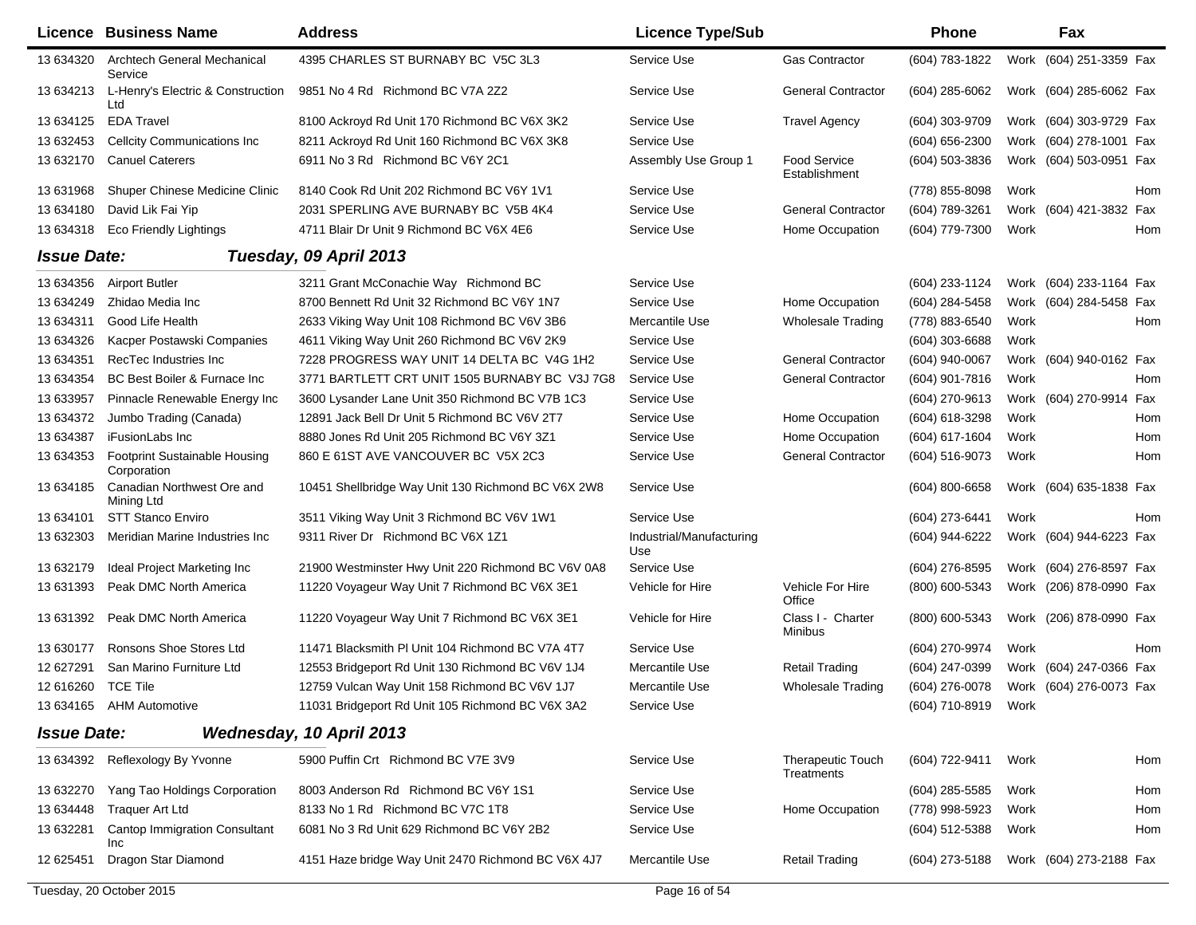|                    | Licence Business Name                               | <b>Address</b>                                     | <b>Licence Type/Sub</b>         |                                      | Phone               |      | Fax                     |     |
|--------------------|-----------------------------------------------------|----------------------------------------------------|---------------------------------|--------------------------------------|---------------------|------|-------------------------|-----|
| 13 634320          | Archtech General Mechanical<br>Service              | 4395 CHARLES ST BURNABY BC V5C 3L3                 | Service Use                     | <b>Gas Contractor</b>                | (604) 783-1822      |      | Work (604) 251-3359 Fax |     |
| 13 634213          | L-Henry's Electric & Construction<br>Ltd            | 9851 No 4 Rd Richmond BC V7A 2Z2                   | Service Use                     | <b>General Contractor</b>            | (604) 285-6062      |      | Work (604) 285-6062 Fax |     |
| 13 634125          | <b>EDA Travel</b>                                   | 8100 Ackroyd Rd Unit 170 Richmond BC V6X 3K2       | Service Use                     | <b>Travel Agency</b>                 | (604) 303-9709      |      | Work (604) 303-9729 Fax |     |
| 13 632453          | Cellcity Communications Inc                         | 8211 Ackroyd Rd Unit 160 Richmond BC V6X 3K8       | Service Use                     |                                      | (604) 656-2300      |      | Work (604) 278-1001 Fax |     |
| 13 632170          | <b>Canuel Caterers</b>                              | 6911 No 3 Rd Richmond BC V6Y 2C1                   | Assembly Use Group 1            | <b>Food Service</b><br>Establishment | (604) 503-3836      |      | Work (604) 503-0951 Fax |     |
| 13 631968          | Shuper Chinese Medicine Clinic                      | 8140 Cook Rd Unit 202 Richmond BC V6Y 1V1          | Service Use                     |                                      | (778) 855-8098      | Work |                         | Hom |
| 13 634180          | David Lik Fai Yip                                   | 2031 SPERLING AVE BURNABY BC V5B 4K4               | Service Use                     | <b>General Contractor</b>            | (604) 789-3261      |      | Work (604) 421-3832 Fax |     |
| 13 634318          | Eco Friendly Lightings                              | 4711 Blair Dr Unit 9 Richmond BC V6X 4E6           | Service Use                     | Home Occupation                      | (604) 779-7300      | Work |                         | Hom |
| <b>Issue Date:</b> |                                                     | Tuesday, 09 April 2013                             |                                 |                                      |                     |      |                         |     |
| 13 634356          | <b>Airport Butler</b>                               | 3211 Grant McConachie Way Richmond BC              | Service Use                     |                                      | (604) 233-1124      |      | Work (604) 233-1164 Fax |     |
| 13 634249          | Zhidao Media Inc                                    | 8700 Bennett Rd Unit 32 Richmond BC V6Y 1N7        | Service Use                     | Home Occupation                      | (604) 284-5458      |      | Work (604) 284-5458 Fax |     |
| 13 634311          | Good Life Health                                    | 2633 Viking Way Unit 108 Richmond BC V6V 3B6       | Mercantile Use                  | <b>Wholesale Trading</b>             | (778) 883-6540      | Work |                         | Hom |
| 13 634326          | Kacper Postawski Companies                          | 4611 Viking Way Unit 260 Richmond BC V6V 2K9       | Service Use                     |                                      | $(604)$ 303-6688    | Work |                         |     |
| 13 634351          | RecTec Industries Inc.                              | 7228 PROGRESS WAY UNIT 14 DELTA BC V4G 1H2         | Service Use                     | <b>General Contractor</b>            | (604) 940-0067      |      | Work (604) 940-0162 Fax |     |
| 13 634354          | BC Best Boiler & Furnace Inc                        | 3771 BARTLETT CRT UNIT 1505 BURNABY BC V3J 7G8     | Service Use                     | <b>General Contractor</b>            | (604) 901-7816      | Work |                         | Hom |
| 13 633957          | Pinnacle Renewable Energy Inc                       | 3600 Lysander Lane Unit 350 Richmond BC V7B 1C3    | Service Use                     |                                      | (604) 270-9613      |      | Work (604) 270-9914 Fax |     |
| 13 634372          | Jumbo Trading (Canada)                              | 12891 Jack Bell Dr Unit 5 Richmond BC V6V 2T7      | Service Use                     | Home Occupation                      | (604) 618-3298      | Work |                         | Hom |
| 13 634387          | iFusionLabs Inc                                     | 8880 Jones Rd Unit 205 Richmond BC V6Y 3Z1         | Service Use                     | Home Occupation                      | (604) 617-1604      | Work |                         | Hom |
| 13 634353          | <b>Footprint Sustainable Housing</b><br>Corporation | 860 E 61ST AVE VANCOUVER BC V5X 2C3                | Service Use                     | <b>General Contractor</b>            | (604) 516-9073      | Work |                         | Hom |
| 13 634185          | Canadian Northwest Ore and<br>Mining Ltd            | 10451 Shellbridge Way Unit 130 Richmond BC V6X 2W8 | Service Use                     |                                      | $(604) 800 - 6658$  |      | Work (604) 635-1838 Fax |     |
| 13 634101          | <b>STT Stanco Enviro</b>                            | 3511 Viking Way Unit 3 Richmond BC V6V 1W1         | Service Use                     |                                      | (604) 273-6441      | Work |                         | Hom |
| 13 632303          | Meridian Marine Industries Inc                      | 9311 River Dr Richmond BC V6X 1Z1                  | Industrial/Manufacturing<br>Use |                                      | (604) 944-6222      |      | Work (604) 944-6223 Fax |     |
| 13 632179          | Ideal Project Marketing Inc                         | 21900 Westminster Hwy Unit 220 Richmond BC V6V 0A8 | Service Use                     |                                      | (604) 276-8595      |      | Work (604) 276-8597 Fax |     |
| 13 631393          | Peak DMC North America                              | 11220 Voyageur Way Unit 7 Richmond BC V6X 3E1      | Vehicle for Hire                | Vehicle For Hire<br>Office           | (800) 600-5343      |      | Work (206) 878-0990 Fax |     |
| 13 631392          | Peak DMC North America                              | 11220 Voyageur Way Unit 7 Richmond BC V6X 3E1      | Vehicle for Hire                | Class I - Charter<br>Minibus         | (800) 600-5343      |      | Work (206) 878-0990 Fax |     |
| 13 630177          | Ronsons Shoe Stores Ltd                             | 11471 Blacksmith PI Unit 104 Richmond BC V7A 4T7   | Service Use                     |                                      | (604) 270-9974      | Work |                         | Hom |
| 12 627291          | San Marino Furniture Ltd                            | 12553 Bridgeport Rd Unit 130 Richmond BC V6V 1J4   | Mercantile Use                  | <b>Retail Trading</b>                | (604) 247-0399      |      | Work (604) 247-0366 Fax |     |
| 12 616260 TCE Tile |                                                     | 12759 Vulcan Way Unit 158 Richmond BC V6V 1J7      | Mercantile Use                  | <b>Wholesale Trading</b>             | (604) 276-0078      |      | Work (604) 276-0073 Fax |     |
|                    | 13 634165 AHM Automotive                            | 11031 Bridgeport Rd Unit 105 Richmond BC V6X 3A2   | Service Use                     |                                      | (604) 710-8919 Work |      |                         |     |
| <b>Issue Date:</b> |                                                     | Wednesday, 10 April 2013                           |                                 |                                      |                     |      |                         |     |
|                    | 13 634392 Reflexology By Yvonne                     | 5900 Puffin Crt Richmond BC V7E 3V9                | Service Use                     | Therapeutic Touch<br>Treatments      | (604) 722-9411      | Work |                         | Hom |
| 13 632270          | Yang Tao Holdings Corporation                       | 8003 Anderson Rd Richmond BC V6Y 1S1               | Service Use                     |                                      | $(604)$ 285-5585    | Work |                         | Hom |
| 13 634448          | <b>Traquer Art Ltd</b>                              | 8133 No 1 Rd Richmond BC V7C 1T8                   | Service Use                     | Home Occupation                      | (778) 998-5923      | Work |                         | Hom |
| 13 632281          | Cantop Immigration Consultant<br>Inc                | 6081 No 3 Rd Unit 629 Richmond BC V6Y 2B2          | Service Use                     |                                      | (604) 512-5388      | Work |                         | Hom |
| 12 625451          | Dragon Star Diamond                                 | 4151 Haze bridge Way Unit 2470 Richmond BC V6X 4J7 | Mercantile Use                  | <b>Retail Trading</b>                | (604) 273-5188      |      | Work (604) 273-2188 Fax |     |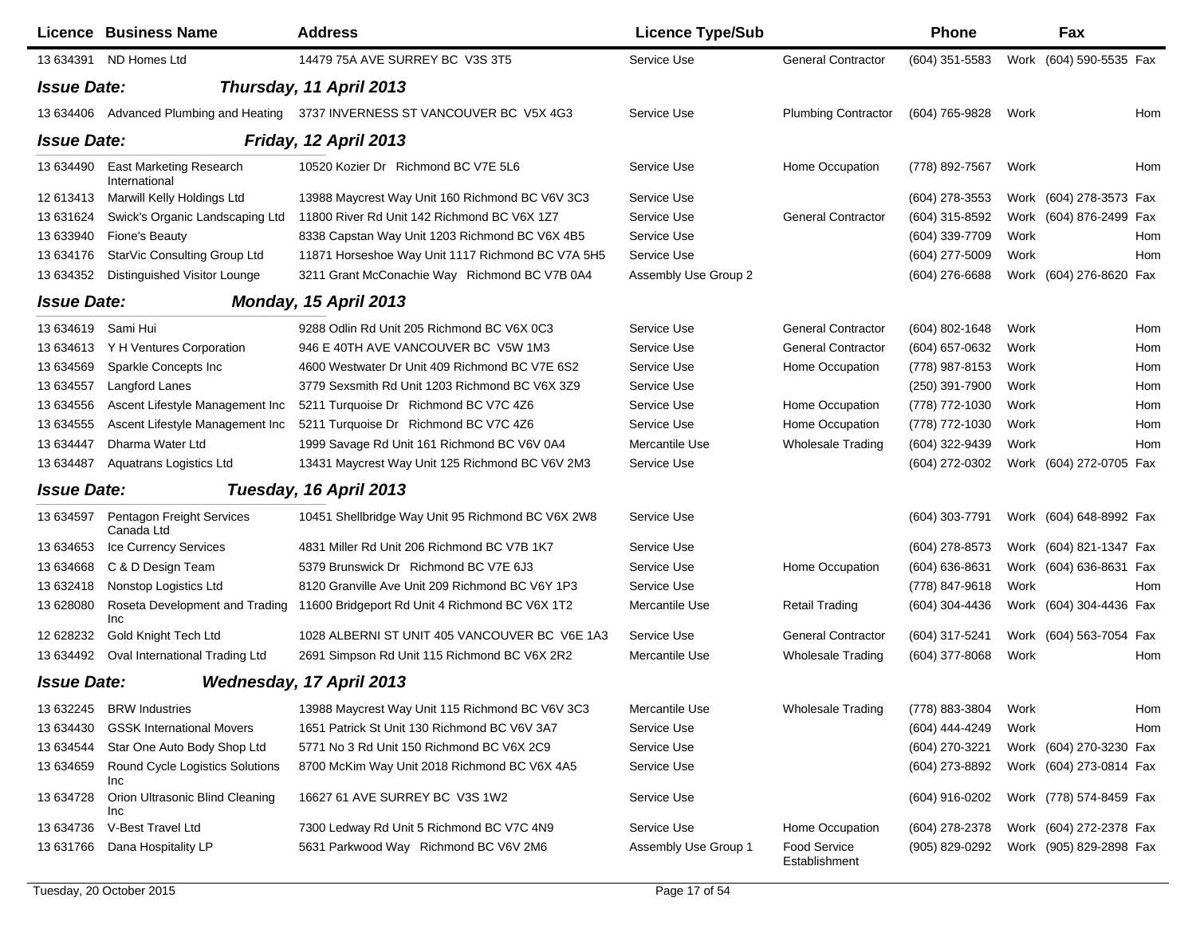|                    | <b>Licence Business Name</b>             | <b>Address</b>                                                       | <b>Licence Type/Sub</b> |                                      | <b>Phone</b>     |      | Fax                     |     |
|--------------------|------------------------------------------|----------------------------------------------------------------------|-------------------------|--------------------------------------|------------------|------|-------------------------|-----|
|                    | 13 634391 ND Homes Ltd                   | 14479 75A AVE SURREY BC V3S 3T5                                      | Service Use             | <b>General Contractor</b>            | $(604)$ 351-5583 |      | Work (604) 590-5535 Fax |     |
| <b>Issue Date:</b> |                                          | Thursday, 11 April 2013                                              |                         |                                      |                  |      |                         |     |
| 13 634406          |                                          | Advanced Plumbing and Heating 3737 INVERNESS ST VANCOUVER BC V5X 4G3 | Service Use             | <b>Plumbing Contractor</b>           | (604) 765-9828   | Work |                         | Hom |
| <b>Issue Date:</b> |                                          | Friday, 12 April 2013                                                |                         |                                      |                  |      |                         |     |
| 13 634490          | East Marketing Research<br>International | 10520 Kozier Dr Richmond BC V7E 5L6                                  | Service Use             | Home Occupation                      | (778) 892-7567   | Work |                         | Hom |
| 12 613413          | Marwill Kelly Holdings Ltd               | 13988 Maycrest Way Unit 160 Richmond BC V6V 3C3                      | Service Use             |                                      | (604) 278-3553   |      | Work (604) 278-3573 Fax |     |
| 13 63 16 24        | Swick's Organic Landscaping Ltd          | 11800 River Rd Unit 142 Richmond BC V6X 1Z7                          | Service Use             | <b>General Contractor</b>            | (604) 315-8592   |      | Work (604) 876-2499 Fax |     |
| 13 633940          | Fione's Beauty                           | 8338 Capstan Way Unit 1203 Richmond BC V6X 4B5                       | Service Use             |                                      | (604) 339-7709   | Work |                         | Hom |
| 13 634176          | StarVic Consulting Group Ltd             | 11871 Horseshoe Way Unit 1117 Richmond BC V7A 5H5                    | Service Use             |                                      | (604) 277-5009   | Work |                         | Hom |
| 13 634352          | Distinguished Visitor Lounge             | 3211 Grant McConachie Way Richmond BC V7B 0A4                        | Assembly Use Group 2    |                                      | (604) 276-6688   |      | Work (604) 276-8620 Fax |     |
| <b>Issue Date:</b> |                                          | Monday, 15 April 2013                                                |                         |                                      |                  |      |                         |     |
| 13 634619          | Sami Hui                                 | 9288 Odlin Rd Unit 205 Richmond BC V6X 0C3                           | Service Use             | <b>General Contractor</b>            | (604) 802-1648   | Work |                         | Hom |
| 13 634613          | Y H Ventures Corporation                 | 946 E 40TH AVE VANCOUVER BC V5W 1M3                                  | Service Use             | <b>General Contractor</b>            | $(604)$ 657-0632 | Work |                         | Hom |
| 13 634569          | Sparkle Concepts Inc                     | 4600 Westwater Dr Unit 409 Richmond BC V7E 6S2                       | Service Use             | Home Occupation                      | (778) 987-8153   | Work |                         | Hom |
| 13 634557          | Langford Lanes                           | 3779 Sexsmith Rd Unit 1203 Richmond BC V6X 3Z9                       | Service Use             |                                      | (250) 391-7900   | Work |                         | Hom |
| 13 634556          | Ascent Lifestyle Management Inc          | 5211 Turquoise Dr Richmond BC V7C 4Z6                                | Service Use             | Home Occupation                      | (778) 772-1030   | Work |                         | Hom |
| 13 634555          | Ascent Lifestyle Management Inc          | 5211 Turquoise Dr Richmond BC V7C 4Z6                                | Service Use             | Home Occupation                      | (778) 772-1030   | Work |                         | Hom |
| 13 634447          | Dharma Water Ltd                         | 1999 Savage Rd Unit 161 Richmond BC V6V 0A4                          | Mercantile Use          | <b>Wholesale Trading</b>             | (604) 322-9439   | Work |                         | Hom |
| 13 634487          | Aquatrans Logistics Ltd                  | 13431 Maycrest Way Unit 125 Richmond BC V6V 2M3                      | Service Use             |                                      | (604) 272-0302   |      | Work (604) 272-0705 Fax |     |
| <b>Issue Date:</b> |                                          | Tuesday, 16 April 2013                                               |                         |                                      |                  |      |                         |     |
| 13 634597          | Pentagon Freight Services<br>Canada Ltd  | 10451 Shellbridge Way Unit 95 Richmond BC V6X 2W8                    | Service Use             |                                      | (604) 303-7791   |      | Work (604) 648-8992 Fax |     |
| 13 634653          | Ice Currency Services                    | 4831 Miller Rd Unit 206 Richmond BC V7B 1K7                          | Service Use             |                                      | (604) 278-8573   |      | Work (604) 821-1347 Fax |     |
| 13 634668          | C & D Design Team                        | 5379 Brunswick Dr Richmond BC V7E 6J3                                | Service Use             | Home Occupation                      | (604) 636-8631   |      | Work (604) 636-8631 Fax |     |
| 13 632418          | Nonstop Logistics Ltd                    | 8120 Granville Ave Unit 209 Richmond BC V6Y 1P3                      | Service Use             |                                      | (778) 847-9618   | Work |                         | Hom |
| 13 628080          | Roseta Development and Trading<br>Inc    | 11600 Bridgeport Rd Unit 4 Richmond BC V6X 1T2                       | Mercantile Use          | <b>Retail Trading</b>                | (604) 304-4436   |      | Work (604) 304-4436 Fax |     |
| 12 628232          | Gold Knight Tech Ltd                     | 1028 ALBERNI ST UNIT 405 VANCOUVER BC V6E 1A3                        | Service Use             | <b>General Contractor</b>            | (604) 317-5241   |      | Work (604) 563-7054 Fax |     |
| 13 634492          | Oval International Trading Ltd           | 2691 Simpson Rd Unit 115 Richmond BC V6X 2R2                         | Mercantile Use          | <b>Wholesale Trading</b>             | $(604)$ 377-8068 | Work |                         | Hom |
| <b>Issue Date:</b> |                                          | Wednesday, 17 April 2013                                             |                         |                                      |                  |      |                         |     |
| 13 632245          | <b>BRW</b> Industries                    | 13988 Maycrest Way Unit 115 Richmond BC V6V 3C3                      | Mercantile Use          | <b>Wholesale Trading</b>             | (778) 883-3804   | Work |                         | Hom |
| 13 634430          | <b>GSSK International Movers</b>         | 1651 Patrick St Unit 130 Richmond BC V6V 3A7                         | Service Use             |                                      | (604) 444-4249   | Work |                         | Hom |
| 13 634544          | Star One Auto Body Shop Ltd              | 5771 No 3 Rd Unit 150 Richmond BC V6X 2C9                            | Service Use             |                                      | (604) 270-3221   |      | Work (604) 270-3230 Fax |     |
| 13 634659          | Round Cycle Logistics Solutions<br>Inc   | 8700 McKim Way Unit 2018 Richmond BC V6X 4A5                         | Service Use             |                                      | (604) 273-8892   |      | Work (604) 273-0814 Fax |     |
| 13 634728          | Orion Ultrasonic Blind Cleaning<br>Inc   | 16627 61 AVE SURREY BC V3S 1W2                                       | Service Use             |                                      | (604) 916-0202   |      | Work (778) 574-8459 Fax |     |
| 13 634736          | V-Best Travel Ltd                        | 7300 Ledway Rd Unit 5 Richmond BC V7C 4N9                            | Service Use             | Home Occupation                      | (604) 278-2378   |      | Work (604) 272-2378 Fax |     |
| 13 631766          | Dana Hospitality LP                      | 5631 Parkwood Way Richmond BC V6V 2M6                                | Assembly Use Group 1    | <b>Food Service</b><br>Establishment | (905) 829-0292   |      | Work (905) 829-2898 Fax |     |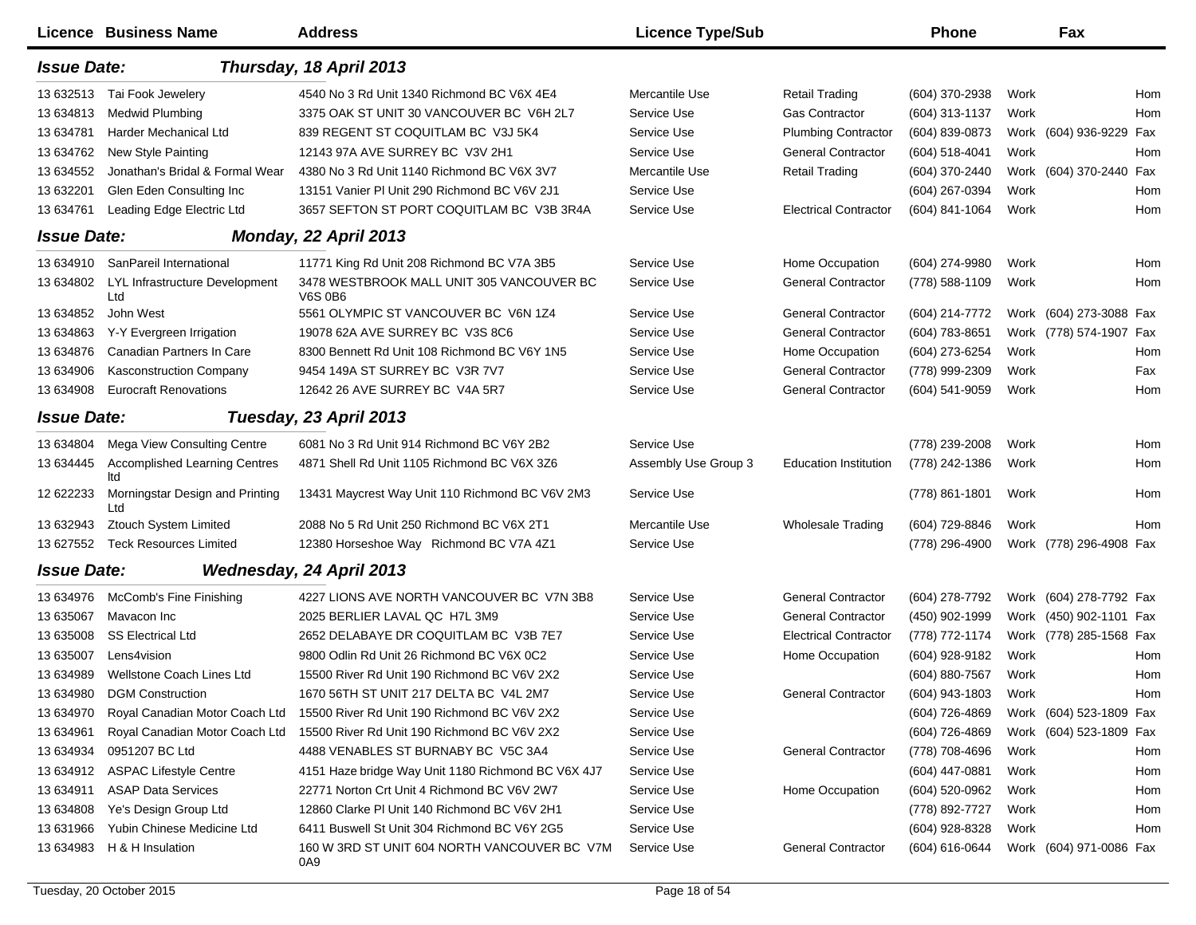|                    | <b>Licence Business Name</b>                | <b>Address</b>                                              | <b>Licence Type/Sub</b> |                              | <b>Phone</b>   |      | Fax                     |     |
|--------------------|---------------------------------------------|-------------------------------------------------------------|-------------------------|------------------------------|----------------|------|-------------------------|-----|
| <b>Issue Date:</b> |                                             | Thursday, 18 April 2013                                     |                         |                              |                |      |                         |     |
| 13 632513          | Tai Fook Jewelery                           | 4540 No 3 Rd Unit 1340 Richmond BC V6X 4E4                  | Mercantile Use          | <b>Retail Trading</b>        | (604) 370-2938 | Work |                         | Hom |
| 13 634813          | <b>Medwid Plumbing</b>                      | 3375 OAK ST UNIT 30 VANCOUVER BC V6H 2L7                    | Service Use             | <b>Gas Contractor</b>        | (604) 313-1137 | Work |                         | Hom |
| 13 634781          | Harder Mechanical Ltd                       | 839 REGENT ST COQUITLAM BC V3J 5K4                          | Service Use             | <b>Plumbing Contractor</b>   | (604) 839-0873 |      | Work (604) 936-9229 Fax |     |
| 13 634762          | <b>New Style Painting</b>                   | 12143 97A AVE SURREY BC V3V 2H1                             | Service Use             | <b>General Contractor</b>    | (604) 518-4041 | Work |                         | Hom |
| 13 634552          | Jonathan's Bridal & Formal Wear             | 4380 No 3 Rd Unit 1140 Richmond BC V6X 3V7                  | Mercantile Use          | <b>Retail Trading</b>        | (604) 370-2440 |      | Work (604) 370-2440 Fax |     |
| 13 632201          | Glen Eden Consulting Inc                    | 13151 Vanier PI Unit 290 Richmond BC V6V 2J1                | Service Use             |                              | (604) 267-0394 | Work |                         | Hom |
| 13 634761          | Leading Edge Electric Ltd                   | 3657 SEFTON ST PORT COQUITLAM BC V3B 3R4A                   | Service Use             | <b>Electrical Contractor</b> | (604) 841-1064 | Work |                         | Hom |
| <b>Issue Date:</b> |                                             | Monday, 22 April 2013                                       |                         |                              |                |      |                         |     |
| 13 634910          | SanPareil International                     | 11771 King Rd Unit 208 Richmond BC V7A 3B5                  | Service Use             | Home Occupation              | (604) 274-9980 | Work |                         | Hom |
| 13 634802          | LYL Infrastructure Development<br>Ltd       | 3478 WESTBROOK MALL UNIT 305 VANCOUVER BC<br><b>V6S 0B6</b> | Service Use             | <b>General Contractor</b>    | (778) 588-1109 | Work |                         | Hom |
| 13 634852          | John West                                   | 5561 OLYMPIC ST VANCOUVER BC V6N 1Z4                        | Service Use             | <b>General Contractor</b>    | (604) 214-7772 |      | Work (604) 273-3088 Fax |     |
| 13 634863          | Y-Y Evergreen Irrigation                    | 19078 62A AVE SURREY BC V3S 8C6                             | Service Use             | <b>General Contractor</b>    | (604) 783-8651 |      | Work (778) 574-1907 Fax |     |
| 13 634876          | Canadian Partners In Care                   | 8300 Bennett Rd Unit 108 Richmond BC V6Y 1N5                | Service Use             | Home Occupation              | (604) 273-6254 | Work |                         | Hom |
| 13 634906          | Kasconstruction Company                     | 9454 149A ST SURREY BC V3R 7V7                              | Service Use             | <b>General Contractor</b>    | (778) 999-2309 | Work |                         | Fax |
| 13 634908          | <b>Eurocraft Renovations</b>                | 12642 26 AVE SURREY BC V4A 5R7                              | Service Use             | <b>General Contractor</b>    | (604) 541-9059 | Work |                         | Hom |
| <b>Issue Date:</b> |                                             | Tuesday, 23 April 2013                                      |                         |                              |                |      |                         |     |
| 13 634804          | Mega View Consulting Centre                 | 6081 No 3 Rd Unit 914 Richmond BC V6Y 2B2                   | Service Use             |                              | (778) 239-2008 | Work |                         | Hom |
| 13 634445          | <b>Accomplished Learning Centres</b><br>ltd | 4871 Shell Rd Unit 1105 Richmond BC V6X 3Z6                 | Assembly Use Group 3    | <b>Education Institution</b> | (778) 242-1386 | Work |                         | Hom |
| 12 622233          | Morningstar Design and Printing<br>Ltd      | 13431 Maycrest Way Unit 110 Richmond BC V6V 2M3             | Service Use             |                              | (778) 861-1801 | Work |                         | Hom |
| 13 632943          | <b>Ztouch System Limited</b>                | 2088 No 5 Rd Unit 250 Richmond BC V6X 2T1                   | Mercantile Use          | <b>Wholesale Trading</b>     | (604) 729-8846 | Work |                         | Hom |
| 13 627552          | <b>Teck Resources Limited</b>               | 12380 Horseshoe Way Richmond BC V7A 4Z1                     | Service Use             |                              | (778) 296-4900 |      | Work (778) 296-4908 Fax |     |
| <b>Issue Date:</b> |                                             | <b>Wednesday, 24 April 2013</b>                             |                         |                              |                |      |                         |     |
| 13 634976          | McComb's Fine Finishing                     | 4227 LIONS AVE NORTH VANCOUVER BC V7N 3B8                   | Service Use             | <b>General Contractor</b>    | (604) 278-7792 |      | Work (604) 278-7792 Fax |     |
| 13 635067          | Mavacon Inc                                 | 2025 BERLIER LAVAL QC H7L 3M9                               | Service Use             | <b>General Contractor</b>    | (450) 902-1999 |      | Work (450) 902-1101 Fax |     |
| 13 635008          | <b>SS Electrical Ltd</b>                    | 2652 DELABAYE DR COQUITLAM BC V3B 7E7                       | Service Use             | <b>Electrical Contractor</b> | (778) 772-1174 |      | Work (778) 285-1568 Fax |     |
| 13 635007          | Lens4vision                                 | 9800 Odlin Rd Unit 26 Richmond BC V6X 0C2                   | Service Use             | Home Occupation              | (604) 928-9182 | Work |                         | Hom |
| 13 634989          | Wellstone Coach Lines Ltd                   | 15500 River Rd Unit 190 Richmond BC V6V 2X2                 | Service Use             |                              | (604) 880-7567 | Work |                         | Hom |
|                    | 13 634980 DGM Construction                  | 1670 56TH ST UNIT 217 DELTA BC V4L 2M7                      | Service Use             | <b>General Contractor</b>    | (604) 943-1803 | Work |                         | Hom |
| 13 634970          | Royal Canadian Motor Coach Ltd              | 15500 River Rd Unit 190 Richmond BC V6V 2X2                 | Service Use             |                              | (604) 726-4869 |      | Work (604) 523-1809 Fax |     |
| 13 634961          | Royal Canadian Motor Coach Ltd              | 15500 River Rd Unit 190 Richmond BC V6V 2X2                 | Service Use             |                              | (604) 726-4869 |      | Work (604) 523-1809 Fax |     |
| 13 634934          | 0951207 BC Ltd                              | 4488 VENABLES ST BURNABY BC V5C 3A4                         | Service Use             | <b>General Contractor</b>    | (778) 708-4696 | Work |                         | Hom |
| 13 634912          | <b>ASPAC Lifestyle Centre</b>               | 4151 Haze bridge Way Unit 1180 Richmond BC V6X 4J7          | Service Use             |                              | (604) 447-0881 | Work |                         | Hom |
| 13 634911          | <b>ASAP Data Services</b>                   | 22771 Norton Crt Unit 4 Richmond BC V6V 2W7                 | Service Use             | Home Occupation              | (604) 520-0962 | Work |                         | Hom |
| 13 634808          | Ye's Design Group Ltd                       | 12860 Clarke PI Unit 140 Richmond BC V6V 2H1                | Service Use             |                              | (778) 892-7727 | Work |                         | Hom |
| 13 631966          | Yubin Chinese Medicine Ltd                  | 6411 Buswell St Unit 304 Richmond BC V6Y 2G5                | Service Use             |                              | (604) 928-8328 | Work |                         | Hom |
| 13 634983          | H & H Insulation                            | 160 W 3RD ST UNIT 604 NORTH VANCOUVER BC V7M<br>0A9         | Service Use             | <b>General Contractor</b>    | (604) 616-0644 |      | Work (604) 971-0086 Fax |     |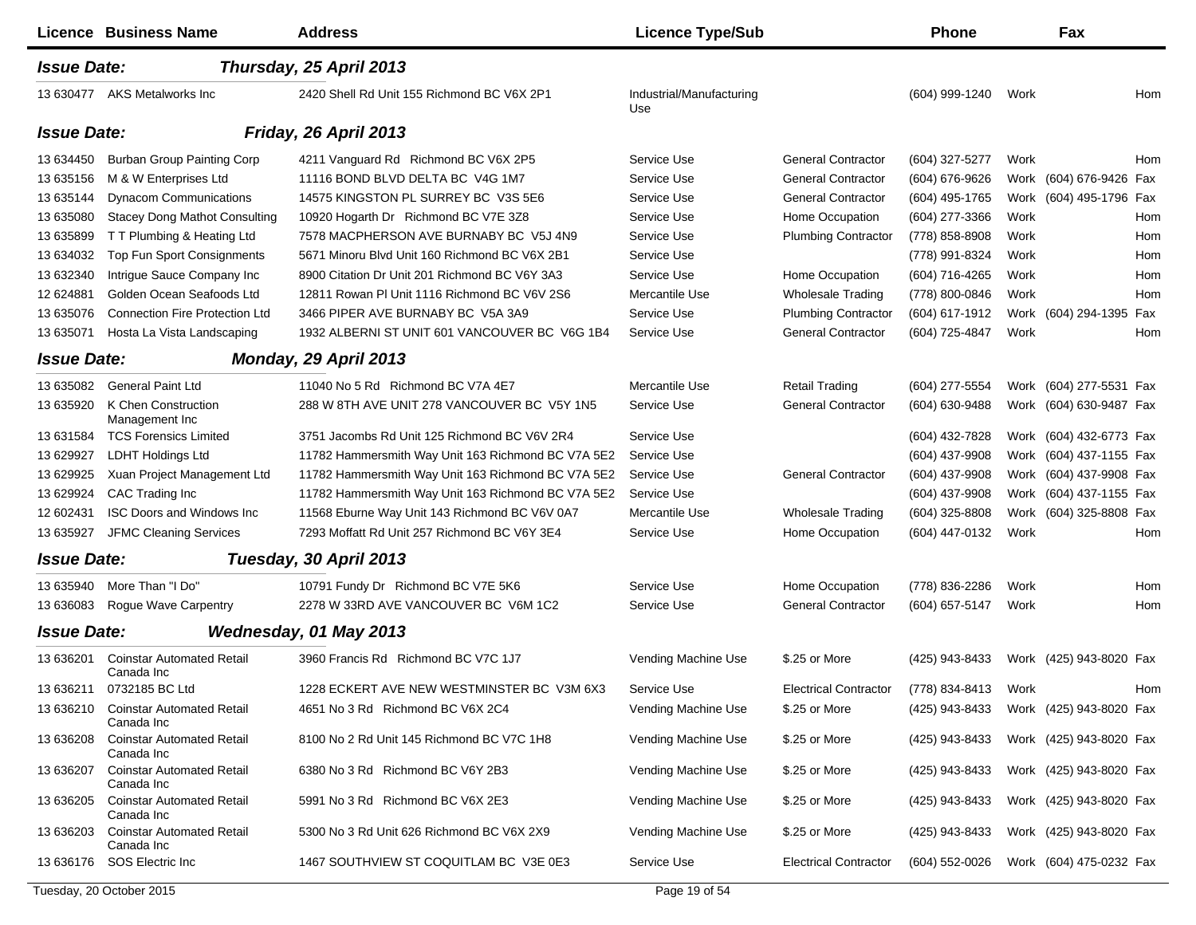|                    | <b>Licence Business Name</b>                   | <b>Address</b>                                     | <b>Licence Type/Sub</b>         |                              | <b>Phone</b>   |      | Fax                     |            |
|--------------------|------------------------------------------------|----------------------------------------------------|---------------------------------|------------------------------|----------------|------|-------------------------|------------|
| <b>Issue Date:</b> |                                                | Thursday, 25 April 2013                            |                                 |                              |                |      |                         |            |
|                    | 13 630477 AKS Metalworks Inc                   | 2420 Shell Rd Unit 155 Richmond BC V6X 2P1         | Industrial/Manufacturing<br>Use |                              | (604) 999-1240 | Work |                         | Hom        |
| <b>Issue Date:</b> |                                                | Friday, 26 April 2013                              |                                 |                              |                |      |                         |            |
| 13 634450          | Burban Group Painting Corp                     | 4211 Vanguard Rd Richmond BC V6X 2P5               | Service Use                     | <b>General Contractor</b>    | (604) 327-5277 | Work |                         | <b>Hom</b> |
| 13 635156          | M & W Enterprises Ltd                          | 11116 BOND BLVD DELTA BC V4G 1M7                   | Service Use                     | <b>General Contractor</b>    | (604) 676-9626 |      | Work (604) 676-9426 Fax |            |
| 13 635144          | <b>Dynacom Communications</b>                  | 14575 KINGSTON PL SURREY BC V3S 5E6                | Service Use                     | <b>General Contractor</b>    | (604) 495-1765 |      | Work (604) 495-1796 Fax |            |
| 13 635080          | <b>Stacey Dong Mathot Consulting</b>           | 10920 Hogarth Dr Richmond BC V7E 3Z8               | Service Use                     | Home Occupation              | (604) 277-3366 | Work |                         | Hom        |
| 13 635899          | T T Plumbing & Heating Ltd                     | 7578 MACPHERSON AVE BURNABY BC V5J 4N9             | Service Use                     | <b>Plumbing Contractor</b>   | (778) 858-8908 | Work |                         | Hom        |
| 13 634032          | Top Fun Sport Consignments                     | 5671 Minoru Blvd Unit 160 Richmond BC V6X 2B1      | Service Use                     |                              | (778) 991-8324 | Work |                         | Hom        |
| 13 632340          | Intrigue Sauce Company Inc                     | 8900 Citation Dr Unit 201 Richmond BC V6Y 3A3      | Service Use                     | Home Occupation              | (604) 716-4265 | Work |                         | Hom        |
| 12 624881          | Golden Ocean Seafoods Ltd                      | 12811 Rowan PI Unit 1116 Richmond BC V6V 2S6       | Mercantile Use                  | <b>Wholesale Trading</b>     | (778) 800-0846 | Work |                         | Hom        |
| 13 635076          | <b>Connection Fire Protection Ltd</b>          | 3466 PIPER AVE BURNABY BC V5A 3A9                  | Service Use                     | <b>Plumbing Contractor</b>   | (604) 617-1912 |      | Work (604) 294-1395     | Fax        |
| 13 635071          | Hosta La Vista Landscaping                     | 1932 ALBERNI ST UNIT 601 VANCOUVER BC V6G 1B4      | Service Use                     | <b>General Contractor</b>    | (604) 725-4847 | Work |                         | Hom        |
| <b>Issue Date:</b> |                                                | Monday, 29 April 2013                              |                                 |                              |                |      |                         |            |
| 13 635082          | <b>General Paint Ltd</b>                       | 11040 No 5 Rd Richmond BC V7A 4E7                  | Mercantile Use                  | <b>Retail Trading</b>        | (604) 277-5554 |      | Work (604) 277-5531 Fax |            |
| 13 635920          | K Chen Construction<br>Management Inc          | 288 W 8TH AVE UNIT 278 VANCOUVER BC V5Y 1N5        | Service Use                     | <b>General Contractor</b>    | (604) 630-9488 |      | Work (604) 630-9487 Fax |            |
| 13 631584          | <b>TCS Forensics Limited</b>                   | 3751 Jacombs Rd Unit 125 Richmond BC V6V 2R4       | Service Use                     |                              | (604) 432-7828 |      | Work (604) 432-6773 Fax |            |
| 13 629927          | <b>LDHT Holdings Ltd</b>                       | 11782 Hammersmith Way Unit 163 Richmond BC V7A 5E2 | Service Use                     |                              | (604) 437-9908 |      | Work (604) 437-1155 Fax |            |
| 13 629925          | Xuan Project Management Ltd                    | 11782 Hammersmith Way Unit 163 Richmond BC V7A 5E2 | Service Use                     | <b>General Contractor</b>    | (604) 437-9908 |      | Work (604) 437-9908 Fax |            |
| 13 629924          | CAC Trading Inc                                | 11782 Hammersmith Way Unit 163 Richmond BC V7A 5E2 | Service Use                     |                              | (604) 437-9908 |      | Work (604) 437-1155 Fax |            |
| 12 602431          | <b>ISC Doors and Windows Inc</b>               | 11568 Eburne Way Unit 143 Richmond BC V6V 0A7      | Mercantile Use                  | <b>Wholesale Trading</b>     | (604) 325-8808 |      | Work (604) 325-8808 Fax |            |
| 13 635927          | JFMC Cleaning Services                         | 7293 Moffatt Rd Unit 257 Richmond BC V6Y 3E4       | Service Use                     | Home Occupation              | (604) 447-0132 | Work |                         | Hom        |
| <b>Issue Date:</b> |                                                | Tuesday, 30 April 2013                             |                                 |                              |                |      |                         |            |
| 13 635940          | More Than "I Do"                               | 10791 Fundy Dr Richmond BC V7E 5K6                 | Service Use                     | Home Occupation              | (778) 836-2286 | Work |                         | Hom        |
| 13 63 6083         | Roque Wave Carpentry                           | 2278 W 33RD AVE VANCOUVER BC V6M 1C2               | Service Use                     | <b>General Contractor</b>    | (604) 657-5147 | Work |                         | Hom        |
| <b>Issue Date:</b> |                                                | Wednesday, 01 May 2013                             |                                 |                              |                |      |                         |            |
| 13 63 6201         | <b>Coinstar Automated Retail</b><br>Canada Inc | 3960 Francis Rd Richmond BC V7C 1J7                | Vending Machine Use             | \$.25 or More                | (425) 943-8433 |      | Work (425) 943-8020 Fax |            |
| 13 63 6211         | 0732185 BC Ltd                                 | 1228 ECKERT AVE NEW WESTMINSTER BC V3M 6X3         | Service Use                     | <b>Electrical Contractor</b> | (778) 834-8413 | Work |                         | Hom        |
| 13 636210          | <b>Coinstar Automated Retail</b><br>Canada Inc | 4651 No 3 Rd Richmond BC V6X 2C4                   | Vending Machine Use             | \$.25 or More                | (425) 943-8433 |      | Work (425) 943-8020 Fax |            |
| 13 636208          | <b>Coinstar Automated Retail</b><br>Canada Inc | 8100 No 2 Rd Unit 145 Richmond BC V7C 1H8          | Vending Machine Use             | \$.25 or More                | (425) 943-8433 |      | Work (425) 943-8020 Fax |            |
| 13 63 6207         | <b>Coinstar Automated Retail</b><br>Canada Inc | 6380 No 3 Rd Richmond BC V6Y 2B3                   | Vending Machine Use             | \$.25 or More                | (425) 943-8433 |      | Work (425) 943-8020 Fax |            |
| 13 636205          | <b>Coinstar Automated Retail</b><br>Canada Inc | 5991 No 3 Rd Richmond BC V6X 2E3                   | Vending Machine Use             | \$.25 or More                | (425) 943-8433 |      | Work (425) 943-8020 Fax |            |
| 13 636203          | <b>Coinstar Automated Retail</b><br>Canada Inc | 5300 No 3 Rd Unit 626 Richmond BC V6X 2X9          | Vending Machine Use             | \$.25 or More                | (425) 943-8433 |      | Work (425) 943-8020 Fax |            |
| 13 636176          | SOS Electric Inc                               | 1467 SOUTHVIEW ST COQUITLAM BC V3E 0E3             | Service Use                     | <b>Electrical Contractor</b> | (604) 552-0026 |      | Work (604) 475-0232 Fax |            |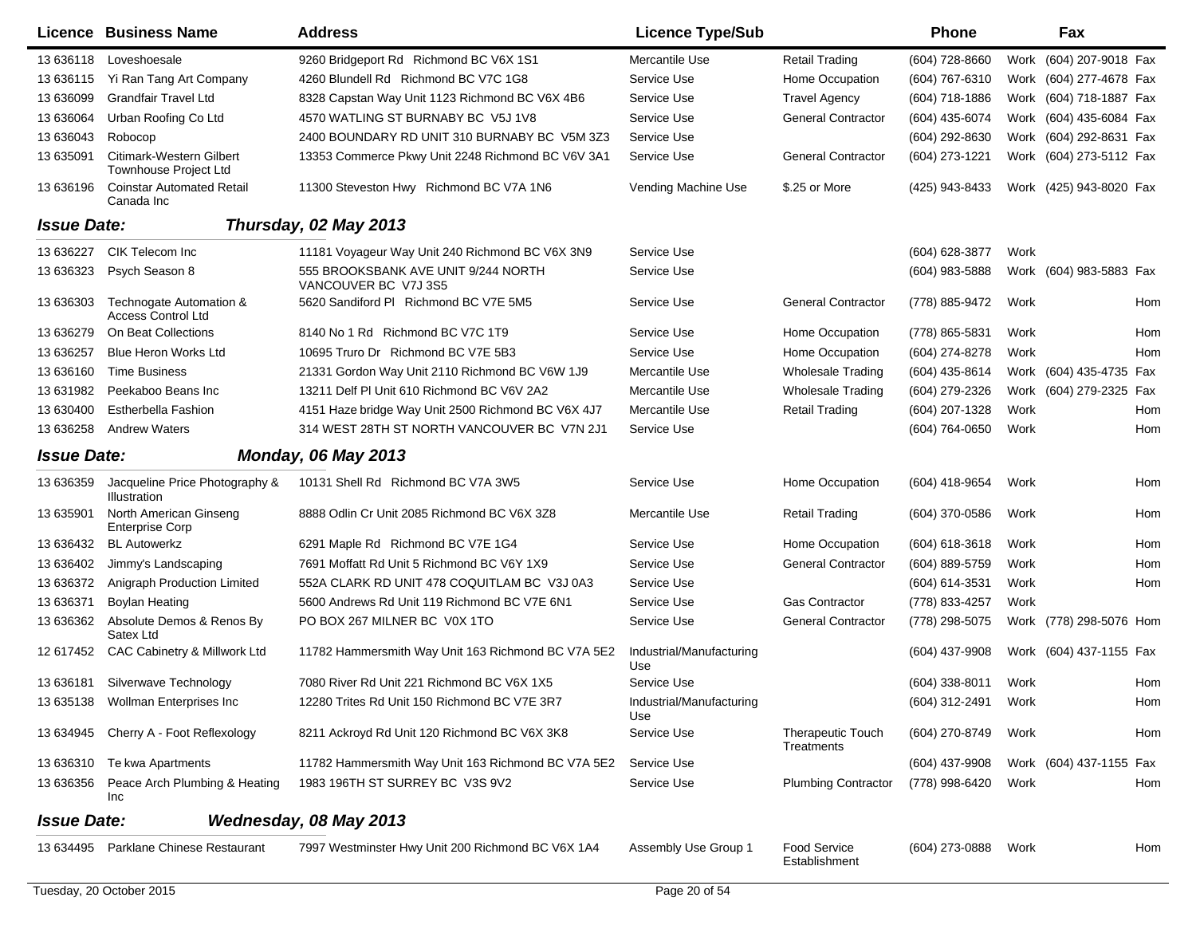|                    | <b>Licence Business Name</b>                             | <b>Address</b>                                              | <b>Licence Type/Sub</b>         |                                        | Phone               |      | Fax                     |     |
|--------------------|----------------------------------------------------------|-------------------------------------------------------------|---------------------------------|----------------------------------------|---------------------|------|-------------------------|-----|
| 13 636118          | Loveshoesale                                             | 9260 Bridgeport Rd Richmond BC V6X 1S1                      | Mercantile Use                  | Retail Trading                         | $(604)$ 728-8660    |      | Work (604) 207-9018 Fax |     |
| 13 636115          | Yi Ran Tang Art Company                                  | 4260 Blundell Rd Richmond BC V7C 1G8                        | Service Use                     | Home Occupation                        | (604) 767-6310      |      | Work (604) 277-4678 Fax |     |
| 13 636099          | <b>Grandfair Travel Ltd</b>                              | 8328 Capstan Way Unit 1123 Richmond BC V6X 4B6              | Service Use                     | <b>Travel Agency</b>                   | (604) 718-1886      |      | Work (604) 718-1887 Fax |     |
| 13 636064          | Urban Roofing Co Ltd                                     | 4570 WATLING ST BURNABY BC V5J 1V8                          | Service Use                     | <b>General Contractor</b>              | (604) 435-6074      | Work | (604) 435-6084 Fax      |     |
| 13 63 6043         | Robocop                                                  | 2400 BOUNDARY RD UNIT 310 BURNABY BC V5M 3Z3                | Service Use                     |                                        | (604) 292-8630      |      | Work (604) 292-8631 Fax |     |
| 13 635091          | Citimark-Western Gilbert<br><b>Townhouse Project Ltd</b> | 13353 Commerce Pkwy Unit 2248 Richmond BC V6V 3A1           | Service Use                     | <b>General Contractor</b>              | (604) 273-1221      |      | Work (604) 273-5112 Fax |     |
| 13 636196          | <b>Coinstar Automated Retail</b><br>Canada Inc           | 11300 Steveston Hwy Richmond BC V7A 1N6                     | Vending Machine Use             | \$.25 or More                          | (425) 943-8433      |      | Work (425) 943-8020 Fax |     |
| <b>Issue Date:</b> |                                                          | Thursday, 02 May 2013                                       |                                 |                                        |                     |      |                         |     |
| 13 63 6227         | CIK Telecom Inc                                          | 11181 Voyageur Way Unit 240 Richmond BC V6X 3N9             | Service Use                     |                                        | (604) 628-3877      | Work |                         |     |
| 13 636323          | Psych Season 8                                           | 555 BROOKSBANK AVE UNIT 9/244 NORTH<br>VANCOUVER BC V7J 3S5 | Service Use                     |                                        | (604) 983-5888      |      | Work (604) 983-5883 Fax |     |
| 13 636303          | Technogate Automation &<br><b>Access Control Ltd</b>     | 5620 Sandiford PI Richmond BC V7E 5M5                       | Service Use                     | <b>General Contractor</b>              | (778) 885-9472      | Work |                         | Hom |
| 13 63 6279         | On Beat Collections                                      | 8140 No 1 Rd Richmond BC V7C 1T9                            | Service Use                     | Home Occupation                        | (778) 865-5831      | Work |                         | Hom |
| 13 63 6257         | <b>Blue Heron Works Ltd</b>                              | 10695 Truro Dr Richmond BC V7E 5B3                          | Service Use                     | Home Occupation                        | (604) 274-8278      | Work |                         | Hom |
| 13 636160          | <b>Time Business</b>                                     | 21331 Gordon Way Unit 2110 Richmond BC V6W 1J9              | Mercantile Use                  | <b>Wholesale Trading</b>               | (604) 435-8614      | Work | (604) 435-4735 Fax      |     |
| 13 631982          | Peekaboo Beans Inc                                       | 13211 Delf PI Unit 610 Richmond BC V6V 2A2                  | Mercantile Use                  | <b>Wholesale Trading</b>               | (604) 279-2326      |      | Work (604) 279-2325 Fax |     |
| 13 630400          | <b>Estherbella Fashion</b>                               | 4151 Haze bridge Way Unit 2500 Richmond BC V6X 4J7          | Mercantile Use                  | <b>Retail Trading</b>                  | (604) 207-1328      | Work |                         | Hom |
| 13 636258          | <b>Andrew Waters</b>                                     | 314 WEST 28TH ST NORTH VANCOUVER BC V7N 2J1                 | Service Use                     |                                        | (604) 764-0650      | Work |                         | Hom |
| <b>Issue Date:</b> |                                                          | <b>Monday, 06 May 2013</b>                                  |                                 |                                        |                     |      |                         |     |
| 13 636359          | Jacqueline Price Photography &<br>Illustration           | 10131 Shell Rd Richmond BC V7A 3W5                          | Service Use                     | Home Occupation                        | (604) 418-9654      | Work |                         | Hom |
| 13 635901          | North American Ginseng<br><b>Enterprise Corp</b>         | 8888 Odlin Cr Unit 2085 Richmond BC V6X 3Z8                 | Mercantile Use                  | <b>Retail Trading</b>                  | (604) 370-0586      | Work |                         | Hom |
| 13 63 6432         | <b>BL Autowerkz</b>                                      | 6291 Maple Rd Richmond BC V7E 1G4                           | Service Use                     | Home Occupation                        | $(604)$ 618-3618    | Work |                         | Hom |
| 13 63 6402         | Jimmy's Landscaping                                      | 7691 Moffatt Rd Unit 5 Richmond BC V6Y 1X9                  | Service Use                     | <b>General Contractor</b>              | (604) 889-5759      | Work |                         | Hom |
| 13 63 6372         | Anigraph Production Limited                              | 552A CLARK RD UNIT 478 COQUITLAM BC V3J 0A3                 | Service Use                     |                                        | (604) 614-3531      | Work |                         | Hom |
| 13 63 6371         | Boylan Heating                                           | 5600 Andrews Rd Unit 119 Richmond BC V7E 6N1                | Service Use                     | <b>Gas Contractor</b>                  | (778) 833-4257      | Work |                         |     |
| 13 636362          | Absolute Demos & Renos By<br>Satex Ltd                   | PO BOX 267 MILNER BC V0X 1TO                                | Service Use                     | <b>General Contractor</b>              | (778) 298-5075      |      | Work (778) 298-5076 Hom |     |
| 12 617452          | CAC Cabinetry & Millwork Ltd                             | 11782 Hammersmith Way Unit 163 Richmond BC V7A 5E2          | Industrial/Manufacturing<br>Use |                                        | (604) 437-9908      |      | Work (604) 437-1155 Fax |     |
|                    | 13 636181 Silverwave Technology                          | 7080 River Rd Unit 221 Richmond BC V6X 1X5                  | Service Use                     |                                        | (604) 338-8011 Work |      |                         | Hom |
|                    | 13 635138 Wollman Enterprises Inc                        | 12280 Trites Rd Unit 150 Richmond BC V7E 3R7                | Industrial/Manufacturing<br>Use |                                        | (604) 312-2491 Work |      |                         | Hom |
|                    | 13 634945 Cherry A - Foot Reflexology                    | 8211 Ackroyd Rd Unit 120 Richmond BC V6X 3K8                | Service Use                     | <b>Therapeutic Touch</b><br>Treatments | (604) 270-8749      | Work |                         | Hom |
|                    | 13 636310 Te kwa Apartments                              | 11782 Hammersmith Way Unit 163 Richmond BC V7A 5E2          | Service Use                     |                                        | (604) 437-9908      |      | Work (604) 437-1155 Fax |     |
| 13 636356          | Peace Arch Plumbing & Heating<br>Inc                     | 1983 196TH ST SURREY BC V3S 9V2                             | Service Use                     | <b>Plumbing Contractor</b>             | (778) 998-6420      | Work |                         | Hom |
| <b>Issue Date:</b> |                                                          | Wednesday, 08 May 2013                                      |                                 |                                        |                     |      |                         |     |
|                    | 13 634495 Parklane Chinese Restaurant                    | 7997 Westminster Hwy Unit 200 Richmond BC V6X 1A4           | Assembly Use Group 1            | <b>Food Service</b><br>Establishment   | (604) 273-0888      | Work |                         | Hom |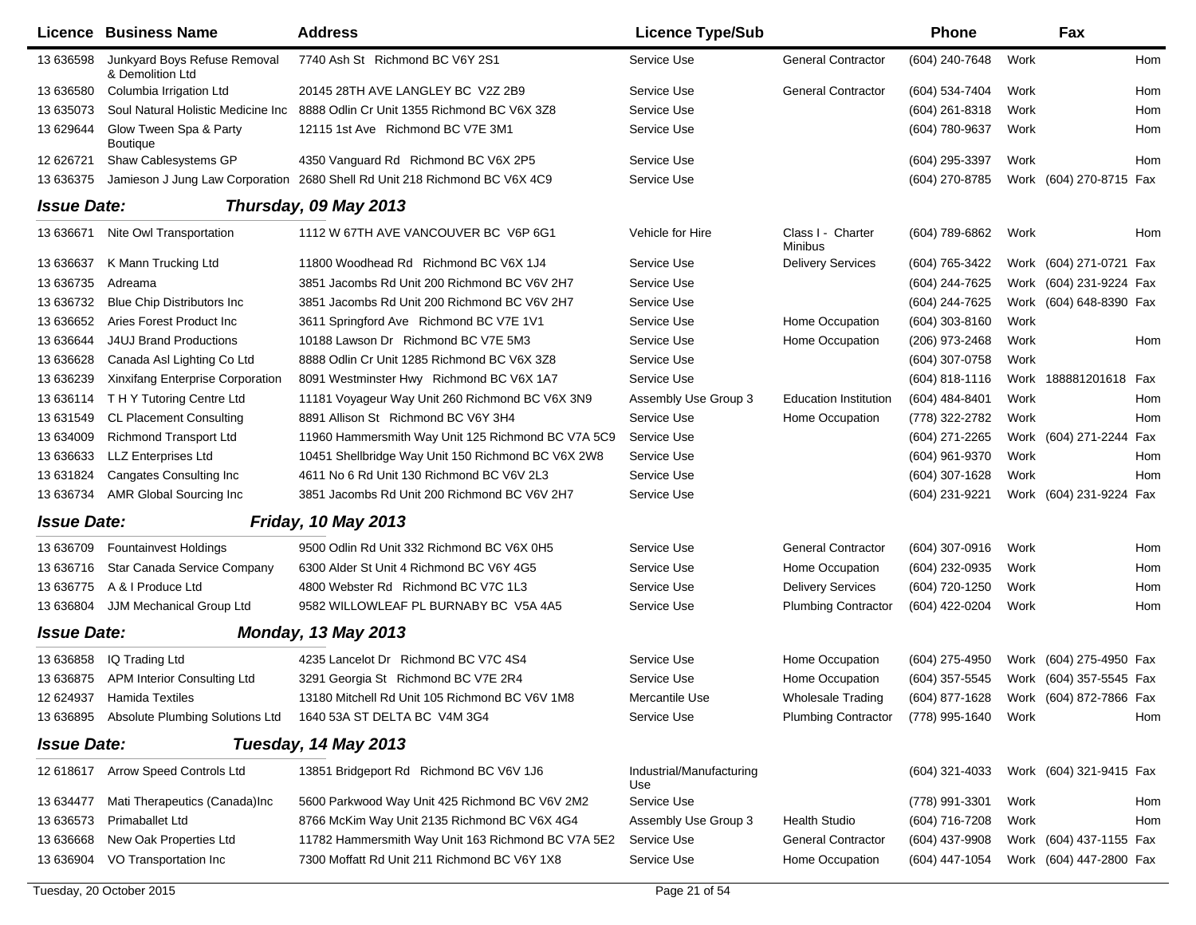|                    | Licence Business Name                            | <b>Address</b>                                                             | <b>Licence Type/Sub</b>         |                                     | <b>Phone</b>        |      | Fax                     |  |
|--------------------|--------------------------------------------------|----------------------------------------------------------------------------|---------------------------------|-------------------------------------|---------------------|------|-------------------------|--|
| 13 636598          | Junkyard Boys Refuse Removal<br>& Demolition Ltd | 7740 Ash St Richmond BC V6Y 2S1                                            | Service Use                     | <b>General Contractor</b>           | (604) 240-7648      | Work | Hom                     |  |
| 13 63 6580         | Columbia Irrigation Ltd                          | 20145 28TH AVE LANGLEY BC V2Z 2B9                                          | Service Use                     | <b>General Contractor</b>           | (604) 534-7404      | Work | Hom                     |  |
| 13 635073          | Soul Natural Holistic Medicine Inc               | 8888 Odlin Cr Unit 1355 Richmond BC V6X 3Z8                                | Service Use                     |                                     | (604) 261-8318      | Work | Hom                     |  |
| 13 629644          | Glow Tween Spa & Party<br>Boutique               | 12115 1st Ave Richmond BC V7E 3M1                                          | Service Use                     |                                     | (604) 780-9637      | Work | Hom                     |  |
| 12 626721          | Shaw Cablesystems GP                             | 4350 Vanguard Rd Richmond BC V6X 2P5                                       | Service Use                     |                                     | (604) 295-3397      | Work | Hom                     |  |
| 13 636375          |                                                  | Jamieson J Jung Law Corporation 2680 Shell Rd Unit 218 Richmond BC V6X 4C9 | Service Use                     |                                     | (604) 270-8785      |      | Work (604) 270-8715 Fax |  |
| <b>Issue Date:</b> |                                                  | Thursday, 09 May 2013                                                      |                                 |                                     |                     |      |                         |  |
| 13 63 6671         | Nite Owl Transportation                          | 1112 W 67TH AVE VANCOUVER BC V6P 6G1                                       | Vehicle for Hire                | Class I - Charter<br><b>Minibus</b> | (604) 789-6862      | Work | Hom                     |  |
| 13 63 6637         | K Mann Trucking Ltd                              | 11800 Woodhead Rd Richmond BC V6X 1J4                                      | Service Use                     | <b>Delivery Services</b>            | (604) 765-3422      |      | Work (604) 271-0721 Fax |  |
| 13 63 6735         | Adreama                                          | 3851 Jacombs Rd Unit 200 Richmond BC V6V 2H7                               | Service Use                     |                                     | (604) 244-7625      |      | Work (604) 231-9224 Fax |  |
| 13 63 6732         | <b>Blue Chip Distributors Inc.</b>               | 3851 Jacombs Rd Unit 200 Richmond BC V6V 2H7                               | Service Use                     |                                     | (604) 244-7625      |      | Work (604) 648-8390 Fax |  |
| 13 63 6652         | Aries Forest Product Inc                         | 3611 Springford Ave Richmond BC V7E 1V1                                    | Service Use                     | Home Occupation                     | $(604)$ 303-8160    | Work |                         |  |
| 13 636644          | <b>J4UJ Brand Productions</b>                    | 10188 Lawson Dr Richmond BC V7E 5M3                                        | Service Use                     | Home Occupation                     | (206) 973-2468      | Work | Hom                     |  |
| 13 63 6628         | Canada Asl Lighting Co Ltd                       | 8888 Odlin Cr Unit 1285 Richmond BC V6X 3Z8                                | Service Use                     |                                     | (604) 307-0758      | Work |                         |  |
| 13 636239          | Xinxifang Enterprise Corporation                 | 8091 Westminster Hwy Richmond BC V6X 1A7                                   | Service Use                     |                                     | $(604)$ 818-1116    |      | Work 188881201618 Fax   |  |
| 13 63 6114         | THY Tutoring Centre Ltd                          | 11181 Voyageur Way Unit 260 Richmond BC V6X 3N9                            | Assembly Use Group 3            | <b>Education Institution</b>        | (604) 484-8401      | Work | Hom                     |  |
| 13 631549          | <b>CL Placement Consulting</b>                   | 8891 Allison St Richmond BC V6Y 3H4                                        | Service Use                     | Home Occupation                     | (778) 322-2782      | Work | Hom                     |  |
| 13 634009          | <b>Richmond Transport Ltd</b>                    | 11960 Hammersmith Way Unit 125 Richmond BC V7A 5C9                         | Service Use                     |                                     | (604) 271-2265      |      | Work (604) 271-2244 Fax |  |
| 13 636633          | <b>LLZ Enterprises Ltd</b>                       | 10451 Shellbridge Way Unit 150 Richmond BC V6X 2W8                         | Service Use                     |                                     | (604) 961-9370      | Work | Hom                     |  |
| 13 631824          | <b>Cangates Consulting Inc.</b>                  | 4611 No 6 Rd Unit 130 Richmond BC V6V 2L3                                  | Service Use                     |                                     | (604) 307-1628      | Work | Hom                     |  |
| 13 63 6734         | AMR Global Sourcing Inc                          | 3851 Jacombs Rd Unit 200 Richmond BC V6V 2H7                               | Service Use                     |                                     | (604) 231-9221      |      | Work (604) 231-9224 Fax |  |
| <b>Issue Date:</b> |                                                  | <b>Friday, 10 May 2013</b>                                                 |                                 |                                     |                     |      |                         |  |
| 13 63 6709         | Fountainvest Holdings                            | 9500 Odlin Rd Unit 332 Richmond BC V6X 0H5                                 | Service Use                     | <b>General Contractor</b>           | (604) 307-0916      | Work | Hom                     |  |
| 13 636716          | Star Canada Service Company                      | 6300 Alder St Unit 4 Richmond BC V6Y 4G5                                   | Service Use                     | Home Occupation                     | (604) 232-0935      | Work | Hom                     |  |
| 13 63 6775         | A & I Produce Ltd                                | 4800 Webster Rd Richmond BC V7C 1L3                                        | Service Use                     | <b>Delivery Services</b>            | (604) 720-1250      | Work | Hom                     |  |
| 13 636804          | JJM Mechanical Group Ltd                         | 9582 WILLOWLEAF PL BURNABY BC V5A 4A5                                      | Service Use                     | <b>Plumbing Contractor</b>          | (604) 422-0204      | Work | Hom                     |  |
| <b>Issue Date:</b> |                                                  | <b>Monday, 13 May 2013</b>                                                 |                                 |                                     |                     |      |                         |  |
| 13 636858          | IQ Trading Ltd                                   | 4235 Lancelot Dr Richmond BC V7C 4S4                                       | Service Use                     | Home Occupation                     | (604) 275-4950      |      | Work (604) 275-4950 Fax |  |
|                    | 13 636875 APM Interior Consulting Ltd            | 3291 Georgia St Richmond BC V7E 2R4                                        | Service Use                     | Home Occupation                     | (604) 357-5545      |      | Work (604) 357-5545 Fax |  |
|                    | 12 624937 Hamida Textiles                        | 13180 Mitchell Rd Unit 105 Richmond BC V6V 1M8                             | Mercantile Use                  | Wholesale Trading                   | (604) 877-1628      |      | Work (604) 872-7866 Fax |  |
|                    | 13 636895 Absolute Plumbing Solutions Ltd        | 1640 53A ST DELTA BC V4M 3G4                                               | Service Use                     | <b>Plumbing Contractor</b>          | (778) 995-1640 Work |      | Hom                     |  |
| <b>Issue Date:</b> |                                                  | Tuesday, 14 May 2013                                                       |                                 |                                     |                     |      |                         |  |
|                    | 12 618617 Arrow Speed Controls Ltd               | 13851 Bridgeport Rd Richmond BC V6V 1J6                                    | Industrial/Manufacturing<br>Use |                                     | (604) 321-4033      |      | Work (604) 321-9415 Fax |  |
| 13 634477          | Mati Therapeutics (Canada)Inc                    | 5600 Parkwood Way Unit 425 Richmond BC V6V 2M2                             | Service Use                     |                                     | (778) 991-3301      | Work | Hom                     |  |
| 13 63 6573         | Primaballet Ltd                                  | 8766 McKim Way Unit 2135 Richmond BC V6X 4G4                               | Assembly Use Group 3            | Health Studio                       | (604) 716-7208      | Work | Hom                     |  |
| 13 63 6668         | New Oak Properties Ltd                           | 11782 Hammersmith Way Unit 163 Richmond BC V7A 5E2                         | Service Use                     | <b>General Contractor</b>           | (604) 437-9908      |      | Work (604) 437-1155 Fax |  |
| 13 636904          | VO Transportation Inc                            | 7300 Moffatt Rd Unit 211 Richmond BC V6Y 1X8                               | Service Use                     | Home Occupation                     | (604) 447-1054      |      | Work (604) 447-2800 Fax |  |
|                    |                                                  |                                                                            |                                 |                                     |                     |      |                         |  |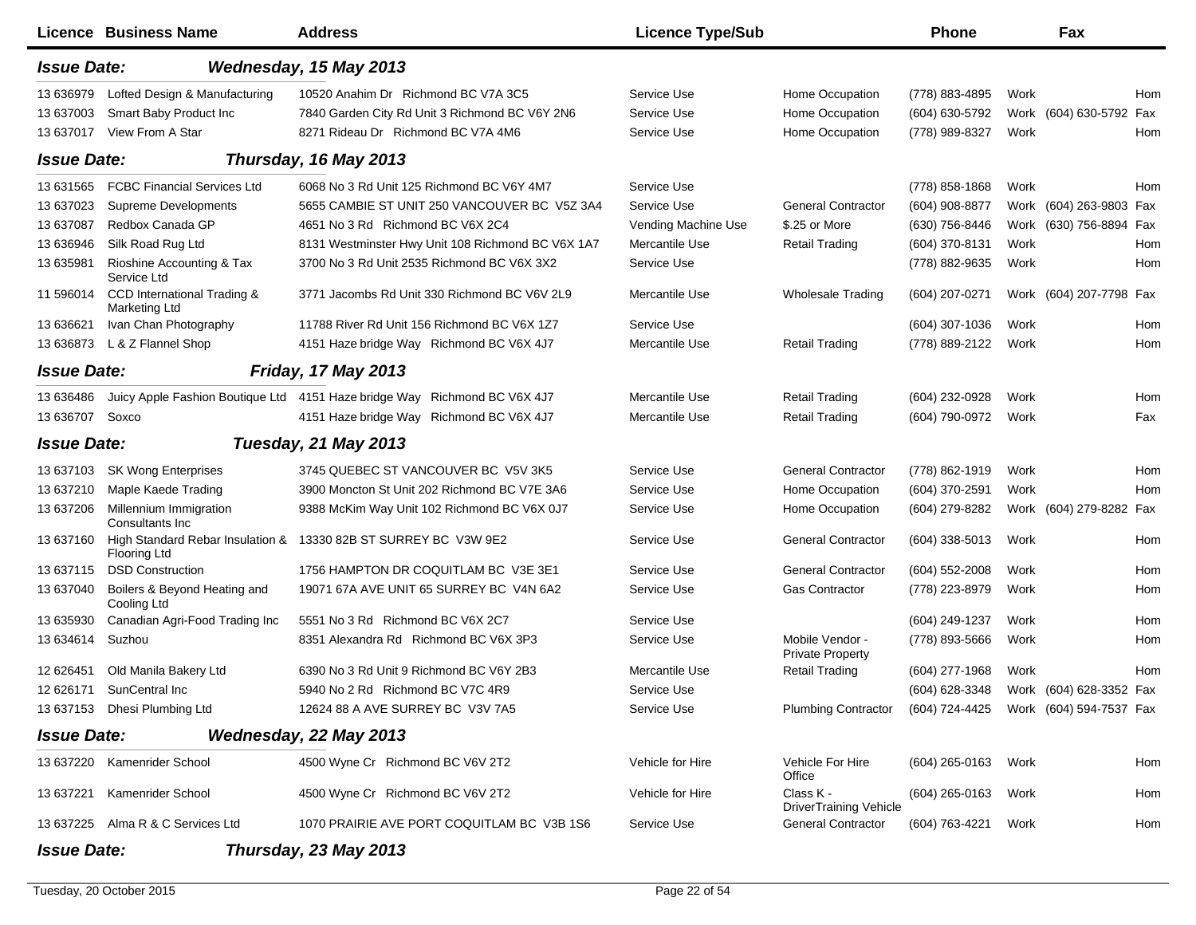|                                      | Licence Business Name                                                       | <b>Address</b>                                                                                                                      | <b>Licence Type/Sub</b>                              |                                                                 | <b>Phone</b>                                                               |              | Fax                     |            |
|--------------------------------------|-----------------------------------------------------------------------------|-------------------------------------------------------------------------------------------------------------------------------------|------------------------------------------------------|-----------------------------------------------------------------|----------------------------------------------------------------------------|--------------|-------------------------|------------|
| <b>Issue Date:</b>                   |                                                                             | Wednesday, 15 May 2013                                                                                                              |                                                      |                                                                 |                                                                            |              |                         |            |
| 13 63 6979<br>13 637003<br>13 637017 | Lofted Design & Manufacturing<br>Smart Baby Product Inc<br>View From A Star | 10520 Anahim Dr Richmond BC V7A 3C5<br>7840 Garden City Rd Unit 3 Richmond BC V6Y 2N6<br>8271 Rideau Dr Richmond BC V7A 4M6         | Service Use<br>Service Use<br>Service Use            | Home Occupation<br>Home Occupation<br>Home Occupation           | (778) 883-4895<br>(604) 630-5792<br>(778) 989-8327                         | Work<br>Work | Work (604) 630-5792 Fax | Hom<br>Hom |
| <b>Issue Date:</b>                   |                                                                             | Thursday, 16 May 2013                                                                                                               |                                                      |                                                                 |                                                                            |              |                         |            |
| 13 631565<br>13 637023               | <b>FCBC Financial Services Ltd</b><br>Supreme Developments                  | 6068 No 3 Rd Unit 125 Richmond BC V6Y 4M7<br>5655 CAMBIE ST UNIT 250 VANCOUVER BC V5Z 3A4                                           | Service Use<br>Service Use                           | <b>General Contractor</b>                                       | (778) 858-1868<br>(604) 908-8877                                           | Work         | Work (604) 263-9803 Fax | Hom        |
| 13 637087<br>13 636946<br>13 635981  | Redbox Canada GP<br>Silk Road Rug Ltd<br>Rioshine Accounting & Tax          | 4651 No 3 Rd Richmond BC V6X 2C4<br>8131 Westminster Hwy Unit 108 Richmond BC V6X 1A7<br>3700 No 3 Rd Unit 2535 Richmond BC V6X 3X2 | Vending Machine Use<br>Mercantile Use<br>Service Use | \$.25 or More<br><b>Retail Trading</b>                          | (630) 756-8446<br>(604) 370-8131<br>(778) 882-9635                         | Work<br>Work | Work (630) 756-8894 Fax | Hom<br>Hom |
| 11 596014                            | Service Ltd<br>CCD International Trading &<br>Marketing Ltd                 | 3771 Jacombs Rd Unit 330 Richmond BC V6V 2L9                                                                                        | Mercantile Use                                       | Wholesale Trading                                               | (604) 207-0271                                                             |              | Work (604) 207-7798 Fax |            |
| 13 63 6621<br>13 636873              | Ivan Chan Photography<br>L & Z Flannel Shop                                 | 11788 River Rd Unit 156 Richmond BC V6X 1Z7<br>4151 Haze bridge Way Richmond BC V6X 4J7                                             | Service Use<br>Mercantile Use                        | <b>Retail Trading</b>                                           | (604) 307-1036<br>(778) 889-2122                                           | Work<br>Work |                         | Hom<br>Hom |
| <b>Issue Date:</b>                   |                                                                             | <b>Friday, 17 May 2013</b>                                                                                                          |                                                      |                                                                 |                                                                            |              |                         |            |
| 13 63 648 6<br>13 63 6707            | Soxco                                                                       | Juicy Apple Fashion Boutique Ltd 4151 Haze bridge Way Richmond BC V6X 4J7<br>4151 Haze bridge Way Richmond BC V6X 4J7               | Mercantile Use<br>Mercantile Use                     | <b>Retail Trading</b><br><b>Retail Trading</b>                  | (604) 232-0928<br>(604) 790-0972                                           | Work<br>Work |                         | Hom<br>Fax |
| <b>Issue Date:</b>                   |                                                                             | <b>Tuesday, 21 May 2013</b>                                                                                                         |                                                      |                                                                 |                                                                            |              |                         |            |
| 13 637103<br>13 637210<br>13 637206  | <b>SK Wong Enterprises</b><br>Maple Kaede Trading<br>Millennium Immigration | 3745 QUEBEC ST VANCOUVER BC V5V 3K5<br>3900 Moncton St Unit 202 Richmond BC V7E 3A6<br>9388 McKim Way Unit 102 Richmond BC V6X 0J7  | Service Use<br>Service Use<br>Service Use            | <b>General Contractor</b><br>Home Occupation<br>Home Occupation | (778) 862-1919<br>(604) 370-2591<br>(604) 279-8282                         | Work<br>Work | Work (604) 279-8282 Fax | Hom<br>Hom |
| 13 637160                            | Consultants Inc.<br>High Standard Rebar Insulation &<br><b>Flooring Ltd</b> | 13330 82B ST SURREY BC V3W 9E2                                                                                                      | Service Use                                          | <b>General Contractor</b>                                       | (604) 338-5013                                                             | Work         |                         | Hom        |
| 13 637115<br>13 637040               | <b>DSD Construction</b><br>Boilers & Beyond Heating and<br>Cooling Ltd      | 1756 HAMPTON DR COQUITLAM BC V3E 3E1<br>19071 67A AVE UNIT 65 SURREY BC V4N 6A2                                                     | Service Use<br>Service Use                           | <b>General Contractor</b><br>Gas Contractor                     | (604) 552-2008<br>(778) 223-8979                                           | Work<br>Work |                         | Hom<br>Hom |
| 13 635930<br>13 634614               | Canadian Agri-Food Trading Inc<br>Suzhou                                    | 5551 No 3 Rd Richmond BC V6X 2C7<br>8351 Alexandra Rd Richmond BC V6X 3P3                                                           | Service Use<br>Service Use                           | Mobile Vendor -<br><b>Private Property</b>                      | (604) 249-1237<br>(778) 893-5666                                           | Work<br>Work |                         | Hom<br>Hom |
| 12 62 6451<br>12 626171              | Old Manila Bakery Ltd<br>SunCentral Inc<br>13 637153 Dhesi Plumbing Ltd     | 6390 No 3 Rd Unit 9 Richmond BC V6Y 2B3<br>5940 No 2 Rd Richmond BC V7C 4R9<br>12624 88 A AVE SURREY BC V3V 7A5                     | Mercantile Use<br>Service Use<br>Service Use         | Retail Trading<br><b>Plumbing Contractor</b>                    | (604) 277-1968<br>(604) 628-3348<br>(604) 724-4425 Work (604) 594-7537 Fax | Work         | Work (604) 628-3352 Fax | Hom        |
| <b>Issue Date:</b>                   |                                                                             | Wednesday, 22 May 2013                                                                                                              |                                                      |                                                                 |                                                                            |              |                         |            |
|                                      | 13 637220 Kamenrider School                                                 | 4500 Wyne Cr Richmond BC V6V 2T2                                                                                                    | Vehicle for Hire                                     | Vehicle For Hire<br>Office                                      | (604) 265-0163                                                             | Work         |                         | Hom        |
| 13 637221                            | Kamenrider School                                                           | 4500 Wyne Cr Richmond BC V6V 2T2                                                                                                    | Vehicle for Hire                                     | Class K -<br><b>DriverTraining Vehicle</b>                      | (604) 265-0163                                                             | Work         |                         | Hom        |
|                                      | 13 637225 Alma R & C Services Ltd                                           | 1070 PRAIRIE AVE PORT COQUITLAM BC V3B 1S6                                                                                          | Service Use                                          | <b>General Contractor</b>                                       | (604) 763-4221                                                             | Work         |                         | Hom        |
| <b>Issue Date:</b>                   |                                                                             | Thursday, 23 May 2013                                                                                                               |                                                      |                                                                 |                                                                            |              |                         |            |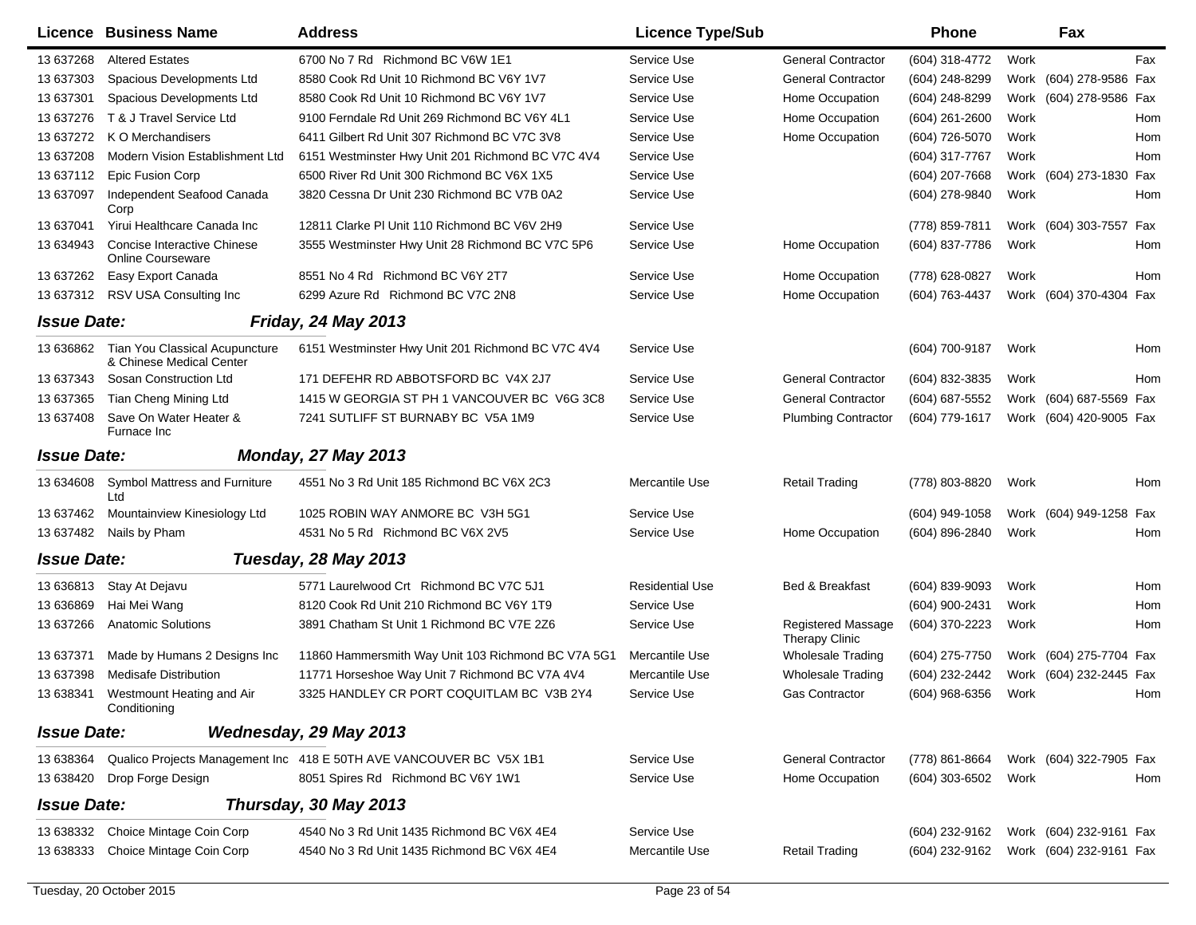|                    | <b>Licence Business Name</b>                                      | <b>Address</b>                                                      | <b>Licence Type/Sub</b> |                                                    | <b>Phone</b>     |      | Fax                     |     |
|--------------------|-------------------------------------------------------------------|---------------------------------------------------------------------|-------------------------|----------------------------------------------------|------------------|------|-------------------------|-----|
| 13 637268          | <b>Altered Estates</b>                                            | 6700 No 7 Rd Richmond BC V6W 1E1                                    | Service Use             | <b>General Contractor</b>                          | (604) 318-4772   | Work |                         | Fax |
| 13 637303          | Spacious Developments Ltd                                         | 8580 Cook Rd Unit 10 Richmond BC V6Y 1V7                            | Service Use             | <b>General Contractor</b>                          | (604) 248-8299   | Work | (604) 278-9586 Fax      |     |
| 13 637301          | Spacious Developments Ltd                                         | 8580 Cook Rd Unit 10 Richmond BC V6Y 1V7                            | Service Use             | Home Occupation                                    | (604) 248-8299   |      | Work (604) 278-9586 Fax |     |
| 13 637276          | T & J Travel Service Ltd                                          | 9100 Ferndale Rd Unit 269 Richmond BC V6Y 4L1                       | Service Use             | Home Occupation                                    | (604) 261-2600   | Work |                         | Hom |
| 13 637272          | K O Merchandisers                                                 | 6411 Gilbert Rd Unit 307 Richmond BC V7C 3V8                        | Service Use             | Home Occupation                                    | (604) 726-5070   | Work |                         | Hom |
| 13 637208          | Modern Vision Establishment Ltd                                   | 6151 Westminster Hwy Unit 201 Richmond BC V7C 4V4                   | Service Use             |                                                    | (604) 317-7767   | Work |                         | Hom |
| 13 637112          | <b>Epic Fusion Corp</b>                                           | 6500 River Rd Unit 300 Richmond BC V6X 1X5                          | Service Use             |                                                    | (604) 207-7668   |      | Work (604) 273-1830 Fax |     |
| 13 637097          | Independent Seafood Canada<br>Corp                                | 3820 Cessna Dr Unit 230 Richmond BC V7B 0A2                         | Service Use             |                                                    | (604) 278-9840   | Work |                         | Hom |
| 13 637041          | Yirui Healthcare Canada Inc                                       | 12811 Clarke PI Unit 110 Richmond BC V6V 2H9                        | Service Use             |                                                    | (778) 859-7811   | Work | (604) 303-7557 Fax      |     |
| 13 634943          | Concise Interactive Chinese<br><b>Online Courseware</b>           | 3555 Westminster Hwy Unit 28 Richmond BC V7C 5P6                    | Service Use             | Home Occupation                                    | (604) 837-7786   | Work |                         | Hom |
| 13 637262          | Easy Export Canada                                                | 8551 No 4 Rd Richmond BC V6Y 2T7                                    | Service Use             | Home Occupation                                    | (778) 628-0827   | Work |                         | Hom |
| 13 637312          | RSV USA Consulting Inc                                            | 6299 Azure Rd Richmond BC V7C 2N8                                   | Service Use             | Home Occupation                                    | (604) 763-4437   |      | Work (604) 370-4304 Fax |     |
| <b>Issue Date:</b> |                                                                   | <b>Friday, 24 May 2013</b>                                          |                         |                                                    |                  |      |                         |     |
| 13 636862          | <b>Tian You Classical Acupuncture</b><br>& Chinese Medical Center | 6151 Westminster Hwy Unit 201 Richmond BC V7C 4V4                   | Service Use             |                                                    | (604) 700-9187   | Work |                         | Hom |
| 13 637343          | Sosan Construction Ltd                                            | 171 DEFEHR RD ABBOTSFORD BC V4X 2J7                                 | Service Use             | <b>General Contractor</b>                          | (604) 832-3835   | Work |                         | Hom |
| 13 637365          | Tian Cheng Mining Ltd                                             | 1415 W GEORGIA ST PH 1 VANCOUVER BC V6G 3C8                         | Service Use             | <b>General Contractor</b>                          | (604) 687-5552   |      | Work (604) 687-5569 Fax |     |
| 13 637408          | Save On Water Heater &<br>Furnace Inc                             | 7241 SUTLIFF ST BURNABY BC V5A 1M9                                  | Service Use             | <b>Plumbing Contractor</b>                         | (604) 779-1617   |      | Work (604) 420-9005 Fax |     |
| <b>Issue Date:</b> |                                                                   | <b>Monday, 27 May 2013</b>                                          |                         |                                                    |                  |      |                         |     |
| 13 634608          | <b>Symbol Mattress and Furniture</b><br>Ltd                       | 4551 No 3 Rd Unit 185 Richmond BC V6X 2C3                           | Mercantile Use          | <b>Retail Trading</b>                              | (778) 803-8820   | Work |                         | Hom |
| 13 637462          | Mountainview Kinesiology Ltd                                      | 1025 ROBIN WAY ANMORE BC V3H 5G1                                    | Service Use             |                                                    | (604) 949-1058   |      | Work (604) 949-1258 Fax |     |
| 13 637482          | Nails by Pham                                                     | 4531 No 5 Rd Richmond BC V6X 2V5                                    | Service Use             | Home Occupation                                    | (604) 896-2840   | Work |                         | Hom |
| <b>Issue Date:</b> |                                                                   | <b>Tuesday, 28 May 2013</b>                                         |                         |                                                    |                  |      |                         |     |
| 13 636813          | Stay At Dejavu                                                    | 5771 Laurelwood Crt Richmond BC V7C 5J1                             | <b>Residential Use</b>  | Bed & Breakfast                                    | (604) 839-9093   | Work |                         | Hom |
| 13 63 6869         | Hai Mei Wang                                                      | 8120 Cook Rd Unit 210 Richmond BC V6Y 1T9                           | Service Use             |                                                    | (604) 900-2431   | Work |                         | Hom |
| 13 637266          | <b>Anatomic Solutions</b>                                         | 3891 Chatham St Unit 1 Richmond BC V7E 2Z6                          | Service Use             | <b>Registered Massage</b><br><b>Therapy Clinic</b> | (604) 370-2223   | Work |                         | Hom |
| 13 637371          | Made by Humans 2 Designs Inc.                                     | 11860 Hammersmith Way Unit 103 Richmond BC V7A 5G1                  | Mercantile Use          | <b>Wholesale Trading</b>                           | (604) 275-7750   | Work | (604) 275-7704 Fax      |     |
| 13 637398          | <b>Medisafe Distribution</b>                                      | 11771 Horseshoe Way Unit 7 Richmond BC V7A 4V4                      | Mercantile Use          | Wholesale Trading                                  | (604) 232-2442   |      | Work (604) 232-2445 Fax |     |
| 13 638341          | Westmount Heating and Air<br>Conditioning                         | 3325 HANDLEY CR PORT COQUITLAM BC V3B 2Y4                           | Service Use             | <b>Gas Contractor</b>                              | $(604)$ 968-6356 | Work |                         | Hom |
| <b>Issue Date:</b> |                                                                   | Wednesday, 29 May 2013                                              |                         |                                                    |                  |      |                         |     |
| 13 638364          |                                                                   | Qualico Projects Management Inc 418 E 50TH AVE VANCOUVER BC V5X 1B1 | Service Use             | <b>General Contractor</b>                          | (778) 861-8664   |      | Work (604) 322-7905 Fax |     |
| 13 638420          | Drop Forge Design                                                 | 8051 Spires Rd Richmond BC V6Y 1W1                                  | Service Use             | Home Occupation                                    | (604) 303-6502   | Work |                         | Hom |
| <b>Issue Date:</b> |                                                                   | Thursday, 30 May 2013                                               |                         |                                                    |                  |      |                         |     |
| 13 638332          | Choice Mintage Coin Corp                                          | 4540 No 3 Rd Unit 1435 Richmond BC V6X 4E4                          | Service Use             |                                                    | (604) 232-9162   |      | Work (604) 232-9161 Fax |     |
| 13 638333          | Choice Mintage Coin Corp                                          | 4540 No 3 Rd Unit 1435 Richmond BC V6X 4E4                          | Mercantile Use          | <b>Retail Trading</b>                              | (604) 232-9162   |      | Work (604) 232-9161 Fax |     |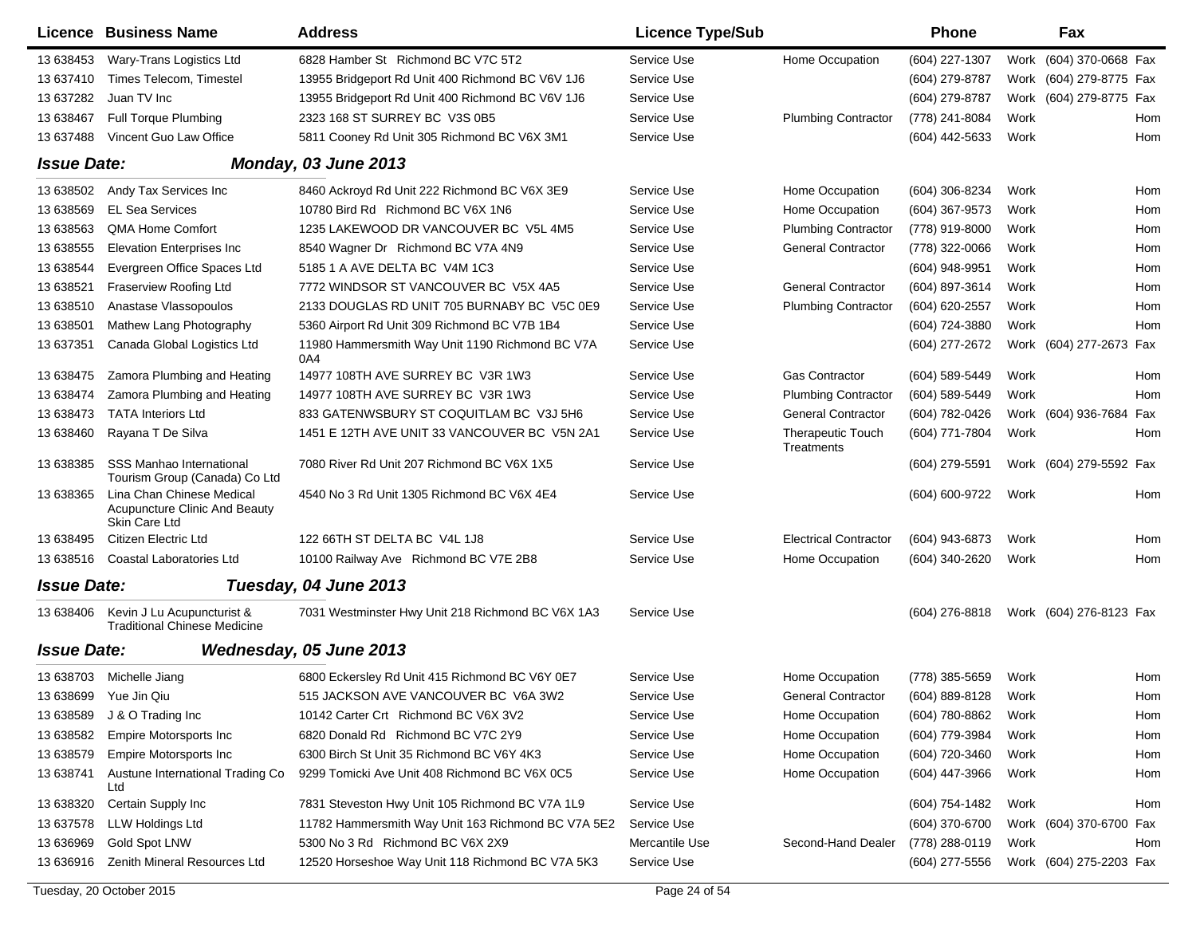|                    | Licence Business Name                                                              | <b>Address</b>                                         | <b>Licence Type/Sub</b> |                                        | <b>Phone</b>        |      | Fax                     |     |
|--------------------|------------------------------------------------------------------------------------|--------------------------------------------------------|-------------------------|----------------------------------------|---------------------|------|-------------------------|-----|
| 13 638453          | Wary-Trans Logistics Ltd                                                           | 6828 Hamber St Richmond BC V7C 5T2                     | Service Use             | Home Occupation                        | (604) 227-1307      |      | Work (604) 370-0668 Fax |     |
| 13 637410          | Times Telecom, Timestel                                                            | 13955 Bridgeport Rd Unit 400 Richmond BC V6V 1J6       | Service Use             |                                        | (604) 279-8787      |      | Work (604) 279-8775 Fax |     |
| 13 637282          | Juan TV Inc                                                                        | 13955 Bridgeport Rd Unit 400 Richmond BC V6V 1J6       | Service Use             |                                        | (604) 279-8787      |      | Work (604) 279-8775 Fax |     |
| 13 638467          | Full Torque Plumbing                                                               | 2323 168 ST SURREY BC V3S 0B5                          | Service Use             | <b>Plumbing Contractor</b>             | (778) 241-8084      | Work |                         | Hom |
| 13 637488          | Vincent Guo Law Office                                                             | 5811 Cooney Rd Unit 305 Richmond BC V6X 3M1            | Service Use             |                                        | (604) 442-5633      | Work |                         | Hom |
| <b>Issue Date:</b> |                                                                                    | Monday, 03 June 2013                                   |                         |                                        |                     |      |                         |     |
| 13 638502          | Andy Tax Services Inc                                                              | 8460 Ackroyd Rd Unit 222 Richmond BC V6X 3E9           | Service Use             | Home Occupation                        | (604) 306-8234      | Work |                         | Hom |
| 13 638569          | <b>EL Sea Services</b>                                                             | 10780 Bird Rd Richmond BC V6X 1N6                      | Service Use             | Home Occupation                        | (604) 367-9573      | Work |                         | Hom |
| 13 638563          | <b>OMA Home Comfort</b>                                                            | 1235 LAKEWOOD DR VANCOUVER BC V5L 4M5                  | Service Use             | <b>Plumbing Contractor</b>             | (778) 919-8000      | Work |                         | Hom |
| 13 638555          | <b>Elevation Enterprises Inc.</b>                                                  | 8540 Wagner Dr Richmond BC V7A 4N9                     | Service Use             | <b>General Contractor</b>              | (778) 322-0066      | Work |                         | Hom |
| 13 638544          | Evergreen Office Spaces Ltd                                                        | 5185 1 A AVE DELTA BC V4M 1C3                          | Service Use             |                                        | (604) 948-9951      | Work |                         | Hom |
| 13 638521          | Fraserview Roofing Ltd                                                             | 7772 WINDSOR ST VANCOUVER BC V5X 4A5                   | Service Use             | <b>General Contractor</b>              | (604) 897-3614      | Work |                         | Hom |
| 13 638510          | Anastase Vlassopoulos                                                              | 2133 DOUGLAS RD UNIT 705 BURNABY BC V5C 0E9            | Service Use             | <b>Plumbing Contractor</b>             | (604) 620-2557      | Work |                         | Hom |
| 13 638501          | Mathew Lang Photography                                                            | 5360 Airport Rd Unit 309 Richmond BC V7B 1B4           | Service Use             |                                        | (604) 724-3880      | Work |                         | Hom |
| 13 637351          | Canada Global Logistics Ltd                                                        | 11980 Hammersmith Way Unit 1190 Richmond BC V7A<br>0A4 | Service Use             |                                        | (604) 277-2672      |      | Work (604) 277-2673 Fax |     |
| 13 638475          | Zamora Plumbing and Heating                                                        | 14977 108TH AVE SURREY BC V3R 1W3                      | Service Use             | <b>Gas Contractor</b>                  | (604) 589-5449      | Work |                         | Hom |
| 13 638474          | Zamora Plumbing and Heating                                                        | 14977 108TH AVE SURREY BC V3R 1W3                      | Service Use             | <b>Plumbing Contractor</b>             | (604) 589-5449      | Work |                         | Hom |
| 13 638473          | <b>TATA Interiors Ltd</b>                                                          | 833 GATENWSBURY ST COQUITLAM BC V3J 5H6                | Service Use             | <b>General Contractor</b>              | (604) 782-0426      |      | Work (604) 936-7684 Fax |     |
| 13 638460          | Rayana T De Silva                                                                  | 1451 E 12TH AVE UNIT 33 VANCOUVER BC V5N 2A1           | Service Use             | <b>Therapeutic Touch</b><br>Treatments | (604) 771-7804      | Work |                         | Hom |
| 13 638385          | <b>SSS Manhao International</b><br>Tourism Group (Canada) Co Ltd                   | 7080 River Rd Unit 207 Richmond BC V6X 1X5             | Service Use             |                                        | $(604)$ 279-5591    |      | Work (604) 279-5592 Fax |     |
| 13 638365          | Lina Chan Chinese Medical<br><b>Acupuncture Clinic And Beauty</b><br>Skin Care Ltd | 4540 No 3 Rd Unit 1305 Richmond BC V6X 4E4             | Service Use             |                                        | (604) 600-9722      | Work |                         | Hom |
| 13 638495          | Citizen Electric Ltd                                                               | 122 66TH ST DELTA BC V4L 1J8                           | Service Use             | <b>Electrical Contractor</b>           | (604) 943-6873      | Work |                         | Hom |
| 13 638516          | Coastal Laboratories Ltd                                                           | 10100 Railway Ave Richmond BC V7E 2B8                  | Service Use             | Home Occupation                        | (604) 340-2620      | Work |                         | Hom |
| <b>Issue Date:</b> |                                                                                    | Tuesday, 04 June 2013                                  |                         |                                        |                     |      |                         |     |
| 13 638406          | Kevin J Lu Acupuncturist &<br><b>Traditional Chinese Medicine</b>                  | 7031 Westminster Hwy Unit 218 Richmond BC V6X 1A3      | Service Use             |                                        | (604) 276-8818      |      | Work (604) 276-8123 Fax |     |
| <b>Issue Date:</b> |                                                                                    | Wednesday, 05 June 2013                                |                         |                                        |                     |      |                         |     |
|                    | 13 638703 Michelle Jiang                                                           | 6800 Eckersley Rd Unit 415 Richmond BC V6Y 0E7         | Service Use             | Home Occupation                        | (778) 385-5659      | Work |                         | Hom |
|                    | 13 638699  Yue Jin Qiu                                                             | 515 JACKSON AVE VANCOUVER BC V6A 3W2                   | Service Use             | <b>General Contractor</b>              | (604) 889-8128 Work |      |                         | Hom |
| 13 638589          | J & O Trading Inc                                                                  | 10142 Carter Crt Richmond BC V6X 3V2                   | Service Use             | Home Occupation                        | (604) 780-8862      | Work |                         | Hom |
| 13 638582          | Empire Motorsports Inc                                                             | 6820 Donald Rd Richmond BC V7C 2Y9                     | Service Use             | Home Occupation                        | (604) 779-3984      | Work |                         | Hom |
| 13 638579          | <b>Empire Motorsports Inc</b>                                                      | 6300 Birch St Unit 35 Richmond BC V6Y 4K3              | Service Use             | Home Occupation                        | (604) 720-3460      | Work |                         | Hom |
| 13 638741          | Austune International Trading Co<br>Ltd                                            | 9299 Tomicki Ave Unit 408 Richmond BC V6X 0C5          | Service Use             | Home Occupation                        | (604) 447-3966      | Work |                         | Hom |
| 13 638320          | Certain Supply Inc                                                                 | 7831 Steveston Hwy Unit 105 Richmond BC V7A 1L9        | Service Use             |                                        | (604) 754-1482      | Work |                         | Hom |
| 13 637578          | <b>LLW Holdings Ltd</b>                                                            | 11782 Hammersmith Way Unit 163 Richmond BC V7A 5E2     | Service Use             |                                        | (604) 370-6700      |      | Work (604) 370-6700 Fax |     |
| 13 636969          | Gold Spot LNW                                                                      | 5300 No 3 Rd Richmond BC V6X 2X9                       | Mercantile Use          | Second-Hand Dealer                     | (778) 288-0119      | Work |                         | Hom |
| 13 636916          | Zenith Mineral Resources Ltd                                                       | 12520 Horseshoe Way Unit 118 Richmond BC V7A 5K3       | Service Use             |                                        | (604) 277-5556      |      | Work (604) 275-2203 Fax |     |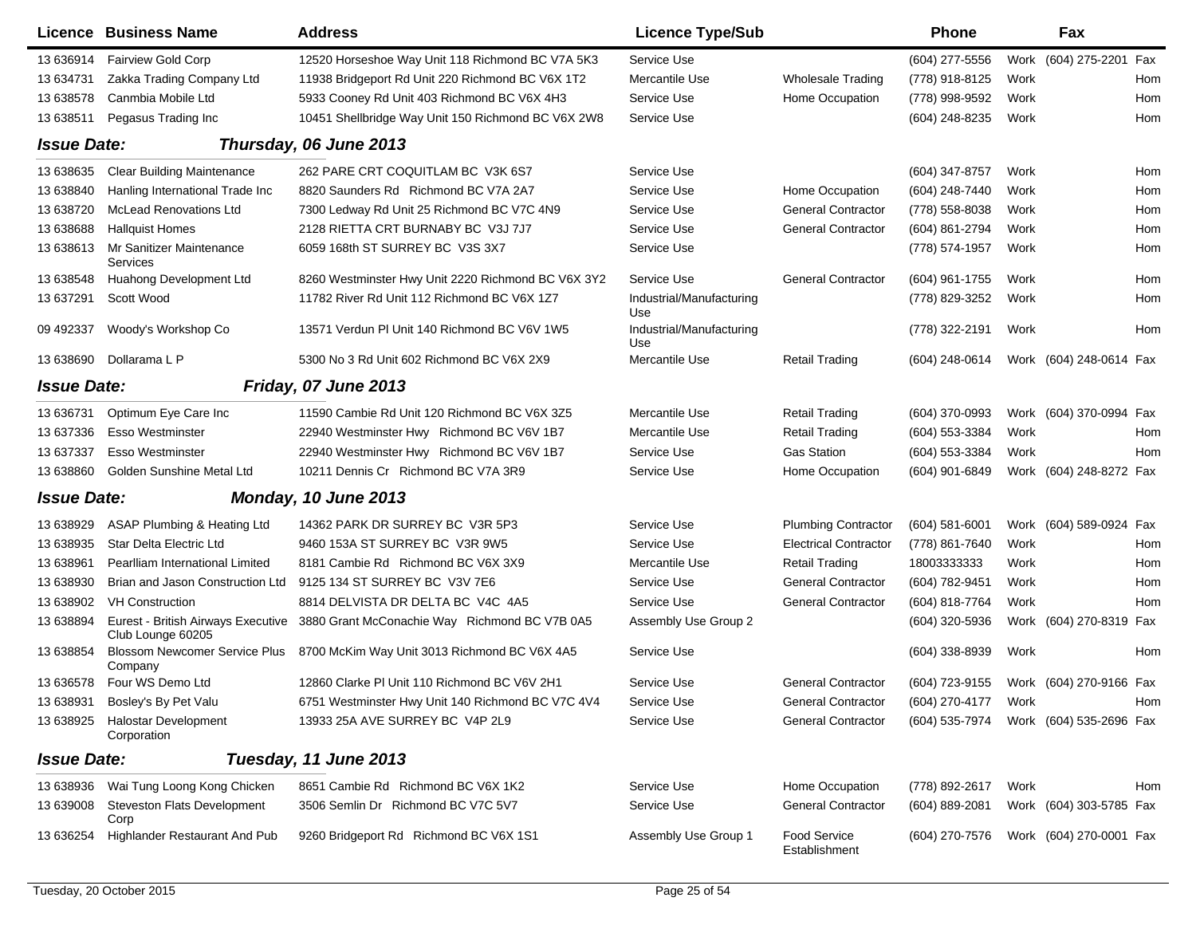|                    | <b>Licence Business Name</b>                            | <b>Address</b>                                     | <b>Licence Type/Sub</b>         |                               | Phone            |      | Fax                     |     |
|--------------------|---------------------------------------------------------|----------------------------------------------------|---------------------------------|-------------------------------|------------------|------|-------------------------|-----|
| 13 636914          | Fairview Gold Corp                                      | 12520 Horseshoe Way Unit 118 Richmond BC V7A 5K3   | Service Use                     |                               | (604) 277-5556   |      | Work (604) 275-2201 Fax |     |
| 13 634731          | Zakka Trading Company Ltd                               | 11938 Bridgeport Rd Unit 220 Richmond BC V6X 1T2   | Mercantile Use                  | <b>Wholesale Trading</b>      | (778) 918-8125   | Work |                         | Hom |
| 13 638578          | Canmbia Mobile Ltd                                      | 5933 Cooney Rd Unit 403 Richmond BC V6X 4H3        | Service Use                     | Home Occupation               | (778) 998-9592   | Work |                         | Hom |
| 13 638511          | Pegasus Trading Inc                                     | 10451 Shellbridge Way Unit 150 Richmond BC V6X 2W8 | Service Use                     |                               | (604) 248-8235   | Work |                         | Hom |
| <b>Issue Date:</b> |                                                         | Thursday, 06 June 2013                             |                                 |                               |                  |      |                         |     |
| 13 638635          | <b>Clear Building Maintenance</b>                       | 262 PARE CRT COQUITLAM BC V3K 6S7                  | Service Use                     |                               | (604) 347-8757   | Work |                         | Hom |
| 13 638840          | Hanling International Trade Inc                         | 8820 Saunders Rd Richmond BC V7A 2A7               | Service Use                     | Home Occupation               | (604) 248-7440   | Work |                         | Hom |
| 13 638720          | <b>McLead Renovations Ltd</b>                           | 7300 Ledway Rd Unit 25 Richmond BC V7C 4N9         | Service Use                     | <b>General Contractor</b>     | (778) 558-8038   | Work |                         | Hom |
| 13 638688          | <b>Hallquist Homes</b>                                  | 2128 RIETTA CRT BURNABY BC V3J 7J7                 | Service Use                     | <b>General Contractor</b>     | (604) 861-2794   | Work |                         | Hom |
| 13 638613          | Mr Sanitizer Maintenance<br><b>Services</b>             | 6059 168th ST SURREY BC V3S 3X7                    | Service Use                     |                               | (778) 574-1957   | Work |                         | Hom |
| 13 638548          | Huahong Development Ltd                                 | 8260 Westminster Hwy Unit 2220 Richmond BC V6X 3Y2 | Service Use                     | <b>General Contractor</b>     | (604) 961-1755   | Work |                         | Hom |
| 13 637291          | Scott Wood                                              | 11782 River Rd Unit 112 Richmond BC V6X 1Z7        | Industrial/Manufacturing<br>Use |                               | (778) 829-3252   | Work |                         | Hom |
| 09 49 2337         | Woody's Workshop Co                                     | 13571 Verdun PI Unit 140 Richmond BC V6V 1W5       | Industrial/Manufacturing<br>Use |                               | (778) 322-2191   | Work |                         | Hom |
| 13 638690          | Dollarama L P                                           | 5300 No 3 Rd Unit 602 Richmond BC V6X 2X9          | Mercantile Use                  | <b>Retail Trading</b>         | (604) 248-0614   |      | Work (604) 248-0614 Fax |     |
| <b>Issue Date:</b> |                                                         | Friday, 07 June 2013                               |                                 |                               |                  |      |                         |     |
| 13 63 6731         | Optimum Eye Care Inc                                    | 11590 Cambie Rd Unit 120 Richmond BC V6X 3Z5       | Mercantile Use                  | <b>Retail Trading</b>         | (604) 370-0993   |      | Work (604) 370-0994 Fax |     |
| 13 637336          | <b>Esso Westminster</b>                                 | 22940 Westminster Hwy Richmond BC V6V 1B7          | Mercantile Use                  | <b>Retail Trading</b>         | (604) 553-3384   | Work |                         | Hom |
| 13 637337          | <b>Esso Westminster</b>                                 | 22940 Westminster Hwy Richmond BC V6V 1B7          | Service Use                     | <b>Gas Station</b>            | (604) 553-3384   | Work |                         | Hom |
| 13 638860          | Golden Sunshine Metal Ltd                               | 10211 Dennis Cr Richmond BC V7A 3R9                | Service Use                     | Home Occupation               | (604) 901-6849   |      | Work (604) 248-8272 Fax |     |
| <b>Issue Date:</b> |                                                         | Monday, 10 June 2013                               |                                 |                               |                  |      |                         |     |
| 13 638929          | ASAP Plumbing & Heating Ltd                             | 14362 PARK DR SURREY BC V3R 5P3                    | Service Use                     | <b>Plumbing Contractor</b>    | $(604)$ 581-6001 |      | Work (604) 589-0924 Fax |     |
| 13 638935          | <b>Star Delta Electric Ltd</b>                          | 9460 153A ST SURREY BC V3R 9W5                     | Service Use                     | <b>Electrical Contractor</b>  | (778) 861-7640   | Work |                         | Hom |
| 13 638961          | Pearlliam International Limited                         | 8181 Cambie Rd Richmond BC V6X 3X9                 | Mercantile Use                  | <b>Retail Trading</b>         | 18003333333      | Work |                         | Hom |
| 13 638930          | Brian and Jason Construction Ltd                        | 9125 134 ST SURREY BC V3V 7E6                      | Service Use                     | <b>General Contractor</b>     | (604) 782-9451   | Work |                         | Hom |
| 13 638902          | <b>VH Construction</b>                                  | 8814 DELVISTA DR DELTA BC V4C 4A5                  | Service Use                     | <b>General Contractor</b>     | (604) 818-7764   | Work |                         | Hom |
| 13 638894          | Eurest - British Airways Executive<br>Club Lounge 60205 | 3880 Grant McConachie Way Richmond BC V7B 0A5      | Assembly Use Group 2            |                               | (604) 320-5936   |      | Work (604) 270-8319 Fax |     |
| 13 638854          | Blossom Newcomer Service Plus<br>Company                | 8700 McKim Way Unit 3013 Richmond BC V6X 4A5       | Service Use                     |                               | (604) 338-8939   | Work |                         | Hom |
| 13 63 6578         | Four WS Demo Ltd                                        | 12860 Clarke PI Unit 110 Richmond BC V6V 2H1       | Service Use                     | <b>General Contractor</b>     | (604) 723-9155   |      | Work (604) 270-9166 Fax |     |
| 13 638931          | Bosley's By Pet Valu                                    | 6751 Westminster Hwy Unit 140 Richmond BC V7C 4V4  | Service Use                     | <b>General Contractor</b>     | (604) 270-4177   | Work |                         | Hom |
| 13 638925          | <b>Halostar Development</b><br>Corporation              | 13933 25A AVE SURREY BC V4P 2L9                    | Service Use                     | <b>General Contractor</b>     | (604) 535-7974   |      | Work (604) 535-2696 Fax |     |
| <b>Issue Date:</b> |                                                         | Tuesday, 11 June 2013                              |                                 |                               |                  |      |                         |     |
| 13 638936          | Wai Tung Loong Kong Chicken                             | 8651 Cambie Rd Richmond BC V6X 1K2                 | Service Use                     | Home Occupation               | (778) 892-2617   | Work |                         | Hom |
| 13 639008          | Steveston Flats Development<br>Corp                     | 3506 Semlin Dr Richmond BC V7C 5V7                 | Service Use                     | <b>General Contractor</b>     | (604) 889-2081   |      | Work (604) 303-5785 Fax |     |
| 13 636254          | Highlander Restaurant And Pub                           | 9260 Bridgeport Rd Richmond BC V6X 1S1             | Assembly Use Group 1            | Food Service<br>Establishment | (604) 270-7576   |      | Work (604) 270-0001 Fax |     |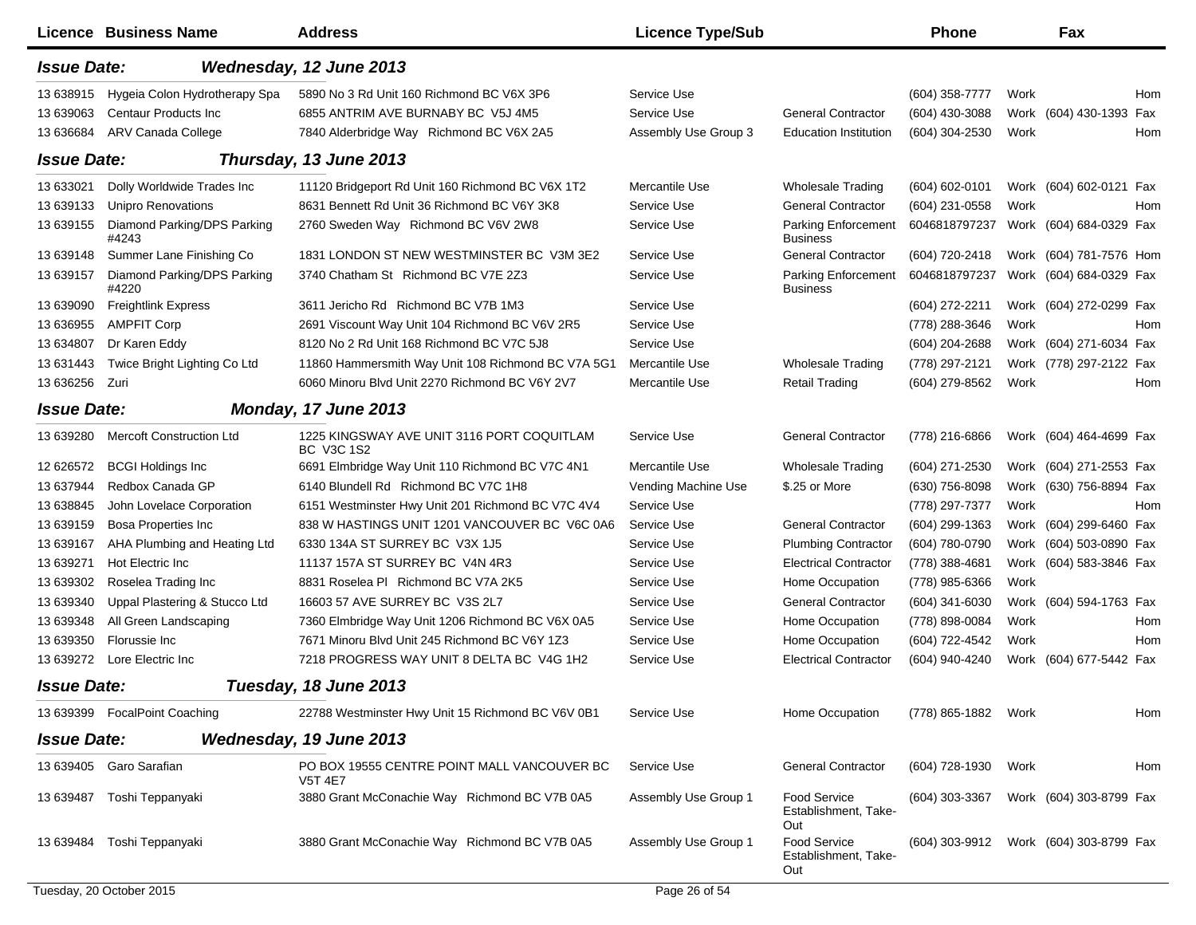|                    | <b>Licence Business Name</b>               | <b>Address</b>                                                | <b>Licence Type/Sub</b> |                                                    | <b>Phone</b>                           |      | Fax                     |     |
|--------------------|--------------------------------------------|---------------------------------------------------------------|-------------------------|----------------------------------------------------|----------------------------------------|------|-------------------------|-----|
| <b>Issue Date:</b> |                                            | Wednesday, 12 June 2013                                       |                         |                                                    |                                        |      |                         |     |
| 13 638915          | Hygeia Colon Hydrotherapy Spa              | 5890 No 3 Rd Unit 160 Richmond BC V6X 3P6                     | Service Use             |                                                    | (604) 358-7777                         | Work |                         | Hom |
| 13 639063          | <b>Centaur Products Inc.</b>               | 6855 ANTRIM AVE BURNABY BC V5J 4M5                            | Service Use             | <b>General Contractor</b>                          | (604) 430-3088                         |      | Work (604) 430-1393 Fax |     |
| 13 63 684          | ARV Canada College                         | 7840 Alderbridge Way Richmond BC V6X 2A5                      | Assembly Use Group 3    | <b>Education Institution</b>                       | (604) 304-2530                         | Work |                         | Hom |
| <b>Issue Date:</b> |                                            | Thursday, 13 June 2013                                        |                         |                                                    |                                        |      |                         |     |
| 13 633021          | Dolly Worldwide Trades Inc                 | 11120 Bridgeport Rd Unit 160 Richmond BC V6X 1T2              | Mercantile Use          | <b>Wholesale Trading</b>                           | (604) 602-0101                         |      | Work (604) 602-0121 Fax |     |
| 13 639133          | <b>Unipro Renovations</b>                  | 8631 Bennett Rd Unit 36 Richmond BC V6Y 3K8                   | Service Use             | <b>General Contractor</b>                          | $(604)$ 231-0558                       | Work |                         | Hom |
| 13 639155          | Diamond Parking/DPS Parking<br>#4243       | 2760 Sweden Way Richmond BC V6V 2W8                           | Service Use             | <b>Parking Enforcement</b><br><b>Business</b>      | 6046818797237                          |      | Work (604) 684-0329 Fax |     |
| 13 639148          | Summer Lane Finishing Co                   | 1831 LONDON ST NEW WESTMINSTER BC V3M 3E2                     | Service Use             | <b>General Contractor</b>                          | (604) 720-2418                         |      | Work (604) 781-7576 Hom |     |
| 13 639157          | Diamond Parking/DPS Parking<br>#4220       | 3740 Chatham St Richmond BC V7E 2Z3                           | Service Use             | <b>Parking Enforcement</b><br><b>Business</b>      | 6046818797237                          |      | Work (604) 684-0329 Fax |     |
| 13 639090          | Freightlink Express                        | 3611 Jericho Rd Richmond BC V7B 1M3                           | Service Use             |                                                    | (604) 272-2211                         |      | Work (604) 272-0299 Fax |     |
| 13 636955          | <b>AMPFIT Corp</b>                         | 2691 Viscount Way Unit 104 Richmond BC V6V 2R5                | Service Use             |                                                    | (778) 288-3646                         | Work |                         | Hom |
| 13 634807          | Dr Karen Eddy                              | 8120 No 2 Rd Unit 168 Richmond BC V7C 5J8                     | Service Use             |                                                    | (604) 204-2688                         |      | Work (604) 271-6034 Fax |     |
| 13 631443          | Twice Bright Lighting Co Ltd               | 11860 Hammersmith Way Unit 108 Richmond BC V7A 5G1            | Mercantile Use          | <b>Wholesale Trading</b>                           | (778) 297-2121                         |      | Work (778) 297-2122 Fax |     |
| 13 636256          | Zuri                                       | 6060 Minoru Blvd Unit 2270 Richmond BC V6Y 2V7                | Mercantile Use          | <b>Retail Trading</b>                              | (604) 279-8562                         | Work |                         | Hom |
|                    | <b>Issue Date:</b><br>Monday, 17 June 2013 |                                                               |                         |                                                    |                                        |      |                         |     |
| 13 639280          | <b>Mercoft Construction Ltd</b>            | 1225 KINGSWAY AVE UNIT 3116 PORT COQUITLAM<br>BC V3C 1S2      | Service Use             | <b>General Contractor</b>                          | (778) 216-6866                         |      | Work (604) 464-4699 Fax |     |
| 12 626572          | <b>BCGI Holdings Inc</b>                   | 6691 Elmbridge Way Unit 110 Richmond BC V7C 4N1               | Mercantile Use          | <b>Wholesale Trading</b>                           | (604) 271-2530                         |      | Work (604) 271-2553 Fax |     |
| 13 637944          | Redbox Canada GP                           | 6140 Blundell Rd Richmond BC V7C 1H8                          | Vending Machine Use     | \$.25 or More                                      | (630) 756-8098                         |      | Work (630) 756-8894 Fax |     |
| 13 638845          | John Lovelace Corporation                  | 6151 Westminster Hwy Unit 201 Richmond BC V7C 4V4             | Service Use             |                                                    | (778) 297-7377                         | Work |                         | Hom |
| 13 639159          | <b>Bosa Properties Inc</b>                 | 838 W HASTINGS UNIT 1201 VANCOUVER BC V6C 0A6                 | Service Use             | <b>General Contractor</b>                          | (604) 299-1363                         |      | Work (604) 299-6460 Fax |     |
| 13 639167          | AHA Plumbing and Heating Ltd               | 6330 134A ST SURREY BC V3X 1J5                                | Service Use             | <b>Plumbing Contractor</b>                         | (604) 780-0790                         |      | Work (604) 503-0890 Fax |     |
| 13 639271          | Hot Electric Inc                           | 11137 157A ST SURREY BC V4N 4R3                               | Service Use             | <b>Electrical Contractor</b>                       | (778) 388-4681                         |      | Work (604) 583-3846 Fax |     |
| 13 639302          | Roselea Trading Inc                        | 8831 Roselea PI Richmond BC V7A 2K5                           | Service Use             | Home Occupation                                    | (778) 985-6366                         | Work |                         |     |
| 13 639340          | Uppal Plastering & Stucco Ltd              | 16603 57 AVE SURREY BC V3S 2L7                                | Service Use             | <b>General Contractor</b>                          | (604) 341-6030                         |      | Work (604) 594-1763 Fax |     |
| 13 639348          | All Green Landscaping                      | 7360 Elmbridge Way Unit 1206 Richmond BC V6X 0A5              | Service Use             | Home Occupation                                    | (778) 898-0084                         | Work |                         | Hom |
| 13 639350          | Florussie Inc                              | 7671 Minoru Blvd Unit 245 Richmond BC V6Y 1Z3                 | Service Use             | Home Occupation                                    | (604) 722-4542                         | Work |                         | Hom |
|                    | 13 639272 Lore Electric Inc                | 7218 PROGRESS WAY UNIT 8 DELTA BC V4G 1H2                     | Service Use             | <b>Electrical Contractor</b>                       | (604) 940-4240                         |      | Work (604) 677-5442 Fax |     |
| <b>Issue Date:</b> |                                            | Tuesday, 18 June 2013                                         |                         |                                                    |                                        |      |                         |     |
|                    | 13 639399 FocalPoint Coaching              | 22788 Westminster Hwy Unit 15 Richmond BC V6V 0B1             | Service Use             | Home Occupation                                    | (778) 865-1882 Work                    |      |                         | Hom |
| <b>Issue Date:</b> |                                            | Wednesday, 19 June 2013                                       |                         |                                                    |                                        |      |                         |     |
|                    | 13 639405 Garo Sarafian                    | PO BOX 19555 CENTRE POINT MALL VANCOUVER BC<br><b>V5T 4E7</b> | Service Use             | <b>General Contractor</b>                          | (604) 728-1930                         | Work |                         | Hom |
|                    | 13 639487 Toshi Teppanyaki                 | 3880 Grant McConachie Way Richmond BC V7B 0A5                 | Assembly Use Group 1    | Food Service<br>Establishment, Take-<br>Out        | (604) 303-3367                         |      | Work (604) 303-8799 Fax |     |
| 13 639484          | Toshi Teppanyaki                           | 3880 Grant McConachie Way Richmond BC V7B 0A5                 | Assembly Use Group 1    | <b>Food Service</b><br>Establishment, Take-<br>Out | (604) 303-9912 Work (604) 303-8799 Fax |      |                         |     |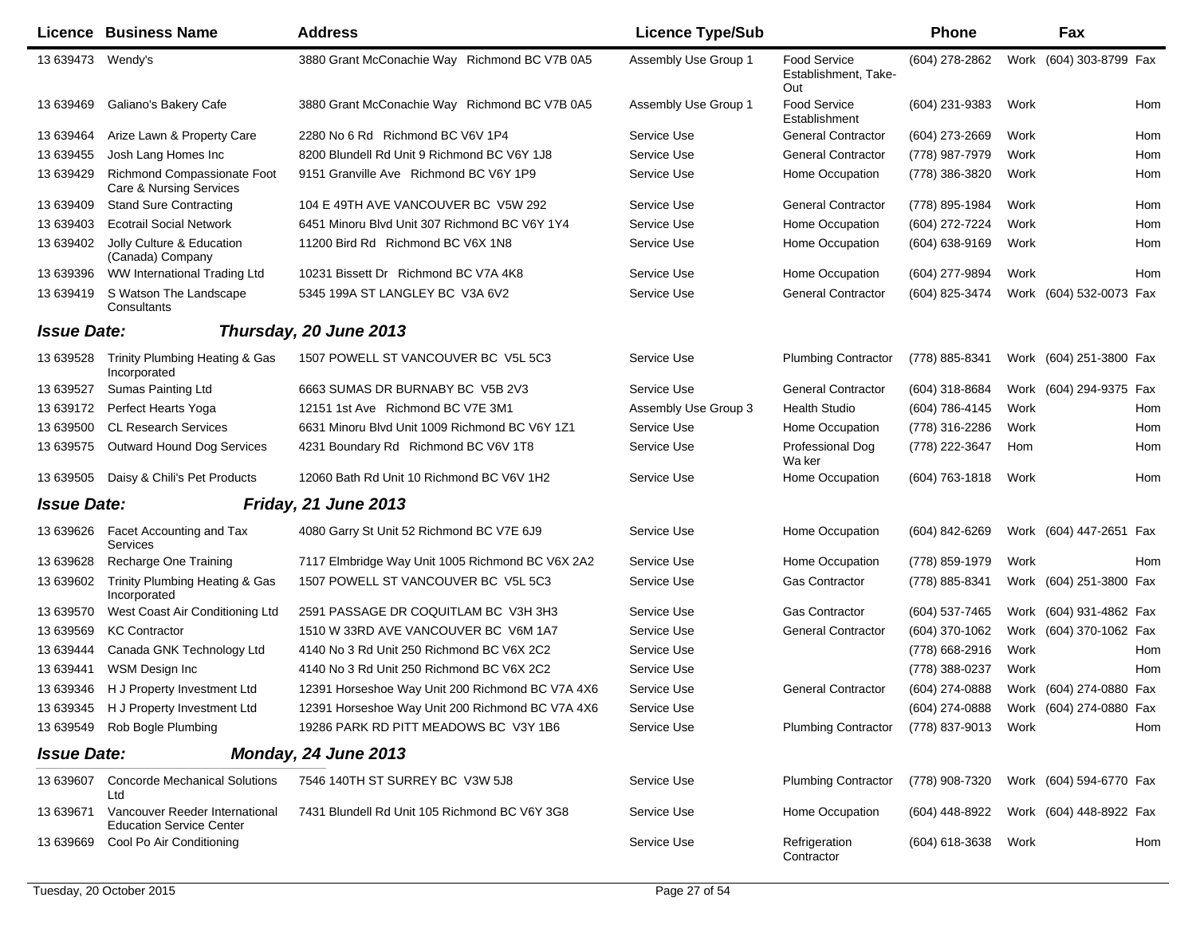|                    | <b>Licence Business Name</b>                                      | <b>Address</b>                                   | <b>Licence Type/Sub</b> |                                                    | <b>Phone</b>   |      | Fax                     |     |
|--------------------|-------------------------------------------------------------------|--------------------------------------------------|-------------------------|----------------------------------------------------|----------------|------|-------------------------|-----|
| 13 639473          | Wendy's                                                           | 3880 Grant McConachie Way Richmond BC V7B 0A5    | Assembly Use Group 1    | <b>Food Service</b><br>Establishment, Take-<br>Out | (604) 278-2862 |      | Work (604) 303-8799 Fax |     |
| 13 639469          | Galiano's Bakery Cafe                                             | 3880 Grant McConachie Way Richmond BC V7B 0A5    | Assembly Use Group 1    | Food Service<br>Establishment                      | (604) 231-9383 | Work |                         | Hom |
| 13 639464          | Arize Lawn & Property Care                                        | 2280 No 6 Rd Richmond BC V6V 1P4                 | Service Use             | <b>General Contractor</b>                          | (604) 273-2669 | Work |                         | Hom |
| 13 639455          | Josh Lang Homes Inc                                               | 8200 Blundell Rd Unit 9 Richmond BC V6Y 1J8      | Service Use             | <b>General Contractor</b>                          | (778) 987-7979 | Work |                         | Hom |
| 13 639429          | Richmond Compassionate Foot<br>Care & Nursing Services            | 9151 Granville Ave Richmond BC V6Y 1P9           | Service Use             | Home Occupation                                    | (778) 386-3820 | Work |                         | Hom |
| 13 639409          | <b>Stand Sure Contracting</b>                                     | 104 E 49TH AVE VANCOUVER BC V5W 292              | Service Use             | <b>General Contractor</b>                          | (778) 895-1984 | Work |                         | Hom |
| 13 639403          | <b>Ecotrail Social Network</b>                                    | 6451 Minoru Blvd Unit 307 Richmond BC V6Y 1Y4    | Service Use             | Home Occupation                                    | (604) 272-7224 | Work |                         | Hom |
| 13 639402          | Jolly Culture & Education<br>(Canada) Company                     | 11200 Bird Rd Richmond BC V6X 1N8                | Service Use             | Home Occupation                                    | (604) 638-9169 | Work |                         | Hom |
| 13 639396          | WW International Trading Ltd                                      | 10231 Bissett Dr Richmond BC V7A 4K8             | Service Use             | Home Occupation                                    | (604) 277-9894 | Work |                         | Hom |
| 13 639419          | S Watson The Landscape<br>Consultants                             | 5345 199A ST LANGLEY BC V3A 6V2                  | Service Use             | <b>General Contractor</b>                          | (604) 825-3474 |      | Work (604) 532-0073 Fax |     |
| <b>Issue Date:</b> |                                                                   | Thursday, 20 June 2013                           |                         |                                                    |                |      |                         |     |
| 13 639528          | Trinity Plumbing Heating & Gas<br>Incorporated                    | 1507 POWELL ST VANCOUVER BC V5L 5C3              | Service Use             | <b>Plumbing Contractor</b>                         | (778) 885-8341 |      | Work (604) 251-3800 Fax |     |
| 13 639527          | <b>Sumas Painting Ltd</b>                                         | 6663 SUMAS DR BURNABY BC V5B 2V3                 | Service Use             | <b>General Contractor</b>                          | (604) 318-8684 |      | Work (604) 294-9375 Fax |     |
| 13 639172          | Perfect Hearts Yoga                                               | 12151 1st Ave Richmond BC V7E 3M1                | Assembly Use Group 3    | <b>Health Studio</b>                               | (604) 786-4145 | Work |                         | Hom |
| 13 639500          | <b>CL Research Services</b>                                       | 6631 Minoru Blvd Unit 1009 Richmond BC V6Y 1Z1   | Service Use             | Home Occupation                                    | (778) 316-2286 | Work |                         | Hom |
| 13 639575          | Outward Hound Dog Services                                        | 4231 Boundary Rd Richmond BC V6V 1T8             | Service Use             | Professional Dog<br>Wa ker                         | (778) 222-3647 | Hom  |                         | Hom |
| 13 639505          | Daisy & Chili's Pet Products                                      | 12060 Bath Rd Unit 10 Richmond BC V6V 1H2        | Service Use             | Home Occupation                                    | (604) 763-1818 | Work |                         | Hom |
| <b>Issue Date:</b> |                                                                   | <b>Friday, 21 June 2013</b>                      |                         |                                                    |                |      |                         |     |
| 13 639626          | Facet Accounting and Tax<br>Services                              | 4080 Garry St Unit 52 Richmond BC V7E 6J9        | Service Use             | Home Occupation                                    | (604) 842-6269 |      | Work (604) 447-2651 Fax |     |
| 13 639628          | Recharge One Training                                             | 7117 Elmbridge Way Unit 1005 Richmond BC V6X 2A2 | Service Use             | Home Occupation                                    | (778) 859-1979 | Work |                         | Hom |
| 13 639602          | Trinity Plumbing Heating & Gas<br>Incorporated                    | 1507 POWELL ST VANCOUVER BC V5L 5C3              | Service Use             | <b>Gas Contractor</b>                              | (778) 885-8341 |      | Work (604) 251-3800 Fax |     |
| 13 639570          | West Coast Air Conditioning Ltd                                   | 2591 PASSAGE DR COQUITLAM BC V3H 3H3             | Service Use             | <b>Gas Contractor</b>                              | (604) 537-7465 |      | Work (604) 931-4862 Fax |     |
| 13 639569          | <b>KC Contractor</b>                                              | 1510 W 33RD AVE VANCOUVER BC V6M 1A7             | Service Use             | <b>General Contractor</b>                          | (604) 370-1062 |      | Work (604) 370-1062 Fax |     |
| 13 639444          | Canada GNK Technology Ltd                                         | 4140 No 3 Rd Unit 250 Richmond BC V6X 2C2        | Service Use             |                                                    | (778) 668-2916 | Work |                         | Hom |
| 13 639441          | <b>WSM Design Inc</b>                                             | 4140 No 3 Rd Unit 250 Richmond BC V6X 2C2        | Service Use             |                                                    | (778) 388-0237 | Work |                         | Hom |
| 13 639346          | H J Property Investment Ltd                                       | 12391 Horseshoe Way Unit 200 Richmond BC V7A 4X6 | Service Use             | <b>General Contractor</b>                          | (604) 274-0888 |      | Work (604) 274-0880 Fax |     |
|                    | 13 639345 H J Property Investment Ltd                             | 12391 Horseshoe Way Unit 200 Richmond BC V7A 4X6 | Service Use             |                                                    | (604) 274-0888 |      | Work (604) 274-0880 Fax |     |
| 13 639549          | Rob Bogle Plumbing                                                | 19286 PARK RD PITT MEADOWS BC V3Y 1B6            | Service Use             | <b>Plumbing Contractor</b>                         | (778) 837-9013 | Work |                         | Hom |
| <b>Issue Date:</b> |                                                                   | Monday, 24 June 2013                             |                         |                                                    |                |      |                         |     |
| 13 639607          | <b>Concorde Mechanical Solutions</b><br>Ltd                       | 7546 140TH ST SURREY BC V3W 5J8                  | Service Use             | <b>Plumbing Contractor</b>                         | (778) 908-7320 |      | Work (604) 594-6770 Fax |     |
| 13 639671          | Vancouver Reeder International<br><b>Education Service Center</b> | 7431 Blundell Rd Unit 105 Richmond BC V6Y 3G8    | Service Use             | Home Occupation                                    | (604) 448-8922 |      | Work (604) 448-8922 Fax |     |
| 13 639669          | Cool Po Air Conditioning                                          |                                                  | Service Use             | Refrigeration<br>Contractor                        | (604) 618-3638 | Work |                         | Hom |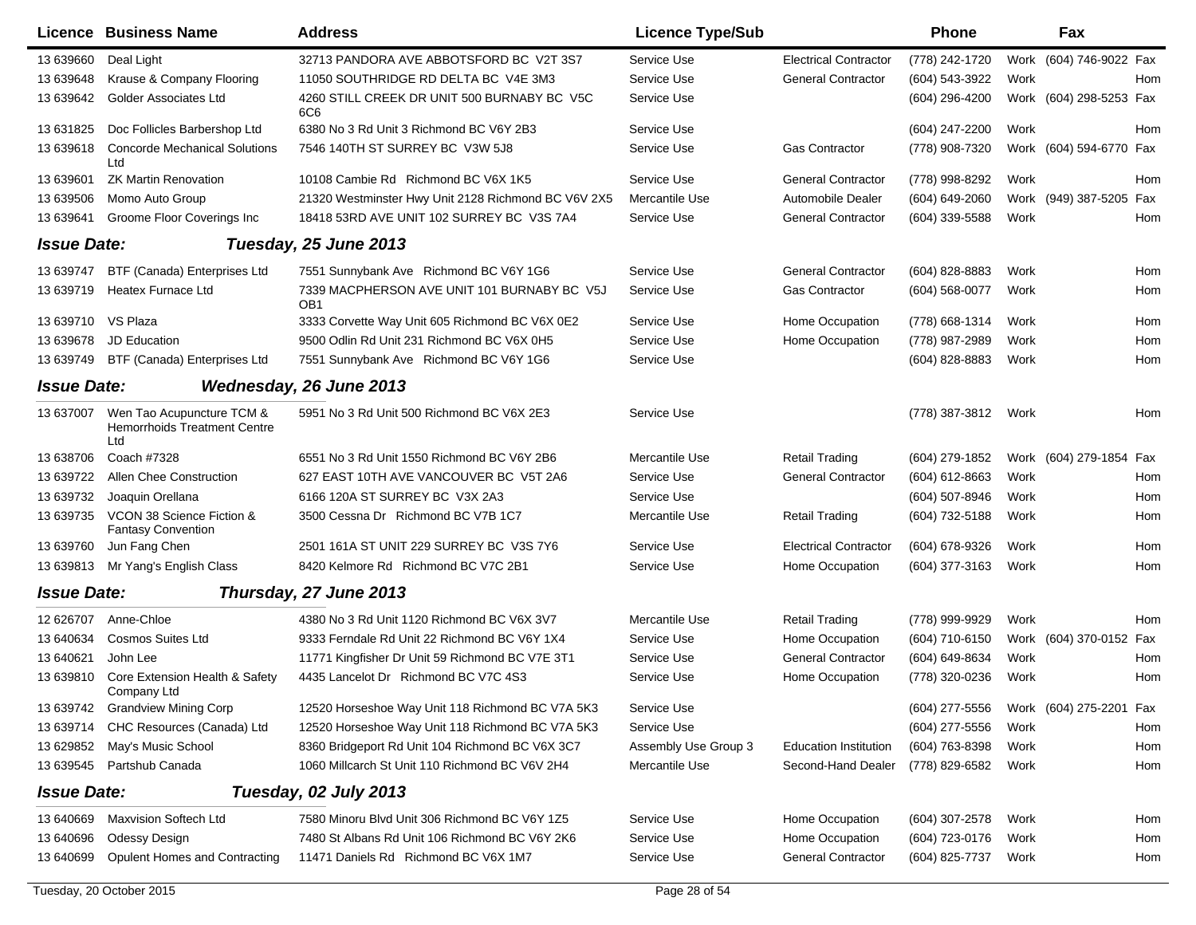|                    | <b>Licence Business Name</b>                                            | <b>Address</b>                                                 | <b>Licence Type/Sub</b> |                              | <b>Phone</b>   |      | Fax                     |     |
|--------------------|-------------------------------------------------------------------------|----------------------------------------------------------------|-------------------------|------------------------------|----------------|------|-------------------------|-----|
| 13 639660          | Deal Light                                                              | 32713 PANDORA AVE ABBOTSFORD BC V2T 3S7                        | Service Use             | <b>Electrical Contractor</b> | (778) 242-1720 |      | Work (604) 746-9022 Fax |     |
| 13 639648          | Krause & Company Flooring                                               | 11050 SOUTHRIDGE RD DELTA BC V4E 3M3                           | Service Use             | <b>General Contractor</b>    | (604) 543-3922 | Work |                         | Hom |
| 13 639642          | <b>Golder Associates Ltd</b>                                            | 4260 STILL CREEK DR UNIT 500 BURNABY BC V5C<br>6C6             | Service Use             |                              | (604) 296-4200 |      | Work (604) 298-5253 Fax |     |
| 13 631825          | Doc Follicles Barbershop Ltd                                            | 6380 No 3 Rd Unit 3 Richmond BC V6Y 2B3                        | Service Use             |                              | (604) 247-2200 | Work |                         | Hom |
| 13 639618          | <b>Concorde Mechanical Solutions</b><br>Ltd                             | 7546 140TH ST SURREY BC V3W 5J8                                | Service Use             | <b>Gas Contractor</b>        | (778) 908-7320 |      | Work (604) 594-6770 Fax |     |
| 13 639601          | <b>ZK Martin Renovation</b>                                             | 10108 Cambie Rd Richmond BC V6X 1K5                            | Service Use             | <b>General Contractor</b>    | (778) 998-8292 | Work |                         | Hom |
| 13 639506          | Momo Auto Group                                                         | 21320 Westminster Hwy Unit 2128 Richmond BC V6V 2X5            | Mercantile Use          | Automobile Dealer            | (604) 649-2060 |      | Work (949) 387-5205 Fax |     |
| 13 639641          | Groome Floor Coverings Inc                                              | 18418 53RD AVE UNIT 102 SURREY BC V3S 7A4                      | Service Use             | <b>General Contractor</b>    | (604) 339-5588 | Work |                         | Hom |
| <b>Issue Date:</b> |                                                                         | Tuesday, 25 June 2013                                          |                         |                              |                |      |                         |     |
| 13 639747          | BTF (Canada) Enterprises Ltd                                            | 7551 Sunnybank Ave Richmond BC V6Y 1G6                         | Service Use             | <b>General Contractor</b>    | (604) 828-8883 | Work |                         | Hom |
| 13 639719          | Heatex Furnace Ltd                                                      | 7339 MACPHERSON AVE UNIT 101 BURNABY BC V5J<br>OB <sub>1</sub> | Service Use             | Gas Contractor               | (604) 568-0077 | Work |                         | Hom |
| 13 639710 VS Plaza |                                                                         | 3333 Corvette Way Unit 605 Richmond BC V6X 0E2                 | Service Use             | Home Occupation              | (778) 668-1314 | Work |                         | Hom |
| 13 639678          | JD Education                                                            | 9500 Odlin Rd Unit 231 Richmond BC V6X 0H5                     | Service Use             | Home Occupation              | (778) 987-2989 | Work |                         | Hom |
| 13 639749          | BTF (Canada) Enterprises Ltd                                            | 7551 Sunnybank Ave Richmond BC V6Y 1G6                         | Service Use             |                              | (604) 828-8883 | Work |                         | Hom |
| <b>Issue Date:</b> |                                                                         | Wednesday, 26 June 2013                                        |                         |                              |                |      |                         |     |
| 13 637007          | Wen Tao Acupuncture TCM &<br><b>Hemorrhoids Treatment Centre</b><br>Ltd | 5951 No 3 Rd Unit 500 Richmond BC V6X 2E3                      | Service Use             |                              | (778) 387-3812 | Work |                         | Hom |
| 13 638706          | Coach #7328                                                             | 6551 No 3 Rd Unit 1550 Richmond BC V6Y 2B6                     | Mercantile Use          | <b>Retail Trading</b>        | (604) 279-1852 |      | Work (604) 279-1854 Fax |     |
| 13 639722          | Allen Chee Construction                                                 | 627 EAST 10TH AVE VANCOUVER BC V5T 2A6                         | Service Use             | <b>General Contractor</b>    | (604) 612-8663 | Work |                         | Hom |
| 13 639732          | Joaquin Orellana                                                        | 6166 120A ST SURREY BC V3X 2A3                                 | Service Use             |                              | (604) 507-8946 | Work |                         | Hom |
| 13 639735          | VCON 38 Science Fiction &<br><b>Fantasy Convention</b>                  | 3500 Cessna Dr Richmond BC V7B 1C7                             | Mercantile Use          | <b>Retail Trading</b>        | (604) 732-5188 | Work |                         | Hom |
| 13 639760          | Jun Fang Chen                                                           | 2501 161A ST UNIT 229 SURREY BC V3S 7Y6                        | Service Use             | <b>Electrical Contractor</b> | (604) 678-9326 | Work |                         | Hom |
| 13 639813          | Mr Yang's English Class                                                 | 8420 Kelmore Rd Richmond BC V7C 2B1                            | Service Use             | Home Occupation              | (604) 377-3163 | Work |                         | Hom |
| <b>Issue Date:</b> |                                                                         | Thursday, 27 June 2013                                         |                         |                              |                |      |                         |     |
| 12 626707          | Anne-Chloe                                                              | 4380 No 3 Rd Unit 1120 Richmond BC V6X 3V7                     | Mercantile Use          | <b>Retail Trading</b>        | (778) 999-9929 | Work |                         | Hom |
| 13 640634          | <b>Cosmos Suites Ltd</b>                                                | 9333 Ferndale Rd Unit 22 Richmond BC V6Y 1X4                   | Service Use             | Home Occupation              | (604) 710-6150 |      | Work (604) 370-0152 Fax |     |
| 13 640621          | John Lee                                                                | 11771 Kingfisher Dr Unit 59 Richmond BC V7E 3T1                | Service Use             | <b>General Contractor</b>    | (604) 649-8634 | Work |                         | Hom |
| 13 639810          | Core Extension Health & Safety<br>Company Ltd                           | 4435 Lancelot Dr Richmond BC V7C 4S3                           | Service Use             | Home Occupation              | (778) 320-0236 | Work |                         | Hom |
|                    | 13 639742 Grandview Mining Corp                                         | 12520 Horseshoe Way Unit 118 Richmond BC V7A 5K3               | Service Use             |                              | (604) 277-5556 |      | Work (604) 275-2201 Fax |     |
| 13 639714          | CHC Resources (Canada) Ltd                                              | 12520 Horseshoe Way Unit 118 Richmond BC V7A 5K3               | Service Use             |                              | (604) 277-5556 | Work |                         | Hom |
| 13 629852          | May's Music School                                                      | 8360 Bridgeport Rd Unit 104 Richmond BC V6X 3C7                | Assembly Use Group 3    | <b>Education Institution</b> | (604) 763-8398 | Work |                         | Hom |
| 13 639545          | Partshub Canada                                                         | 1060 Millcarch St Unit 110 Richmond BC V6V 2H4                 | Mercantile Use          | Second-Hand Dealer           | (778) 829-6582 | Work |                         | Hom |
| <b>Issue Date:</b> |                                                                         | Tuesday, 02 July 2013                                          |                         |                              |                |      |                         |     |
| 13 640669          | Maxvision Softech Ltd                                                   | 7580 Minoru Blvd Unit 306 Richmond BC V6Y 1Z5                  | Service Use             | Home Occupation              | (604) 307-2578 | Work |                         | Hom |
| 13 640696          | Odessy Design                                                           | 7480 St Albans Rd Unit 106 Richmond BC V6Y 2K6                 | Service Use             | Home Occupation              | (604) 723-0176 | Work |                         | Hom |
| 13 640699          | <b>Opulent Homes and Contracting</b>                                    | 11471 Daniels Rd Richmond BC V6X 1M7                           | Service Use             | <b>General Contractor</b>    | (604) 825-7737 | Work |                         | Hom |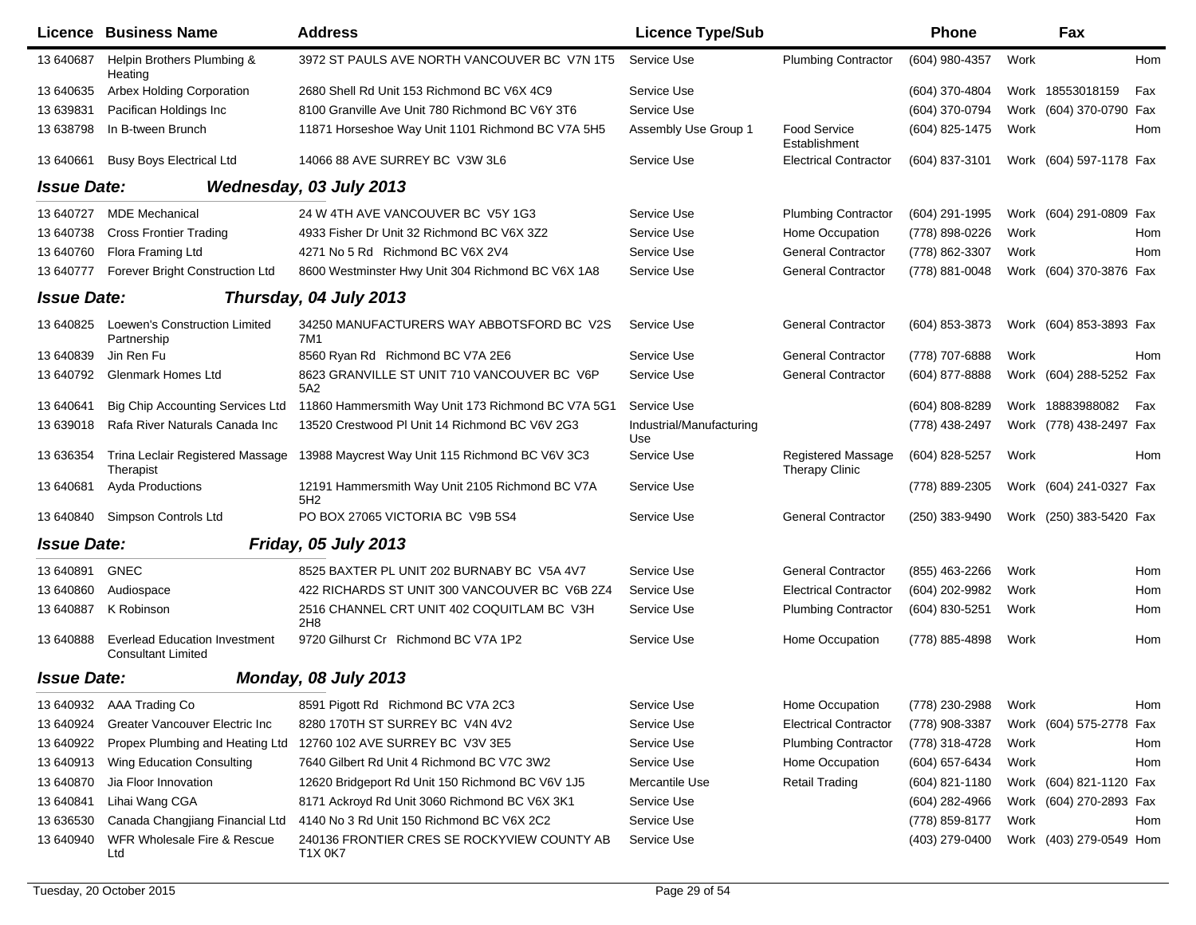|                    | <b>Licence Business Name</b>                                      | <b>Address</b>                                         | <b>Licence Type/Sub</b>         |                                                    | <b>Phone</b>     |      | Fax                     |     |
|--------------------|-------------------------------------------------------------------|--------------------------------------------------------|---------------------------------|----------------------------------------------------|------------------|------|-------------------------|-----|
| 13 640 687         | Helpin Brothers Plumbing &<br>Heating                             | 3972 ST PAULS AVE NORTH VANCOUVER BC V7N 1T5           | Service Use                     | <b>Plumbing Contractor</b>                         | (604) 980-4357   | Work |                         | Hom |
| 13 640635          | <b>Arbex Holding Corporation</b>                                  | 2680 Shell Rd Unit 153 Richmond BC V6X 4C9             | Service Use                     |                                                    | (604) 370-4804   |      | Work 18553018159        | Fax |
| 13 639831          | Pacifican Holdings Inc                                            | 8100 Granville Ave Unit 780 Richmond BC V6Y 3T6        | Service Use                     |                                                    | (604) 370-0794   |      | Work (604) 370-0790 Fax |     |
| 13 638798          | In B-tween Brunch                                                 | 11871 Horseshoe Way Unit 1101 Richmond BC V7A 5H5      | Assembly Use Group 1            | <b>Food Service</b><br>Establishment               | (604) 825-1475   | Work |                         | Hom |
| 13 640661          | <b>Busy Boys Electrical Ltd</b>                                   | 14066 88 AVE SURREY BC V3W 3L6                         | Service Use                     | <b>Electrical Contractor</b>                       | (604) 837-3101   |      | Work (604) 597-1178 Fax |     |
| <b>Issue Date:</b> |                                                                   | Wednesday, 03 July 2013                                |                                 |                                                    |                  |      |                         |     |
| 13 640727          | <b>MDE Mechanical</b>                                             | 24 W 4TH AVE VANCOUVER BC V5Y 1G3                      | Service Use                     | <b>Plumbing Contractor</b>                         | (604) 291-1995   |      | Work (604) 291-0809 Fax |     |
| 13 640738          | <b>Cross Frontier Trading</b>                                     | 4933 Fisher Dr Unit 32 Richmond BC V6X 3Z2             | Service Use                     | Home Occupation                                    | (778) 898-0226   | Work |                         | Hom |
| 13 640760          | Flora Framing Ltd                                                 | 4271 No 5 Rd Richmond BC V6X 2V4                       | Service Use                     | <b>General Contractor</b>                          | (778) 862-3307   | Work |                         | Hom |
| 13 640777          | Forever Bright Construction Ltd                                   | 8600 Westminster Hwy Unit 304 Richmond BC V6X 1A8      | Service Use                     | <b>General Contractor</b>                          | (778) 881-0048   |      | Work (604) 370-3876 Fax |     |
| <b>Issue Date:</b> |                                                                   | Thursday, 04 July 2013                                 |                                 |                                                    |                  |      |                         |     |
| 13 640825          | Loewen's Construction Limited<br>Partnership                      | 34250 MANUFACTURERS WAY ABBOTSFORD BC V2S<br>7M1       | Service Use                     | <b>General Contractor</b>                          | (604) 853-3873   |      | Work (604) 853-3893 Fax |     |
| 13 640839          | Jin Ren Fu                                                        | 8560 Ryan Rd Richmond BC V7A 2E6                       | Service Use                     | <b>General Contractor</b>                          | (778) 707-6888   | Work |                         | Hom |
| 13 640792          | <b>Glenmark Homes Ltd</b>                                         | 8623 GRANVILLE ST UNIT 710 VANCOUVER BC V6P<br>5A2     | Service Use                     | <b>General Contractor</b>                          | (604) 877-8888   |      | Work (604) 288-5252 Fax |     |
| 13 640641          | <b>Big Chip Accounting Services Ltd</b>                           | 11860 Hammersmith Way Unit 173 Richmond BC V7A 5G1     | Service Use                     |                                                    | (604) 808-8289   |      | Work 18883988082        | Fax |
| 13 639018          | Rafa River Naturals Canada Inc                                    | 13520 Crestwood PI Unit 14 Richmond BC V6V 2G3         | Industrial/Manufacturing<br>Use |                                                    | (778) 438-2497   |      | Work (778) 438-2497 Fax |     |
| 13 636354          | Trina Leclair Registered Massage<br>Therapist                     | 13988 Maycrest Way Unit 115 Richmond BC V6V 3C3        | Service Use                     | <b>Registered Massage</b><br><b>Therapy Clinic</b> | (604) 828-5257   | Work |                         | Hom |
| 13 640681          | Ayda Productions                                                  | 12191 Hammersmith Way Unit 2105 Richmond BC V7A<br>5H2 | Service Use                     |                                                    | (778) 889-2305   |      | Work (604) 241-0327 Fax |     |
| 13 640840          | Simpson Controls Ltd                                              | PO BOX 27065 VICTORIA BC V9B 5S4                       | Service Use                     | <b>General Contractor</b>                          | (250) 383-9490   |      | Work (250) 383-5420 Fax |     |
| <b>Issue Date:</b> |                                                                   | Friday, 05 July 2013                                   |                                 |                                                    |                  |      |                         |     |
| 13 640891          | <b>GNEC</b>                                                       | 8525 BAXTER PL UNIT 202 BURNABY BC V5A 4V7             | Service Use                     | <b>General Contractor</b>                          | (855) 463-2266   | Work |                         | Hom |
| 13 640860          | Audiospace                                                        | 422 RICHARDS ST UNIT 300 VANCOUVER BC V6B 2Z4          | Service Use                     | <b>Electrical Contractor</b>                       | (604) 202-9982   | Work |                         | Hom |
| 13 640887          | K Robinson                                                        | 2516 CHANNEL CRT UNIT 402 COQUITLAM BC V3H<br>2H8      | Service Use                     | <b>Plumbing Contractor</b>                         | (604) 830-5251   | Work |                         | Hom |
| 13 640888          | <b>Everlead Education Investment</b><br><b>Consultant Limited</b> | 9720 Gilhurst Cr Richmond BC V7A 1P2                   | Service Use                     | Home Occupation                                    | (778) 885-4898   | Work |                         | Hom |
| <b>Issue Date:</b> |                                                                   | Monday, 08 July 2013                                   |                                 |                                                    |                  |      |                         |     |
|                    | 13 640932 AAA Trading Co                                          | 8591 Pigott Rd Richmond BC V7A 2C3                     | Service Use                     | Home Occupation                                    | (778) 230-2988   | Work |                         | Hom |
| 13 640924          | Greater Vancouver Electric Inc                                    | 8280 170TH ST SURREY BC V4N 4V2                        | Service Use                     | <b>Electrical Contractor</b>                       | (778) 908-3387   |      | Work (604) 575-2778 Fax |     |
| 13 640922          | Propex Plumbing and Heating Ltd                                   | 12760 102 AVE SURREY BC V3V 3E5                        | Service Use                     | <b>Plumbing Contractor</b>                         | (778) 318-4728   | Work |                         | Hom |
| 13 640913          | Wing Education Consulting                                         | 7640 Gilbert Rd Unit 4 Richmond BC V7C 3W2             | Service Use                     | Home Occupation                                    | (604) 657-6434   | Work |                         | Hom |
| 13 640870          | Jia Floor Innovation                                              | 12620 Bridgeport Rd Unit 150 Richmond BC V6V 1J5       | Mercantile Use                  | <b>Retail Trading</b>                              | $(604)$ 821-1180 |      | Work (604) 821-1120 Fax |     |
| 13 640841          | Lihai Wang CGA                                                    | 8171 Ackroyd Rd Unit 3060 Richmond BC V6X 3K1          | Service Use                     |                                                    | $(604)$ 282-4966 |      | Work (604) 270-2893 Fax |     |
| 13 636530          | Canada Changjiang Financial Ltd                                   | 4140 No 3 Rd Unit 150 Richmond BC V6X 2C2              | Service Use                     |                                                    | (778) 859-8177   | Work |                         | Hom |
| 13 640940          | WFR Wholesale Fire & Rescue<br>Ltd                                | 240136 FRONTIER CRES SE ROCKYVIEW COUNTY AB<br>T1X 0K7 | Service Use                     |                                                    | (403) 279-0400   |      | Work (403) 279-0549 Hom |     |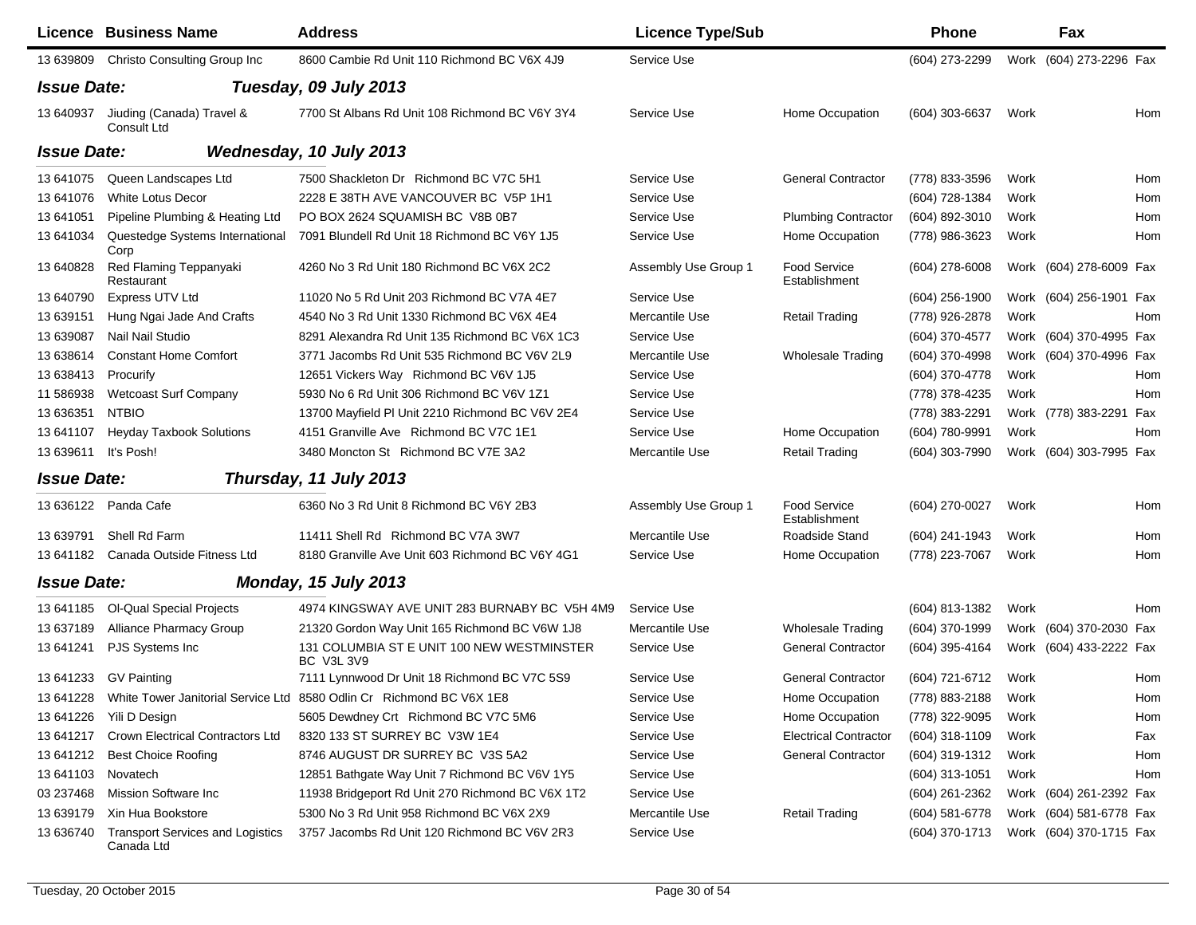|                    | <b>Licence Business Name</b>                          | <b>Address</b>                                                                 | <b>Licence Type/Sub</b> |                               | <b>Phone</b>     |      | Fax                     |     |
|--------------------|-------------------------------------------------------|--------------------------------------------------------------------------------|-------------------------|-------------------------------|------------------|------|-------------------------|-----|
| 13 639809          | Christo Consulting Group Inc                          | 8600 Cambie Rd Unit 110 Richmond BC V6X 4J9                                    | Service Use             |                               | (604) 273-2299   |      | Work (604) 273-2296 Fax |     |
| <b>Issue Date:</b> |                                                       | Tuesday, 09 July 2013                                                          |                         |                               |                  |      |                         |     |
| 13 640937          | Jiuding (Canada) Travel &<br>Consult Ltd              | 7700 St Albans Rd Unit 108 Richmond BC V6Y 3Y4                                 | Service Use             | Home Occupation               | (604) 303-6637   | Work |                         | Hom |
| <b>Issue Date:</b> |                                                       | Wednesday, 10 July 2013                                                        |                         |                               |                  |      |                         |     |
| 13 641075          | Queen Landscapes Ltd                                  | 7500 Shackleton Dr Richmond BC V7C 5H1                                         | Service Use             | <b>General Contractor</b>     | (778) 833-3596   | Work |                         | Hom |
| 13 641076          | <b>White Lotus Decor</b>                              | 2228 E 38TH AVE VANCOUVER BC V5P 1H1                                           | Service Use             |                               | (604) 728-1384   | Work |                         | Hom |
| 13 641051          | Pipeline Plumbing & Heating Ltd                       | PO BOX 2624 SQUAMISH BC V8B 0B7                                                | Service Use             | <b>Plumbing Contractor</b>    | (604) 892-3010   | Work |                         | Hom |
| 13 641034          | Questedge Systems International<br>Corp               | 7091 Blundell Rd Unit 18 Richmond BC V6Y 1J5                                   | Service Use             | Home Occupation               | (778) 986-3623   | Work |                         | Hom |
| 13 640828          | Red Flaming Teppanyaki<br>Restaurant                  | 4260 No 3 Rd Unit 180 Richmond BC V6X 2C2                                      | Assembly Use Group 1    | Food Service<br>Establishment | $(604)$ 278-6008 |      | Work (604) 278-6009 Fax |     |
| 13 640790          | Express UTV Ltd                                       | 11020 No 5 Rd Unit 203 Richmond BC V7A 4E7                                     | Service Use             |                               | $(604)$ 256-1900 |      | Work (604) 256-1901 Fax |     |
| 13 639151          | Hung Ngai Jade And Crafts                             | 4540 No 3 Rd Unit 1330 Richmond BC V6X 4E4                                     | Mercantile Use          | <b>Retail Trading</b>         | (778) 926-2878   | Work |                         | Hom |
| 13 639087          | Nail Nail Studio                                      | 8291 Alexandra Rd Unit 135 Richmond BC V6X 1C3                                 | Service Use             |                               | (604) 370-4577   |      | Work (604) 370-4995 Fax |     |
| 13 638614          | <b>Constant Home Comfort</b>                          | 3771 Jacombs Rd Unit 535 Richmond BC V6V 2L9                                   | Mercantile Use          | Wholesale Trading             | (604) 370-4998   |      | Work (604) 370-4996 Fax |     |
| 13 638413          | Procurify                                             | 12651 Vickers Way Richmond BC V6V 1J5                                          | Service Use             |                               | (604) 370-4778   | Work |                         | Hom |
| 11 586938          | <b>Wetcoast Surf Company</b>                          | 5930 No 6 Rd Unit 306 Richmond BC V6V 1Z1                                      | Service Use             |                               | (778) 378-4235   | Work |                         | Hom |
| 13 63 6351         | <b>NTBIO</b>                                          | 13700 Mayfield PI Unit 2210 Richmond BC V6V 2E4                                | Service Use             |                               | (778) 383-2291   |      | Work (778) 383-2291 Fax |     |
| 13 641107          | <b>Heyday Taxbook Solutions</b>                       | 4151 Granville Ave Richmond BC V7C 1E1                                         | Service Use             | Home Occupation               | (604) 780-9991   | Work |                         | Hom |
| 13 639611          | It's Posh!                                            | 3480 Moncton St Richmond BC V7E 3A2                                            | Mercantile Use          | <b>Retail Trading</b>         | (604) 303-7990   |      | Work (604) 303-7995 Fax |     |
| <b>Issue Date:</b> |                                                       | Thursday, 11 July 2013                                                         |                         |                               |                  |      |                         |     |
| 13 636122          | Panda Cafe                                            | 6360 No 3 Rd Unit 8 Richmond BC V6Y 2B3                                        | Assembly Use Group 1    | Food Service<br>Establishment | (604) 270-0027   | Work |                         | Hom |
| 13 639791          | Shell Rd Farm                                         | 11411 Shell Rd Richmond BC V7A 3W7                                             | Mercantile Use          | Roadside Stand                | (604) 241-1943   | Work |                         | Hom |
|                    | 13 641182 Canada Outside Fitness Ltd                  | 8180 Granville Ave Unit 603 Richmond BC V6Y 4G1                                | Service Use             | Home Occupation               | (778) 223-7067   | Work |                         | Hom |
| <b>Issue Date:</b> |                                                       | <b>Monday, 15 July 2013</b>                                                    |                         |                               |                  |      |                         |     |
| 13 641185          | Ol-Qual Special Projects                              | 4974 KINGSWAY AVE UNIT 283 BURNABY BC V5H 4M9                                  | Service Use             |                               | (604) 813-1382   | Work |                         | Hom |
| 13 637189          | <b>Alliance Pharmacy Group</b>                        | 21320 Gordon Way Unit 165 Richmond BC V6W 1J8                                  | Mercantile Use          | <b>Wholesale Trading</b>      | (604) 370-1999   |      | Work (604) 370-2030 Fax |     |
| 13 641241          | PJS Systems Inc                                       | 131 COLUMBIA ST E UNIT 100 NEW WESTMINSTER<br><b>BC V3L 3V9</b>                | Service Use             | <b>General Contractor</b>     | (604) 395-4164   |      | Work (604) 433-2222 Fax |     |
|                    | 13 641233 GV Painting                                 | 7111 Lynnwood Dr Unit 18 Richmond BC V7C 5S9                                   | Service Use             | <b>General Contractor</b>     | (604) 721-6712   | Work |                         | Hom |
|                    |                                                       | 13 641228 White Tower Janitorial Service Ltd 8580 Odlin Cr Richmond BC V6X 1E8 | Service Use             | Home Occupation               | (778) 883-2188   | Work |                         | Hom |
| 13 641226          | Yili D Design                                         | 5605 Dewdney Crt Richmond BC V7C 5M6                                           | Service Use             | Home Occupation               | (778) 322-9095   | Work |                         | Hom |
| 13 641217          | Crown Electrical Contractors Ltd                      | 8320 133 ST SURREY BC V3W 1E4                                                  | Service Use             | <b>Electrical Contractor</b>  | (604) 318-1109   | Work |                         | Fax |
| 13 641212          | <b>Best Choice Roofing</b>                            | 8746 AUGUST DR SURREY BC V3S 5A2                                               | Service Use             | <b>General Contractor</b>     | (604) 319-1312   | Work |                         | Hom |
| 13 641103          | Novatech                                              | 12851 Bathgate Way Unit 7 Richmond BC V6V 1Y5                                  | Service Use             |                               | (604) 313-1051   | Work |                         | Hom |
| 03 237468          | Mission Software Inc                                  | 11938 Bridgeport Rd Unit 270 Richmond BC V6X 1T2                               | Service Use             |                               | (604) 261-2362   |      | Work (604) 261-2392 Fax |     |
| 13 639179          | Xin Hua Bookstore                                     | 5300 No 3 Rd Unit 958 Richmond BC V6X 2X9                                      | Mercantile Use          | <b>Retail Trading</b>         | (604) 581-6778   |      | Work (604) 581-6778 Fax |     |
| 13 636740          | <b>Transport Services and Logistics</b><br>Canada Ltd | 3757 Jacombs Rd Unit 120 Richmond BC V6V 2R3                                   | Service Use             |                               | (604) 370-1713   |      | Work (604) 370-1715 Fax |     |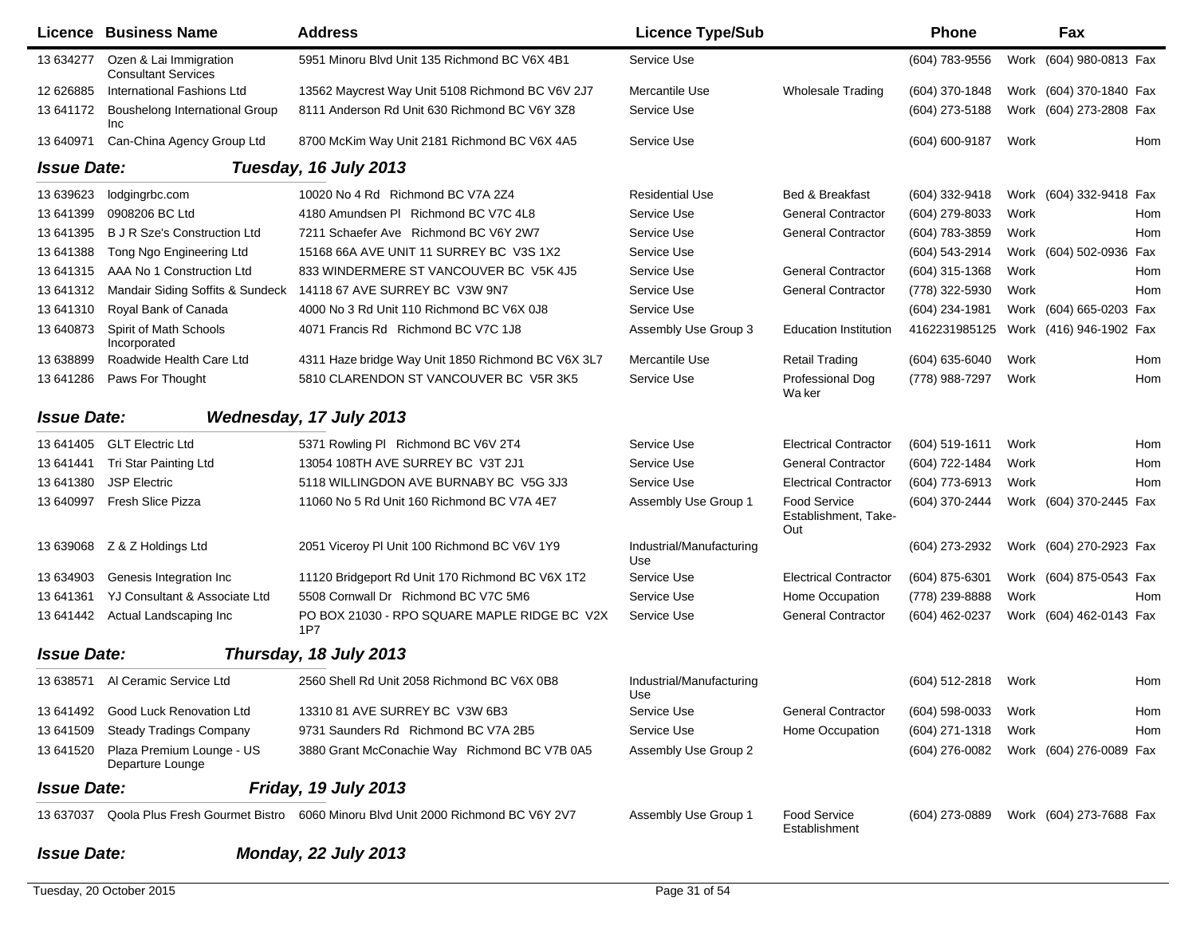|                    | <b>Licence Business Name</b>                         | <b>Address</b>                                                                 | <b>Licence Type/Sub</b>         |                                             | <b>Phone</b>     |      | Fax                     |     |
|--------------------|------------------------------------------------------|--------------------------------------------------------------------------------|---------------------------------|---------------------------------------------|------------------|------|-------------------------|-----|
| 13 634277          | Ozen & Lai Immigration<br><b>Consultant Services</b> | 5951 Minoru Blvd Unit 135 Richmond BC V6X 4B1                                  | Service Use                     |                                             | (604) 783-9556   |      | Work (604) 980-0813 Fax |     |
| 12 626885          | International Fashions Ltd                           | 13562 Maycrest Way Unit 5108 Richmond BC V6V 2J7                               | Mercantile Use                  | <b>Wholesale Trading</b>                    | (604) 370-1848   |      | Work (604) 370-1840 Fax |     |
| 13 641172          | Boushelong International Group<br>Inc                | 8111 Anderson Rd Unit 630 Richmond BC V6Y 3Z8                                  | Service Use                     |                                             | (604) 273-5188   |      | Work (604) 273-2808 Fax |     |
| 13 640971          | Can-China Agency Group Ltd                           | 8700 McKim Way Unit 2181 Richmond BC V6X 4A5                                   | Service Use                     |                                             | (604) 600-9187   | Work |                         | Hom |
| <b>Issue Date:</b> |                                                      | Tuesday, 16 July 2013                                                          |                                 |                                             |                  |      |                         |     |
| 13 639623          | lodgingrbc.com                                       | 10020 No 4 Rd Richmond BC V7A 2Z4                                              | <b>Residential Use</b>          | Bed & Breakfast                             | (604) 332-9418   |      | Work (604) 332-9418 Fax |     |
| 13 641399          | 0908206 BC Ltd                                       | 4180 Amundsen PI Richmond BC V7C 4L8                                           | Service Use                     | <b>General Contractor</b>                   | (604) 279-8033   | Work |                         | Hom |
| 13 641395          | <b>B J R Sze's Construction Ltd</b>                  | 7211 Schaefer Ave Richmond BC V6Y 2W7                                          | Service Use                     | <b>General Contractor</b>                   | (604) 783-3859   | Work |                         | Hom |
| 13 641388          | Tong Ngo Engineering Ltd                             | 15168 66A AVE UNIT 11 SURREY BC V3S 1X2                                        | Service Use                     |                                             | (604) 543-2914   |      | Work (604) 502-0936 Fax |     |
| 13 641315          | AAA No 1 Construction Ltd                            | 833 WINDERMERE ST VANCOUVER BC V5K 4J5                                         | Service Use                     | <b>General Contractor</b>                   | (604) 315-1368   | Work |                         | Hom |
| 13 641312          | Mandair Siding Soffits & Sundeck                     | 14118 67 AVE SURREY BC V3W 9N7                                                 | Service Use                     | <b>General Contractor</b>                   | (778) 322-5930   | Work |                         | Hom |
| 13 641310          | Royal Bank of Canada                                 | 4000 No 3 Rd Unit 110 Richmond BC V6X 0J8                                      | Service Use                     |                                             | (604) 234-1981   |      | Work (604) 665-0203 Fax |     |
| 13 640873          | Spirit of Math Schools<br>Incorporated               | 4071 Francis Rd Richmond BC V7C 1J8                                            | Assembly Use Group 3            | <b>Education Institution</b>                | 4162231985125    |      | Work (416) 946-1902 Fax |     |
| 13 638899          | Roadwide Health Care Ltd                             | 4311 Haze bridge Way Unit 1850 Richmond BC V6X 3L7                             | Mercantile Use                  | <b>Retail Trading</b>                       | (604) 635-6040   | Work |                         | Hom |
| 13 641286          | Paws For Thought                                     | 5810 CLARENDON ST VANCOUVER BC V5R 3K5                                         | Service Use                     | Professional Dog<br>Wa ker                  | (778) 988-7297   | Work |                         | Hom |
| <b>Issue Date:</b> |                                                      | Wednesday, 17 July 2013                                                        |                                 |                                             |                  |      |                         |     |
| 13 641405          | <b>GLT Electric Ltd</b>                              | 5371 Rowling PI Richmond BC V6V 2T4                                            | Service Use                     | <b>Electrical Contractor</b>                | (604) 519-1611   | Work |                         | Hom |
| 13 641441          | Tri Star Painting Ltd                                | 13054 108TH AVE SURREY BC V3T 2J1                                              | Service Use                     | <b>General Contractor</b>                   | (604) 722-1484   | Work |                         | Hom |
| 13 641380          | <b>JSP Electric</b>                                  | 5118 WILLINGDON AVE BURNABY BC V5G 3J3                                         | Service Use                     | <b>Electrical Contractor</b>                | (604) 773-6913   | Work |                         | Hom |
| 13 640997          | Fresh Slice Pizza                                    | 11060 No 5 Rd Unit 160 Richmond BC V7A 4E7                                     | Assembly Use Group 1            | Food Service<br>Establishment, Take-<br>Out | (604) 370-2444   |      | Work (604) 370-2445 Fax |     |
| 13 639068          | Z & Z Holdings Ltd                                   | 2051 Viceroy PI Unit 100 Richmond BC V6V 1Y9                                   | Industrial/Manufacturing<br>Use |                                             | (604) 273-2932   |      | Work (604) 270-2923 Fax |     |
| 13 634903          | Genesis Integration Inc                              | 11120 Bridgeport Rd Unit 170 Richmond BC V6X 1T2                               | Service Use                     | <b>Electrical Contractor</b>                | (604) 875-6301   |      | Work (604) 875-0543 Fax |     |
| 13 641361          | YJ Consultant & Associate Ltd                        | 5508 Cornwall Dr Richmond BC V7C 5M6                                           | Service Use                     | Home Occupation                             | (778) 239-8888   | Work |                         | Hom |
| 13 641442          | Actual Landscaping Inc                               | PO BOX 21030 - RPO SQUARE MAPLE RIDGE BC V2X<br>1P7                            | Service Use                     | <b>General Contractor</b>                   | (604) 462-0237   |      | Work (604) 462-0143 Fax |     |
| <b>Issue Date:</b> |                                                      | Thursday, 18 July 2013                                                         |                                 |                                             |                  |      |                         |     |
| 13 638571          | Al Ceramic Service Ltd                               | 2560 Shell Rd Unit 2058 Richmond BC V6X 0B8                                    | Industrial/Manufacturing<br>Use |                                             | (604) 512-2818   | Work |                         | Hom |
| 13 641492          | <b>Good Luck Renovation Ltd</b>                      | 13310 81 AVE SURREY BC V3W 6B3                                                 | Service Use                     | <b>General Contractor</b>                   | $(604)$ 598-0033 | Work |                         | Hom |
| 13 641509          | <b>Steady Tradings Company</b>                       | 9731 Saunders Rd Richmond BC V7A 2B5                                           | Service Use                     | Home Occupation                             | (604) 271-1318   | Work |                         | Hom |
| 13 641520          | Plaza Premium Lounge - US<br>Departure Lounge        | 3880 Grant McConachie Way Richmond BC V7B 0A5                                  | Assembly Use Group 2            |                                             | (604) 276-0082   |      | Work (604) 276-0089 Fax |     |
| <b>Issue Date:</b> |                                                      | Friday, 19 July 2013                                                           |                                 |                                             |                  |      |                         |     |
| 13 637037          |                                                      | Qoola Plus Fresh Gourmet Bistro 6060 Minoru Blvd Unit 2000 Richmond BC V6Y 2V7 | Assembly Use Group 1            | <b>Food Service</b><br>Establishment        | (604) 273-0889   |      | Work (604) 273-7688 Fax |     |
| <b>Issue Date:</b> |                                                      | Monday, 22 July 2013                                                           |                                 |                                             |                  |      |                         |     |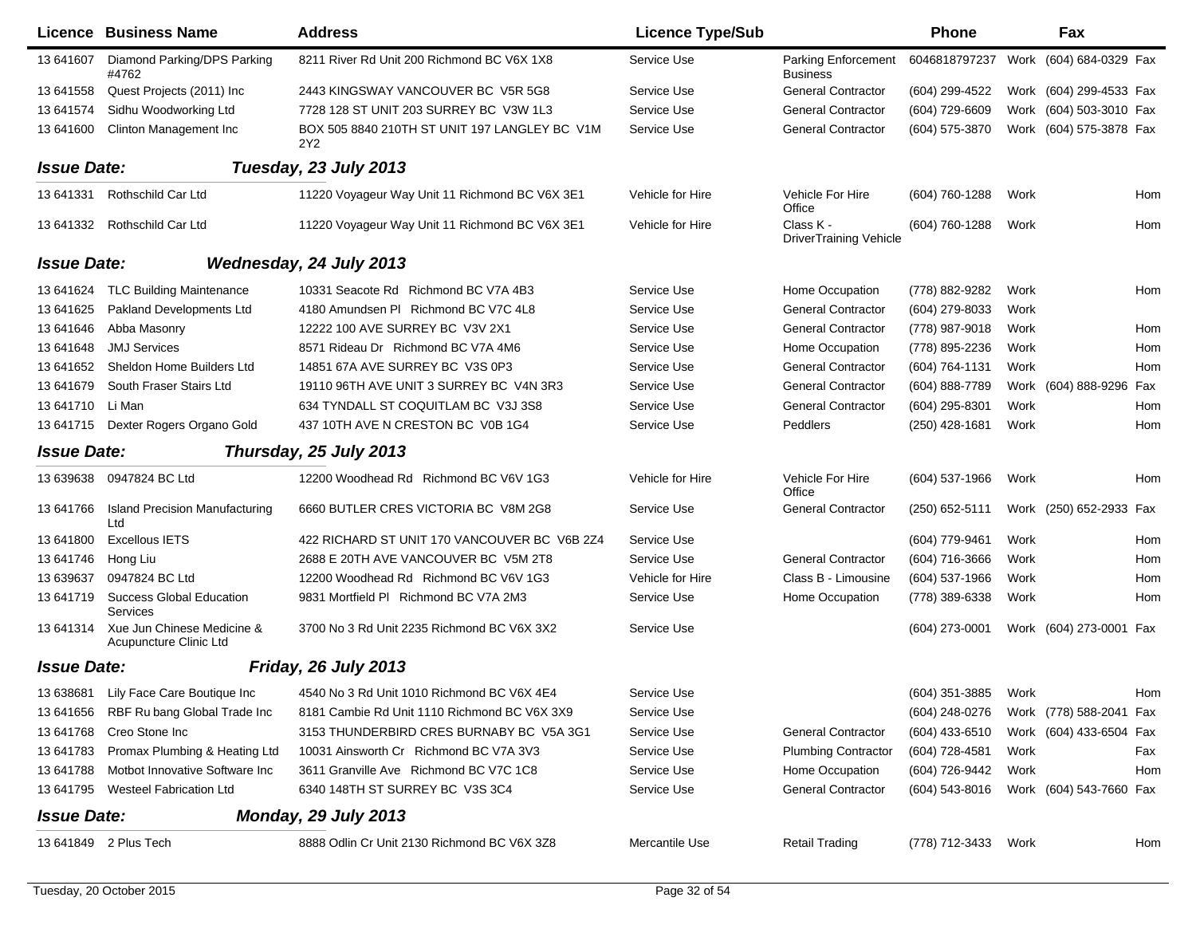|                    | <b>Licence Business Name</b>                         | <b>Address</b>                                                   | <b>Licence Type/Sub</b> |                                               | <b>Phone</b>     |      | Fax                     |     |
|--------------------|------------------------------------------------------|------------------------------------------------------------------|-------------------------|-----------------------------------------------|------------------|------|-------------------------|-----|
| 13 641607          | Diamond Parking/DPS Parking<br>#4762                 | 8211 River Rd Unit 200 Richmond BC V6X 1X8                       | Service Use             | <b>Parking Enforcement</b><br><b>Business</b> | 6046818797237    |      | Work (604) 684-0329 Fax |     |
| 13 641558          | Quest Projects (2011) Inc                            | 2443 KINGSWAY VANCOUVER BC V5R 5G8                               | Service Use             | <b>General Contractor</b>                     | (604) 299-4522   |      | Work (604) 299-4533 Fax |     |
| 13 641574          | Sidhu Woodworking Ltd                                | 7728 128 ST UNIT 203 SURREY BC V3W 1L3                           | Service Use             | <b>General Contractor</b>                     | (604) 729-6609   | Work | (604) 503-3010 Fax      |     |
| 13 641600          | Clinton Management Inc                               | BOX 505 8840 210TH ST UNIT 197 LANGLEY BC V1M<br>2Y <sub>2</sub> | Service Use             | <b>General Contractor</b>                     | (604) 575-3870   |      | Work (604) 575-3878 Fax |     |
| <b>Issue Date:</b> |                                                      | Tuesday, 23 July 2013                                            |                         |                                               |                  |      |                         |     |
| 13 641331          | Rothschild Car Ltd                                   | 11220 Voyageur Way Unit 11 Richmond BC V6X 3E1                   | Vehicle for Hire        | Vehicle For Hire<br>Office                    | (604) 760-1288   | Work |                         | Hom |
|                    | 13 641332 Rothschild Car Ltd                         | 11220 Voyageur Way Unit 11 Richmond BC V6X 3E1                   | Vehicle for Hire        | Class K -<br><b>DriverTraining Vehicle</b>    | (604) 760-1288   | Work |                         | Hom |
| <b>Issue Date:</b> |                                                      | Wednesday, 24 July 2013                                          |                         |                                               |                  |      |                         |     |
| 13 64 16 24        | <b>TLC Building Maintenance</b>                      | 10331 Seacote Rd Richmond BC V7A 4B3                             | Service Use             | Home Occupation                               | (778) 882-9282   | Work |                         | Hom |
| 13 64 16 25        | Pakland Developments Ltd                             | 4180 Amundsen PI Richmond BC V7C 4L8                             | Service Use             | <b>General Contractor</b>                     | (604) 279-8033   | Work |                         |     |
| 13 641 646         | Abba Masonry                                         | 12222 100 AVE SURREY BC V3V 2X1                                  | Service Use             | <b>General Contractor</b>                     | (778) 987-9018   | Work |                         | Hom |
| 13 64 1648         | <b>JMJ Services</b>                                  | 8571 Rideau Dr Richmond BC V7A 4M6                               | Service Use             | Home Occupation                               | (778) 895-2236   | Work |                         | Hom |
| 13 64 1652         | Sheldon Home Builders Ltd                            | 14851 67A AVE SURREY BC V3S 0P3                                  | Service Use             | <b>General Contractor</b>                     | (604) 764-1131   | Work |                         | Hom |
| 13 64 16 79        | South Fraser Stairs Ltd                              | 19110 96TH AVE UNIT 3 SURREY BC V4N 3R3                          | Service Use             | <b>General Contractor</b>                     | (604) 888-7789   | Work | (604) 888-9296          | Fax |
| 13 641710          | Li Man                                               | 634 TYNDALL ST COQUITLAM BC V3J 3S8                              | Service Use             | <b>General Contractor</b>                     | (604) 295-8301   | Work |                         | Hom |
| 13 641715          | Dexter Rogers Organo Gold                            | 437 10TH AVE N CRESTON BC V0B 1G4                                | Service Use             | Peddlers                                      | (250) 428-1681   | Work |                         | Hom |
| <b>Issue Date:</b> |                                                      | Thursday, 25 July 2013                                           |                         |                                               |                  |      |                         |     |
| 13 639638          | 0947824 BC Ltd                                       | 12200 Woodhead Rd Richmond BC V6V 1G3                            | Vehicle for Hire        | Vehicle For Hire<br>Office                    | $(604)$ 537-1966 | Work |                         | Hom |
| 13 641766          | <b>Island Precision Manufacturing</b><br>Ltd         | 6660 BUTLER CRES VICTORIA BC V8M 2G8                             | Service Use             | <b>General Contractor</b>                     | (250) 652-5111   |      | Work (250) 652-2933 Fax |     |
| 13 641800          | <b>Excellous IETS</b>                                | 422 RICHARD ST UNIT 170 VANCOUVER BC V6B 2Z4                     | Service Use             |                                               | (604) 779-9461   | Work |                         | Hom |
| 13 641746          | Hong Liu                                             | 2688 E 20TH AVE VANCOUVER BC V5M 2T8                             | Service Use             | <b>General Contractor</b>                     | (604) 716-3666   | Work |                         | Hom |
| 13 639637          | 0947824 BC Ltd                                       | 12200 Woodhead Rd Richmond BC V6V 1G3                            | Vehicle for Hire        | Class B - Limousine                           | $(604)$ 537-1966 | Work |                         | Hom |
| 13 641719          | <b>Success Global Education</b><br>Services          | 9831 Mortfield PI Richmond BC V7A 2M3                            | Service Use             | Home Occupation                               | (778) 389-6338   | Work |                         | Hom |
| 13 641314          | Xue Jun Chinese Medicine &<br>Acupuncture Clinic Ltd | 3700 No 3 Rd Unit 2235 Richmond BC V6X 3X2                       | Service Use             |                                               | (604) 273-0001   |      | Work (604) 273-0001 Fax |     |
| <b>Issue Date:</b> |                                                      | Friday, 26 July 2013                                             |                         |                                               |                  |      |                         |     |
|                    | 13 638681 Lily Face Care Boutique Inc                | 4540 No 3 Rd Unit 1010 Richmond BC V6X 4E4                       | Service Use             |                                               | (604) 351-3885   | Work |                         | Hom |
|                    | 13 641656 RBF Ru bang Global Trade Inc               | 8181 Cambie Rd Unit 1110 Richmond BC V6X 3X9                     | Service Use             |                                               | (604) 248-0276   |      | Work (778) 588-2041 Fax |     |
| 13 641768          | Creo Stone Inc                                       | 3153 THUNDERBIRD CRES BURNABY BC V5A 3G1                         | Service Use             | <b>General Contractor</b>                     | (604) 433-6510   |      | Work (604) 433-6504 Fax |     |
| 13 641783          | Promax Plumbing & Heating Ltd                        | 10031 Ainsworth Cr Richmond BC V7A 3V3                           | Service Use             | <b>Plumbing Contractor</b>                    | (604) 728-4581   | Work |                         | Fax |
| 13 641788          | Motbot Innovative Software Inc                       | 3611 Granville Ave Richmond BC V7C 1C8                           | Service Use             | Home Occupation                               | (604) 726-9442   | Work |                         | Hom |
| 13 641795          | Westeel Fabrication Ltd                              | 6340 148TH ST SURREY BC V3S 3C4                                  | Service Use             | <b>General Contractor</b>                     | (604) 543-8016   |      | Work (604) 543-7660 Fax |     |
| <b>Issue Date:</b> |                                                      | Monday, 29 July 2013                                             |                         |                                               |                  |      |                         |     |
|                    | 13 641849 2 Plus Tech                                | 8888 Odlin Cr Unit 2130 Richmond BC V6X 3Z8                      | Mercantile Use          | <b>Retail Trading</b>                         | (778) 712-3433   | Work |                         | Hom |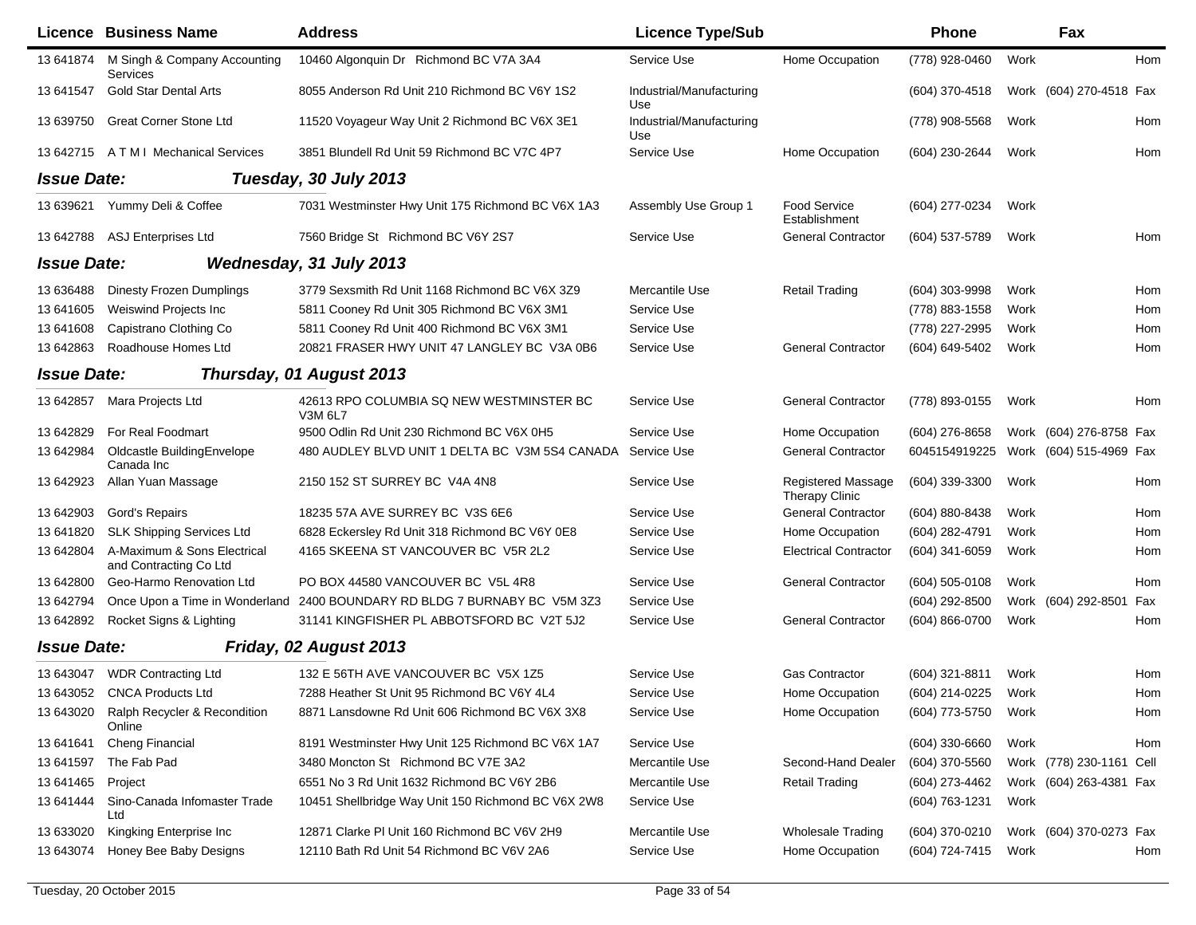|                    | <b>Licence Business Name</b>                          | <b>Address</b>                                             | <b>Licence Type/Sub</b>         |                                                    | <b>Phone</b>     |      | Fax                      |     |
|--------------------|-------------------------------------------------------|------------------------------------------------------------|---------------------------------|----------------------------------------------------|------------------|------|--------------------------|-----|
| 13 641874          | M Singh & Company Accounting<br>Services              | 10460 Algonquin Dr Richmond BC V7A 3A4                     | Service Use                     | Home Occupation                                    | (778) 928-0460   | Work |                          | Hom |
| 13 641547          | <b>Gold Star Dental Arts</b>                          | 8055 Anderson Rd Unit 210 Richmond BC V6Y 1S2              | Industrial/Manufacturing<br>Use |                                                    | (604) 370-4518   |      | Work (604) 270-4518 Fax  |     |
| 13 639750          | <b>Great Corner Stone Ltd</b>                         | 11520 Voyageur Way Unit 2 Richmond BC V6X 3E1              | Industrial/Manufacturing<br>Use |                                                    | (778) 908-5568   | Work |                          | Hom |
| 13 642715          | <b>ATMI Mechanical Services</b>                       | 3851 Blundell Rd Unit 59 Richmond BC V7C 4P7               | Service Use                     | Home Occupation                                    | (604) 230-2644   | Work |                          | Hom |
| <b>Issue Date:</b> |                                                       | Tuesday, 30 July 2013                                      |                                 |                                                    |                  |      |                          |     |
| 13 639621          | Yummy Deli & Coffee                                   | 7031 Westminster Hwy Unit 175 Richmond BC V6X 1A3          | Assembly Use Group 1            | Food Service<br>Establishment                      | (604) 277-0234   | Work |                          |     |
| 13 642788          | <b>ASJ Enterprises Ltd</b>                            | 7560 Bridge St Richmond BC V6Y 2S7                         | Service Use                     | <b>General Contractor</b>                          | (604) 537-5789   | Work |                          | Hom |
| <b>Issue Date:</b> |                                                       | Wednesday, 31 July 2013                                    |                                 |                                                    |                  |      |                          |     |
| 13 636488          | <b>Dinesty Frozen Dumplings</b>                       | 3779 Sexsmith Rd Unit 1168 Richmond BC V6X 3Z9             | Mercantile Use                  | <b>Retail Trading</b>                              | $(604)$ 303-9998 | Work |                          | Hom |
| 13 64 1605         | Weiswind Projects Inc                                 | 5811 Cooney Rd Unit 305 Richmond BC V6X 3M1                | Service Use                     |                                                    | (778) 883-1558   | Work |                          | Hom |
| 13 641608          | Capistrano Clothing Co                                | 5811 Cooney Rd Unit 400 Richmond BC V6X 3M1                | Service Use                     |                                                    | (778) 227-2995   | Work |                          | Hom |
| 13 642863          | Roadhouse Homes Ltd                                   | 20821 FRASER HWY UNIT 47 LANGLEY BC V3A 0B6                | Service Use                     | <b>General Contractor</b>                          | (604) 649-5402   | Work |                          | Hom |
| <b>Issue Date:</b> |                                                       | Thursday, 01 August 2013                                   |                                 |                                                    |                  |      |                          |     |
| 13 642857          | Mara Projects Ltd                                     | 42613 RPO COLUMBIA SQ NEW WESTMINSTER BC<br>V3M 6L7        | Service Use                     | <b>General Contractor</b>                          | (778) 893-0155   | Work |                          | Hom |
| 13 642829          | For Real Foodmart                                     | 9500 Odlin Rd Unit 230 Richmond BC V6X 0H5                 | Service Use                     | Home Occupation                                    | (604) 276-8658   |      | Work (604) 276-8758 Fax  |     |
| 13 642984          | Oldcastle BuildingEnvelope<br>Canada Inc              | 480 AUDLEY BLVD UNIT 1 DELTA BC V3M 5S4 CANADA Service Use |                                 | <b>General Contractor</b>                          | 6045154919225    |      | Work (604) 515-4969 Fax  |     |
| 13 642923          | Allan Yuan Massage                                    | 2150 152 ST SURREY BC V4A 4N8                              | Service Use                     | <b>Registered Massage</b><br><b>Therapy Clinic</b> | (604) 339-3300   | Work |                          | Hom |
| 13 642903          | Gord's Repairs                                        | 18235 57A AVE SURREY BC V3S 6E6                            | Service Use                     | <b>General Contractor</b>                          | (604) 880-8438   | Work |                          | Hom |
| 13 641820          | <b>SLK Shipping Services Ltd</b>                      | 6828 Eckersley Rd Unit 318 Richmond BC V6Y 0E8             | Service Use                     | Home Occupation                                    | (604) 282-4791   | Work |                          | Hom |
| 13 642804          | A-Maximum & Sons Electrical<br>and Contracting Co Ltd | 4165 SKEENA ST VANCOUVER BC V5R 2L2                        | Service Use                     | <b>Electrical Contractor</b>                       | (604) 341-6059   | Work |                          | Hom |
| 13 642800          | Geo-Harmo Renovation Ltd                              | PO BOX 44580 VANCOUVER BC V5L 4R8                          | Service Use                     | <b>General Contractor</b>                          | $(604)$ 505-0108 | Work |                          | Hom |
| 13 642794          | Once Upon a Time in Wonderland                        | 2400 BOUNDARY RD BLDG 7 BURNABY BC V5M 3Z3                 | Service Use                     |                                                    | (604) 292-8500   |      | Work (604) 292-8501      | Fax |
| 13 642892          | Rocket Signs & Lighting                               | 31141 KINGFISHER PL ABBOTSFORD BC V2T 5J2                  | Service Use                     | <b>General Contractor</b>                          | (604) 866-0700   | Work |                          | Hom |
| <b>Issue Date:</b> |                                                       | Friday, 02 August 2013                                     |                                 |                                                    |                  |      |                          |     |
| 13 643047          | <b>WDR Contracting Ltd</b>                            | 132 E 56TH AVE VANCOUVER BC V5X 1Z5                        | Service Use                     | <b>Gas Contractor</b>                              | (604) 321-8811   | Work |                          | Hom |
| 13 643052          | <b>CNCA Products Ltd</b>                              | 7288 Heather St Unit 95 Richmond BC V6Y 4L4                | Service Use                     | Home Occupation                                    | (604) 214-0225   | Work |                          | Hom |
| 13 643020          | Ralph Recycler & Recondition<br>Online                | 8871 Lansdowne Rd Unit 606 Richmond BC V6X 3X8             | Service Use                     | Home Occupation                                    | (604) 773-5750   | Work |                          | Hom |
| 13 64 1641         | Cheng Financial                                       | 8191 Westminster Hwy Unit 125 Richmond BC V6X 1A7          | Service Use                     |                                                    | $(604)$ 330-6660 | Work |                          | Hom |
| 13 641597          | The Fab Pad                                           | 3480 Moncton St Richmond BC V7E 3A2                        | Mercantile Use                  | Second-Hand Dealer                                 | (604) 370-5560   |      | Work (778) 230-1161 Cell |     |
| 13 641465          | Project                                               | 6551 No 3 Rd Unit 1632 Richmond BC V6Y 2B6                 | Mercantile Use                  | <b>Retail Trading</b>                              | (604) 273-4462   |      | Work (604) 263-4381 Fax  |     |
| 13 641444          | Sino-Canada Infomaster Trade<br>Ltd                   | 10451 Shellbridge Way Unit 150 Richmond BC V6X 2W8         | Service Use                     |                                                    | (604) 763-1231   | Work |                          |     |
| 13 633020          | Kingking Enterprise Inc                               | 12871 Clarke PI Unit 160 Richmond BC V6V 2H9               | Mercantile Use                  | <b>Wholesale Trading</b>                           | (604) 370-0210   |      | Work (604) 370-0273 Fax  |     |
| 13 643074          | Honey Bee Baby Designs                                | 12110 Bath Rd Unit 54 Richmond BC V6V 2A6                  | Service Use                     | Home Occupation                                    | (604) 724-7415   | Work |                          | Hom |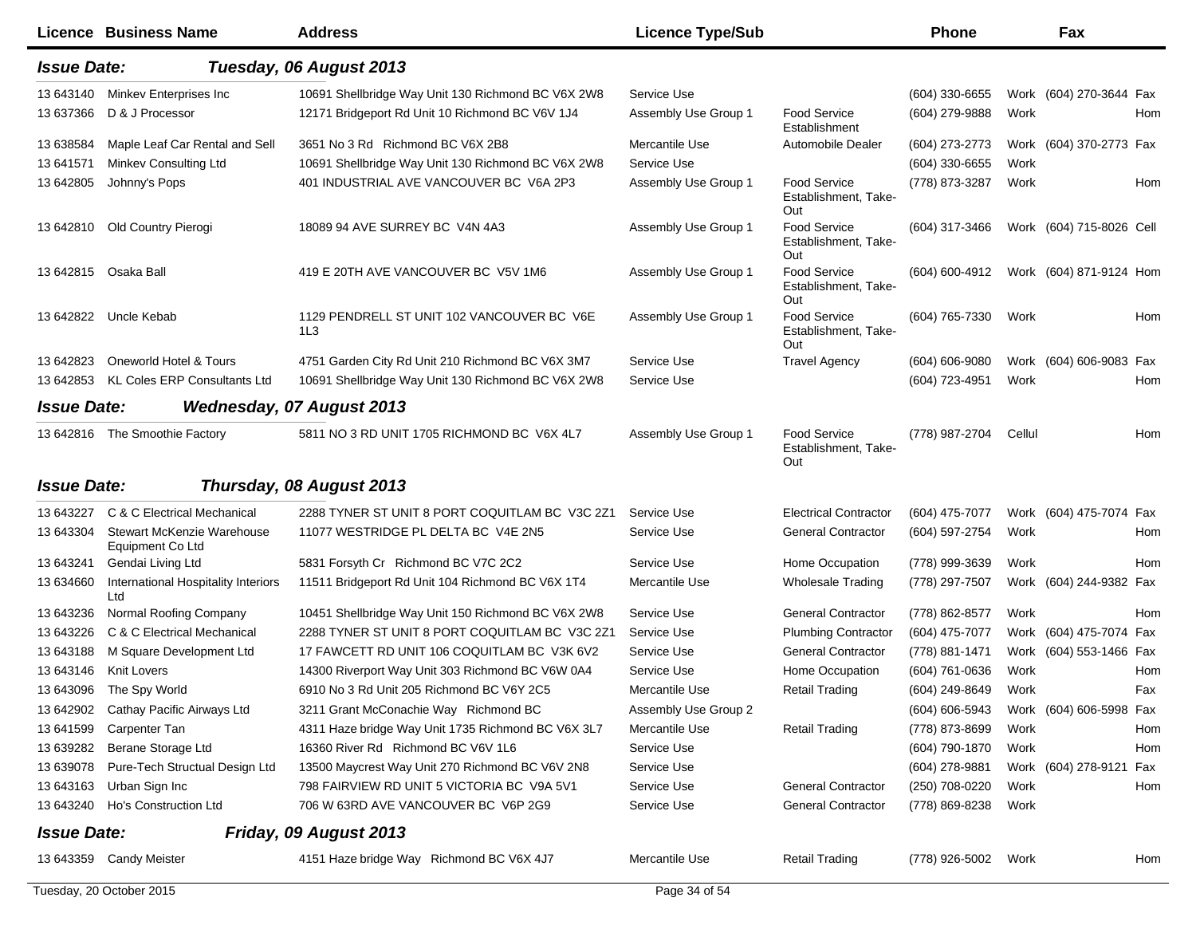|                    | <b>Licence Business Name</b>                   | <b>Address</b>                                     | <b>Licence Type/Sub</b> |                                                    | <b>Phone</b>       |        | Fax                      |     |
|--------------------|------------------------------------------------|----------------------------------------------------|-------------------------|----------------------------------------------------|--------------------|--------|--------------------------|-----|
| <b>Issue Date:</b> |                                                | Tuesday, 06 August 2013                            |                         |                                                    |                    |        |                          |     |
| 13 643140          | Minkev Enterprises Inc                         | 10691 Shellbridge Way Unit 130 Richmond BC V6X 2W8 | Service Use             |                                                    | (604) 330-6655     |        | Work (604) 270-3644 Fax  |     |
| 13 637366          | D & J Processor                                | 12171 Bridgeport Rd Unit 10 Richmond BC V6V 1J4    | Assembly Use Group 1    | <b>Food Service</b><br>Establishment               | (604) 279-9888     | Work   |                          | Hom |
| 13 638584          | Maple Leaf Car Rental and Sell                 | 3651 No 3 Rd Richmond BC V6X 2B8                   | Mercantile Use          | Automobile Dealer                                  | (604) 273-2773     |        | Work (604) 370-2773 Fax  |     |
| 13 641571          | Minkey Consulting Ltd                          | 10691 Shellbridge Way Unit 130 Richmond BC V6X 2W8 | Service Use             |                                                    | (604) 330-6655     | Work   |                          |     |
| 13 642805          | Johnny's Pops                                  | 401 INDUSTRIAL AVE VANCOUVER BC V6A 2P3            | Assembly Use Group 1    | <b>Food Service</b><br>Establishment, Take-<br>Out | (778) 873-3287     | Work   |                          | Hom |
| 13 642810          | Old Country Pierogi                            | 18089 94 AVE SURREY BC V4N 4A3                     | Assembly Use Group 1    | <b>Food Service</b><br>Establishment, Take-<br>Out | (604) 317-3466     |        | Work (604) 715-8026 Cell |     |
| 13 642815          | Osaka Ball                                     | 419 E 20TH AVE VANCOUVER BC V5V 1M6                | Assembly Use Group 1    | <b>Food Service</b><br>Establishment, Take-<br>Out | (604) 600-4912     |        | Work (604) 871-9124 Hom  |     |
| 13 642822          | Uncle Kebab                                    | 1129 PENDRELL ST UNIT 102 VANCOUVER BC V6E<br>1L3  | Assembly Use Group 1    | <b>Food Service</b><br>Establishment, Take-<br>Out | (604) 765-7330     | Work   |                          | Hom |
| 13 642823          | Oneworld Hotel & Tours                         | 4751 Garden City Rd Unit 210 Richmond BC V6X 3M7   | Service Use             | <b>Travel Agency</b>                               | $(604) 606 - 9080$ |        | Work (604) 606-9083 Fax  |     |
| 13 642853          | <b>KL Coles ERP Consultants Ltd</b>            | 10691 Shellbridge Way Unit 130 Richmond BC V6X 2W8 | Service Use             |                                                    | (604) 723-4951     | Work   |                          | Hom |
| <b>Issue Date:</b> |                                                | <b>Wednesday, 07 August 2013</b>                   |                         |                                                    |                    |        |                          |     |
| 13 642816          | The Smoothie Factory                           | 5811 NO 3 RD UNIT 1705 RICHMOND BC V6X 4L7         | Assembly Use Group 1    | <b>Food Service</b><br>Establishment, Take-<br>Out | (778) 987-2704     | Cellul |                          | Hom |
| <b>Issue Date:</b> |                                                | Thursday, 08 August 2013                           |                         |                                                    |                    |        |                          |     |
| 13 643227          | C & C Electrical Mechanical                    | 2288 TYNER ST UNIT 8 PORT COQUITLAM BC V3C 2Z1     | Service Use             | <b>Electrical Contractor</b>                       | (604) 475-7077     |        | Work (604) 475-7074 Fax  |     |
| 13 643304          | Stewart McKenzie Warehouse<br>Equipment Co Ltd | 11077 WESTRIDGE PL DELTA BC V4E 2N5                | Service Use             | <b>General Contractor</b>                          | (604) 597-2754     | Work   |                          | Hom |
| 13 643241          | Gendai Living Ltd                              | 5831 Forsyth Cr Richmond BC V7C 2C2                | Service Use             | Home Occupation                                    | (778) 999-3639     | Work   |                          | Hom |
| 13 634660          | International Hospitality Interiors<br>Ltd     | 11511 Bridgeport Rd Unit 104 Richmond BC V6X 1T4   | Mercantile Use          | <b>Wholesale Trading</b>                           | (778) 297-7507     |        | Work (604) 244-9382 Fax  |     |
| 13 643236          | Normal Roofing Company                         | 10451 Shellbridge Way Unit 150 Richmond BC V6X 2W8 | Service Use             | <b>General Contractor</b>                          | (778) 862-8577     | Work   |                          | Hom |
| 13 643226          | C & C Electrical Mechanical                    | 2288 TYNER ST UNIT 8 PORT COQUITLAM BC V3C 2Z1     | Service Use             | <b>Plumbing Contractor</b>                         | (604) 475-7077     |        | Work (604) 475-7074 Fax  |     |
| 13 643188          | M Square Development Ltd                       | 17 FAWCETT RD UNIT 106 COQUITLAM BC V3K 6V2        | Service Use             | <b>General Contractor</b>                          | (778) 881-1471     |        | Work (604) 553-1466 Fax  |     |
| 13 643146          | <b>Knit Lovers</b>                             | 14300 Riverport Way Unit 303 Richmond BC V6W 0A4   | Service Use             | Home Occupation                                    | (604) 761-0636     | Work   |                          | Hom |
|                    | 13 643096 The Spy World                        | 6910 No 3 Rd Unit 205 Richmond BC V6Y 2C5          | Mercantile Use          | <b>Retail Trading</b>                              | (604) 249-8649     | Work   |                          | Fax |
|                    | 13 642902 Cathay Pacific Airways Ltd           | 3211 Grant McConachie Way Richmond BC              | Assembly Use Group 2    |                                                    | (604) 606-5943     |        | Work (604) 606-5998 Fax  |     |
| 13 641599          | Carpenter Tan                                  | 4311 Haze bridge Way Unit 1735 Richmond BC V6X 3L7 | Mercantile Use          | <b>Retail Trading</b>                              | (778) 873-8699     | Work   |                          | Hom |
| 13 639282          | Berane Storage Ltd                             | 16360 River Rd Richmond BC V6V 1L6                 | Service Use             |                                                    | (604) 790-1870     | Work   |                          | Hom |
| 13 639078          | Pure-Tech Structual Design Ltd                 | 13500 Maycrest Way Unit 270 Richmond BC V6V 2N8    | Service Use             |                                                    | (604) 278-9881     |        | Work (604) 278-9121      | Fax |
| 13 643163          | Urban Sign Inc                                 | 798 FAIRVIEW RD UNIT 5 VICTORIA BC V9A 5V1         | Service Use             | <b>General Contractor</b>                          | (250) 708-0220     | Work   |                          | Hom |
| 13 643240          | Ho's Construction Ltd                          | 706 W 63RD AVE VANCOUVER BC V6P 2G9                | Service Use             | <b>General Contractor</b>                          | (778) 869-8238     | Work   |                          |     |
| <b>Issue Date:</b> |                                                | Friday, 09 August 2013                             |                         |                                                    |                    |        |                          |     |
|                    | 13 643359 Candy Meister                        | 4151 Haze bridge Way Richmond BC V6X 4J7           | Mercantile Use          | <b>Retail Trading</b>                              | (778) 926-5002     | Work   |                          | Hom |
|                    | Tuesday, 20 October 2015                       |                                                    | Page 34 of 54           |                                                    |                    |        |                          |     |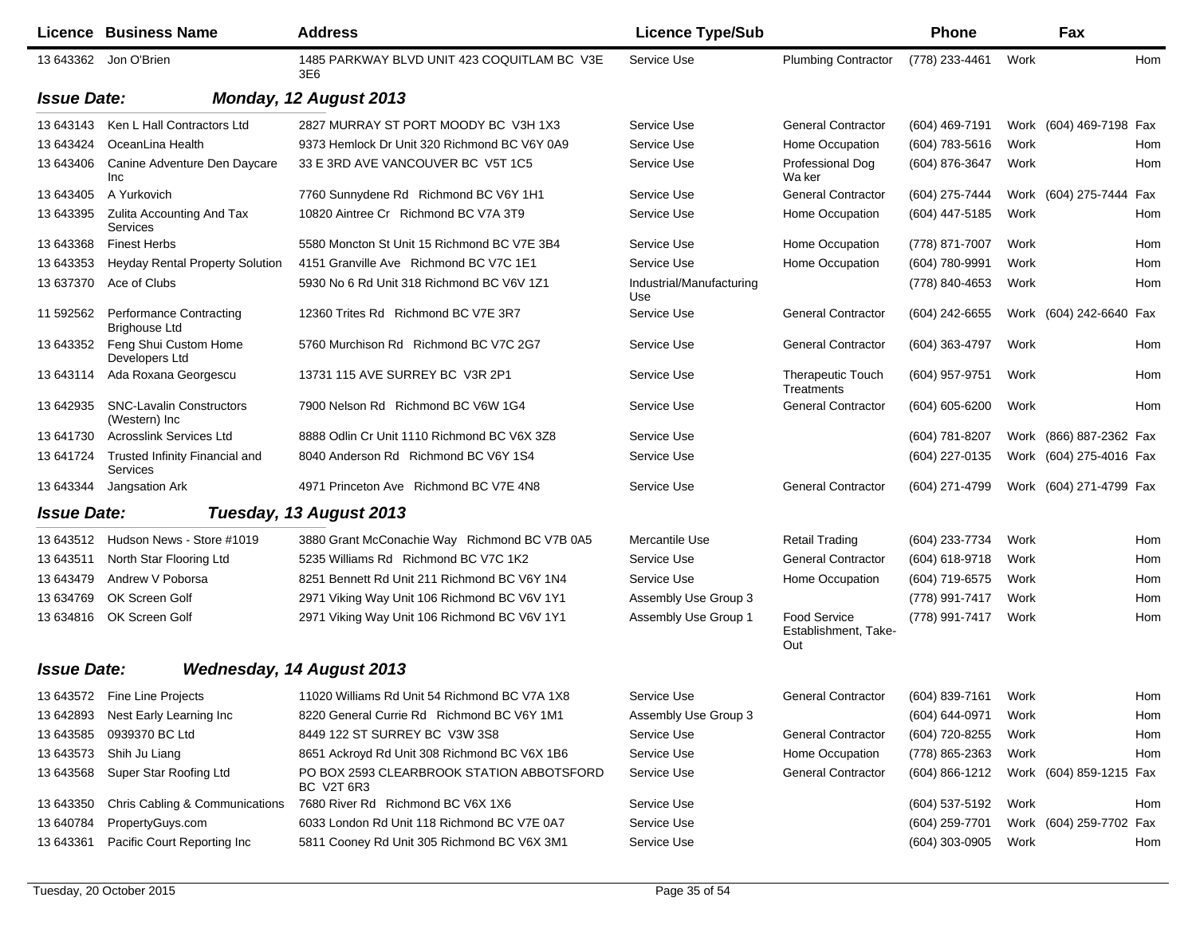|                    | <b>Licence Business Name</b>                     | <b>Address</b>                                          | <b>Licence Type/Sub</b>         |                                                    | Phone              |      | Fax                     |     |
|--------------------|--------------------------------------------------|---------------------------------------------------------|---------------------------------|----------------------------------------------------|--------------------|------|-------------------------|-----|
|                    | 13 643362 Jon O'Brien                            | 1485 PARKWAY BLVD UNIT 423 COQUITLAM BC V3E<br>3E6      | Service Use                     | <b>Plumbing Contractor</b>                         | (778) 233-4461     | Work |                         | Hom |
| <b>Issue Date:</b> |                                                  | Monday, 12 August 2013                                  |                                 |                                                    |                    |      |                         |     |
| 13 643143          | Ken L Hall Contractors Ltd                       | 2827 MURRAY ST PORT MOODY BC V3H 1X3                    | Service Use                     | <b>General Contractor</b>                          | (604) 469-7191     |      | Work (604) 469-7198 Fax |     |
| 13 643424          | OceanLina Health                                 | 9373 Hemlock Dr Unit 320 Richmond BC V6Y 0A9            | Service Use                     | Home Occupation                                    | (604) 783-5616     | Work |                         | Hom |
| 13 643406          | Canine Adventure Den Daycare<br>Inc              | 33 E 3RD AVE VANCOUVER BC V5T 1C5                       | Service Use                     | Professional Dog<br>Wa ker                         | (604) 876-3647     | Work |                         | Hom |
| 13 643405          | A Yurkovich                                      | 7760 Sunnydene Rd Richmond BC V6Y 1H1                   | Service Use                     | <b>General Contractor</b>                          | (604) 275-7444     |      | Work (604) 275-7444     | Fax |
| 13 643395          | <b>Zulita Accounting And Tax</b><br>Services     | 10820 Aintree Cr Richmond BC V7A 3T9                    | Service Use                     | Home Occupation                                    | (604) 447-5185     | Work |                         | Hom |
| 13 643368          | <b>Finest Herbs</b>                              | 5580 Moncton St Unit 15 Richmond BC V7E 3B4             | Service Use                     | Home Occupation                                    | (778) 871-7007     | Work |                         | Hom |
| 13 643353          | <b>Heyday Rental Property Solution</b>           | 4151 Granville Ave Richmond BC V7C 1E1                  | Service Use                     | Home Occupation                                    | (604) 780-9991     | Work |                         | Hom |
| 13 637370          | Ace of Clubs                                     | 5930 No 6 Rd Unit 318 Richmond BC V6V 1Z1               | Industrial/Manufacturing<br>Use |                                                    | (778) 840-4653     | Work |                         | Hom |
| 11 592562          | Performance Contracting<br><b>Brighouse Ltd</b>  | 12360 Trites Rd Richmond BC V7E 3R7                     | Service Use                     | <b>General Contractor</b>                          | (604) 242-6655     |      | Work (604) 242-6640 Fax |     |
| 13 643352          | Feng Shui Custom Home<br>Developers Ltd          | 5760 Murchison Rd Richmond BC V7C 2G7                   | Service Use                     | <b>General Contractor</b>                          | (604) 363-4797     | Work |                         | Hom |
| 13 643114          | Ada Roxana Georgescu                             | 13731 115 AVE SURREY BC V3R 2P1                         | Service Use                     | <b>Therapeutic Touch</b><br>Treatments             | (604) 957-9751     | Work |                         | Hom |
| 13 642935          | <b>SNC-Lavalin Constructors</b><br>(Western) Inc | 7900 Nelson Rd Richmond BC V6W 1G4                      | Service Use                     | <b>General Contractor</b>                          | $(604) 605 - 6200$ | Work |                         | Hom |
| 13 641730          | <b>Acrosslink Services Ltd</b>                   | 8888 Odlin Cr Unit 1110 Richmond BC V6X 3Z8             | Service Use                     |                                                    | (604) 781-8207     |      | Work (866) 887-2362 Fax |     |
| 13 641724          | Trusted Infinity Financial and<br>Services       | 8040 Anderson Rd Richmond BC V6Y 1S4                    | Service Use                     |                                                    | (604) 227-0135     |      | Work (604) 275-4016 Fax |     |
| 13 643344          | Jangsation Ark                                   | 4971 Princeton Ave Richmond BC V7E 4N8                  | Service Use                     | <b>General Contractor</b>                          | (604) 271-4799     |      | Work (604) 271-4799 Fax |     |
| <b>Issue Date:</b> |                                                  | Tuesday, 13 August 2013                                 |                                 |                                                    |                    |      |                         |     |
| 13 643512          | Hudson News - Store #1019                        | 3880 Grant McConachie Way Richmond BC V7B 0A5           | Mercantile Use                  | <b>Retail Trading</b>                              | (604) 233-7734     | Work |                         | Hom |
| 13 643511          | North Star Flooring Ltd                          | 5235 Williams Rd Richmond BC V7C 1K2                    | Service Use                     | <b>General Contractor</b>                          | (604) 618-9718     | Work |                         | Hom |
| 13 643479          | Andrew V Poborsa                                 | 8251 Bennett Rd Unit 211 Richmond BC V6Y 1N4            | Service Use                     | Home Occupation                                    | (604) 719-6575     | Work |                         | Hom |
| 13 634769          | OK Screen Golf                                   | 2971 Viking Way Unit 106 Richmond BC V6V 1Y1            | Assembly Use Group 3            |                                                    | (778) 991-7417     | Work |                         | Hom |
| 13 634816          | OK Screen Golf                                   | 2971 Viking Way Unit 106 Richmond BC V6V 1Y1            | Assembly Use Group 1            | <b>Food Service</b><br>Establishment, Take-<br>Out | (778) 991-7417     | Work |                         | Hom |
| <b>Issue Date:</b> |                                                  | <b>Wednesday, 14 August 2013</b>                        |                                 |                                                    |                    |      |                         |     |
|                    | 13 643572 Fine Line Projects                     | 11020 Williams Rd Unit 54 Richmond BC V7A 1X8           | Service Use                     | General Contractor (604) 839-7161 Work             |                    |      |                         | Hom |
| 13 642893          | Nest Early Learning Inc                          | 8220 General Currie Rd Richmond BC V6Y 1M1              | Assembly Use Group 3            |                                                    | (604) 644-0971     | Work |                         | Hom |
| 13 643585          | 0939370 BC Ltd                                   | 8449 122 ST SURREY BC V3W 3S8                           | Service Use                     | <b>General Contractor</b>                          | (604) 720-8255     | Work |                         | Hom |
| 13 643573          | Shih Ju Liang                                    | 8651 Ackroyd Rd Unit 308 Richmond BC V6X 1B6            | Service Use                     | Home Occupation                                    | (778) 865-2363     | Work |                         | Hom |
| 13 643568          | Super Star Roofing Ltd                           | PO BOX 2593 CLEARBROOK STATION ABBOTSFORD<br>BC V2T 6R3 | Service Use                     | <b>General Contractor</b>                          | (604) 866-1212     |      | Work (604) 859-1215 Fax |     |
| 13 643350          | Chris Cabling & Communications                   | 7680 River Rd Richmond BC V6X 1X6                       | Service Use                     |                                                    | (604) 537-5192     | Work |                         | Hom |
| 13 640784          | PropertyGuys.com                                 | 6033 London Rd Unit 118 Richmond BC V7E 0A7             | Service Use                     |                                                    | (604) 259-7701     |      | Work (604) 259-7702 Fax |     |
| 13 643361          | Pacific Court Reporting Inc                      | 5811 Cooney Rd Unit 305 Richmond BC V6X 3M1             | Service Use                     |                                                    | (604) 303-0905     | Work |                         | Hom |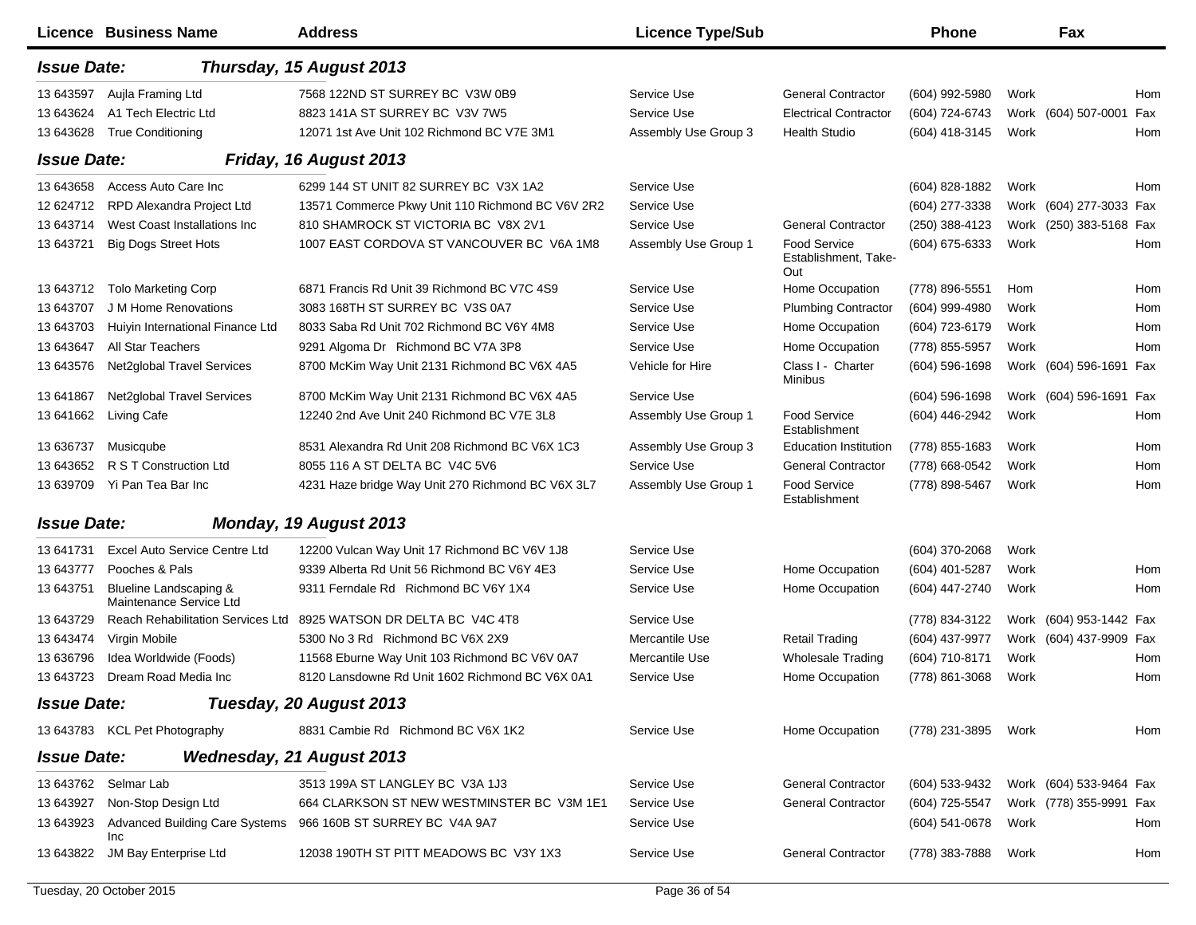|                    | Licence Business Name                             | <b>Address</b>                                    | <b>Licence Type/Sub</b> |                                                    | <b>Phone</b>     |      | Fax                     |     |
|--------------------|---------------------------------------------------|---------------------------------------------------|-------------------------|----------------------------------------------------|------------------|------|-------------------------|-----|
| <b>Issue Date:</b> |                                                   | Thursday, 15 August 2013                          |                         |                                                    |                  |      |                         |     |
| 13 643597          | Aujla Framing Ltd                                 | 7568 122ND ST SURREY BC V3W 0B9                   | Service Use             | <b>General Contractor</b>                          | (604) 992-5980   | Work |                         | Hom |
| 13 643624          | A1 Tech Electric Ltd                              | 8823 141A ST SURREY BC V3V 7W5                    | Service Use             | <b>Electrical Contractor</b>                       | (604) 724-6743   |      | Work (604) 507-0001     | Fax |
| 13 643628          | <b>True Conditioning</b>                          | 12071 1st Ave Unit 102 Richmond BC V7E 3M1        | Assembly Use Group 3    | <b>Health Studio</b>                               | (604) 418-3145   | Work |                         | Hom |
| <b>Issue Date:</b> |                                                   | Friday, 16 August 2013                            |                         |                                                    |                  |      |                         |     |
| 13 643 658         | Access Auto Care Inc                              | 6299 144 ST UNIT 82 SURREY BC V3X 1A2             | Service Use             |                                                    | (604) 828-1882   | Work |                         | Hom |
| 12 624712          | <b>RPD Alexandra Project Ltd</b>                  | 13571 Commerce Pkwy Unit 110 Richmond BC V6V 2R2  | Service Use             |                                                    | $(604)$ 277-3338 |      | Work (604) 277-3033 Fax |     |
| 13 643714          | West Coast Installations Inc                      | 810 SHAMROCK ST VICTORIA BC V8X 2V1               | Service Use             | <b>General Contractor</b>                          | (250) 388-4123   |      | Work (250) 383-5168 Fax |     |
| 13 643721          | <b>Big Dogs Street Hots</b>                       | 1007 EAST CORDOVA ST VANCOUVER BC V6A 1M8         | Assembly Use Group 1    | <b>Food Service</b><br>Establishment, Take-<br>Out | (604) 675-6333   | Work |                         | Hom |
| 13 643712          | <b>Tolo Marketing Corp</b>                        | 6871 Francis Rd Unit 39 Richmond BC V7C 4S9       | Service Use             | Home Occupation                                    | (778) 896-5551   | Hom  |                         | Hom |
| 13 643707          | J M Home Renovations                              | 3083 168TH ST SURREY BC V3S 0A7                   | Service Use             | <b>Plumbing Contractor</b>                         | (604) 999-4980   | Work |                         | Hom |
| 13 643703          | Huiyin International Finance Ltd                  | 8033 Saba Rd Unit 702 Richmond BC V6Y 4M8         | Service Use             | Home Occupation                                    | (604) 723-6179   | Work |                         | Hom |
| 13 643 647         | All Star Teachers                                 | 9291 Algoma Dr Richmond BC V7A 3P8                | Service Use             | Home Occupation                                    | (778) 855-5957   | Work |                         | Hom |
| 13 643576          | <b>Net2global Travel Services</b>                 | 8700 McKim Way Unit 2131 Richmond BC V6X 4A5      | Vehicle for Hire        | Class I - Charter<br><b>Minibus</b>                | (604) 596-1698   |      | Work (604) 596-1691     | Fax |
| 13 641867          | <b>Net2global Travel Services</b>                 | 8700 McKim Way Unit 2131 Richmond BC V6X 4A5      | Service Use             |                                                    | (604) 596-1698   |      | Work (604) 596-1691 Fax |     |
| 13 64 1662         | Living Cafe                                       | 12240 2nd Ave Unit 240 Richmond BC V7E 3L8        | Assembly Use Group 1    | <b>Food Service</b><br>Establishment               | (604) 446-2942   | Work |                         | Hom |
| 13 63 6737         | Musicqube                                         | 8531 Alexandra Rd Unit 208 Richmond BC V6X 1C3    | Assembly Use Group 3    | <b>Education Institution</b>                       | (778) 855-1683   | Work |                         | Hom |
| 13 643 652         | R S T Construction Ltd                            | 8055 116 A ST DELTA BC V4C 5V6                    | Service Use             | <b>General Contractor</b>                          | (778) 668-0542   | Work |                         | Hom |
| 13 639709          | Yi Pan Tea Bar Inc                                | 4231 Haze bridge Way Unit 270 Richmond BC V6X 3L7 | Assembly Use Group 1    | <b>Food Service</b><br>Establishment               | (778) 898-5467   | Work |                         | Hom |
| <b>Issue Date:</b> |                                                   | Monday, 19 August 2013                            |                         |                                                    |                  |      |                         |     |
| 13 641731          | Excel Auto Service Centre Ltd                     | 12200 Vulcan Way Unit 17 Richmond BC V6V 1J8      | Service Use             |                                                    | (604) 370-2068   | Work |                         |     |
| 13 643777          | Pooches & Pals                                    | 9339 Alberta Rd Unit 56 Richmond BC V6Y 4E3       | Service Use             | Home Occupation                                    | (604) 401-5287   | Work |                         | Hom |
| 13 643751          | Blueline Landscaping &<br>Maintenance Service Ltd | 9311 Ferndale Rd Richmond BC V6Y 1X4              | Service Use             | Home Occupation                                    | (604) 447-2740   | Work |                         | Hom |
| 13 643729          | Reach Rehabilitation Services Ltd                 | 8925 WATSON DR DELTA BC V4C 4T8                   | Service Use             |                                                    | (778) 834-3122   |      | Work (604) 953-1442 Fax |     |
| 13 643474          | Virgin Mobile                                     | 5300 No 3 Rd Richmond BC V6X 2X9                  | Mercantile Use          | <b>Retail Trading</b>                              | (604) 437-9977   |      | Work (604) 437-9909 Fax |     |
| 13 63 6796         | Idea Worldwide (Foods)                            | 11568 Eburne Way Unit 103 Richmond BC V6V 0A7     | Mercantile Use          | <b>Wholesale Trading</b>                           | (604) 710-8171   | Work |                         | Hom |
| 13 643723          | Dream Road Media Inc                              | 8120 Lansdowne Rd Unit 1602 Richmond BC V6X 0A1   | Service Use             | Home Occupation                                    | (778) 861-3068   | Work |                         | Hom |
| <b>Issue Date:</b> |                                                   | Tuesday, 20 August 2013                           |                         |                                                    |                  |      |                         |     |
|                    | 13 643783 KCL Pet Photography                     | 8831 Cambie Rd Richmond BC V6X 1K2                | Service Use             | Home Occupation                                    | (778) 231-3895   | Work |                         | Hom |
| <b>Issue Date:</b> |                                                   | <b>Wednesday, 21 August 2013</b>                  |                         |                                                    |                  |      |                         |     |
| 13 643762          | Selmar Lab                                        | 3513 199A ST LANGLEY BC V3A 1J3                   | Service Use             | <b>General Contractor</b>                          | (604) 533-9432   |      | Work (604) 533-9464 Fax |     |
| 13 643927          | Non-Stop Design Ltd                               | 664 CLARKSON ST NEW WESTMINSTER BC V3M 1E1        | Service Use             | <b>General Contractor</b>                          | (604) 725-5547   |      | Work (778) 355-9991 Fax |     |
| 13 643923          | <b>Advanced Building Care Systems</b><br>Inc      | 966 160B ST SURREY BC V4A 9A7                     | Service Use             |                                                    | (604) 541-0678   | Work |                         | Hom |
| 13 643822          | JM Bay Enterprise Ltd                             | 12038 190TH ST PITT MEADOWS BC V3Y 1X3            | Service Use             | <b>General Contractor</b>                          | (778) 383-7888   | Work |                         | Hom |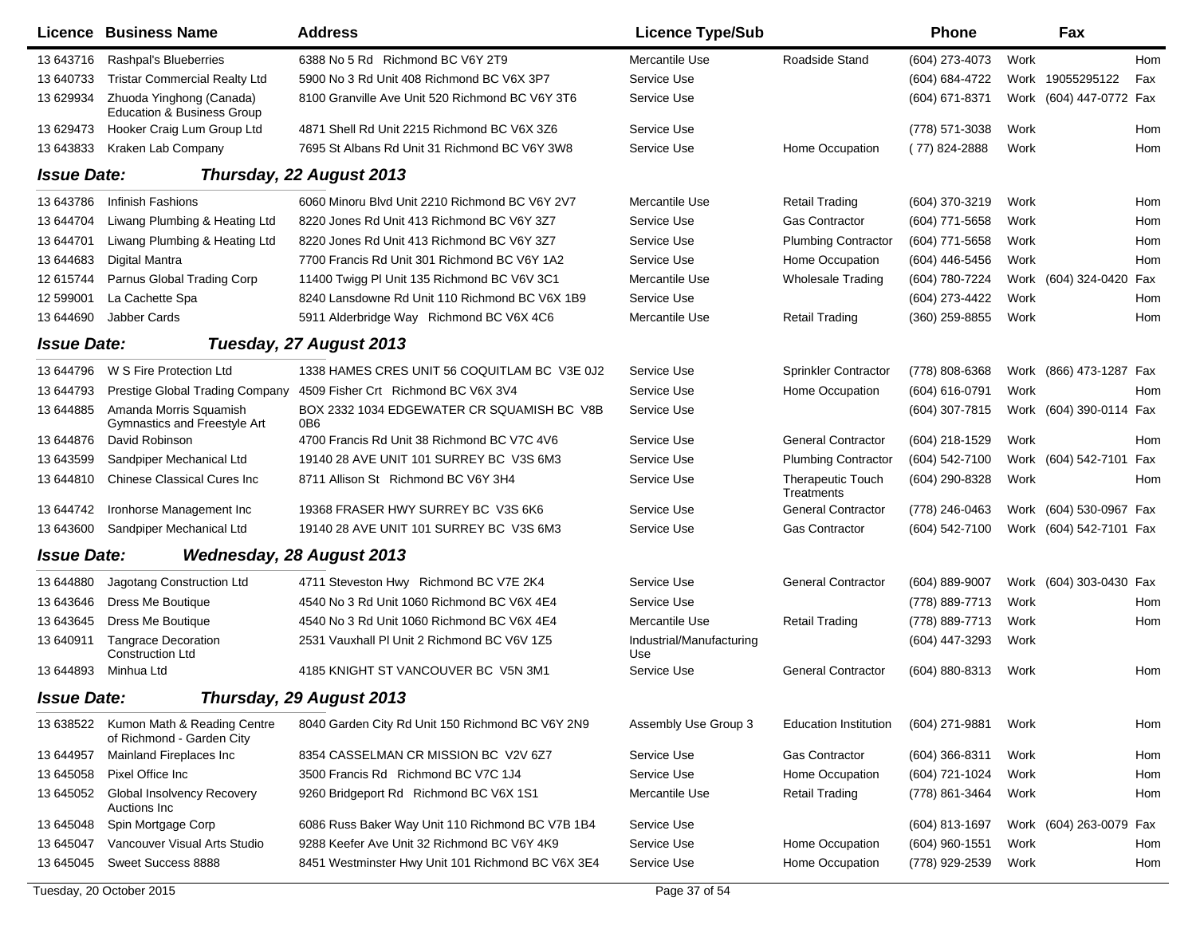|                    | <b>Licence Business Name</b>                                      | <b>Address</b>                                                | <b>Licence Type/Sub</b>         |                                 | <b>Phone</b>     |      | Fax                     |     |
|--------------------|-------------------------------------------------------------------|---------------------------------------------------------------|---------------------------------|---------------------------------|------------------|------|-------------------------|-----|
| 13 643716          | Rashpal's Blueberries                                             | 6388 No 5 Rd Richmond BC V6Y 2T9                              | Mercantile Use                  | Roadside Stand                  | (604) 273-4073   | Work |                         | Hom |
| 13 640733          | <b>Tristar Commercial Realty Ltd</b>                              | 5900 No 3 Rd Unit 408 Richmond BC V6X 3P7                     | Service Use                     |                                 | (604) 684-4722   |      | Work 19055295122        | Fax |
| 13 629934          | Zhuoda Yinghong (Canada)<br><b>Education &amp; Business Group</b> | 8100 Granville Ave Unit 520 Richmond BC V6Y 3T6               | Service Use                     |                                 | (604) 671-8371   |      | Work (604) 447-0772 Fax |     |
| 13 629473          | Hooker Craig Lum Group Ltd                                        | 4871 Shell Rd Unit 2215 Richmond BC V6X 3Z6                   | <b>Service Use</b>              |                                 | (778) 571-3038   | Work |                         | Hom |
| 13 643833          | Kraken Lab Company                                                | 7695 St Albans Rd Unit 31 Richmond BC V6Y 3W8                 | Service Use                     | Home Occupation                 | $(77)$ 824-2888  | Work |                         | Hom |
| <b>Issue Date:</b> |                                                                   | Thursday, 22 August 2013                                      |                                 |                                 |                  |      |                         |     |
| 13 643786          | Infinish Fashions                                                 | 6060 Minoru Blvd Unit 2210 Richmond BC V6Y 2V7                | Mercantile Use                  | <b>Retail Trading</b>           | (604) 370-3219   | Work |                         | Hom |
| 13 644704          | Liwang Plumbing & Heating Ltd                                     | 8220 Jones Rd Unit 413 Richmond BC V6Y 3Z7                    | Service Use                     | <b>Gas Contractor</b>           | (604) 771-5658   | Work |                         | Hom |
| 13 644701          | Liwang Plumbing & Heating Ltd                                     | 8220 Jones Rd Unit 413 Richmond BC V6Y 3Z7                    | Service Use                     | <b>Plumbing Contractor</b>      | (604) 771-5658   | Work |                         | Hom |
| 13 644683          | Digital Mantra                                                    | 7700 Francis Rd Unit 301 Richmond BC V6Y 1A2                  | Service Use                     | Home Occupation                 | (604) 446-5456   | Work |                         | Hom |
| 12 615744          | Parnus Global Trading Corp                                        | 11400 Twigg PI Unit 135 Richmond BC V6V 3C1                   | Mercantile Use                  | <b>Wholesale Trading</b>        | (604) 780-7224   |      | Work (604) 324-0420 Fax |     |
| 12 599001          | La Cachette Spa                                                   | 8240 Lansdowne Rd Unit 110 Richmond BC V6X 1B9                | Service Use                     |                                 | (604) 273-4422   | Work |                         | Hom |
| 13 644690          | <b>Jabber Cards</b>                                               | 5911 Alderbridge Way Richmond BC V6X 4C6                      | Mercantile Use                  | <b>Retail Trading</b>           | (360) 259-8855   | Work |                         | Hom |
| <b>Issue Date:</b> |                                                                   | Tuesday, 27 August 2013                                       |                                 |                                 |                  |      |                         |     |
| 13 644796          | W S Fire Protection Ltd                                           | 1338 HAMES CRES UNIT 56 COQUITLAM BC V3E 0J2                  | Service Use                     | <b>Sprinkler Contractor</b>     | (778) 808-6368   |      | Work (866) 473-1287 Fax |     |
| 13 644793          | Prestige Global Trading Company                                   | 4509 Fisher Crt Richmond BC V6X 3V4                           | Service Use                     | Home Occupation                 | (604) 616-0791   | Work |                         | Hom |
| 13 644885          | Amanda Morris Squamish<br>Gymnastics and Freestyle Art            | BOX 2332 1034 EDGEWATER CR SQUAMISH BC V8B<br>0 <sub>B6</sub> | Service Use                     |                                 | (604) 307-7815   |      | Work (604) 390-0114 Fax |     |
| 13 644876          | David Robinson                                                    | 4700 Francis Rd Unit 38 Richmond BC V7C 4V6                   | Service Use                     | <b>General Contractor</b>       | (604) 218-1529   | Work |                         | Hom |
| 13 643599          | Sandpiper Mechanical Ltd                                          | 19140 28 AVE UNIT 101 SURREY BC V3S 6M3                       | Service Use                     | <b>Plumbing Contractor</b>      | (604) 542-7100   | Work | (604) 542-7101 Fax      |     |
| 13 644810          | <b>Chinese Classical Cures Inc.</b>                               | 8711 Allison St Richmond BC V6Y 3H4                           | Service Use                     | Therapeutic Touch<br>Treatments | (604) 290-8328   | Work |                         | Hom |
| 13 644742          | Ironhorse Management Inc                                          | 19368 FRASER HWY SURREY BC V3S 6K6                            | Service Use                     | <b>General Contractor</b>       | (778) 246-0463   |      | Work (604) 530-0967 Fax |     |
| 13 643600          | Sandpiper Mechanical Ltd                                          | 19140 28 AVE UNIT 101 SURREY BC V3S 6M3                       | Service Use                     | <b>Gas Contractor</b>           | (604) 542-7100   |      | Work (604) 542-7101 Fax |     |
| <b>Issue Date:</b> |                                                                   | <b>Wednesday, 28 August 2013</b>                              |                                 |                                 |                  |      |                         |     |
| 13 644880          | Jagotang Construction Ltd                                         | 4711 Steveston Hwy Richmond BC V7E 2K4                        | Service Use                     | <b>General Contractor</b>       | (604) 889-9007   |      | Work (604) 303-0430 Fax |     |
| 13 643 646         | Dress Me Boutique                                                 | 4540 No 3 Rd Unit 1060 Richmond BC V6X 4E4                    | Service Use                     |                                 | (778) 889-7713   | Work |                         | Hom |
| 13 643 645         | Dress Me Boutique                                                 | 4540 No 3 Rd Unit 1060 Richmond BC V6X 4E4                    | Mercantile Use                  | <b>Retail Trading</b>           | (778) 889-7713   | Work |                         | Hom |
| 13 640911          | <b>Tangrace Decoration</b><br><b>Construction Ltd</b>             | 2531 Vauxhall PI Unit 2 Richmond BC V6V 1Z5                   | Industrial/Manufacturing<br>Use |                                 | (604) 447-3293   | Work |                         |     |
| 13 644893          | Minhua Ltd                                                        | 4185 KNIGHT ST VANCOUVER BC V5N 3M1                           | Service Use                     | <b>General Contractor</b>       | (604) 880-8313   | Work |                         | Hom |
| <b>Issue Date:</b> |                                                                   | Thursday, 29 August 2013                                      |                                 |                                 |                  |      |                         |     |
| 13 638522          | Kumon Math & Reading Centre<br>of Richmond - Garden City          | 8040 Garden City Rd Unit 150 Richmond BC V6Y 2N9              | Assembly Use Group 3            | <b>Education Institution</b>    | (604) 271-9881   | Work |                         | Hom |
| 13 644957          | Mainland Fireplaces Inc                                           | 8354 CASSELMAN CR MISSION BC V2V 6Z7                          | Service Use                     | <b>Gas Contractor</b>           | $(604)$ 366-8311 | Work |                         | Hom |
| 13 645058          | Pixel Office Inc                                                  | 3500 Francis Rd Richmond BC V7C 1J4                           | Service Use                     | Home Occupation                 | (604) 721-1024   | Work |                         | Hom |
| 13 645052          | Global Insolvency Recovery<br>Auctions Inc                        | 9260 Bridgeport Rd Richmond BC V6X 1S1                        | Mercantile Use                  | <b>Retail Trading</b>           | (778) 861-3464   | Work |                         | Hom |
| 13 645048          | Spin Mortgage Corp                                                | 6086 Russ Baker Way Unit 110 Richmond BC V7B 1B4              | Service Use                     |                                 | (604) 813-1697   |      | Work (604) 263-0079 Fax |     |
| 13 645047          | Vancouver Visual Arts Studio                                      | 9288 Keefer Ave Unit 32 Richmond BC V6Y 4K9                   | Service Use                     | Home Occupation                 | (604) 960-1551   | Work |                         | Hom |
| 13 645045          | Sweet Success 8888                                                | 8451 Westminster Hwy Unit 101 Richmond BC V6X 3E4             | Service Use                     | Home Occupation                 | (778) 929-2539   | Work |                         | Hom |
|                    | Tuesday, 20 October 2015                                          |                                                               | Page 37 of 54                   |                                 |                  |      |                         |     |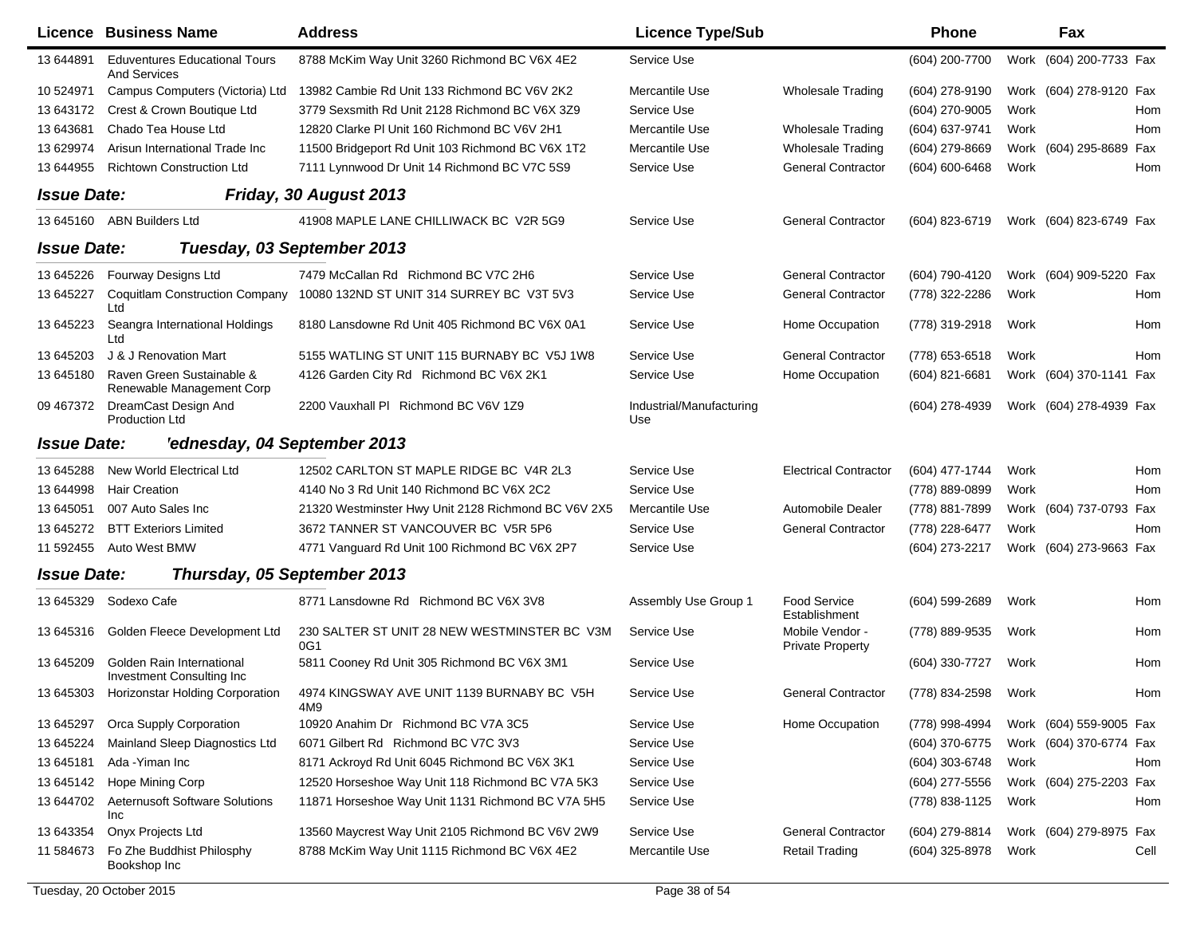|                    | Licence Business Name                                         | <b>Address</b>                                      | <b>Licence Type/Sub</b>         |                                            | <b>Phone</b>   |      | Fax                     |      |
|--------------------|---------------------------------------------------------------|-----------------------------------------------------|---------------------------------|--------------------------------------------|----------------|------|-------------------------|------|
| 13 644891          | <b>Eduventures Educational Tours</b><br><b>And Services</b>   | 8788 McKim Way Unit 3260 Richmond BC V6X 4E2        | Service Use                     |                                            | (604) 200-7700 |      | Work (604) 200-7733 Fax |      |
| 10 524971          | Campus Computers (Victoria) Ltd                               | 13982 Cambie Rd Unit 133 Richmond BC V6V 2K2        | Mercantile Use                  | Wholesale Trading                          | (604) 278-9190 |      | Work (604) 278-9120 Fax |      |
| 13 643172          | Crest & Crown Boutique Ltd                                    | 3779 Sexsmith Rd Unit 2128 Richmond BC V6X 3Z9      | Service Use                     |                                            | (604) 270-9005 | Work |                         | Hom  |
| 13 643 681         | Chado Tea House Ltd                                           | 12820 Clarke PI Unit 160 Richmond BC V6V 2H1        | Mercantile Use                  | <b>Wholesale Trading</b>                   | (604) 637-9741 | Work |                         | Hom  |
| 13 629974          | Arisun International Trade Inc                                | 11500 Bridgeport Rd Unit 103 Richmond BC V6X 1T2    | Mercantile Use                  | <b>Wholesale Trading</b>                   | (604) 279-8669 |      | Work (604) 295-8689 Fax |      |
| 13 644955          | <b>Richtown Construction Ltd</b>                              | 7111 Lynnwood Dr Unit 14 Richmond BC V7C 5S9        | Service Use                     | <b>General Contractor</b>                  | (604) 600-6468 | Work |                         | Hom  |
| <b>Issue Date:</b> |                                                               | Friday, 30 August 2013                              |                                 |                                            |                |      |                         |      |
|                    | 13 645160 ABN Builders Ltd                                    | 41908 MAPLE LANE CHILLIWACK BC V2R 5G9              | Service Use                     | <b>General Contractor</b>                  | (604) 823-6719 |      | Work (604) 823-6749 Fax |      |
| <b>Issue Date:</b> |                                                               | Tuesday, 03 September 2013                          |                                 |                                            |                |      |                         |      |
| 13 645226          | <b>Fourway Designs Ltd</b>                                    | 7479 McCallan Rd Richmond BC V7C 2H6                | Service Use                     | <b>General Contractor</b>                  | (604) 790-4120 |      | Work (604) 909-5220 Fax |      |
| 13 645227          | <b>Coquitlam Construction Company</b><br>Ltd                  | 10080 132ND ST UNIT 314 SURREY BC V3T 5V3           | Service Use                     | <b>General Contractor</b>                  | (778) 322-2286 | Work |                         | Hom  |
| 13 645223          | Seangra International Holdings<br>Ltd                         | 8180 Lansdowne Rd Unit 405 Richmond BC V6X 0A1      | Service Use                     | Home Occupation                            | (778) 319-2918 | Work |                         | Hom  |
| 13 645203          | J & J Renovation Mart                                         | 5155 WATLING ST UNIT 115 BURNABY BC V5J 1W8         | Service Use                     | <b>General Contractor</b>                  | (778) 653-6518 | Work |                         | Hom  |
| 13 645180          | Raven Green Sustainable &<br>Renewable Management Corp        | 4126 Garden City Rd Richmond BC V6X 2K1             | Service Use                     | Home Occupation                            | (604) 821-6681 |      | Work (604) 370-1141 Fax |      |
| 09 467372          | DreamCast Design And<br><b>Production Ltd</b>                 | 2200 Vauxhall PI Richmond BC V6V 1Z9                | Industrial/Manufacturing<br>Use |                                            | (604) 278-4939 |      | Work (604) 278-4939 Fax |      |
| <b>Issue Date:</b> | 'ednesday, 04 September 2013                                  |                                                     |                                 |                                            |                |      |                         |      |
| 13 645288          | New World Electrical Ltd                                      | 12502 CARLTON ST MAPLE RIDGE BC V4R 2L3             | Service Use                     | <b>Electrical Contractor</b>               | (604) 477-1744 | Work |                         | Hom  |
| 13 644998          | <b>Hair Creation</b>                                          | 4140 No 3 Rd Unit 140 Richmond BC V6X 2C2           | Service Use                     |                                            | (778) 889-0899 | Work |                         | Hom  |
| 13 645051          | 007 Auto Sales Inc                                            | 21320 Westminster Hwy Unit 2128 Richmond BC V6V 2X5 | Mercantile Use                  | <b>Automobile Dealer</b>                   | (778) 881-7899 |      | Work (604) 737-0793 Fax |      |
| 13 645272          | <b>BTT Exteriors Limited</b>                                  | 3672 TANNER ST VANCOUVER BC V5R 5P6                 | Service Use                     | <b>General Contractor</b>                  | (778) 228-6477 | Work |                         | Hom  |
| 11 592455          | Auto West BMW                                                 | 4771 Vanguard Rd Unit 100 Richmond BC V6X 2P7       | Service Use                     |                                            | (604) 273-2217 |      | Work (604) 273-9663 Fax |      |
| <b>Issue Date:</b> | Thursday, 05 September 2013                                   |                                                     |                                 |                                            |                |      |                         |      |
| 13 645329          | Sodexo Cafe                                                   | 8771 Lansdowne Rd Richmond BC V6X 3V8               | Assembly Use Group 1            | Food Service<br>Establishment              | (604) 599-2689 | Work |                         | Hom  |
| 13 645316          | Golden Fleece Development Ltd                                 | 230 SALTER ST UNIT 28 NEW WESTMINSTER BC V3M<br>0G1 | Service Use                     | Mobile Vendor -<br><b>Private Property</b> | (778) 889-9535 | Work |                         | Hom  |
| 13 645209          | Golden Rain International<br><b>Investment Consulting Inc</b> | 5811 Cooney Rd Unit 305 Richmond BC V6X 3M1         | Service Use                     |                                            | (604) 330-7727 | Work |                         | Hom  |
| 13 645303          | Horizonstar Holding Corporation                               | 4974 KINGSWAY AVE UNIT 1139 BURNABY BC V5H<br>4M9   | Service Use                     | <b>General Contractor</b>                  | (778) 834-2598 | Work |                         | Hom  |
| 13 645297          | Orca Supply Corporation                                       | 10920 Anahim Dr Richmond BC V7A 3C5                 | Service Use                     | Home Occupation                            | (778) 998-4994 |      | Work (604) 559-9005 Fax |      |
| 13 645224          | Mainland Sleep Diagnostics Ltd                                | 6071 Gilbert Rd Richmond BC V7C 3V3                 | Service Use                     |                                            | (604) 370-6775 |      | Work (604) 370-6774 Fax |      |
| 13 645181          | Ada - Yiman Inc                                               | 8171 Ackroyd Rd Unit 6045 Richmond BC V6X 3K1       | Service Use                     |                                            | (604) 303-6748 | Work |                         | Hom  |
| 13 645142          | Hope Mining Corp                                              | 12520 Horseshoe Way Unit 118 Richmond BC V7A 5K3    | Service Use                     |                                            | (604) 277-5556 |      | Work (604) 275-2203 Fax |      |
| 13 644702          | <b>Aeternusoft Software Solutions</b><br>Inc                  | 11871 Horseshoe Way Unit 1131 Richmond BC V7A 5H5   | Service Use                     |                                            | (778) 838-1125 | Work |                         | Hom  |
| 13 643354          | Onyx Projects Ltd                                             | 13560 Maycrest Way Unit 2105 Richmond BC V6V 2W9    | Service Use                     | <b>General Contractor</b>                  | (604) 279-8814 |      | Work (604) 279-8975 Fax |      |
| 11 584673          | Fo Zhe Buddhist Philosphy<br>Bookshop Inc                     | 8788 McKim Way Unit 1115 Richmond BC V6X 4E2        | Mercantile Use                  | <b>Retail Trading</b>                      | (604) 325-8978 | Work |                         | Cell |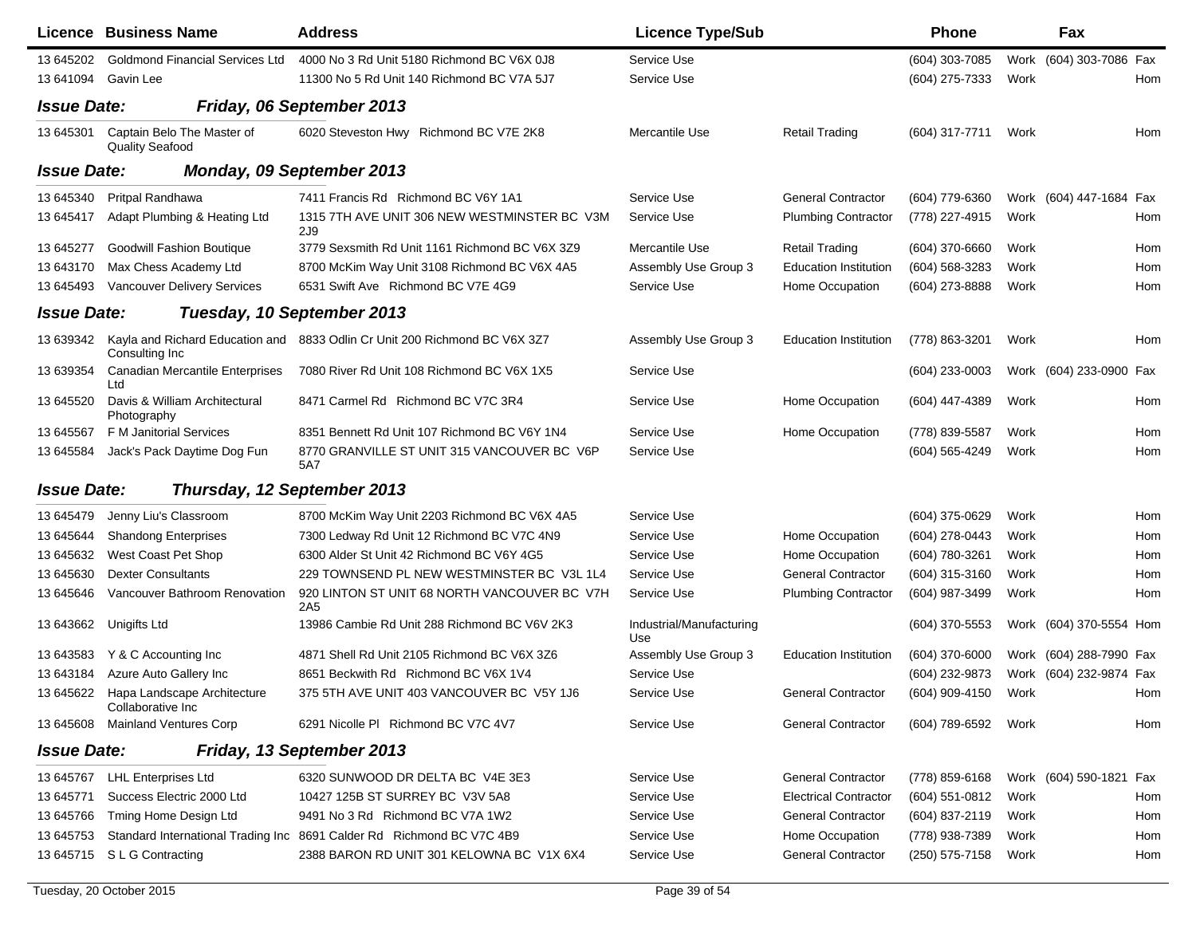|                    | <b>Licence Business Name</b>                               | <b>Address</b>                                                             | <b>Licence Type/Sub</b>         |                              | <b>Phone</b>     |      | Fax                     |     |
|--------------------|------------------------------------------------------------|----------------------------------------------------------------------------|---------------------------------|------------------------------|------------------|------|-------------------------|-----|
| 13 645202          | <b>Goldmond Financial Services Ltd</b>                     | 4000 No 3 Rd Unit 5180 Richmond BC V6X 0J8                                 | Service Use                     |                              | (604) 303-7085   |      | Work (604) 303-7086 Fax |     |
| 13 641094          | Gavin Lee                                                  | 11300 No 5 Rd Unit 140 Richmond BC V7A 5J7                                 | Service Use                     |                              | (604) 275-7333   | Work |                         | Hom |
| <b>Issue Date:</b> |                                                            | Friday, 06 September 2013                                                  |                                 |                              |                  |      |                         |     |
| 13 645301          | Captain Belo The Master of<br><b>Quality Seafood</b>       | 6020 Steveston Hwy Richmond BC V7E 2K8                                     | Mercantile Use                  | <b>Retail Trading</b>        | (604) 317-7711   | Work |                         | Hom |
| <b>Issue Date:</b> |                                                            | Monday, 09 September 2013                                                  |                                 |                              |                  |      |                         |     |
| 13 645340          | Pritpal Randhawa                                           | 7411 Francis Rd Richmond BC V6Y 1A1                                        | Service Use                     | <b>General Contractor</b>    | (604) 779-6360   |      | Work (604) 447-1684 Fax |     |
| 13 645417          | Adapt Plumbing & Heating Ltd                               | 1315 7TH AVE UNIT 306 NEW WESTMINSTER BC V3M<br>2J9                        | Service Use                     | <b>Plumbing Contractor</b>   | (778) 227-4915   | Work |                         | Hom |
| 13 645277          | <b>Goodwill Fashion Boutique</b>                           | 3779 Sexsmith Rd Unit 1161 Richmond BC V6X 3Z9                             | Mercantile Use                  | <b>Retail Trading</b>        | $(604)$ 370-6660 | Work |                         | Hom |
| 13 643170          | Max Chess Academy Ltd                                      | 8700 McKim Way Unit 3108 Richmond BC V6X 4A5                               | Assembly Use Group 3            | <b>Education Institution</b> | (604) 568-3283   | Work |                         | Hom |
| 13 645493          | <b>Vancouver Delivery Services</b>                         | 6531 Swift Ave Richmond BC V7E 4G9                                         | Service Use                     | Home Occupation              | (604) 273-8888   | Work |                         | Hom |
| <b>Issue Date:</b> |                                                            | Tuesday, 10 September 2013                                                 |                                 |                              |                  |      |                         |     |
| 13 639342          | Consulting Inc.                                            | Kayla and Richard Education and 8833 Odlin Cr Unit 200 Richmond BC V6X 3Z7 | Assembly Use Group 3            | <b>Education Institution</b> | (778) 863-3201   | Work |                         | Hom |
| 13 639354          | <b>Canadian Mercantile Enterprises</b><br>Ltd              | 7080 River Rd Unit 108 Richmond BC V6X 1X5                                 | Service Use                     |                              | (604) 233-0003   |      | Work (604) 233-0900 Fax |     |
| 13 645520          | Davis & William Architectural<br>Photography               | 8471 Carmel Rd Richmond BC V7C 3R4                                         | Service Use                     | Home Occupation              | (604) 447-4389   | Work |                         | Hom |
| 13 645567          | F M Janitorial Services                                    | 8351 Bennett Rd Unit 107 Richmond BC V6Y 1N4                               | Service Use                     | Home Occupation              | (778) 839-5587   | Work |                         | Hom |
| 13 645584          | Jack's Pack Daytime Dog Fun                                | 8770 GRANVILLE ST UNIT 315 VANCOUVER BC V6P<br>5A7                         | Service Use                     |                              | (604) 565-4249   | Work |                         | Hom |
| <b>Issue Date:</b> | Thursday, 12 September 2013                                |                                                                            |                                 |                              |                  |      |                         |     |
| 13 645479          | Jenny Liu's Classroom                                      | 8700 McKim Way Unit 2203 Richmond BC V6X 4A5                               | Service Use                     |                              | (604) 375-0629   | Work |                         | Hom |
| 13 645 644         | <b>Shandong Enterprises</b>                                | 7300 Ledway Rd Unit 12 Richmond BC V7C 4N9                                 | Service Use                     | Home Occupation              | (604) 278-0443   | Work |                         | Hom |
| 13 645632          | West Coast Pet Shop                                        | 6300 Alder St Unit 42 Richmond BC V6Y 4G5                                  | Service Use                     | Home Occupation              | (604) 780-3261   | Work |                         | Hom |
| 13 645630          | <b>Dexter Consultants</b>                                  | 229 TOWNSEND PL NEW WESTMINSTER BC V3L 1L4                                 | Service Use                     | <b>General Contractor</b>    | (604) 315-3160   | Work |                         | Hom |
| 13 645646          | Vancouver Bathroom Renovation                              | 920 LINTON ST UNIT 68 NORTH VANCOUVER BC V7H<br>2A <sub>5</sub>            | Service Use                     | <b>Plumbing Contractor</b>   | (604) 987-3499   | Work |                         | Hom |
| 13 643 662         | Unigifts Ltd                                               | 13986 Cambie Rd Unit 288 Richmond BC V6V 2K3                               | Industrial/Manufacturing<br>Use |                              | (604) 370-5553   |      | Work (604) 370-5554 Hom |     |
| 13 643583          | Y & C Accounting Inc                                       | 4871 Shell Rd Unit 2105 Richmond BC V6X 3Z6                                | Assembly Use Group 3            | <b>Education Institution</b> | (604) 370-6000   |      | Work (604) 288-7990 Fax |     |
| 13 643184          | Azure Auto Gallery Inc                                     | 8651 Beckwith Rd Richmond BC V6X 1V4                                       | Service Use                     |                              | (604) 232-9873   |      | Work (604) 232-9874 Fax |     |
|                    | 13 645622 Hapa Landscape Architecture<br>Collaborative Inc | 375 5TH AVE UNIT 403 VANCOUVER BC V5Y 1J6                                  | Service Use                     | <b>General Contractor</b>    | (604) 909-4150   | Work |                         | Hom |
| 13 645608          | <b>Mainland Ventures Corp</b>                              | 6291 Nicolle PI Richmond BC V7C 4V7                                        | Service Use                     | <b>General Contractor</b>    | (604) 789-6592   | Work |                         | Hom |
| <b>Issue Date:</b> |                                                            | Friday, 13 September 2013                                                  |                                 |                              |                  |      |                         |     |
| 13 645767          | <b>LHL Enterprises Ltd</b>                                 | 6320 SUNWOOD DR DELTA BC V4E 3E3                                           | Service Use                     | <b>General Contractor</b>    | (778) 859-6168   |      | Work (604) 590-1821 Fax |     |
| 13 645771          | Success Electric 2000 Ltd                                  | 10427 125B ST SURREY BC V3V 5A8                                            | Service Use                     | <b>Electrical Contractor</b> | $(604)$ 551-0812 | Work |                         | Hom |
| 13 645766          | Tming Home Design Ltd                                      | 9491 No 3 Rd Richmond BC V7A 1W2                                           | Service Use                     | <b>General Contractor</b>    | (604) 837-2119   | Work |                         | Hom |
| 13 645753          |                                                            | Standard International Trading Inc 8691 Calder Rd Richmond BC V7C 4B9      | Service Use                     | Home Occupation              | (778) 938-7389   | Work |                         | Hom |
| 13 645715          | S L G Contracting                                          | 2388 BARON RD UNIT 301 KELOWNA BC V1X 6X4                                  | Service Use                     | <b>General Contractor</b>    | (250) 575-7158   | Work |                         | Hom |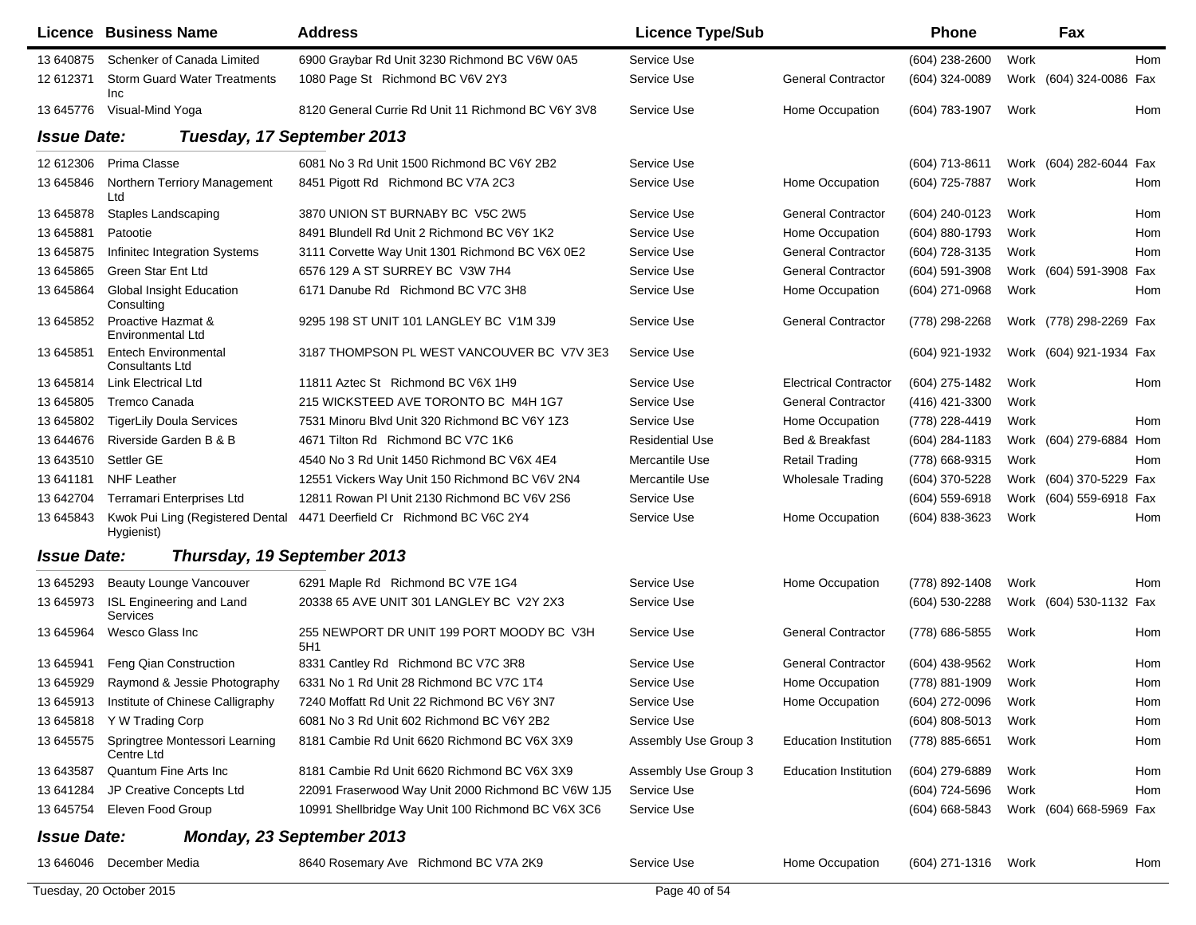|                    | Licence Business Name                                 | <b>Address</b>                                     | <b>Licence Type/Sub</b> |                              | <b>Phone</b>     |      | Fax                     |            |
|--------------------|-------------------------------------------------------|----------------------------------------------------|-------------------------|------------------------------|------------------|------|-------------------------|------------|
| 13 640875          | Schenker of Canada Limited                            | 6900 Graybar Rd Unit 3230 Richmond BC V6W 0A5      | Service Use             |                              | (604) 238-2600   | Work |                         | <b>Hom</b> |
| 12 612371          | <b>Storm Guard Water Treatments</b><br>Inc            | 1080 Page St Richmond BC V6V 2Y3                   | Service Use             | <b>General Contractor</b>    | (604) 324-0089   | Work | (604) 324-0086 Fax      |            |
| 13 645776          | Visual-Mind Yoga                                      | 8120 General Currie Rd Unit 11 Richmond BC V6Y 3V8 | Service Use             | Home Occupation              | (604) 783-1907   | Work |                         | Hom        |
| <b>Issue Date:</b> |                                                       | Tuesday, 17 September 2013                         |                         |                              |                  |      |                         |            |
| 12 612306          | Prima Classe                                          | 6081 No 3 Rd Unit 1500 Richmond BC V6Y 2B2         | Service Use             |                              | (604) 713-8611   |      | Work (604) 282-6044 Fax |            |
| 13 645846          | Northern Terriory Management<br>Ltd                   | 8451 Pigott Rd Richmond BC V7A 2C3                 | Service Use             | Home Occupation              | (604) 725-7887   | Work |                         | Hom        |
| 13 645878          | Staples Landscaping                                   | 3870 UNION ST BURNABY BC V5C 2W5                   | Service Use             | <b>General Contractor</b>    | (604) 240-0123   | Work |                         | Hom        |
| 13 645881          | Patootie                                              | 8491 Blundell Rd Unit 2 Richmond BC V6Y 1K2        | Service Use             | Home Occupation              | (604) 880-1793   | Work |                         | Hom        |
| 13 645875          | Infinitec Integration Systems                         | 3111 Corvette Way Unit 1301 Richmond BC V6X 0E2    | Service Use             | <b>General Contractor</b>    | (604) 728-3135   | Work |                         | Hom        |
| 13 645865          | <b>Green Star Ent Ltd</b>                             | 6576 129 A ST SURREY BC V3W 7H4                    | Service Use             | <b>General Contractor</b>    | (604) 591-3908   |      | Work (604) 591-3908 Fax |            |
| 13 645864          | Global Insight Education<br>Consulting                | 6171 Danube Rd Richmond BC V7C 3H8                 | Service Use             | Home Occupation              | (604) 271-0968   | Work |                         | Hom        |
| 13 645852          | Proactive Hazmat &<br>Environmental Ltd               | 9295 198 ST UNIT 101 LANGLEY BC V1M 3J9            | Service Use             | <b>General Contractor</b>    | (778) 298-2268   |      | Work (778) 298-2269 Fax |            |
| 13 645851          | <b>Entech Environmental</b><br><b>Consultants Ltd</b> | 3187 THOMPSON PL WEST VANCOUVER BC V7V 3E3         | Service Use             |                              | (604) 921-1932   |      | Work (604) 921-1934 Fax |            |
| 13 645814          | <b>Link Electrical Ltd</b>                            | 11811 Aztec St Richmond BC V6X 1H9                 | Service Use             | <b>Electrical Contractor</b> | (604) 275-1482   | Work |                         | Hom        |
| 13 645805          | Tremco Canada                                         | 215 WICKSTEED AVE TORONTO BC M4H 1G7               | Service Use             | <b>General Contractor</b>    | (416) 421-3300   | Work |                         |            |
| 13 645802          | <b>TigerLily Doula Services</b>                       | 7531 Minoru Blvd Unit 320 Richmond BC V6Y 1Z3      | Service Use             | Home Occupation              | (778) 228-4419   | Work |                         | <b>Hom</b> |
| 13 644676          | Riverside Garden B & B                                | 4671 Tilton Rd Richmond BC V7C 1K6                 | <b>Residential Use</b>  | Bed & Breakfast              | (604) 284-1183   |      | Work (604) 279-6884     | Hom        |
| 13 643510          | Settler GE                                            | 4540 No 3 Rd Unit 1450 Richmond BC V6X 4E4         | Mercantile Use          | <b>Retail Trading</b>        | (778) 668-9315   | Work |                         | Hom        |
| 13 641181          | <b>NHF Leather</b>                                    | 12551 Vickers Way Unit 150 Richmond BC V6V 2N4     | Mercantile Use          | <b>Wholesale Trading</b>     | (604) 370-5228   |      | Work (604) 370-5229 Fax |            |
| 13 642704          | Terramari Enterprises Ltd                             | 12811 Rowan PI Unit 2130 Richmond BC V6V 2S6       | Service Use             |                              | (604) 559-6918   |      | Work (604) 559-6918 Fax |            |
| 13 645843          | Kwok Pui Ling (Registered Dental<br>Hygienist)        | 4471 Deerfield Cr Richmond BC V6C 2Y4              | Service Use             | Home Occupation              | (604) 838-3623   | Work |                         | Hom        |
| <b>Issue Date:</b> | Thursday, 19 September 2013                           |                                                    |                         |                              |                  |      |                         |            |
| 13 645293          | Beauty Lounge Vancouver                               | 6291 Maple Rd Richmond BC V7E 1G4                  | Service Use             | Home Occupation              | (778) 892-1408   | Work |                         | <b>Hom</b> |
| 13 645973          | ISL Engineering and Land<br>Services                  | 20338 65 AVE UNIT 301 LANGLEY BC V2Y 2X3           | Service Use             |                              | (604) 530-2288   |      | Work (604) 530-1132 Fax |            |
| 13 645964          | Wesco Glass Inc                                       | 255 NEWPORT DR UNIT 199 PORT MOODY BC V3H<br>5H1   | Service Use             | <b>General Contractor</b>    | (778) 686-5855   | Work |                         | Hom        |
| 13 645941          | Feng Qian Construction                                | 8331 Cantley Rd Richmond BC V7C 3R8                | Service Use             | <b>General Contractor</b>    | (604) 438-9562   | Work |                         | <b>Hom</b> |
| 13 645929          | Raymond & Jessie Photography                          | 6331 No 1 Rd Unit 28 Richmond BC V7C 1T4           | Service Use             | Home Occupation              | (778) 881-1909   | Work |                         | Hom        |
|                    | 13 645913 Institute of Chinese Calligraphy            | 7240 Moffatt Rd Unit 22 Richmond BC V6Y 3N7        | Service Use             | Home Occupation              | (604) 272-0096   | Work |                         | Hom        |
| 13 645818          | Y W Trading Corp                                      | 6081 No 3 Rd Unit 602 Richmond BC V6Y 2B2          | Service Use             |                              | $(604)$ 808-5013 | Work |                         | Hom        |
| 13 645575          | Springtree Montessori Learning<br>Centre Ltd          | 8181 Cambie Rd Unit 6620 Richmond BC V6X 3X9       | Assembly Use Group 3    | <b>Education Institution</b> | (778) 885-6651   | Work |                         | Hom        |
| 13 643587          | Quantum Fine Arts Inc                                 | 8181 Cambie Rd Unit 6620 Richmond BC V6X 3X9       | Assembly Use Group 3    | <b>Education Institution</b> | (604) 279-6889   | Work |                         | Hom        |
| 13 641284          | JP Creative Concepts Ltd                              | 22091 Fraserwood Way Unit 2000 Richmond BC V6W 1J5 | Service Use             |                              | (604) 724-5696   | Work |                         | Hom        |
| 13 645754          | Eleven Food Group                                     | 10991 Shellbridge Way Unit 100 Richmond BC V6X 3C6 | Service Use             |                              | (604) 668-5843   |      | Work (604) 668-5969 Fax |            |
| <b>Issue Date:</b> |                                                       | <b>Monday, 23 September 2013</b>                   |                         |                              |                  |      |                         |            |
| 13 646046          | December Media                                        | 8640 Rosemary Ave Richmond BC V7A 2K9              | Service Use             | Home Occupation              | (604) 271-1316   | Work |                         | Hom        |
|                    | Tuesday, 20 October 2015                              |                                                    | Page 40 of 54           |                              |                  |      |                         |            |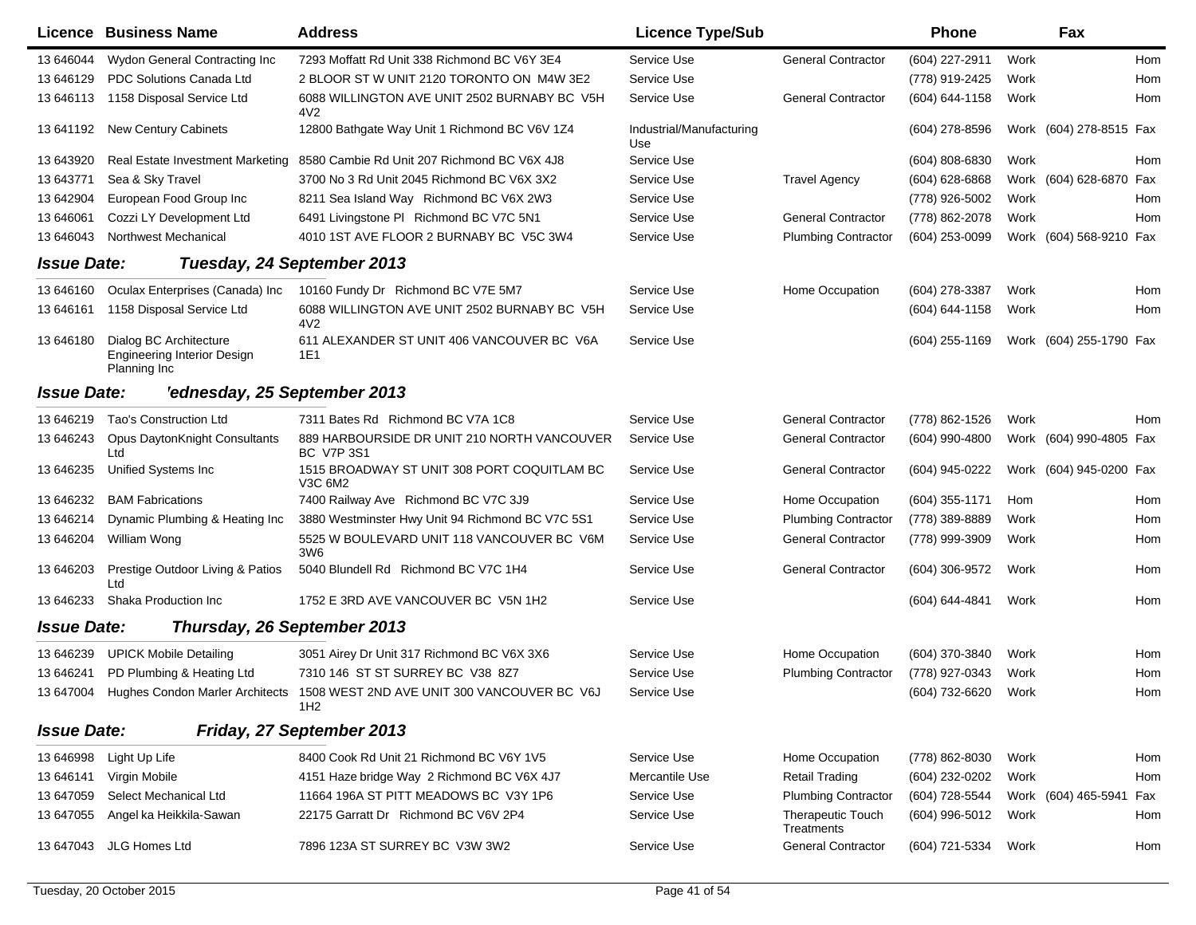|                    | <b>Licence Business Name</b>                                                 | <b>Address</b>                                                   | <b>Licence Type/Sub</b>         |                                        | <b>Phone</b>     |      | Fax                     |            |
|--------------------|------------------------------------------------------------------------------|------------------------------------------------------------------|---------------------------------|----------------------------------------|------------------|------|-------------------------|------------|
| 13 646044          | Wydon General Contracting Inc                                                | 7293 Moffatt Rd Unit 338 Richmond BC V6Y 3E4                     | Service Use                     | <b>General Contractor</b>              | (604) 227-2911   | Work |                         | <b>Hom</b> |
| 13 646129          | PDC Solutions Canada Ltd                                                     | 2 BLOOR ST W UNIT 2120 TORONTO ON M4W 3E2                        | Service Use                     |                                        | (778) 919-2425   | Work |                         | Hom        |
| 13 646113          | 1158 Disposal Service Ltd                                                    | 6088 WILLINGTON AVE UNIT 2502 BURNABY BC V5H<br>4V2              | Service Use                     | <b>General Contractor</b>              | (604) 644-1158   | Work |                         | Hom        |
| 13 641192          | <b>New Century Cabinets</b>                                                  | 12800 Bathgate Way Unit 1 Richmond BC V6V 1Z4                    | Industrial/Manufacturing<br>Use |                                        | (604) 278-8596   |      | Work (604) 278-8515 Fax |            |
| 13 643920          | Real Estate Investment Marketing                                             | 8580 Cambie Rd Unit 207 Richmond BC V6X 4J8                      | Service Use                     |                                        | (604) 808-6830   | Work |                         | Hom        |
| 13 643771          | Sea & Sky Travel                                                             | 3700 No 3 Rd Unit 2045 Richmond BC V6X 3X2                       | Service Use                     | <b>Travel Agency</b>                   | (604) 628-6868   |      | Work (604) 628-6870 Fax |            |
| 13 642904          | European Food Group Inc                                                      | 8211 Sea Island Way Richmond BC V6X 2W3                          | Service Use                     |                                        | (778) 926-5002   | Work |                         | Hom        |
| 13 64 60 61        | Cozzi LY Development Ltd                                                     | 6491 Livingstone PI Richmond BC V7C 5N1                          | Service Use                     | <b>General Contractor</b>              | (778) 862-2078   | Work |                         | Hom        |
| 13 646043          | Northwest Mechanical                                                         | 4010 1ST AVE FLOOR 2 BURNABY BC V5C 3W4                          | Service Use                     | <b>Plumbing Contractor</b>             | (604) 253-0099   |      | Work (604) 568-9210 Fax |            |
| <b>Issue Date:</b> |                                                                              | Tuesday, 24 September 2013                                       |                                 |                                        |                  |      |                         |            |
| 13 646160          | Oculax Enterprises (Canada) Inc                                              | 10160 Fundy Dr Richmond BC V7E 5M7                               | Service Use                     | Home Occupation                        | (604) 278-3387   | Work |                         | Hom        |
| 13 64 61 61        | 1158 Disposal Service Ltd                                                    | 6088 WILLINGTON AVE UNIT 2502 BURNABY BC V5H<br>4V <sub>2</sub>  | Service Use                     |                                        | (604) 644-1158   | Work |                         | Hom        |
| 13 646180          | Dialog BC Architecture<br><b>Engineering Interior Design</b><br>Planning Inc | 611 ALEXANDER ST UNIT 406 VANCOUVER BC V6A<br>1E1                | Service Use                     |                                        | $(604)$ 255-1169 |      | Work (604) 255-1790 Fax |            |
| <b>Issue Date:</b> | 'ednesday, 25 September 2013                                                 |                                                                  |                                 |                                        |                  |      |                         |            |
| 13 646219          | Tao's Construction Ltd                                                       | 7311 Bates Rd Richmond BC V7A 1C8                                | Service Use                     | <b>General Contractor</b>              | (778) 862-1526   | Work |                         | Hom        |
| 13 646243          | <b>Opus DaytonKnight Consultants</b><br>Ltd                                  | 889 HARBOURSIDE DR UNIT 210 NORTH VANCOUVER<br><b>BC V7P 3S1</b> | Service Use                     | <b>General Contractor</b>              | (604) 990-4800   |      | Work (604) 990-4805 Fax |            |
| 13 646235          | Unified Systems Inc                                                          | 1515 BROADWAY ST UNIT 308 PORT COQUITLAM BC<br>V3C 6M2           | Service Use                     | <b>General Contractor</b>              | (604) 945-0222   |      | Work (604) 945-0200 Fax |            |
| 13 646232          | <b>BAM Fabrications</b>                                                      | 7400 Railway Ave Richmond BC V7C 3J9                             | Service Use                     | Home Occupation                        | (604) 355-1171   | Hom  |                         | Hom        |
| 13 646214          | Dynamic Plumbing & Heating Inc                                               | 3880 Westminster Hwy Unit 94 Richmond BC V7C 5S1                 | Service Use                     | <b>Plumbing Contractor</b>             | (778) 389-8889   | Work |                         | Hom        |
| 13 646204          | William Wong                                                                 | 5525 W BOULEVARD UNIT 118 VANCOUVER BC V6M<br>3W <sub>6</sub>    | Service Use                     | <b>General Contractor</b>              | (778) 999-3909   | Work |                         | Hom        |
| 13 646203          | Prestige Outdoor Living & Patios<br>Ltd                                      | 5040 Blundell Rd Richmond BC V7C 1H4                             | Service Use                     | <b>General Contractor</b>              | (604) 306-9572   | Work |                         | Hom        |
| 13 646233          | Shaka Production Inc.                                                        | 1752 E 3RD AVE VANCOUVER BC V5N 1H2                              | Service Use                     |                                        | (604) 644-4841   | Work |                         | Hom        |
| <b>Issue Date:</b> | Thursday, 26 September 2013                                                  |                                                                  |                                 |                                        |                  |      |                         |            |
| 13 646239          | <b>UPICK Mobile Detailing</b>                                                | 3051 Airey Dr Unit 317 Richmond BC V6X 3X6                       | Service Use                     | Home Occupation                        | (604) 370-3840   | Work |                         | Hom        |
| 13 646241          | PD Plumbing & Heating Ltd                                                    | 7310 146 ST ST SURREY BC V38 8Z7                                 | Service Use                     | <b>Plumbing Contractor</b>             | (778) 927-0343   | Work |                         | Hom        |
| 13 647004          | <b>Hughes Condon Marler Architects</b>                                       | 1508 WEST 2ND AVE UNIT 300 VANCOUVER BC V6J<br>1H <sub>2</sub>   | Service Use                     |                                        | (604) 732-6620   | Work |                         | Hom        |
| <b>Issue Date:</b> |                                                                              | Friday, 27 September 2013                                        |                                 |                                        |                  |      |                         |            |
| 13 64 6998         | Light Up Life                                                                | 8400 Cook Rd Unit 21 Richmond BC V6Y 1V5                         | Service Use                     | Home Occupation                        | (778) 862-8030   | Work |                         | Hom        |
| 13 646141          | Virgin Mobile                                                                | 4151 Haze bridge Way 2 Richmond BC V6X 4J7                       | Mercantile Use                  | <b>Retail Trading</b>                  | (604) 232-0202   | Work |                         | Hom        |
| 13 647059          | Select Mechanical Ltd                                                        | 11664 196A ST PITT MEADOWS BC V3Y 1P6                            | Service Use                     | <b>Plumbing Contractor</b>             | (604) 728-5544   |      | Work (604) 465-5941     | Fax        |
| 13 647055          | Angel ka Heikkila-Sawan                                                      | 22175 Garratt Dr Richmond BC V6V 2P4                             | Service Use                     | <b>Therapeutic Touch</b><br>Treatments | (604) 996-5012   | Work |                         | Hom        |
| 13 647043          | JLG Homes Ltd                                                                | 7896 123A ST SURREY BC V3W 3W2                                   | Service Use                     | <b>General Contractor</b>              | (604) 721-5334   | Work |                         | Hom        |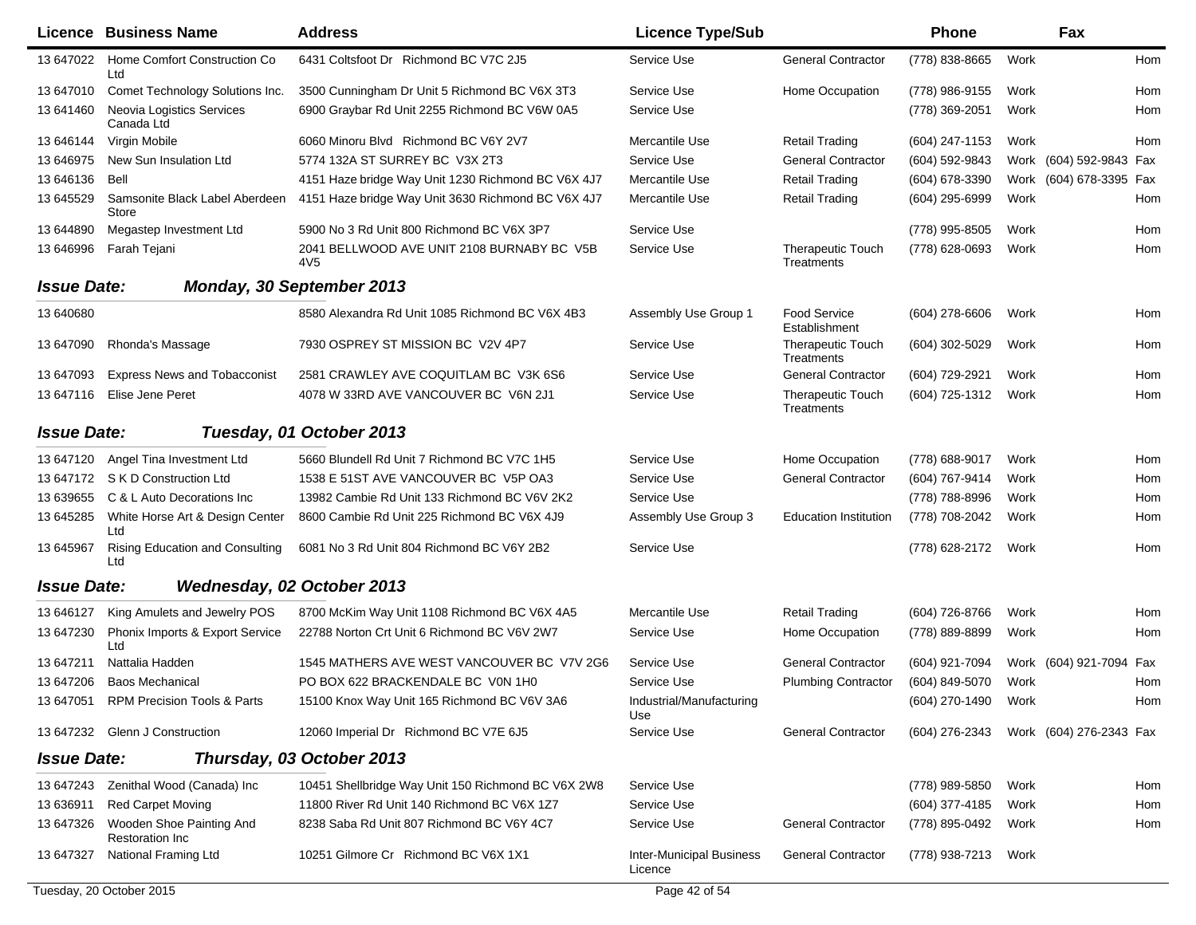|                    | <b>Licence Business Name</b>                       | <b>Address</b>                                                | <b>Licence Type/Sub</b>                    |                                        | <b>Phone</b>     |      | Fax                     |     |
|--------------------|----------------------------------------------------|---------------------------------------------------------------|--------------------------------------------|----------------------------------------|------------------|------|-------------------------|-----|
| 13 647022          | Home Comfort Construction Co<br>Ltd                | 6431 Coltsfoot Dr Richmond BC V7C 2J5                         | Service Use                                | <b>General Contractor</b>              | (778) 838-8665   | Work |                         | Hom |
| 13 647010          | Comet Technology Solutions Inc.                    | 3500 Cunningham Dr Unit 5 Richmond BC V6X 3T3                 | Service Use                                | Home Occupation                        | (778) 986-9155   | Work |                         | Hom |
| 13 641460          | <b>Neovia Logistics Services</b><br>Canada Ltd     | 6900 Graybar Rd Unit 2255 Richmond BC V6W 0A5                 | Service Use                                |                                        | (778) 369-2051   | Work |                         | Hom |
| 13 646144          | Virgin Mobile                                      | 6060 Minoru Blvd Richmond BC V6Y 2V7                          | Mercantile Use                             | <b>Retail Trading</b>                  | (604) 247-1153   | Work |                         | Hom |
| 13 64 6975         | New Sun Insulation Ltd                             | 5774 132A ST SURREY BC V3X 2T3                                | Service Use                                | <b>General Contractor</b>              | (604) 592-9843   |      | Work (604) 592-9843 Fax |     |
| 13 646136          | Bell                                               | 4151 Haze bridge Way Unit 1230 Richmond BC V6X 4J7            | Mercantile Use                             | <b>Retail Trading</b>                  | (604) 678-3390   |      | Work (604) 678-3395 Fax |     |
| 13 645529          | Samsonite Black Label Aberdeen<br><b>Store</b>     | 4151 Haze bridge Way Unit 3630 Richmond BC V6X 4J7            | Mercantile Use                             | <b>Retail Trading</b>                  | (604) 295-6999   | Work |                         | Hom |
| 13 644890          | Megastep Investment Ltd                            | 5900 No 3 Rd Unit 800 Richmond BC V6X 3P7                     | Service Use                                |                                        | (778) 995-8505   | Work |                         | Hom |
| 13 646996          | Farah Tejani                                       | 2041 BELLWOOD AVE UNIT 2108 BURNABY BC V5B<br>4V <sub>5</sub> | Service Use                                | <b>Therapeutic Touch</b><br>Treatments | (778) 628-0693   | Work |                         | Hom |
| <b>Issue Date:</b> |                                                    | <b>Monday, 30 September 2013</b>                              |                                            |                                        |                  |      |                         |     |
| 13 640680          |                                                    | 8580 Alexandra Rd Unit 1085 Richmond BC V6X 4B3               | Assembly Use Group 1                       | <b>Food Service</b><br>Establishment   | $(604)$ 278-6606 | Work |                         | Hom |
| 13 647090          | Rhonda's Massage                                   | 7930 OSPREY ST MISSION BC V2V 4P7                             | Service Use                                | <b>Therapeutic Touch</b><br>Treatments | $(604)$ 302-5029 | Work |                         | Hom |
| 13 647093          | <b>Express News and Tobacconist</b>                | 2581 CRAWLEY AVE COQUITLAM BC V3K 6S6                         | Service Use                                | <b>General Contractor</b>              | (604) 729-2921   | Work |                         | Hom |
| 13 647116          | Elise Jene Peret                                   | 4078 W 33RD AVE VANCOUVER BC V6N 2J1                          | Service Use                                | <b>Therapeutic Touch</b><br>Treatments | (604) 725-1312   | Work |                         | Hom |
| <b>Issue Date:</b> |                                                    | Tuesday, 01 October 2013                                      |                                            |                                        |                  |      |                         |     |
| 13 647120          | Angel Tina Investment Ltd                          | 5660 Blundell Rd Unit 7 Richmond BC V7C 1H5                   | Service Use                                | Home Occupation                        | (778) 688-9017   | Work |                         | Hom |
| 13 647172          | S K D Construction Ltd                             | 1538 E 51ST AVE VANCOUVER BC V5P OA3                          | Service Use                                | <b>General Contractor</b>              | (604) 767-9414   | Work |                         | Hom |
| 13 639655          | C & L Auto Decorations Inc                         | 13982 Cambie Rd Unit 133 Richmond BC V6V 2K2                  | Service Use                                |                                        | (778) 788-8996   | Work |                         | Hom |
| 13 645285          | White Horse Art & Design Center<br>Ltd             | 8600 Cambie Rd Unit 225 Richmond BC V6X 4J9                   | Assembly Use Group 3                       | <b>Education Institution</b>           | (778) 708-2042   | Work |                         | Hom |
| 13 645967          | Rising Education and Consulting<br>Ltd             | 6081 No 3 Rd Unit 804 Richmond BC V6Y 2B2                     | Service Use                                |                                        | (778) 628-2172   | Work |                         | Hom |
| <b>Issue Date:</b> |                                                    | Wednesday, 02 October 2013                                    |                                            |                                        |                  |      |                         |     |
| 13 646127          | King Amulets and Jewelry POS                       | 8700 McKim Way Unit 1108 Richmond BC V6X 4A5                  | Mercantile Use                             | <b>Retail Trading</b>                  | (604) 726-8766   | Work |                         | Hom |
| 13 647230          | Phonix Imports & Export Service<br>Ltd             | 22788 Norton Crt Unit 6 Richmond BC V6V 2W7                   | Service Use                                | Home Occupation                        | (778) 889-8899   | Work |                         | Hom |
| 13 647211          | Nattalia Hadden                                    | 1545 MATHERS AVE WEST VANCOUVER BC V7V 2G6                    | Service Use                                | <b>General Contractor</b>              | (604) 921-7094   |      | Work (604) 921-7094     | Fax |
| 13 647206          | <b>Baos Mechanical</b>                             | PO BOX 622 BRACKENDALE BC V0N 1H0                             | Service Use                                | <b>Plumbing Contractor</b>             | (604) 849-5070   | Work |                         | Hom |
|                    | 13 647051 RPM Precision Tools & Parts              | 15100 Knox Way Unit 165 Richmond BC V6V 3A6                   | Industrial/Manufacturing<br>Use            |                                        | (604) 270-1490   | Work |                         | Hom |
|                    | 13 647232 Glenn J Construction                     | 12060 Imperial Dr Richmond BC V7E 6J5                         | Service Use                                | <b>General Contractor</b>              | (604) 276-2343   |      | Work (604) 276-2343 Fax |     |
| <b>Issue Date:</b> |                                                    | Thursday, 03 October 2013                                     |                                            |                                        |                  |      |                         |     |
|                    | 13 647243 Zenithal Wood (Canada) Inc               | 10451 Shellbridge Way Unit 150 Richmond BC V6X 2W8            | Service Use                                |                                        | (778) 989-5850   | Work |                         | Hom |
| 13 636911          | <b>Red Carpet Moving</b>                           | 11800 River Rd Unit 140 Richmond BC V6X 1Z7                   | Service Use                                |                                        | (604) 377-4185   | Work |                         | Hom |
| 13 647326          | Wooden Shoe Painting And<br><b>Restoration Inc</b> | 8238 Saba Rd Unit 807 Richmond BC V6Y 4C7                     | Service Use                                | <b>General Contractor</b>              | (778) 895-0492   | Work |                         | Hom |
| 13 647327          | National Framing Ltd                               | 10251 Gilmore Cr Richmond BC V6X 1X1                          | <b>Inter-Municipal Business</b><br>Licence | <b>General Contractor</b>              | (778) 938-7213   | Work |                         |     |
|                    | Tuesday, 20 October 2015                           |                                                               | Page 42 of 54                              |                                        |                  |      |                         |     |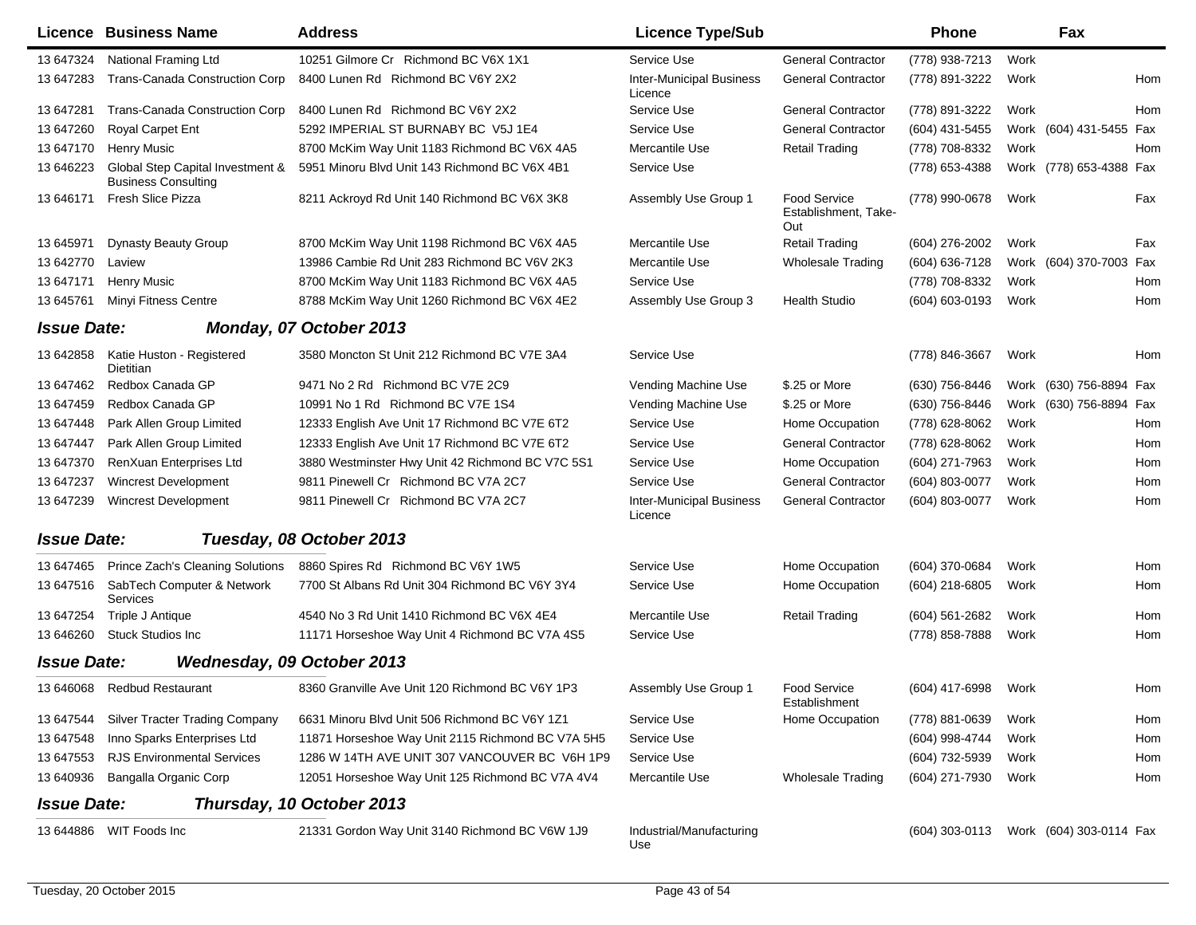| Licence            | <b>Business Name</b>                                           | <b>Address</b>                                    | <b>Licence Type/Sub</b>                    |                                                    | <b>Phone</b>     |      | Fax                     |     |
|--------------------|----------------------------------------------------------------|---------------------------------------------------|--------------------------------------------|----------------------------------------------------|------------------|------|-------------------------|-----|
| 13 647324          | National Framing Ltd                                           | 10251 Gilmore Cr Richmond BC V6X 1X1              | Service Use                                | <b>General Contractor</b>                          | (778) 938-7213   | Work |                         |     |
| 13 647283          | <b>Trans-Canada Construction Corp</b>                          | 8400 Lunen Rd Richmond BC V6Y 2X2                 | <b>Inter-Municipal Business</b><br>Licence | <b>General Contractor</b>                          | (778) 891-3222   | Work |                         | Hom |
| 13 647281          | <b>Trans-Canada Construction Corp</b>                          | 8400 Lunen Rd Richmond BC V6Y 2X2                 | Service Use                                | <b>General Contractor</b>                          | (778) 891-3222   | Work |                         | Hom |
| 13 647260          | <b>Royal Carpet Ent</b>                                        | 5292 IMPERIAL ST BURNABY BC V5J 1E4               | Service Use                                | <b>General Contractor</b>                          | (604) 431-5455   |      | Work (604) 431-5455 Fax |     |
| 13 647170          | <b>Henry Music</b>                                             | 8700 McKim Way Unit 1183 Richmond BC V6X 4A5      | Mercantile Use                             | <b>Retail Trading</b>                              | (778) 708-8332   | Work |                         | Hom |
| 13 646223          | Global Step Capital Investment &<br><b>Business Consulting</b> | 5951 Minoru Blvd Unit 143 Richmond BC V6X 4B1     | Service Use                                |                                                    | (778) 653-4388   |      | Work (778) 653-4388 Fax |     |
| 13 646171          | Fresh Slice Pizza                                              | 8211 Ackroyd Rd Unit 140 Richmond BC V6X 3K8      | Assembly Use Group 1                       | <b>Food Service</b><br>Establishment, Take-<br>Out | (778) 990-0678   | Work |                         | Fax |
| 13 645971          | Dynasty Beauty Group                                           | 8700 McKim Way Unit 1198 Richmond BC V6X 4A5      | Mercantile Use                             | <b>Retail Trading</b>                              | (604) 276-2002   | Work |                         | Fax |
| 13 642770          | Laview                                                         | 13986 Cambie Rd Unit 283 Richmond BC V6V 2K3      | Mercantile Use                             | <b>Wholesale Trading</b>                           | (604) 636-7128   |      | Work (604) 370-7003     | Fax |
| 13 647171          | <b>Henry Music</b>                                             | 8700 McKim Way Unit 1183 Richmond BC V6X 4A5      | Service Use                                |                                                    | (778) 708-8332   | Work |                         | Hom |
| 13 645761          | Minyi Fitness Centre                                           | 8788 McKim Way Unit 1260 Richmond BC V6X 4E2      | Assembly Use Group 3                       | <b>Health Studio</b>                               | (604) 603-0193   | Work |                         | Hom |
| <b>Issue Date:</b> |                                                                | Monday, 07 October 2013                           |                                            |                                                    |                  |      |                         |     |
| 13 642858          | Katie Huston - Registered<br>Dietitian                         | 3580 Moncton St Unit 212 Richmond BC V7E 3A4      | Service Use                                |                                                    | (778) 846-3667   | Work |                         | Hom |
| 13 647462          | Redbox Canada GP                                               | 9471 No 2 Rd Richmond BC V7E 2C9                  | Vending Machine Use                        | \$.25 or More                                      | (630) 756-8446   |      | Work (630) 756-8894 Fax |     |
| 13 647459          | Redbox Canada GP                                               | 10991 No 1 Rd Richmond BC V7E 1S4                 | Vending Machine Use                        | \$.25 or More                                      | (630) 756-8446   |      | Work (630) 756-8894 Fax |     |
| 13 647448          | Park Allen Group Limited                                       | 12333 English Ave Unit 17 Richmond BC V7E 6T2     | Service Use                                | Home Occupation                                    | (778) 628-8062   | Work |                         | Hom |
| 13 647447          | Park Allen Group Limited                                       | 12333 English Ave Unit 17 Richmond BC V7E 6T2     | Service Use                                | <b>General Contractor</b>                          | (778) 628-8062   | Work |                         | Hom |
| 13 647370          | RenXuan Enterprises Ltd                                        | 3880 Westminster Hwy Unit 42 Richmond BC V7C 5S1  | Service Use                                | Home Occupation                                    | (604) 271-7963   | Work |                         | Hom |
| 13 647237          | <b>Wincrest Development</b>                                    | 9811 Pinewell Cr Richmond BC V7A 2C7              | Service Use                                | <b>General Contractor</b>                          | (604) 803-0077   | Work |                         | Hom |
| 13 647239          | <b>Wincrest Development</b>                                    | 9811 Pinewell Cr Richmond BC V7A 2C7              | <b>Inter-Municipal Business</b><br>Licence | <b>General Contractor</b>                          | (604) 803-0077   | Work |                         | Hom |
| <b>Issue Date:</b> |                                                                | Tuesday, 08 October 2013                          |                                            |                                                    |                  |      |                         |     |
| 13 647465          | Prince Zach's Cleaning Solutions                               | 8860 Spires Rd Richmond BC V6Y 1W5                | Service Use                                | Home Occupation                                    | (604) 370-0684   | Work |                         | Hom |
| 13 647516          | SabTech Computer & Network<br>Services                         | 7700 St Albans Rd Unit 304 Richmond BC V6Y 3Y4    | Service Use                                | Home Occupation                                    | (604) 218-6805   | Work |                         | Hom |
| 13 647254          | Triple J Antique                                               | 4540 No 3 Rd Unit 1410 Richmond BC V6X 4E4        | Mercantile Use                             | <b>Retail Trading</b>                              | $(604)$ 561-2682 | Work |                         | Hom |
| 13 646260          | <b>Stuck Studios Inc.</b>                                      | 11171 Horseshoe Way Unit 4 Richmond BC V7A 4S5    | Service Use                                |                                                    | (778) 858-7888   | Work |                         | Hom |
| <b>Issue Date:</b> |                                                                | Wednesday, 09 October 2013                        |                                            |                                                    |                  |      |                         |     |
|                    | 13 646068 Redbud Restaurant                                    | 8360 Granville Ave Unit 120 Richmond BC V6Y 1P3   | Assembly Use Group 1                       | <b>Food Service</b><br>Establishment               | (604) 417-6998   | Work |                         | Hom |
|                    | 13 647544 Silver Tracter Trading Company                       | 6631 Minoru Blvd Unit 506 Richmond BC V6Y 1Z1     | Service Use                                | Home Occupation                                    | (778) 881-0639   | Work |                         | Hom |
| 13 647548          | Inno Sparks Enterprises Ltd                                    | 11871 Horseshoe Way Unit 2115 Richmond BC V7A 5H5 | Service Use                                |                                                    | (604) 998-4744   | Work |                         | Hom |
| 13 647553          | <b>RJS Environmental Services</b>                              | 1286 W 14TH AVE UNIT 307 VANCOUVER BC V6H 1P9     | Service Use                                |                                                    | (604) 732-5939   | Work |                         | Hom |
| 13 640936          | Bangalla Organic Corp                                          | 12051 Horseshoe Way Unit 125 Richmond BC V7A 4V4  | Mercantile Use                             | Wholesale Trading                                  | (604) 271-7930   | Work |                         | Hom |
| <b>Issue Date:</b> |                                                                | Thursday, 10 October 2013                         |                                            |                                                    |                  |      |                         |     |
| 13 644886          | WIT Foods Inc                                                  | 21331 Gordon Way Unit 3140 Richmond BC V6W 1J9    | Industrial/Manufacturing<br>Use            |                                                    | $(604)$ 303-0113 |      | Work (604) 303-0114 Fax |     |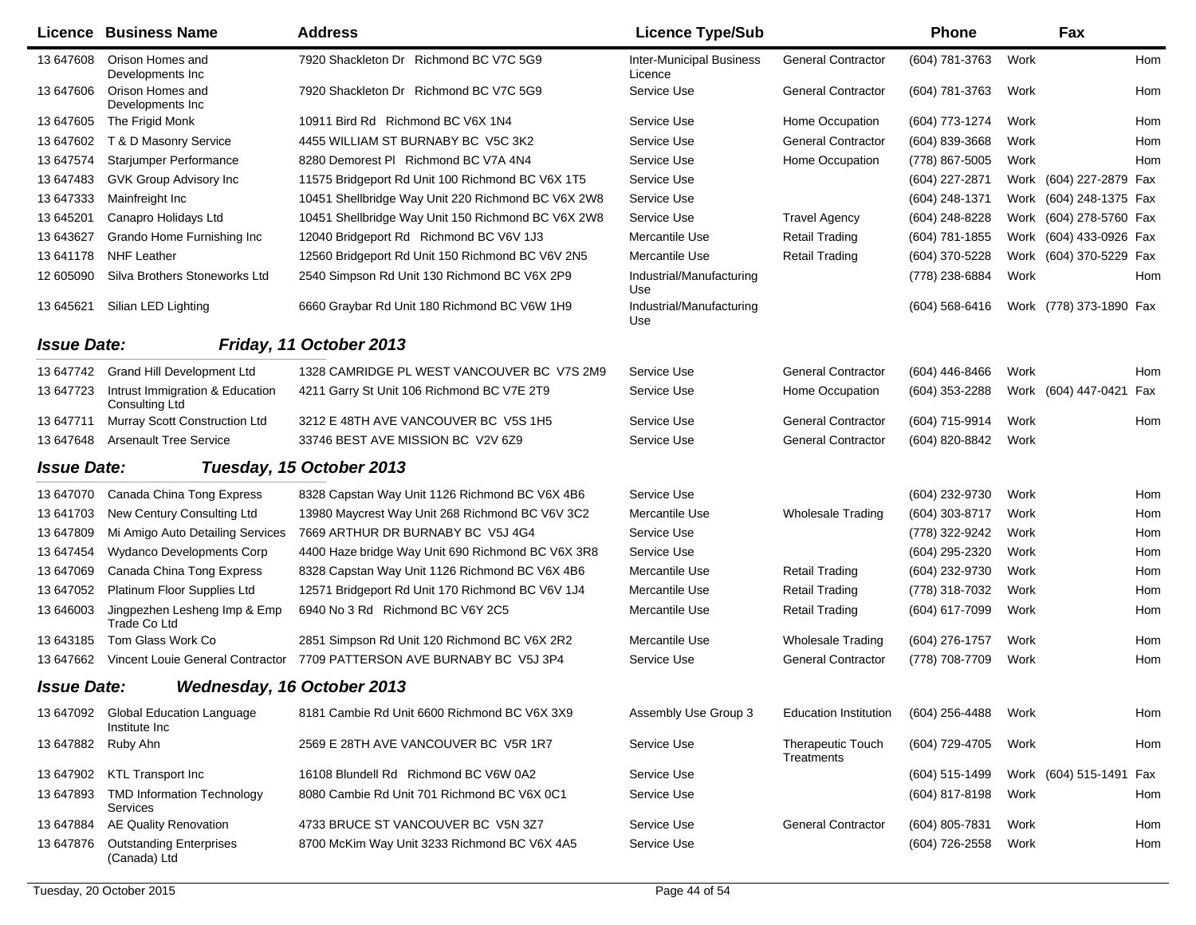|                    | <b>Licence Business Name</b>                             | <b>Address</b>                                     | <b>Licence Type/Sub</b>                    |                                        | <b>Phone</b>     |      | Fax                     |            |
|--------------------|----------------------------------------------------------|----------------------------------------------------|--------------------------------------------|----------------------------------------|------------------|------|-------------------------|------------|
| 13 647608          | Orison Homes and<br>Developments Inc                     | 7920 Shackleton Dr Richmond BC V7C 5G9             | <b>Inter-Municipal Business</b><br>Licence | <b>General Contractor</b>              | (604) 781-3763   | Work |                         | <b>Hom</b> |
| 13 647606          | Orison Homes and<br>Developments Inc.                    | 7920 Shackleton Dr Richmond BC V7C 5G9             | Service Use                                | <b>General Contractor</b>              | (604) 781-3763   | Work |                         | Hom        |
| 13 647605          | The Frigid Monk                                          | 10911 Bird Rd Richmond BC V6X 1N4                  | Service Use                                | Home Occupation                        | (604) 773-1274   | Work |                         | Hom        |
| 13 647602          | T & D Masonry Service                                    | 4455 WILLIAM ST BURNABY BC V5C 3K2                 | Service Use                                | <b>General Contractor</b>              | (604) 839-3668   | Work |                         | Hom        |
| 13 647574          | Starjumper Performance                                   | 8280 Demorest PI Richmond BC V7A 4N4               | Service Use                                | Home Occupation                        | (778) 867-5005   | Work |                         | <b>Hom</b> |
| 13 647483          | GVK Group Advisory Inc                                   | 11575 Bridgeport Rd Unit 100 Richmond BC V6X 1T5   | Service Use                                |                                        | (604) 227-2871   |      | Work (604) 227-2879 Fax |            |
| 13 647333          | Mainfreight Inc                                          | 10451 Shellbridge Way Unit 220 Richmond BC V6X 2W8 | Service Use                                |                                        | (604) 248-1371   |      | Work (604) 248-1375 Fax |            |
| 13 645201          | Canapro Holidays Ltd                                     | 10451 Shellbridge Way Unit 150 Richmond BC V6X 2W8 | Service Use                                | <b>Travel Agency</b>                   | (604) 248-8228   |      | Work (604) 278-5760 Fax |            |
| 13 643627          | Grando Home Furnishing Inc                               | 12040 Bridgeport Rd Richmond BC V6V 1J3            | Mercantile Use                             | <b>Retail Trading</b>                  | (604) 781-1855   |      | Work (604) 433-0926 Fax |            |
| 13641178           | <b>NHF Leather</b>                                       | 12560 Bridgeport Rd Unit 150 Richmond BC V6V 2N5   | Mercantile Use                             | <b>Retail Trading</b>                  | (604) 370-5228   |      | Work (604) 370-5229 Fax |            |
| 12 605090          | Silva Brothers Stoneworks Ltd                            | 2540 Simpson Rd Unit 130 Richmond BC V6X 2P9       | Industrial/Manufacturing<br>Use            |                                        | (778) 238-6884   | Work |                         | Hom        |
| 13 645621          | Silian LED Lighting                                      | 6660 Graybar Rd Unit 180 Richmond BC V6W 1H9       | Industrial/Manufacturing<br>Use            |                                        | $(604)$ 568-6416 |      | Work (778) 373-1890 Fax |            |
| <b>Issue Date:</b> |                                                          | Friday, 11 October 2013                            |                                            |                                        |                  |      |                         |            |
| 13 647742          | Grand Hill Development Ltd                               | 1328 CAMRIDGE PL WEST VANCOUVER BC V7S 2M9         | Service Use                                | <b>General Contractor</b>              | (604) 446-8466   | Work |                         | Hom        |
| 13 647723          | Intrust Immigration & Education<br><b>Consulting Ltd</b> | 4211 Garry St Unit 106 Richmond BC V7E 2T9         | Service Use                                | Home Occupation                        | (604) 353-2288   |      | Work (604) 447-0421 Fax |            |
| 13 647711          | Murray Scott Construction Ltd                            | 3212 E 48TH AVE VANCOUVER BC V5S 1H5               | Service Use                                | <b>General Contractor</b>              | (604) 715-9914   | Work |                         | Hom        |
| 13 647648          | <b>Arsenault Tree Service</b>                            | 33746 BEST AVE MISSION BC V2V 6Z9                  | Service Use                                | <b>General Contractor</b>              | (604) 820-8842   | Work |                         |            |
| <b>Issue Date:</b> |                                                          | Tuesday, 15 October 2013                           |                                            |                                        |                  |      |                         |            |
| 13 647070          | Canada China Tong Express                                | 8328 Capstan Way Unit 1126 Richmond BC V6X 4B6     | Service Use                                |                                        | (604) 232-9730   | Work |                         | Hom        |
| 13 641703          | New Century Consulting Ltd                               | 13980 Maycrest Way Unit 268 Richmond BC V6V 3C2    | Mercantile Use                             | <b>Wholesale Trading</b>               | (604) 303-8717   | Work |                         | Hom        |
| 13 647809          | Mi Amigo Auto Detailing Services                         | 7669 ARTHUR DR BURNABY BC V5J 4G4                  | Service Use                                |                                        | (778) 322-9242   | Work |                         | Hom        |
| 13 647454          | <b>Wydanco Developments Corp</b>                         | 4400 Haze bridge Way Unit 690 Richmond BC V6X 3R8  | Service Use                                |                                        | (604) 295-2320   | Work |                         | Hom        |
| 13 647069          | Canada China Tong Express                                | 8328 Capstan Way Unit 1126 Richmond BC V6X 4B6     | Mercantile Use                             | <b>Retail Trading</b>                  | (604) 232-9730   | Work |                         | Hom        |
| 13 647052          | Platinum Floor Supplies Ltd                              | 12571 Bridgeport Rd Unit 170 Richmond BC V6V 1J4   | Mercantile Use                             | <b>Retail Trading</b>                  | (778) 318-7032   | Work |                         | Hom        |
| 13 646003          | Jingpezhen Lesheng Imp & Emp<br>Trade Co Ltd             | 6940 No 3 Rd Richmond BC V6Y 2C5                   | Mercantile Use                             | <b>Retail Trading</b>                  | (604) 617-7099   | Work |                         | Hom        |
| 13 643185          | Tom Glass Work Co                                        | 2851 Simpson Rd Unit 120 Richmond BC V6X 2R2       | Mercantile Use                             | <b>Wholesale Trading</b>               | (604) 276-1757   | Work |                         | <b>Hom</b> |
| 13 647662          | Vincent Louie General Contractor                         | 7709 PATTERSON AVE BURNABY BC V5J 3P4              | Service Use                                | <b>General Contractor</b>              | (778) 708-7709   | Work |                         | Hom        |
| <b>Issue Date:</b> |                                                          | Wednesday, 16 October 2013                         |                                            |                                        |                  |      |                         |            |
| 13 647092          | <b>Global Education Language</b><br>Institute Inc        | 8181 Cambie Rd Unit 6600 Richmond BC V6X 3X9       | Assembly Use Group 3                       | <b>Education Institution</b>           | $(604)$ 256-4488 | Work |                         | Hom        |
| 13 647882          | Ruby Ahn                                                 | 2569 E 28TH AVE VANCOUVER BC V5R 1R7               | Service Use                                | Therapeutic Touch<br><b>Treatments</b> | (604) 729-4705   | Work |                         | Hom        |
| 13 647902          | <b>KTL Transport Inc</b>                                 | 16108 Blundell Rd Richmond BC V6W 0A2              | Service Use                                |                                        | (604) 515-1499   |      | Work (604) 515-1491 Fax |            |
| 13 647893          | <b>TMD Information Technology</b><br>Services            | 8080 Cambie Rd Unit 701 Richmond BC V6X 0C1        | Service Use                                |                                        | (604) 817-8198   | Work |                         | Hom        |
| 13 647884          | <b>AE Quality Renovation</b>                             | 4733 BRUCE ST VANCOUVER BC V5N 3Z7                 | Service Use                                | <b>General Contractor</b>              | (604) 805-7831   | Work |                         | Hom        |
| 13 647876          | <b>Outstanding Enterprises</b><br>(Canada) Ltd           | 8700 McKim Way Unit 3233 Richmond BC V6X 4A5       | Service Use                                |                                        | (604) 726-2558   | Work |                         | Hom        |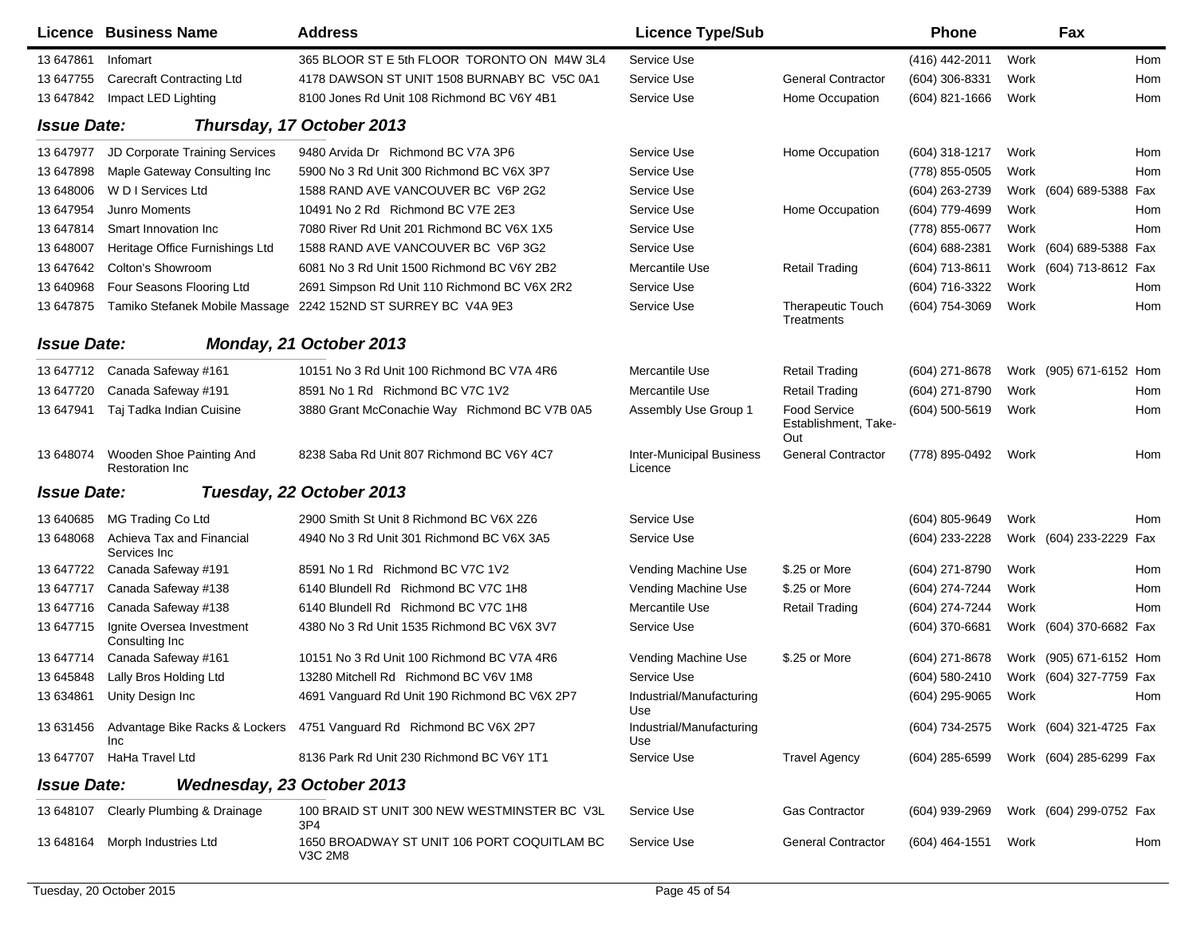|                           | Licence Business Name                              | <b>Address</b>                                                                | <b>Licence Type/Sub</b>                    |                                             | Phone            |      | Fax                     |     |
|---------------------------|----------------------------------------------------|-------------------------------------------------------------------------------|--------------------------------------------|---------------------------------------------|------------------|------|-------------------------|-----|
| 13 647861                 | Infomart                                           | 365 BLOOR ST E 5th FLOOR TORONTO ON M4W 3L4                                   | Service Use                                |                                             | (416) 442-2011   | Work |                         | Hom |
| 13 647755                 | <b>Carecraft Contracting Ltd</b>                   | 4178 DAWSON ST UNIT 1508 BURNABY BC V5C 0A1                                   | Service Use                                | <b>General Contractor</b>                   | (604) 306-8331   | Work |                         | Hom |
| 13 647842                 | Impact LED Lighting                                | 8100 Jones Rd Unit 108 Richmond BC V6Y 4B1                                    | Service Use                                | Home Occupation                             | $(604)$ 821-1666 | Work |                         | Hom |
| <b>Issue Date:</b>        |                                                    | Thursday, 17 October 2013                                                     |                                            |                                             |                  |      |                         |     |
| 13 647977                 | JD Corporate Training Services                     | 9480 Arvida Dr Richmond BC V7A 3P6                                            | Service Use                                | Home Occupation                             | $(604)$ 318-1217 | Work |                         | Hom |
| 13 647898                 | Maple Gateway Consulting Inc                       | 5900 No 3 Rd Unit 300 Richmond BC V6X 3P7                                     | Service Use                                |                                             | (778) 855-0505   | Work |                         | Hom |
| 13 648006                 | W D I Services Ltd                                 | 1588 RAND AVE VANCOUVER BC V6P 2G2                                            | Service Use                                |                                             | (604) 263-2739   |      | Work (604) 689-5388 Fax |     |
| 13 647954                 | <b>Junro Moments</b>                               | 10491 No 2 Rd Richmond BC V7E 2E3                                             | Service Use                                | Home Occupation                             | (604) 779-4699   | Work |                         | Hom |
| 13 647814                 | Smart Innovation Inc                               | 7080 River Rd Unit 201 Richmond BC V6X 1X5                                    | Service Use                                |                                             | (778) 855-0677   | Work |                         | Hom |
| 13 648007                 | Heritage Office Furnishings Ltd                    | 1588 RAND AVE VANCOUVER BC V6P 3G2                                            | Service Use                                |                                             | (604) 688-2381   |      | Work (604) 689-5388 Fax |     |
| 13 647 642                | Colton's Showroom                                  | 6081 No 3 Rd Unit 1500 Richmond BC V6Y 2B2                                    | Mercantile Use                             | <b>Retail Trading</b>                       | (604) 713-8611   |      | Work (604) 713-8612 Fax |     |
| 13 640968                 | Four Seasons Flooring Ltd                          | 2691 Simpson Rd Unit 110 Richmond BC V6X 2R2                                  | Service Use                                |                                             | (604) 716-3322   | Work |                         | Hom |
| 13 647875                 |                                                    | Tamiko Stefanek Mobile Massage 2242 152ND ST SURREY BC V4A 9E3                | Service Use                                | <b>Therapeutic Touch</b><br>Treatments      | (604) 754-3069   | Work |                         | Hom |
| <b>Issue Date:</b>        |                                                    | Monday, 21 October 2013                                                       |                                            |                                             |                  |      |                         |     |
| 13 647712                 | Canada Safeway #161                                | 10151 No 3 Rd Unit 100 Richmond BC V7A 4R6                                    | Mercantile Use                             | <b>Retail Trading</b>                       | (604) 271-8678   |      | Work (905) 671-6152 Hom |     |
| 13 647720                 | Canada Safeway #191                                | 8591 No 1 Rd Richmond BC V7C 1V2                                              | Mercantile Use                             | <b>Retail Trading</b>                       | (604) 271-8790   | Work |                         | Hom |
| 13 647941                 | Taj Tadka Indian Cuisine                           | 3880 Grant McConachie Way Richmond BC V7B 0A5                                 | Assembly Use Group 1                       | Food Service<br>Establishment, Take-<br>Out | (604) 500-5619   | Work |                         | Hom |
| 13 648074                 | Wooden Shoe Painting And<br><b>Restoration Inc</b> | 8238 Saba Rd Unit 807 Richmond BC V6Y 4C7                                     | <b>Inter-Municipal Business</b><br>Licence | <b>General Contractor</b>                   | (778) 895-0492   | Work |                         | Hom |
| <i><b>Issue Date:</b></i> |                                                    | Tuesday, 22 October 2013                                                      |                                            |                                             |                  |      |                         |     |
| 13 640685                 | MG Trading Co Ltd                                  | 2900 Smith St Unit 8 Richmond BC V6X 2Z6                                      | Service Use                                |                                             | (604) 805-9649   | Work |                         | Hom |
| 13 648068                 | Achieva Tax and Financial<br>Services Inc          | 4940 No 3 Rd Unit 301 Richmond BC V6X 3A5                                     | Service Use                                |                                             | (604) 233-2228   |      | Work (604) 233-2229 Fax |     |
| 13 647722                 | Canada Safeway #191                                | 8591 No 1 Rd Richmond BC V7C 1V2                                              | Vending Machine Use                        | \$.25 or More                               | (604) 271-8790   | Work |                         | Hom |
| 13 647717                 | Canada Safeway #138                                | 6140 Blundell Rd Richmond BC V7C 1H8                                          | Vending Machine Use                        | \$.25 or More                               | (604) 274-7244   | Work |                         | Hom |
| 13 647716                 | Canada Safeway #138                                | 6140 Blundell Rd Richmond BC V7C 1H8                                          | Mercantile Use                             | <b>Retail Trading</b>                       | (604) 274-7244   | Work |                         | Hom |
| 13 647715                 | Ignite Oversea Investment<br>Consulting Inc        | 4380 No 3 Rd Unit 1535 Richmond BC V6X 3V7                                    | Service Use                                |                                             | (604) 370-6681   |      | Work (604) 370-6682 Fax |     |
| 13 647714                 | Canada Safeway #161                                | 10151 No 3 Rd Unit 100 Richmond BC V7A 4R6                                    | Vending Machine Use                        | \$.25 or More                               | $(604)$ 271-8678 |      | Work (905) 671-6152 Hom |     |
| 13 645848                 | Lally Bros Holding Ltd                             | 13280 Mitchell Rd Richmond BC V6V 1M8                                         | Service Use                                |                                             | (604) 580-2410   |      | Work (604) 327-7759 Fax |     |
|                           | 13 634861 Unity Design Inc                         | 4691 Vanguard Rd Unit 190 Richmond BC V6X 2P7                                 | Industrial/Manufacturing<br>Use            |                                             | (604) 295-9065   | Work |                         | Hom |
|                           | Inc                                                | 13 631456 Advantage Bike Racks & Lockers 4751 Vanguard Rd Richmond BC V6X 2P7 | Industrial/Manufacturing<br>Use            |                                             | (604) 734-2575   |      | Work (604) 321-4725 Fax |     |
|                           | 13 647707 HaHa Travel Ltd                          | 8136 Park Rd Unit 230 Richmond BC V6Y 1T1                                     | Service Use                                | <b>Travel Agency</b>                        | (604) 285-6599   |      | Work (604) 285-6299 Fax |     |
| <b>Issue Date:</b>        |                                                    | Wednesday, 23 October 2013                                                    |                                            |                                             |                  |      |                         |     |
|                           | 13 648107 Clearly Plumbing & Drainage              | 100 BRAID ST UNIT 300 NEW WESTMINSTER BC V3L<br>3P <sub>4</sub>               | Service Use                                | <b>Gas Contractor</b>                       | (604) 939-2969   |      | Work (604) 299-0752 Fax |     |
| 13 648164                 | Morph Industries Ltd                               | 1650 BROADWAY ST UNIT 106 PORT COQUITLAM BC<br>V3C 2M8                        | Service Use                                | <b>General Contractor</b>                   | (604) 464-1551   | Work |                         | Hom |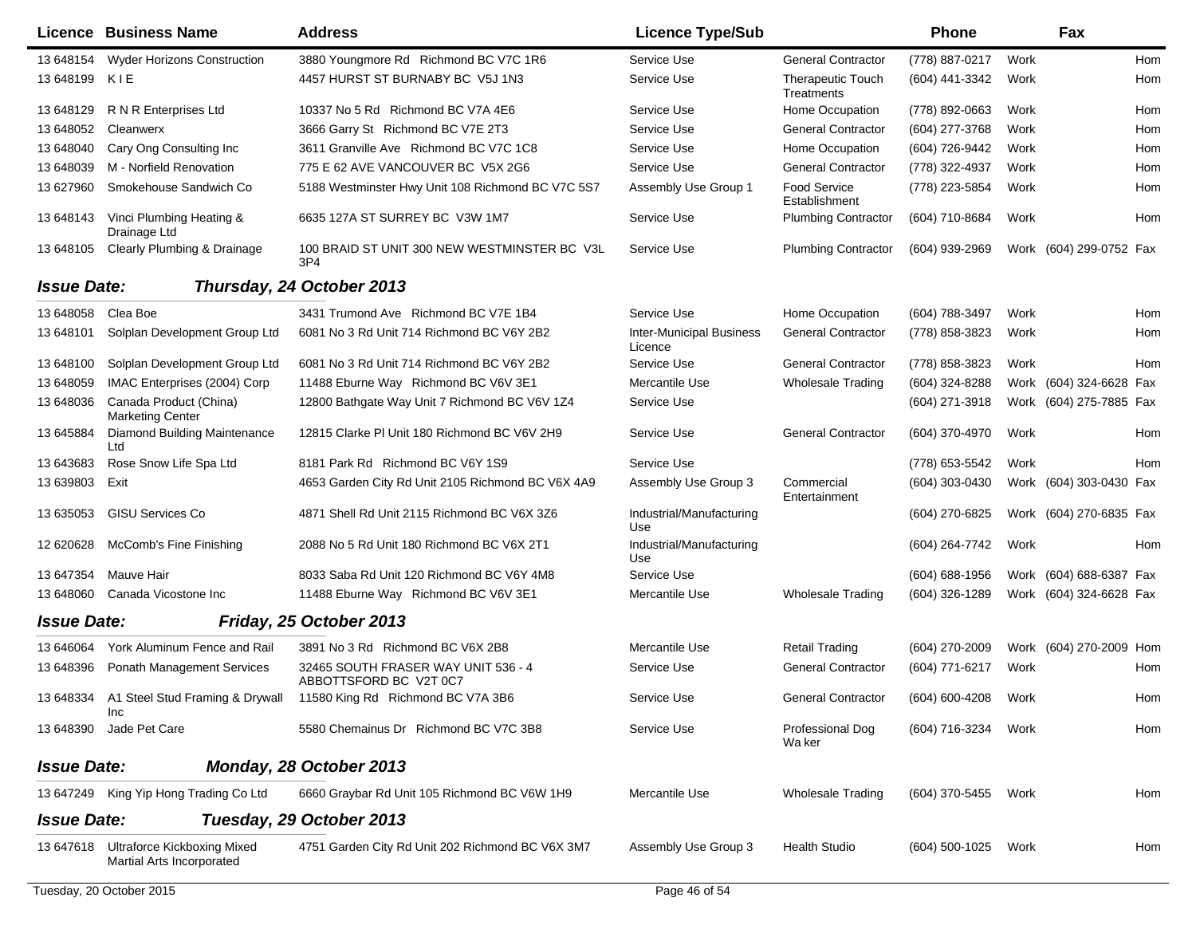|                    | Licence Business Name                                           | <b>Address</b>                                                  | <b>Licence Type/Sub</b>                    |                                        | <b>Phone</b>        |      | Fax                     |     |
|--------------------|-----------------------------------------------------------------|-----------------------------------------------------------------|--------------------------------------------|----------------------------------------|---------------------|------|-------------------------|-----|
| 13 648154          | <b>Wyder Horizons Construction</b>                              | 3880 Youngmore Rd Richmond BC V7C 1R6                           | Service Use                                | <b>General Contractor</b>              | (778) 887-0217      | Work |                         | Hom |
| 13 648199          | KIE                                                             | 4457 HURST ST BURNABY BC V5J 1N3                                | Service Use                                | <b>Therapeutic Touch</b><br>Treatments | (604) 441-3342      | Work |                         | Hom |
| 13 648129          | R N R Enterprises Ltd                                           | 10337 No 5 Rd Richmond BC V7A 4E6                               | Service Use                                | Home Occupation                        | (778) 892-0663      | Work |                         | Hom |
| 13 648052          | Cleanwerx                                                       | 3666 Garry St Richmond BC V7E 2T3                               | Service Use                                | <b>General Contractor</b>              | (604) 277-3768      | Work |                         | Hom |
| 13 648040          | Cary Ong Consulting Inc                                         | 3611 Granville Ave Richmond BC V7C 1C8                          | Service Use                                | Home Occupation                        | (604) 726-9442      | Work |                         | Hom |
| 13 648039          | M - Norfield Renovation                                         | 775 E 62 AVE VANCOUVER BC V5X 2G6                               | Service Use                                | <b>General Contractor</b>              | (778) 322-4937      | Work |                         | Hom |
| 13 627960          | Smokehouse Sandwich Co                                          | 5188 Westminster Hwy Unit 108 Richmond BC V7C 5S7               | Assembly Use Group 1                       | <b>Food Service</b><br>Establishment   | (778) 223-5854      | Work |                         | Hom |
| 13 648143          | Vinci Plumbing Heating &<br>Drainage Ltd                        | 6635 127A ST SURREY BC V3W 1M7                                  | Service Use                                | <b>Plumbing Contractor</b>             | (604) 710-8684      | Work |                         | Hom |
| 13 648105          | <b>Clearly Plumbing &amp; Drainage</b>                          | 100 BRAID ST UNIT 300 NEW WESTMINSTER BC V3L<br>3P <sub>4</sub> | Service Use                                | <b>Plumbing Contractor</b>             | (604) 939-2969      |      | Work (604) 299-0752 Fax |     |
| <b>Issue Date:</b> |                                                                 | Thursday, 24 October 2013                                       |                                            |                                        |                     |      |                         |     |
| 13 648058          | Clea Boe                                                        | 3431 Trumond Ave Richmond BC V7E 1B4                            | Service Use                                | Home Occupation                        | (604) 788-3497      | Work |                         | Hom |
| 13 648101          | Solplan Development Group Ltd                                   | 6081 No 3 Rd Unit 714 Richmond BC V6Y 2B2                       | <b>Inter-Municipal Business</b><br>Licence | <b>General Contractor</b>              | (778) 858-3823      | Work |                         | Hom |
| 13 648100          | Solplan Development Group Ltd                                   | 6081 No 3 Rd Unit 714 Richmond BC V6Y 2B2                       | Service Use                                | <b>General Contractor</b>              | (778) 858-3823      | Work |                         | Hom |
| 13 648059          | IMAC Enterprises (2004) Corp                                    | 11488 Eburne Way Richmond BC V6V 3E1                            | Mercantile Use                             | <b>Wholesale Trading</b>               | (604) 324-8288      |      | Work (604) 324-6628 Fax |     |
| 13 648036          | Canada Product (China)<br><b>Marketing Center</b>               | 12800 Bathgate Way Unit 7 Richmond BC V6V 1Z4                   | Service Use                                |                                        | (604) 271-3918      |      | Work (604) 275-7885 Fax |     |
| 13 645884          | Diamond Building Maintenance<br>Ltd                             | 12815 Clarke PI Unit 180 Richmond BC V6V 2H9                    | Service Use                                | <b>General Contractor</b>              | (604) 370-4970      | Work |                         | Hom |
| 13 643 683         | Rose Snow Life Spa Ltd                                          | 8181 Park Rd Richmond BC V6Y 1S9                                | Service Use                                |                                        | (778) 653-5542      | Work |                         | Hom |
| 13 639803          | Exit                                                            | 4653 Garden City Rd Unit 2105 Richmond BC V6X 4A9               | Assembly Use Group 3                       | Commercial<br>Entertainment            | (604) 303-0430      |      | Work (604) 303-0430 Fax |     |
| 13 635053          | <b>GISU Services Co</b>                                         | 4871 Shell Rd Unit 2115 Richmond BC V6X 3Z6                     | Industrial/Manufacturing<br>Use            |                                        | (604) 270-6825      |      | Work (604) 270-6835 Fax |     |
| 12 620628          | McComb's Fine Finishing                                         | 2088 No 5 Rd Unit 180 Richmond BC V6X 2T1                       | Industrial/Manufacturing<br>Use            |                                        | (604) 264-7742      | Work |                         | Hom |
| 13 647354          | Mauve Hair                                                      | 8033 Saba Rd Unit 120 Richmond BC V6Y 4M8                       | Service Use                                |                                        | (604) 688-1956      |      | Work (604) 688-6387 Fax |     |
| 13 648060          | Canada Vicostone Inc                                            | 11488 Eburne Way Richmond BC V6V 3E1                            | Mercantile Use                             | <b>Wholesale Trading</b>               | (604) 326-1289      |      | Work (604) 324-6628 Fax |     |
| <b>Issue Date:</b> |                                                                 | Friday, 25 October 2013                                         |                                            |                                        |                     |      |                         |     |
| 13 646064          | York Aluminum Fence and Rail                                    | 3891 No 3 Rd Richmond BC V6X 2B8                                | Mercantile Use                             | <b>Retail Trading</b>                  | (604) 270-2009      |      | Work (604) 270-2009 Hom |     |
| 13 648396          | <b>Ponath Management Services</b>                               | 32465 SOUTH FRASER WAY UNIT 536 - 4<br>ABBOTTSFORD BC V2T 0C7   | Service Use                                | <b>General Contractor</b>              | (604) 771-6217      | Work |                         | Hom |
|                    | 13 648334 A1 Steel Stud Framing & Drywall<br>Inc                | 11580 King Rd Richmond BC V7A 3B6                               | Service Use                                | <b>General Contractor</b>              | (604) 600-4208      | Work |                         | Hom |
| 13 648390          | Jade Pet Care                                                   | 5580 Chemainus Dr Richmond BC V7C 3B8                           | Service Use                                | Professional Dog<br>Wa ker             | (604) 716-3234      | Work |                         | Hom |
| <b>Issue Date:</b> |                                                                 | Monday, 28 October 2013                                         |                                            |                                        |                     |      |                         |     |
|                    | 13 647249 King Yip Hong Trading Co Ltd                          | 6660 Graybar Rd Unit 105 Richmond BC V6W 1H9                    | Mercantile Use                             | <b>Wholesale Trading</b>               | (604) 370-5455 Work |      |                         | Hom |
| <b>Issue Date:</b> |                                                                 | Tuesday, 29 October 2013                                        |                                            |                                        |                     |      |                         |     |
| 13 647618          | <b>Ultraforce Kickboxing Mixed</b><br>Martial Arts Incorporated | 4751 Garden City Rd Unit 202 Richmond BC V6X 3M7                | Assembly Use Group 3                       | <b>Health Studio</b>                   | (604) 500-1025      | Work |                         | Hom |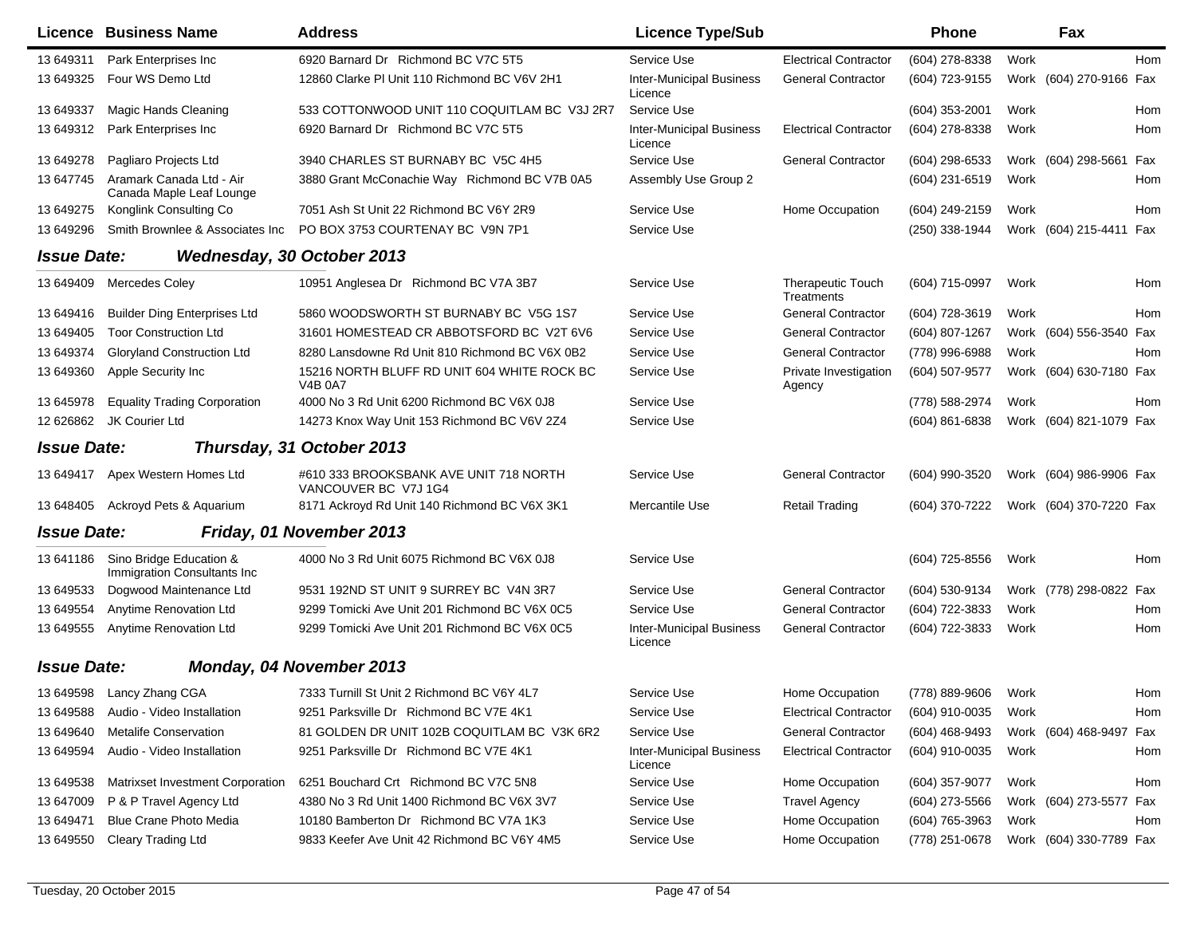|                    | <b>Licence Business Name</b>                           | <b>Address</b>                                                 | <b>Licence Type/Sub</b>                    |                                        | Phone          |      | Fax                     |            |
|--------------------|--------------------------------------------------------|----------------------------------------------------------------|--------------------------------------------|----------------------------------------|----------------|------|-------------------------|------------|
| 13 649311          | Park Enterprises Inc                                   | 6920 Barnard Dr Richmond BC V7C 5T5                            | Service Use                                | <b>Electrical Contractor</b>           | (604) 278-8338 | Work |                         | <b>Hom</b> |
| 13 649325          | Four WS Demo Ltd                                       | 12860 Clarke PI Unit 110 Richmond BC V6V 2H1                   | <b>Inter-Municipal Business</b><br>Licence | <b>General Contractor</b>              | (604) 723-9155 |      | Work (604) 270-9166 Fax |            |
| 13 649337          | Magic Hands Cleaning                                   | 533 COTTONWOOD UNIT 110 COQUITLAM BC V3J 2R7                   | Service Use                                |                                        | (604) 353-2001 | Work |                         | Hom        |
| 13 649312          | Park Enterprises Inc.                                  | 6920 Barnard Dr Richmond BC V7C 5T5                            | <b>Inter-Municipal Business</b><br>Licence | <b>Electrical Contractor</b>           | (604) 278-8338 | Work |                         | Hom        |
| 13 649278          | Pagliaro Projects Ltd                                  | 3940 CHARLES ST BURNABY BC V5C 4H5                             | Service Use                                | <b>General Contractor</b>              | (604) 298-6533 |      | Work (604) 298-5661 Fax |            |
| 13 647745          | Aramark Canada Ltd - Air<br>Canada Maple Leaf Lounge   | 3880 Grant McConachie Way Richmond BC V7B 0A5                  | Assembly Use Group 2                       |                                        | (604) 231-6519 | Work |                         | Hom        |
| 13 649275          | Konglink Consulting Co                                 | 7051 Ash St Unit 22 Richmond BC V6Y 2R9                        | Service Use                                | Home Occupation                        | (604) 249-2159 | Work |                         | Hom        |
| 13 649296          | Smith Brownlee & Associates Inc                        | PO BOX 3753 COURTENAY BC V9N 7P1                               | Service Use                                |                                        | (250) 338-1944 |      | Work (604) 215-4411 Fax |            |
| <b>Issue Date:</b> |                                                        | Wednesday, 30 October 2013                                     |                                            |                                        |                |      |                         |            |
| 13 649409          | <b>Mercedes Coley</b>                                  | 10951 Anglesea Dr Richmond BC V7A 3B7                          | Service Use                                | <b>Therapeutic Touch</b><br>Treatments | (604) 715-0997 | Work |                         | Hom        |
| 13 649416          | <b>Builder Ding Enterprises Ltd</b>                    | 5860 WOODSWORTH ST BURNABY BC V5G 1S7                          | Service Use                                | <b>General Contractor</b>              | (604) 728-3619 | Work |                         | Hom        |
| 13 649405          | <b>Toor Construction Ltd</b>                           | 31601 HOMESTEAD CR ABBOTSFORD BC V2T 6V6                       | Service Use                                | <b>General Contractor</b>              | (604) 807-1267 |      | Work (604) 556-3540 Fax |            |
| 13 649374          | <b>Gloryland Construction Ltd</b>                      | 8280 Lansdowne Rd Unit 810 Richmond BC V6X 0B2                 | Service Use                                | <b>General Contractor</b>              | (778) 996-6988 | Work |                         | Hom        |
| 13 649360          | Apple Security Inc                                     | 15216 NORTH BLUFF RD UNIT 604 WHITE ROCK BC<br><b>V4B 0A7</b>  | Service Use                                | Private Investigation<br>Agency        | (604) 507-9577 | Work | (604) 630-7180 Fax      |            |
| 13 645978          | <b>Equality Trading Corporation</b>                    | 4000 No 3 Rd Unit 6200 Richmond BC V6X 0J8                     | Service Use                                |                                        | (778) 588-2974 | Work |                         | Hom        |
| 12 626862          | JK Courier Ltd                                         | 14273 Knox Way Unit 153 Richmond BC V6V 2Z4                    | Service Use                                |                                        | (604) 861-6838 |      | Work (604) 821-1079 Fax |            |
| <b>Issue Date:</b> |                                                        | Thursday, 31 October 2013                                      |                                            |                                        |                |      |                         |            |
| 13 649417          | Apex Western Homes Ltd                                 | #610 333 BROOKSBANK AVE UNIT 718 NORTH<br>VANCOUVER BC V7J 1G4 | Service Use                                | <b>General Contractor</b>              | (604) 990-3520 |      | Work (604) 986-9906 Fax |            |
| 13 648405          | Ackroyd Pets & Aquarium                                | 8171 Ackroyd Rd Unit 140 Richmond BC V6X 3K1                   | Mercantile Use                             | Retail Trading                         | (604) 370-7222 |      | Work (604) 370-7220 Fax |            |
| <b>Issue Date:</b> |                                                        | Friday, 01 November 2013                                       |                                            |                                        |                |      |                         |            |
| 13 641186          | Sino Bridge Education &<br>Immigration Consultants Inc | 4000 No 3 Rd Unit 6075 Richmond BC V6X 0J8                     | Service Use                                |                                        | (604) 725-8556 | Work |                         | Hom        |
| 13 649533          | Dogwood Maintenance Ltd                                | 9531 192ND ST UNIT 9 SURREY BC V4N 3R7                         | Service Use                                | <b>General Contractor</b>              | (604) 530-9134 |      | Work (778) 298-0822 Fax |            |
| 13 649554          | Anytime Renovation Ltd                                 | 9299 Tomicki Ave Unit 201 Richmond BC V6X 0C5                  | Service Use                                | <b>General Contractor</b>              | (604) 722-3833 | Work |                         | Hom        |
| 13 649555          | <b>Anytime Renovation Ltd</b>                          | 9299 Tomicki Ave Unit 201 Richmond BC V6X 0C5                  | <b>Inter-Municipal Business</b><br>Licence | <b>General Contractor</b>              | (604) 722-3833 | Work |                         | Hom        |
| <b>Issue Date:</b> |                                                        | Monday, 04 November 2013                                       |                                            |                                        |                |      |                         |            |
| 13 649598          | Lancy Zhang CGA                                        | 7333 Turnill St Unit 2 Richmond BC V6Y 4L7                     | Service Use                                | Home Occupation                        | (778) 889-9606 | Work |                         | Hom        |
| 13 649588          | Audio - Video Installation                             | 9251 Parksville Dr Richmond BC V7E 4K1                         | Service Use                                | <b>Electrical Contractor</b>           | (604) 910-0035 | Work |                         | Hom        |
| 13 649640          | <b>Metalife Conservation</b>                           | 81 GOLDEN DR UNIT 102B COQUITLAM BC V3K 6R2                    | Service Use                                | <b>General Contractor</b>              | (604) 468-9493 |      | Work (604) 468-9497 Fax |            |
| 13 649594          | Audio - Video Installation                             | 9251 Parksville Dr Richmond BC V7E 4K1                         | <b>Inter-Municipal Business</b><br>Licence | <b>Electrical Contractor</b>           | (604) 910-0035 | Work |                         | Hom        |
| 13 649538          | Matrixset Investment Corporation                       | 6251 Bouchard Crt Richmond BC V7C 5N8                          | Service Use                                | Home Occupation                        | (604) 357-9077 | Work |                         | Hom        |
| 13 647009          | P & P Travel Agency Ltd                                | 4380 No 3 Rd Unit 1400 Richmond BC V6X 3V7                     | Service Use                                | <b>Travel Agency</b>                   | (604) 273-5566 |      | Work (604) 273-5577 Fax |            |
| 13 649471          | Blue Crane Photo Media                                 | 10180 Bamberton Dr Richmond BC V7A 1K3                         | Service Use                                | Home Occupation                        | (604) 765-3963 | Work |                         | Hom        |
| 13 649550          | <b>Cleary Trading Ltd</b>                              | 9833 Keefer Ave Unit 42 Richmond BC V6Y 4M5                    | Service Use                                | Home Occupation                        | (778) 251-0678 |      | Work (604) 330-7789 Fax |            |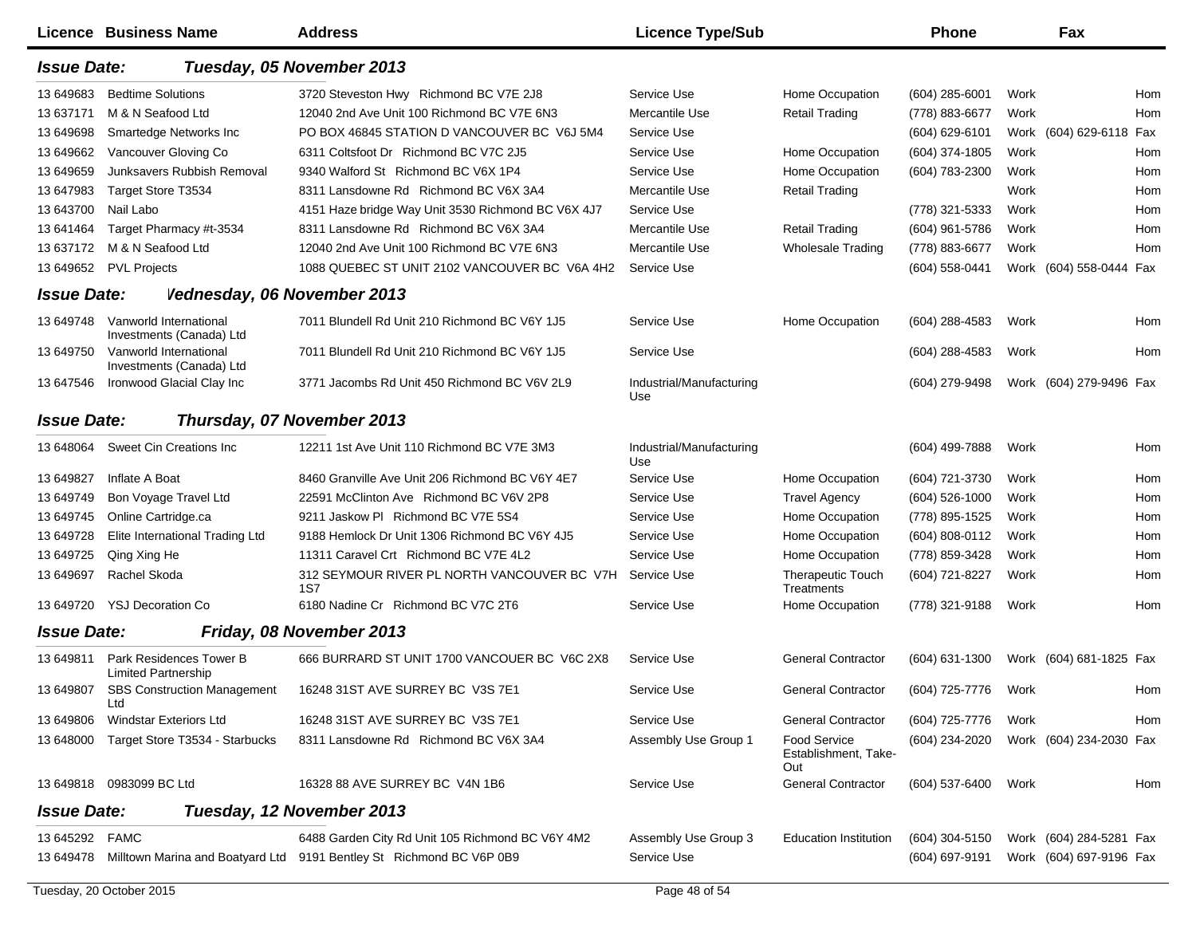|                    | <b>Licence Business Name</b>                          | <b>Address</b>                                                       | <b>Licence Type/Sub</b>         |                                                    | <b>Phone</b>   |      | Fax                     |
|--------------------|-------------------------------------------------------|----------------------------------------------------------------------|---------------------------------|----------------------------------------------------|----------------|------|-------------------------|
| <b>Issue Date:</b> |                                                       | Tuesday, 05 November 2013                                            |                                 |                                                    |                |      |                         |
| 13 649683          | <b>Bedtime Solutions</b>                              | 3720 Steveston Hwy Richmond BC V7E 2J8                               | Service Use                     | Home Occupation                                    | (604) 285-6001 | Work | Hom                     |
| 13 637171          | M & N Seafood Ltd                                     | 12040 2nd Ave Unit 100 Richmond BC V7E 6N3                           | Mercantile Use                  | <b>Retail Trading</b>                              | (778) 883-6677 | Work | Hom                     |
| 13 649698          | Smartedge Networks Inc                                | PO BOX 46845 STATION D VANCOUVER BC V6J 5M4                          | Service Use                     |                                                    | (604) 629-6101 |      | Work (604) 629-6118 Fax |
| 13 649662          | Vancouver Gloving Co                                  | 6311 Coltsfoot Dr Richmond BC V7C 2J5                                | Service Use                     | Home Occupation                                    | (604) 374-1805 | Work | Hom                     |
| 13 649659          | Junksavers Rubbish Removal                            | 9340 Walford St Richmond BC V6X 1P4                                  | Service Use                     | Home Occupation                                    | (604) 783-2300 | Work | Hom                     |
| 13 647983          | Target Store T3534                                    | 8311 Lansdowne Rd Richmond BC V6X 3A4                                | Mercantile Use                  | <b>Retail Trading</b>                              |                | Work | Hom                     |
| 13 643700          | Nail Labo                                             | 4151 Haze bridge Way Unit 3530 Richmond BC V6X 4J7                   | Service Use                     |                                                    | (778) 321-5333 | Work | Hom                     |
| 13 641464          | Target Pharmacy #t-3534                               | 8311 Lansdowne Rd Richmond BC V6X 3A4                                | Mercantile Use                  | <b>Retail Trading</b>                              | (604) 961-5786 | Work | Hom                     |
| 13 637172          | M & N Seafood Ltd                                     | 12040 2nd Ave Unit 100 Richmond BC V7E 6N3                           | Mercantile Use                  | <b>Wholesale Trading</b>                           | (778) 883-6677 | Work | Hom                     |
| 13 649652          | <b>PVL Projects</b>                                   | 1088 QUEBEC ST UNIT 2102 VANCOUVER BC V6A 4H2                        | Service Use                     |                                                    | (604) 558-0441 |      | Work (604) 558-0444 Fax |
| <b>Issue Date:</b> | Vednesday, 06 November 2013                           |                                                                      |                                 |                                                    |                |      |                         |
| 13 649748          | Vanworld International<br>Investments (Canada) Ltd    | 7011 Blundell Rd Unit 210 Richmond BC V6Y 1J5                        | Service Use                     | Home Occupation                                    | (604) 288-4583 | Work | Hom                     |
| 13 649750          | Vanworld International<br>Investments (Canada) Ltd    | 7011 Blundell Rd Unit 210 Richmond BC V6Y 1J5                        | Service Use                     |                                                    | (604) 288-4583 | Work | Hom                     |
| 13 647546          | Ironwood Glacial Clay Inc                             | 3771 Jacombs Rd Unit 450 Richmond BC V6V 2L9                         | Industrial/Manufacturing<br>Use |                                                    | (604) 279-9498 |      | Work (604) 279-9496 Fax |
| <b>Issue Date:</b> |                                                       | Thursday, 07 November 2013                                           |                                 |                                                    |                |      |                         |
| 13 648064          | Sweet Cin Creations Inc                               | 12211 1st Ave Unit 110 Richmond BC V7E 3M3                           | Industrial/Manufacturing<br>Use |                                                    | (604) 499-7888 | Work | Hom                     |
| 13 649827          | Inflate A Boat                                        | 8460 Granville Ave Unit 206 Richmond BC V6Y 4E7                      | Service Use                     | Home Occupation                                    | (604) 721-3730 | Work | Hom                     |
| 13 649749          | Bon Voyage Travel Ltd                                 | 22591 McClinton Ave Richmond BC V6V 2P8                              | Service Use                     | <b>Travel Agency</b>                               | (604) 526-1000 | Work | Hom                     |
| 13 649745          | Online Cartridge.ca                                   | 9211 Jaskow PI Richmond BC V7E 5S4                                   | Service Use                     | Home Occupation                                    | (778) 895-1525 | Work | Hom                     |
| 13 649728          | Elite International Trading Ltd                       | 9188 Hemlock Dr Unit 1306 Richmond BC V6Y 4J5                        | Service Use                     | Home Occupation                                    | (604) 808-0112 | Work | Hom                     |
| 13 649725          | Qing Xing He                                          | 11311 Caravel Crt Richmond BC V7E 4L2                                | Service Use                     | Home Occupation                                    | (778) 859-3428 | Work | Hom                     |
| 13 649697          | Rachel Skoda                                          | 312 SEYMOUR RIVER PL NORTH VANCOUVER BC V7H<br>1S7                   | Service Use                     | <b>Therapeutic Touch</b><br>Treatments             | (604) 721-8227 | Work | Hom                     |
| 13 649720          | <b>YSJ Decoration Co</b>                              | 6180 Nadine Cr Richmond BC V7C 2T6                                   | Service Use                     | Home Occupation                                    | (778) 321-9188 | Work | Hom                     |
| <b>Issue Date:</b> |                                                       | Friday, 08 November 2013                                             |                                 |                                                    |                |      |                         |
| 13 649811          | Park Residences Tower B<br><b>Limited Partnership</b> | 666 BURRARD ST UNIT 1700 VANCOUER BC V6C 2X8                         | Service Use                     | <b>General Contractor</b>                          | (604) 631-1300 |      | Work (604) 681-1825 Fax |
| 13 649807          | <b>SBS Construction Management</b><br>Ltd             | 16248 31ST AVE SURREY BC V3S 7E1                                     | Service Use                     | <b>General Contractor</b>                          | (604) 725-7776 | Work | Hom                     |
| 13 649806          | <b>Windstar Exteriors Ltd</b>                         | 16248 31ST AVE SURREY BC V3S 7E1                                     | Service Use                     | <b>General Contractor</b>                          | (604) 725-7776 | Work | Hom                     |
| 13 648000          | Target Store T3534 - Starbucks                        | 8311 Lansdowne Rd Richmond BC V6X 3A4                                | Assembly Use Group 1            | <b>Food Service</b><br>Establishment, Take-<br>Out | (604) 234-2020 |      | Work (604) 234-2030 Fax |
| 13 649818          | 0983099 BC Ltd                                        | 16328 88 AVE SURREY BC V4N 1B6                                       | Service Use                     | <b>General Contractor</b>                          | (604) 537-6400 | Work | Hom                     |
| <b>Issue Date:</b> |                                                       | Tuesday, 12 November 2013                                            |                                 |                                                    |                |      |                         |
| 13 645292          | <b>FAMC</b>                                           | 6488 Garden City Rd Unit 105 Richmond BC V6Y 4M2                     | Assembly Use Group 3            | <b>Education Institution</b>                       | (604) 304-5150 |      | Work (604) 284-5281 Fax |
| 13 649478          |                                                       | Milltown Marina and Boatyard Ltd 9191 Bentley St Richmond BC V6P 0B9 | Service Use                     |                                                    | (604) 697-9191 |      | Work (604) 697-9196 Fax |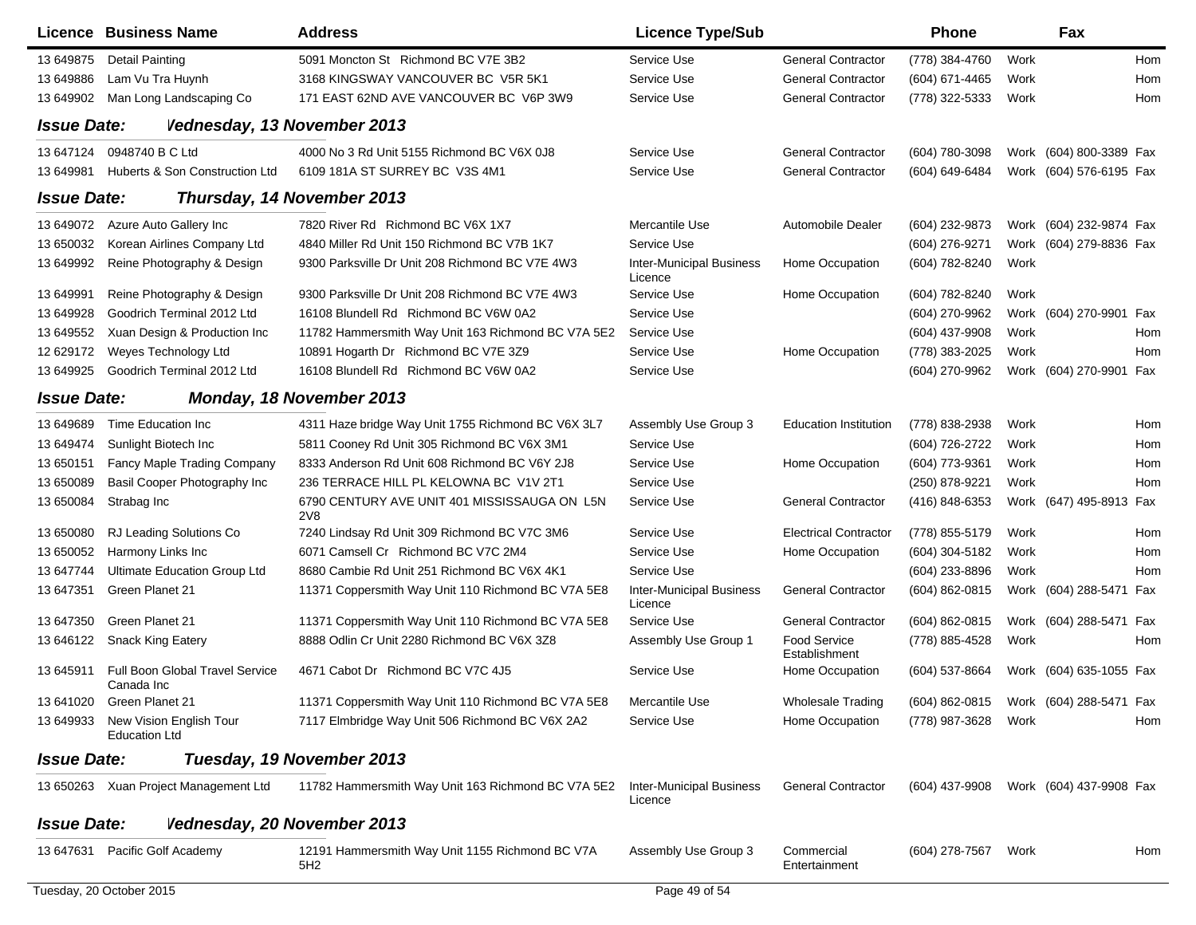|                    | Licence Business Name                           | <b>Address</b>                                             | <b>Licence Type/Sub</b>                    |                               | Phone                                  |      | Fax                     |     |
|--------------------|-------------------------------------------------|------------------------------------------------------------|--------------------------------------------|-------------------------------|----------------------------------------|------|-------------------------|-----|
| 13 649875          | <b>Detail Painting</b>                          | 5091 Moncton St Richmond BC V7E 3B2                        | Service Use                                | <b>General Contractor</b>     | (778) 384-4760                         | Work |                         | Hom |
| 13 649886          | Lam Vu Tra Huynh                                | 3168 KINGSWAY VANCOUVER BC V5R 5K1                         | Service Use                                | <b>General Contractor</b>     | (604) 671-4465                         | Work |                         | Hom |
| 13 649902          | Man Long Landscaping Co                         | 171 EAST 62ND AVE VANCOUVER BC V6P 3W9                     | Service Use                                | <b>General Contractor</b>     | (778) 322-5333                         | Work |                         | Hom |
| <b>Issue Date:</b> | Vednesday, 13 November 2013                     |                                                            |                                            |                               |                                        |      |                         |     |
| 13 647124          | 0948740 B C Ltd                                 | 4000 No 3 Rd Unit 5155 Richmond BC V6X 0J8                 | Service Use                                | <b>General Contractor</b>     | (604) 780-3098                         |      | Work (604) 800-3389 Fax |     |
| 13 649981          | Huberts & Son Construction Ltd                  | 6109 181A ST SURREY BC V3S 4M1                             | Service Use                                | <b>General Contractor</b>     | (604) 649-6484                         |      | Work (604) 576-6195 Fax |     |
| <b>Issue Date:</b> |                                                 | Thursday, 14 November 2013                                 |                                            |                               |                                        |      |                         |     |
| 13 649072          | Azure Auto Gallery Inc                          | 7820 River Rd Richmond BC V6X 1X7                          | Mercantile Use                             | <b>Automobile Dealer</b>      | (604) 232-9873                         |      | Work (604) 232-9874 Fax |     |
| 13 650032          | Korean Airlines Company Ltd                     | 4840 Miller Rd Unit 150 Richmond BC V7B 1K7                | Service Use                                |                               | (604) 276-9271                         |      | Work (604) 279-8836 Fax |     |
| 13 649992          | Reine Photography & Design                      | 9300 Parksville Dr Unit 208 Richmond BC V7E 4W3            | <b>Inter-Municipal Business</b><br>Licence | Home Occupation               | (604) 782-8240                         | Work |                         |     |
| 13 649991          | Reine Photography & Design                      | 9300 Parksville Dr Unit 208 Richmond BC V7E 4W3            | Service Use                                | Home Occupation               | (604) 782-8240                         | Work |                         |     |
| 13 649928          | Goodrich Terminal 2012 Ltd                      | 16108 Blundell Rd Richmond BC V6W 0A2                      | Service Use                                |                               | (604) 270-9962                         |      | Work (604) 270-9901 Fax |     |
| 13 649552          | Xuan Design & Production Inc                    | 11782 Hammersmith Way Unit 163 Richmond BC V7A 5E2         | Service Use                                |                               | (604) 437-9908                         | Work |                         | Hom |
| 12 629172          | Weyes Technology Ltd                            | 10891 Hogarth Dr Richmond BC V7E 3Z9                       | Service Use                                | Home Occupation               | (778) 383-2025                         | Work |                         | Hom |
| 13 649925          | Goodrich Terminal 2012 Ltd                      | 16108 Blundell Rd Richmond BC V6W 0A2                      | Service Use                                |                               | (604) 270-9962                         |      | Work (604) 270-9901 Fax |     |
| <b>Issue Date:</b> |                                                 | Monday, 18 November 2013                                   |                                            |                               |                                        |      |                         |     |
| 13 649689          | Time Education Inc.                             | 4311 Haze bridge Way Unit 1755 Richmond BC V6X 3L7         | Assembly Use Group 3                       | <b>Education Institution</b>  | (778) 838-2938                         | Work |                         | Hom |
| 13 649474          | Sunlight Biotech Inc                            | 5811 Cooney Rd Unit 305 Richmond BC V6X 3M1                | Service Use                                |                               | (604) 726-2722                         | Work |                         | Hom |
| 13 650151          | Fancy Maple Trading Company                     | 8333 Anderson Rd Unit 608 Richmond BC V6Y 2J8              | Service Use                                | Home Occupation               | (604) 773-9361                         | Work |                         | Hom |
| 13 650089          | Basil Cooper Photography Inc                    | 236 TERRACE HILL PL KELOWNA BC V1V 2T1                     | Service Use                                |                               | (250) 878-9221                         | Work |                         | Hom |
| 13 650084          | Strabag Inc                                     | 6790 CENTURY AVE UNIT 401 MISSISSAUGA ON L5N<br><b>2V8</b> | Service Use                                | <b>General Contractor</b>     | (416) 848-6353                         |      | Work (647) 495-8913 Fax |     |
| 13 650080          | RJ Leading Solutions Co                         | 7240 Lindsay Rd Unit 309 Richmond BC V7C 3M6               | Service Use                                | <b>Electrical Contractor</b>  | (778) 855-5179                         | Work |                         | Hom |
| 13 650052          | Harmony Links Inc                               | 6071 Camsell Cr Richmond BC V7C 2M4                        | Service Use                                | Home Occupation               | (604) 304-5182                         | Work |                         | Hom |
| 13 647744          | Ultimate Education Group Ltd                    | 8680 Cambie Rd Unit 251 Richmond BC V6X 4K1                | Service Use                                |                               | (604) 233-8896                         | Work |                         | Hom |
| 13 647351          | Green Planet 21                                 | 11371 Coppersmith Way Unit 110 Richmond BC V7A 5E8         | <b>Inter-Municipal Business</b><br>Licence | <b>General Contractor</b>     | (604) 862-0815                         |      | Work (604) 288-5471 Fax |     |
| 13 647350          | Green Planet 21                                 | 11371 Coppersmith Way Unit 110 Richmond BC V7A 5E8         | Service Use                                | <b>General Contractor</b>     | $(604)$ 862-0815                       |      | Work (604) 288-5471 Fax |     |
| 13 646122          | <b>Snack King Eatery</b>                        | 8888 Odlin Cr Unit 2280 Richmond BC V6X 3Z8                | Assembly Use Group 1                       | Food Service<br>Establishment | (778) 885-4528                         | Work |                         | Hom |
| 13 645911          | Full Boon Global Travel Service<br>Canada Inc   | 4671 Cabot Dr Richmond BC V7C 4J5                          | Service Use                                | Home Occupation               | (604) 537-8664                         |      | Work (604) 635-1055 Fax |     |
| 13 641020          | Green Planet 21                                 | 11371 Coppersmith Way Unit 110 Richmond BC V7A 5E8         | Mercantile Use                             | <b>Wholesale Trading</b>      | (604) 862-0815 Work (604) 288-5471 Fax |      |                         |     |
| 13 649933          | New Vision English Tour<br><b>Education Ltd</b> | 7117 Elmbridge Way Unit 506 Richmond BC V6X 2A2            | Service Use                                | Home Occupation               | (778) 987-3628                         | Work |                         | Hom |
| <b>Issue Date:</b> |                                                 | Tuesday, 19 November 2013                                  |                                            |                               |                                        |      |                         |     |
|                    | 13 650263 Xuan Project Management Ltd           | 11782 Hammersmith Way Unit 163 Richmond BC V7A 5E2         | Inter-Municipal Business<br>Licence        | <b>General Contractor</b>     | (604) 437-9908                         |      | Work (604) 437-9908 Fax |     |
| <b>Issue Date:</b> | Vednesday, 20 November 2013                     |                                                            |                                            |                               |                                        |      |                         |     |
| 13 647631          | Pacific Golf Academy                            | 12191 Hammersmith Way Unit 1155 Richmond BC V7A<br>5H2     | Assembly Use Group 3                       | Commercial<br>Entertainment   | (604) 278-7567                         | Work |                         | Hom |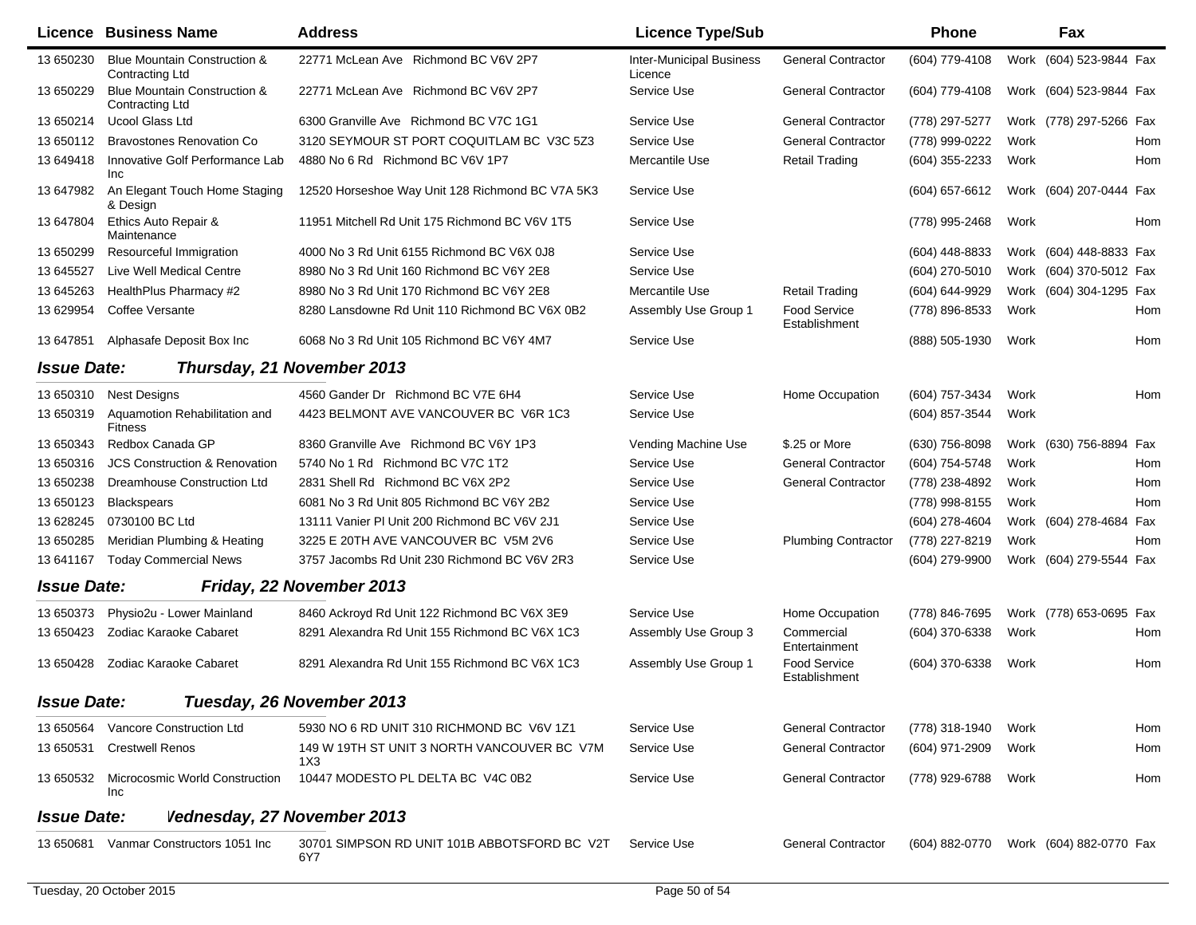| Licence            | <b>Business Name</b>                            | <b>Address</b>                                      | <b>Licence Type/Sub</b>                    |                                      | Phone            | Fax                     |     |
|--------------------|-------------------------------------------------|-----------------------------------------------------|--------------------------------------------|--------------------------------------|------------------|-------------------------|-----|
| 13 650230          | Blue Mountain Construction &<br>Contracting Ltd | 22771 McLean Ave Richmond BC V6V 2P7                | <b>Inter-Municipal Business</b><br>Licence | <b>General Contractor</b>            | (604) 779-4108   | Work (604) 523-9844 Fax |     |
| 13 650229          | Blue Mountain Construction &<br>Contracting Ltd | 22771 McLean Ave Richmond BC V6V 2P7                | Service Use                                | <b>General Contractor</b>            | (604) 779-4108   | Work (604) 523-9844 Fax |     |
| 13 650214          | <b>Ucool Glass Ltd</b>                          | 6300 Granville Ave Richmond BC V7C 1G1              | Service Use                                | <b>General Contractor</b>            | (778) 297-5277   | Work (778) 297-5266 Fax |     |
| 13 650112          | <b>Bravostones Renovation Co</b>                | 3120 SEYMOUR ST PORT COQUITLAM BC V3C 5Z3           | Service Use                                | <b>General Contractor</b>            | (778) 999-0222   | Work                    | Hom |
| 13 649418          | Innovative Golf Performance Lab<br><b>Inc</b>   | 4880 No 6 Rd Richmond BC V6V 1P7                    | Mercantile Use                             | <b>Retail Trading</b>                | (604) 355-2233   | Work                    | Hom |
| 13 647982          | An Elegant Touch Home Staging<br>& Design       | 12520 Horseshoe Way Unit 128 Richmond BC V7A 5K3    | Service Use                                |                                      | (604) 657-6612   | Work (604) 207-0444 Fax |     |
| 13 647804          | Ethics Auto Repair &<br>Maintenance             | 11951 Mitchell Rd Unit 175 Richmond BC V6V 1T5      | Service Use                                |                                      | (778) 995-2468   | Work                    | Hom |
| 13 650299          | Resourceful Immigration                         | 4000 No 3 Rd Unit 6155 Richmond BC V6X 0J8          | Service Use                                |                                      | $(604)$ 448-8833 | Work (604) 448-8833 Fax |     |
| 13 645527          | Live Well Medical Centre                        | 8980 No 3 Rd Unit 160 Richmond BC V6Y 2E8           | Service Use                                |                                      | (604) 270-5010   | Work (604) 370-5012 Fax |     |
| 13 645263          | HealthPlus Pharmacy #2                          | 8980 No 3 Rd Unit 170 Richmond BC V6Y 2E8           | Mercantile Use                             | <b>Retail Trading</b>                | (604) 644-9929   | Work (604) 304-1295 Fax |     |
| 13 629954          | Coffee Versante                                 | 8280 Lansdowne Rd Unit 110 Richmond BC V6X 0B2      | Assembly Use Group 1                       | <b>Food Service</b><br>Establishment | (778) 896-8533   | Work                    | Hom |
| 13 647851          | Alphasafe Deposit Box Inc                       | 6068 No 3 Rd Unit 105 Richmond BC V6Y 4M7           | Service Use                                |                                      | (888) 505-1930   | Work                    | Hom |
| <b>Issue Date:</b> |                                                 | Thursday, 21 November 2013                          |                                            |                                      |                  |                         |     |
| 13 650310          | <b>Nest Designs</b>                             | 4560 Gander Dr Richmond BC V7E 6H4                  | Service Use                                | Home Occupation                      | (604) 757-3434   | Work                    | Hom |
| 13 650319          | Aquamotion Rehabilitation and<br><b>Fitness</b> | 4423 BELMONT AVE VANCOUVER BC V6R 1C3               | Service Use                                |                                      | (604) 857-3544   | Work                    |     |
| 13 650343          | Redbox Canada GP                                | 8360 Granville Ave Richmond BC V6Y 1P3              | Vending Machine Use                        | \$.25 or More                        | $(630)$ 756-8098 | Work (630) 756-8894 Fax |     |
| 13 650316          | <b>JCS Construction &amp; Renovation</b>        | 5740 No 1 Rd Richmond BC V7C 1T2                    | Service Use                                | <b>General Contractor</b>            | (604) 754-5748   | Work                    | Hom |
| 13 650238          | Dreamhouse Construction Ltd                     | 2831 Shell Rd Richmond BC V6X 2P2                   | Service Use                                | <b>General Contractor</b>            | (778) 238-4892   | Work                    | Hom |
| 13 650123          | <b>Blackspears</b>                              | 6081 No 3 Rd Unit 805 Richmond BC V6Y 2B2           | Service Use                                |                                      | (778) 998-8155   | Work                    | Hom |
| 13 628245          | 0730100 BC Ltd                                  | 13111 Vanier PI Unit 200 Richmond BC V6V 2J1        | Service Use                                |                                      | (604) 278-4604   | Work (604) 278-4684 Fax |     |
| 13 650285          | Meridian Plumbing & Heating                     | 3225 E 20TH AVE VANCOUVER BC V5M 2V6                | Service Use                                | <b>Plumbing Contractor</b>           | (778) 227-8219   | Work                    | Hom |
| 13 641167          | <b>Today Commercial News</b>                    | 3757 Jacombs Rd Unit 230 Richmond BC V6V 2R3        | Service Use                                |                                      | (604) 279-9900   | Work (604) 279-5544 Fax |     |
| <b>Issue Date:</b> |                                                 | Friday, 22 November 2013                            |                                            |                                      |                  |                         |     |
| 13 650373          | Physio2u - Lower Mainland                       | 8460 Ackroyd Rd Unit 122 Richmond BC V6X 3E9        | Service Use                                | Home Occupation                      | (778) 846-7695   | Work (778) 653-0695 Fax |     |
| 13 650423          | Zodiac Karaoke Cabaret                          | 8291 Alexandra Rd Unit 155 Richmond BC V6X 1C3      | Assembly Use Group 3                       | Commercial<br>Entertainment          | (604) 370-6338   | Work                    | Hom |
| 13 650428          | Zodiac Karaoke Cabaret                          | 8291 Alexandra Rd Unit 155 Richmond BC V6X 1C3      | Assembly Use Group 1                       | Food Service<br>Establishment        | (604) 370-6338   | Work                    | Hom |
| <b>Issue Date:</b> |                                                 | Tuesday, 26 November 2013                           |                                            |                                      |                  |                         |     |
| 13 650564          | Vancore Construction Ltd                        | 5930 NO 6 RD UNIT 310 RICHMOND BC V6V 1Z1           | Service Use                                | <b>General Contractor</b>            | (778) 318-1940   | Work                    | Hom |
| 13 650531          | <b>Crestwell Renos</b>                          | 149 W 19TH ST UNIT 3 NORTH VANCOUVER BC V7M<br>1X3  | Service Use                                | <b>General Contractor</b>            | (604) 971-2909   | Work                    | Hom |
| 13 650532          | Microcosmic World Construction<br>Inc           | 10447 MODESTO PL DELTA BC V4C 0B2                   | Service Use                                | <b>General Contractor</b>            | (778) 929-6788   | Work                    | Hom |
| <b>Issue Date:</b> | Vednesday, 27 November 2013                     |                                                     |                                            |                                      |                  |                         |     |
| 13 650681          | Vanmar Constructors 1051 Inc                    | 30701 SIMPSON RD UNIT 101B ABBOTSFORD BC V2T<br>6Y7 | Service Use                                | <b>General Contractor</b>            | (604) 882-0770   | Work (604) 882-0770 Fax |     |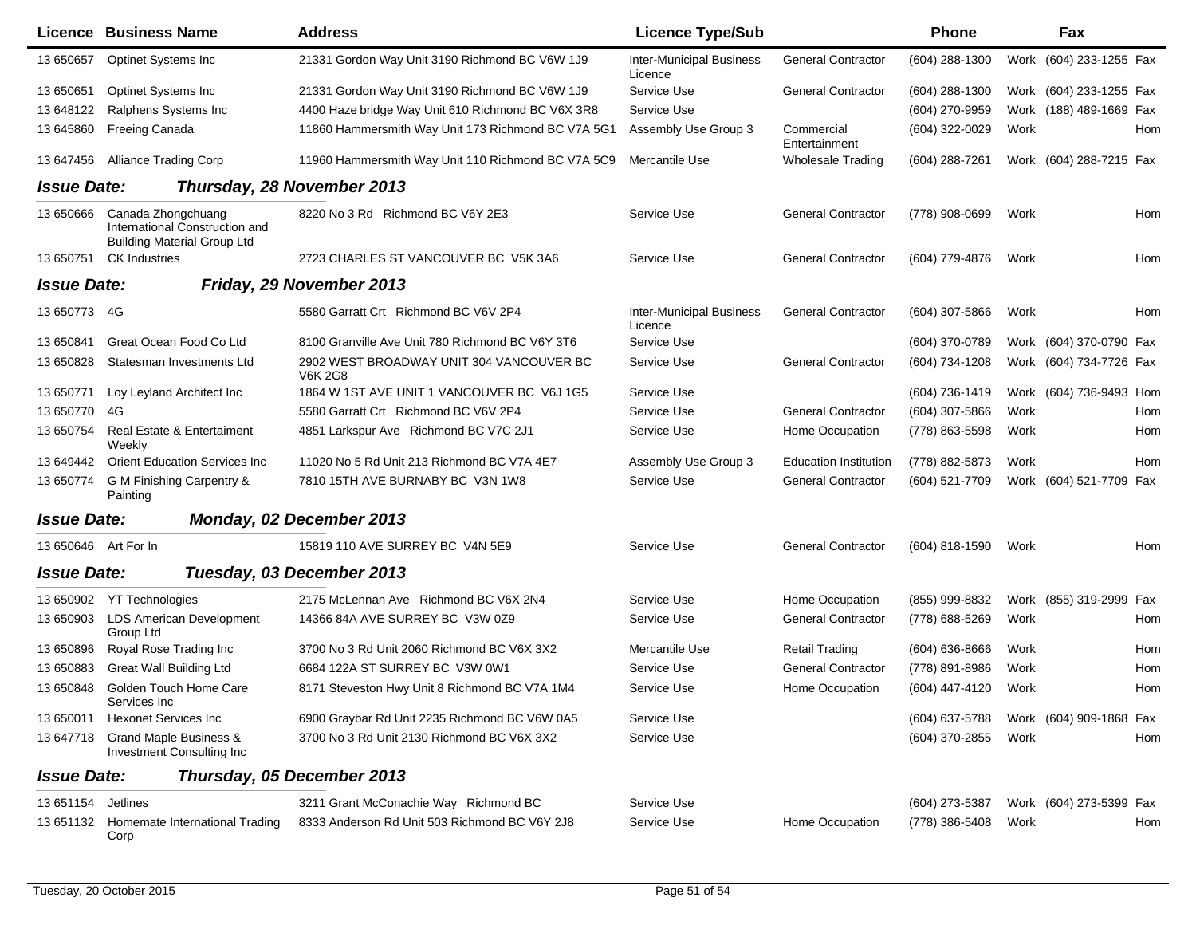|                    | Licence Business Name                                                                      | <b>Address</b>                                             | <b>Licence Type/Sub</b>                    |                              | <b>Phone</b>       |      | <b>Fax</b>              |
|--------------------|--------------------------------------------------------------------------------------------|------------------------------------------------------------|--------------------------------------------|------------------------------|--------------------|------|-------------------------|
| 13 650657          | Optinet Systems Inc                                                                        | 21331 Gordon Way Unit 3190 Richmond BC V6W 1J9             | <b>Inter-Municipal Business</b><br>Licence | <b>General Contractor</b>    | (604) 288-1300     | Work | (604) 233-1255 Fax      |
| 13 650651          | <b>Optinet Systems Inc</b>                                                                 | 21331 Gordon Way Unit 3190 Richmond BC V6W 1J9             | Service Use                                | <b>General Contractor</b>    | (604) 288-1300     |      | Work (604) 233-1255 Fax |
| 13 648122          | Ralphens Systems Inc                                                                       | 4400 Haze bridge Way Unit 610 Richmond BC V6X 3R8          | Service Use                                |                              | (604) 270-9959     |      | Work (188) 489-1669 Fax |
| 13 645860          | Freeing Canada                                                                             | 11860 Hammersmith Way Unit 173 Richmond BC V7A 5G1         | Assembly Use Group 3                       | Commercial<br>Entertainment  | (604) 322-0029     | Work | Hom                     |
| 13 647456          | <b>Alliance Trading Corp</b>                                                               | 11960 Hammersmith Way Unit 110 Richmond BC V7A 5C9         | Mercantile Use                             | <b>Wholesale Trading</b>     | $(604)$ 288-7261   |      | Work (604) 288-7215 Fax |
| <b>Issue Date:</b> |                                                                                            | Thursday, 28 November 2013                                 |                                            |                              |                    |      |                         |
| 13 650666          | Canada Zhongchuang<br>International Construction and<br><b>Building Material Group Ltd</b> | 8220 No 3 Rd Richmond BC V6Y 2E3                           | Service Use                                | <b>General Contractor</b>    | (778) 908-0699     | Work | Hom                     |
| 13 650751          | <b>CK Industries</b>                                                                       | 2723 CHARLES ST VANCOUVER BC V5K 3A6                       | Service Use                                | <b>General Contractor</b>    | (604) 779-4876     | Work | Hom                     |
| <b>Issue Date:</b> |                                                                                            | Friday, 29 November 2013                                   |                                            |                              |                    |      |                         |
| 13 650773          | - 4G                                                                                       | 5580 Garratt Crt Richmond BC V6V 2P4                       | <b>Inter-Municipal Business</b><br>Licence | <b>General Contractor</b>    | (604) 307-5866     | Work | Hom                     |
| 13 650841          | Great Ocean Food Co Ltd                                                                    | 8100 Granville Ave Unit 780 Richmond BC V6Y 3T6            | Service Use                                |                              | (604) 370-0789     |      | Work (604) 370-0790 Fax |
| 13 650828          | Statesman Investments Ltd                                                                  | 2902 WEST BROADWAY UNIT 304 VANCOUVER BC<br><b>V6K 2G8</b> | Service Use                                | <b>General Contractor</b>    | (604) 734-1208     |      | Work (604) 734-7726 Fax |
| 13 650771          | Loy Leyland Architect Inc                                                                  | 1864 W 1ST AVE UNIT 1 VANCOUVER BC V6J 1G5                 | Service Use                                |                              | (604) 736-1419     |      | Work (604) 736-9493 Hom |
| 13 650770          | 4G                                                                                         | 5580 Garratt Crt Richmond BC V6V 2P4                       | Service Use                                | <b>General Contractor</b>    | (604) 307-5866     | Work | Hom                     |
| 13 650754          | <b>Real Estate &amp; Entertaiment</b><br>Weekly                                            | 4851 Larkspur Ave Richmond BC V7C 2J1                      | Service Use                                | Home Occupation              | (778) 863-5598     | Work | Hom                     |
| 13 649442          | <b>Orient Education Services Inc.</b>                                                      | 11020 No 5 Rd Unit 213 Richmond BC V7A 4E7                 | Assembly Use Group 3                       | <b>Education Institution</b> | (778) 882-5873     | Work | <b>Hom</b>              |
| 13 650774          | G M Finishing Carpentry &<br>Painting                                                      | 7810 15TH AVE BURNABY BC V3N 1W8                           | Service Use                                | <b>General Contractor</b>    | (604) 521-7709     |      | Work (604) 521-7709 Fax |
| <b>Issue Date:</b> |                                                                                            | Monday, 02 December 2013                                   |                                            |                              |                    |      |                         |
| 13 650646          | Art For In                                                                                 | 15819 110 AVE SURREY BC V4N 5E9                            | Service Use                                | <b>General Contractor</b>    | (604) 818-1590     | Work | <b>Hom</b>              |
| <b>Issue Date:</b> |                                                                                            | Tuesday, 03 December 2013                                  |                                            |                              |                    |      |                         |
| 13 650902          | <b>YT Technologies</b>                                                                     | 2175 McLennan Ave Richmond BC V6X 2N4                      | Service Use                                | Home Occupation              | (855) 999-8832     | Work | (855) 319-2999<br>Fax   |
| 13 650903          | <b>LDS American Development</b><br>Group Ltd                                               | 14366 84A AVE SURREY BC V3W 0Z9                            | Service Use                                | <b>General Contractor</b>    | (778) 688-5269     | Work | Hom                     |
| 13 650896          | Royal Rose Trading Inc                                                                     | 3700 No 3 Rd Unit 2060 Richmond BC V6X 3X2                 | Mercantile Use                             | Retail Trading               | $(604) 636 - 8666$ | Work | Hom                     |
| 13 650883          | <b>Great Wall Building Ltd</b>                                                             | 6684 122A ST SURREY BC V3W 0W1                             | Service Use                                | <b>General Contractor</b>    | (778) 891-8986     | Work | Hom                     |
| 13 650848          | Golden Touch Home Care<br>Services Inc                                                     | 8171 Steveston Hwy Unit 8 Richmond BC V7A 1M4              | Service Use                                | Home Occupation              | (604) 447-4120     | Work | Hom                     |
| 13 650011          | <b>Hexonet Services Inc</b>                                                                | 6900 Graybar Rd Unit 2235 Richmond BC V6W 0A5              | Service Use                                |                              | (604) 637-5788     |      | Work (604) 909-1868 Fax |
| 13 647718          | Grand Maple Business &<br>Investment Consulting Inc                                        | 3700 No 3 Rd Unit 2130 Richmond BC V6X 3X2                 | Service Use                                |                              | (604) 370-2855     | Work | Hom                     |
| <b>Issue Date:</b> |                                                                                            | Thursday, 05 December 2013                                 |                                            |                              |                    |      |                         |
| 13 651154          | Jetlines                                                                                   | 3211 Grant McConachie Way Richmond BC                      | Service Use                                |                              | (604) 273-5387     |      | Work (604) 273-5399 Fax |
| 13 651132          | Homemate International Trading<br>Corp                                                     | 8333 Anderson Rd Unit 503 Richmond BC V6Y 2J8              | Service Use                                | Home Occupation              | (778) 386-5408     | Work | Hom                     |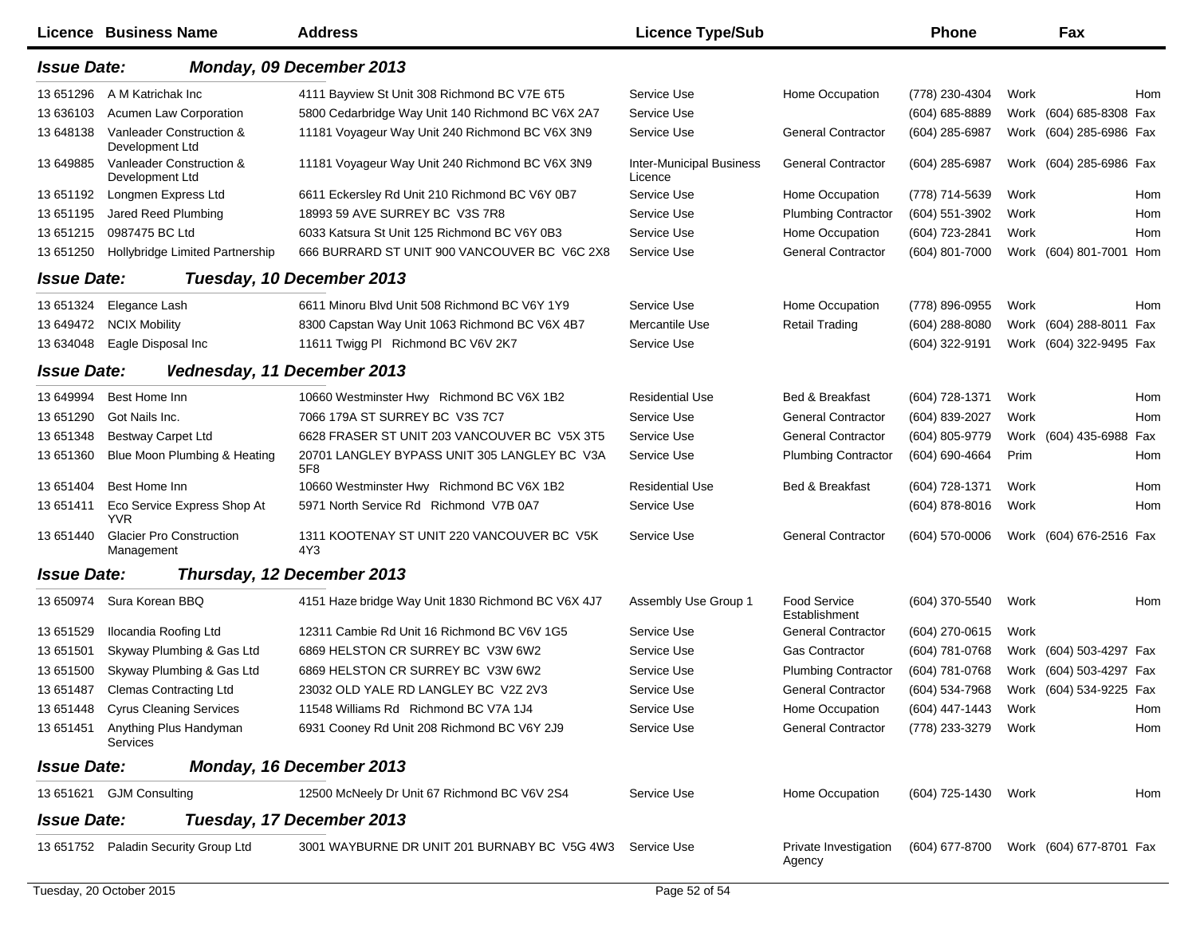|                    | Licence Business Name                         | <b>Address</b>                                      | <b>Licence Type/Sub</b>                    |                                      | <b>Phone</b>        |      | Fax                     |     |
|--------------------|-----------------------------------------------|-----------------------------------------------------|--------------------------------------------|--------------------------------------|---------------------|------|-------------------------|-----|
| <b>Issue Date:</b> |                                               | Monday, 09 December 2013                            |                                            |                                      |                     |      |                         |     |
| 13 651296          | A M Katrichak Inc                             | 4111 Bayview St Unit 308 Richmond BC V7E 6T5        | Service Use                                | Home Occupation                      | (778) 230-4304      | Work |                         | Hom |
| 13 636103          | <b>Acumen Law Corporation</b>                 | 5800 Cedarbridge Way Unit 140 Richmond BC V6X 2A7   | Service Use                                |                                      | (604) 685-8889      |      | Work (604) 685-8308 Fax |     |
| 13 648138          | Vanleader Construction &<br>Development Ltd   | 11181 Voyageur Way Unit 240 Richmond BC V6X 3N9     | Service Use                                | <b>General Contractor</b>            | (604) 285-6987      |      | Work (604) 285-6986 Fax |     |
| 13 649885          | Vanleader Construction &<br>Development Ltd   | 11181 Voyageur Way Unit 240 Richmond BC V6X 3N9     | <b>Inter-Municipal Business</b><br>Licence | <b>General Contractor</b>            | (604) 285-6987      |      | Work (604) 285-6986 Fax |     |
| 13 651192          | Longmen Express Ltd                           | 6611 Eckersley Rd Unit 210 Richmond BC V6Y 0B7      | Service Use                                | Home Occupation                      | (778) 714-5639      | Work |                         | Hom |
| 13 651195          | Jared Reed Plumbing                           | 18993 59 AVE SURREY BC V3S 7R8                      | Service Use                                | <b>Plumbing Contractor</b>           | (604) 551-3902      | Work |                         | Hom |
| 13 651215          | 0987475 BC Ltd                                | 6033 Katsura St Unit 125 Richmond BC V6Y 0B3        | Service Use                                | Home Occupation                      | (604) 723-2841      | Work |                         | Hom |
| 13 651250          | Hollybridge Limited Partnership               | 666 BURRARD ST UNIT 900 VANCOUVER BC V6C 2X8        | Service Use                                | <b>General Contractor</b>            | (604) 801-7000      |      | Work (604) 801-7001     | Hom |
| <b>Issue Date:</b> |                                               | Tuesday, 10 December 2013                           |                                            |                                      |                     |      |                         |     |
| 13 651324          | Elegance Lash                                 | 6611 Minoru Blvd Unit 508 Richmond BC V6Y 1Y9       | Service Use                                | Home Occupation                      | (778) 896-0955      | Work |                         | Hom |
| 13 649472          | <b>NCIX Mobility</b>                          | 8300 Capstan Way Unit 1063 Richmond BC V6X 4B7      | Mercantile Use                             | <b>Retail Trading</b>                | (604) 288-8080      |      | Work (604) 288-8011 Fax |     |
| 13 634048          | Eagle Disposal Inc                            | 11611 Twigg PI Richmond BC V6V 2K7                  | Service Use                                |                                      | (604) 322-9191      |      | Work (604) 322-9495 Fax |     |
| <b>Issue Date:</b> |                                               | Vednesday, 11 December 2013                         |                                            |                                      |                     |      |                         |     |
| 13 649994          | Best Home Inn                                 | 10660 Westminster Hwy Richmond BC V6X 1B2           | <b>Residential Use</b>                     | Bed & Breakfast                      | (604) 728-1371      | Work |                         | Hom |
| 13 651290          | Got Nails Inc.                                | 7066 179A ST SURREY BC V3S 7C7                      | Service Use                                | <b>General Contractor</b>            | (604) 839-2027      | Work |                         | Hom |
| 13 651348          | <b>Bestway Carpet Ltd</b>                     | 6628 FRASER ST UNIT 203 VANCOUVER BC V5X 3T5        | Service Use                                | <b>General Contractor</b>            | (604) 805-9779      |      | Work (604) 435-6988 Fax |     |
| 13 651360          | Blue Moon Plumbing & Heating                  | 20701 LANGLEY BYPASS UNIT 305 LANGLEY BC V3A<br>5F8 | Service Use                                | <b>Plumbing Contractor</b>           | (604) 690-4664      | Prim |                         | Hom |
| 13 651404          | Best Home Inn                                 | 10660 Westminster Hwy Richmond BC V6X 1B2           | <b>Residential Use</b>                     | Bed & Breakfast                      | (604) 728-1371      | Work |                         | Hom |
| 13 651411          | Eco Service Express Shop At<br><b>YVR</b>     | 5971 North Service Rd Richmond V7B 0A7              | Service Use                                |                                      | (604) 878-8016      | Work |                         | Hom |
| 13 651440          | <b>Glacier Pro Construction</b><br>Management | 1311 KOOTENAY ST UNIT 220 VANCOUVER BC V5K<br>4Y3   | Service Use                                | <b>General Contractor</b>            | (604) 570-0006      |      | Work (604) 676-2516 Fax |     |
| <b>Issue Date:</b> |                                               | Thursday, 12 December 2013                          |                                            |                                      |                     |      |                         |     |
|                    | 13 650974 Sura Korean BBQ                     | 4151 Haze bridge Way Unit 1830 Richmond BC V6X 4J7  | Assembly Use Group 1                       | <b>Food Service</b><br>Establishment | (604) 370-5540      | Work |                         | Hom |
| 13 651529          | Ilocandia Roofing Ltd                         | 12311 Cambie Rd Unit 16 Richmond BC V6V 1G5         | Service Use                                | <b>General Contractor</b>            | (604) 270-0615      | Work |                         |     |
| 13 651501          | Skyway Plumbing & Gas Ltd                     | 6869 HELSTON CR SURREY BC V3W 6W2                   | Service Use                                | <b>Gas Contractor</b>                | (604) 781-0768      |      | Work (604) 503-4297 Fax |     |
| 13 651500          | Skyway Plumbing & Gas Ltd                     | 6869 HELSTON CR SURREY BC V3W 6W2                   | Service Use                                | <b>Plumbing Contractor</b>           | (604) 781-0768      |      | Work (604) 503-4297 Fax |     |
|                    | 13 651487 Clemas Contracting Ltd              | 23032 OLD YALE RD LANGLEY BC V2Z 2V3                | Service Use                                | <b>General Contractor</b>            | (604) 534-7968      |      | Work (604) 534-9225 Fax |     |
|                    | 13 651448 Cyrus Cleaning Services             | 11548 Williams Rd Richmond BC V7A 1J4               | Service Use                                | Home Occupation                      | (604) 447-1443      | Work |                         | Hom |
| 13 651451          | Anything Plus Handyman<br>Services            | 6931 Cooney Rd Unit 208 Richmond BC V6Y 2J9         | Service Use                                | <b>General Contractor</b>            | (778) 233-3279      | Work |                         | Hom |
| <b>Issue Date:</b> |                                               | Monday, 16 December 2013                            |                                            |                                      |                     |      |                         |     |
|                    | 13 651621 GJM Consulting                      | 12500 McNeely Dr Unit 67 Richmond BC V6V 2S4        | Service Use                                | Home Occupation                      | (604) 725-1430 Work |      |                         | Hom |
| <b>Issue Date:</b> |                                               | Tuesday, 17 December 2013                           |                                            |                                      |                     |      |                         |     |
|                    | 13 651752 Paladin Security Group Ltd          | 3001 WAYBURNE DR UNIT 201 BURNABY BC V5G 4W3        | Service Use                                | Private Investigation<br>Agency      | (604) 677-8700      |      | Work (604) 677-8701 Fax |     |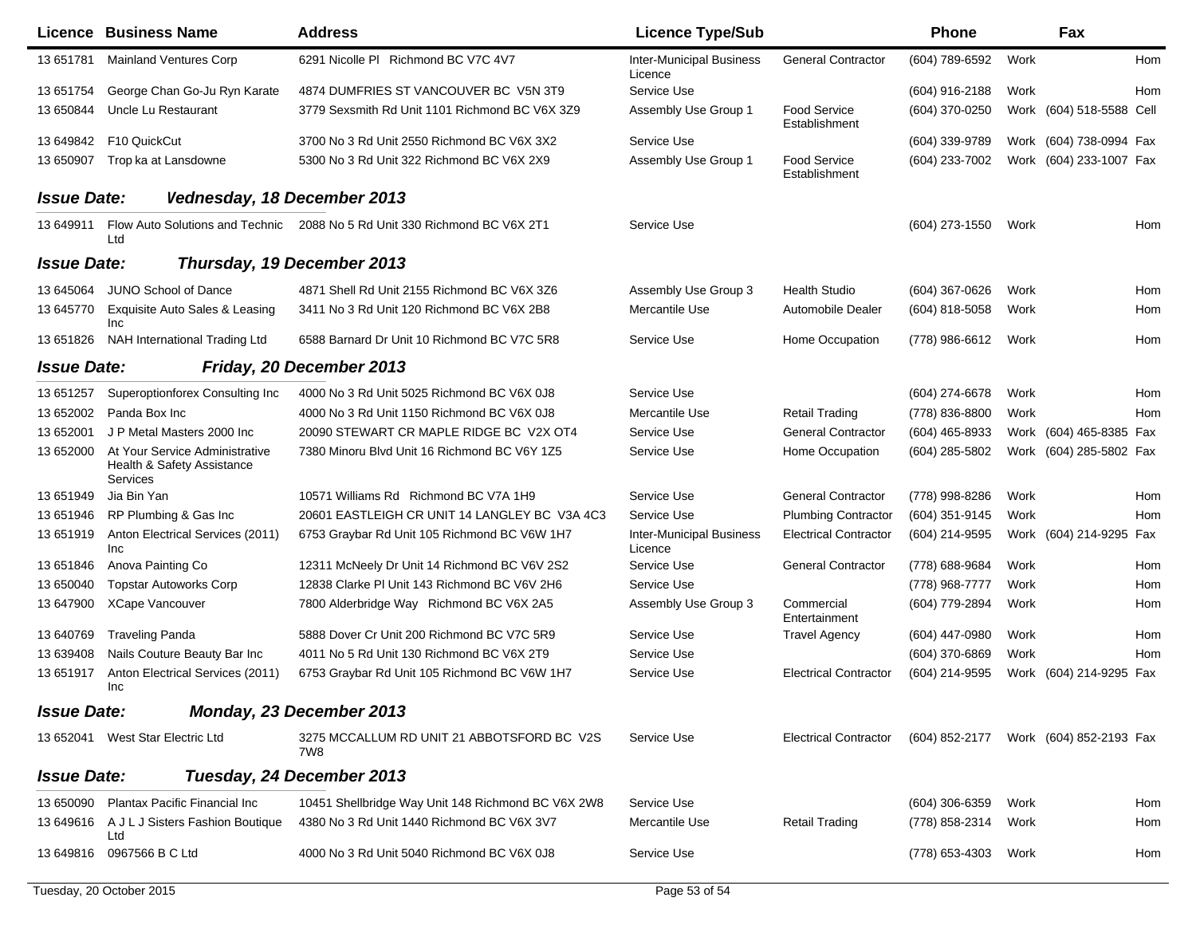|                    | Licence Business Name                                                    | <b>Address</b>                                                            | <b>Licence Type/Sub</b>                    |                                      | <b>Phone</b>                           |      | Fax                      |     |
|--------------------|--------------------------------------------------------------------------|---------------------------------------------------------------------------|--------------------------------------------|--------------------------------------|----------------------------------------|------|--------------------------|-----|
| 13 651781          | <b>Mainland Ventures Corp</b>                                            | 6291 Nicolle PI Richmond BC V7C 4V7                                       | <b>Inter-Municipal Business</b><br>Licence | <b>General Contractor</b>            | (604) 789-6592                         | Work |                          | Hom |
| 13 651754          | George Chan Go-Ju Ryn Karate                                             | 4874 DUMFRIES ST VANCOUVER BC V5N 3T9                                     | Service Use                                |                                      | (604) 916-2188                         | Work |                          | Hom |
| 13 650844          | Uncle Lu Restaurant                                                      | 3779 Sexsmith Rd Unit 1101 Richmond BC V6X 3Z9                            | Assembly Use Group 1                       | Food Service<br>Establishment        | (604) 370-0250                         |      | Work (604) 518-5588 Cell |     |
|                    | 13 649842    F10 QuickCut                                                | 3700 No 3 Rd Unit 2550 Richmond BC V6X 3X2                                | Service Use                                |                                      | (604) 339-9789                         |      | Work (604) 738-0994 Fax  |     |
| 13 650907          | Trop ka at Lansdowne                                                     | 5300 No 3 Rd Unit 322 Richmond BC V6X 2X9                                 | Assembly Use Group 1                       | <b>Food Service</b><br>Establishment | (604) 233-7002                         |      | Work (604) 233-1007 Fax  |     |
| <b>Issue Date:</b> | Vednesday, 18 December 2013                                              |                                                                           |                                            |                                      |                                        |      |                          |     |
| 13 649911          | Ltd                                                                      | Flow Auto Solutions and Technic 2088 No 5 Rd Unit 330 Richmond BC V6X 2T1 | Service Use                                |                                      | (604) 273-1550                         | Work |                          | Hom |
| <b>Issue Date:</b> |                                                                          | Thursday, 19 December 2013                                                |                                            |                                      |                                        |      |                          |     |
| 13 645064          | <b>JUNO School of Dance</b>                                              | 4871 Shell Rd Unit 2155 Richmond BC V6X 3Z6                               | Assembly Use Group 3                       | <b>Health Studio</b>                 | $(604)$ 367-0626                       | Work |                          | Hom |
| 13 645770          | Exquisite Auto Sales & Leasing<br><b>Inc</b>                             | 3411 No 3 Rd Unit 120 Richmond BC V6X 2B8                                 | Mercantile Use                             | Automobile Dealer                    | (604) 818-5058                         | Work |                          | Hom |
| 13 651826          | NAH International Trading Ltd                                            | 6588 Barnard Dr Unit 10 Richmond BC V7C 5R8                               | Service Use                                | Home Occupation                      | (778) 986-6612                         | Work |                          | Hom |
| <b>Issue Date:</b> |                                                                          | Friday, 20 December 2013                                                  |                                            |                                      |                                        |      |                          |     |
| 13 651257          | Superoptionforex Consulting Inc                                          | 4000 No 3 Rd Unit 5025 Richmond BC V6X 0J8                                | Service Use                                |                                      | (604) 274-6678                         | Work |                          | Hom |
| 13 652002          | Panda Box Inc                                                            | 4000 No 3 Rd Unit 1150 Richmond BC V6X 0J8                                | Mercantile Use                             | <b>Retail Trading</b>                | (778) 836-8800                         | Work |                          | Hom |
| 13 652001          | J P Metal Masters 2000 Inc                                               | 20090 STEWART CR MAPLE RIDGE BC V2X OT4                                   | Service Use                                | <b>General Contractor</b>            | (604) 465-8933                         |      | Work (604) 465-8385 Fax  |     |
| 13 652000          | At Your Service Administrative<br>Health & Safety Assistance<br>Services | 7380 Minoru Blvd Unit 16 Richmond BC V6Y 1Z5                              | Service Use                                | Home Occupation                      | (604) 285-5802                         |      | Work (604) 285-5802 Fax  |     |
| 13 651949          | Jia Bin Yan                                                              | 10571 Williams Rd Richmond BC V7A 1H9                                     | Service Use                                | <b>General Contractor</b>            | (778) 998-8286                         | Work |                          | Hom |
| 13 651946          | RP Plumbing & Gas Inc                                                    | 20601 EASTLEIGH CR UNIT 14 LANGLEY BC V3A 4C3                             | Service Use                                | <b>Plumbing Contractor</b>           | (604) 351-9145                         | Work |                          | Hom |
| 13 651919          | Anton Electrical Services (2011)<br>Inc                                  | 6753 Graybar Rd Unit 105 Richmond BC V6W 1H7                              | <b>Inter-Municipal Business</b><br>Licence | <b>Electrical Contractor</b>         | (604) 214-9595                         |      | Work (604) 214-9295 Fax  |     |
| 13 651846          | Anova Painting Co                                                        | 12311 McNeely Dr Unit 14 Richmond BC V6V 2S2                              | Service Use                                | <b>General Contractor</b>            | (778) 688-9684                         | Work |                          | Hom |
| 13 650040          | <b>Topstar Autoworks Corp</b>                                            | 12838 Clarke PI Unit 143 Richmond BC V6V 2H6                              | Service Use                                |                                      | (778) 968-7777                         | Work |                          | Hom |
| 13 647900          | <b>XCape Vancouver</b>                                                   | 7800 Alderbridge Way Richmond BC V6X 2A5                                  | Assembly Use Group 3                       | Commercial<br>Entertainment          | (604) 779-2894                         | Work |                          | Hom |
| 13 640769          | <b>Traveling Panda</b>                                                   | 5888 Dover Cr Unit 200 Richmond BC V7C 5R9                                | Service Use                                | <b>Travel Agency</b>                 | (604) 447-0980                         | Work |                          | Hom |
| 13 639408          | Nails Couture Beauty Bar Inc                                             | 4011 No 5 Rd Unit 130 Richmond BC V6X 2T9                                 | Service Use                                |                                      | (604) 370-6869                         | Work |                          | Hom |
| 13 651917          | Anton Electrical Services (2011)<br>Inc                                  | 6753 Graybar Rd Unit 105 Richmond BC V6W 1H7                              | Service Use                                | <b>Electrical Contractor</b>         | (604) 214-9595                         |      | Work (604) 214-9295 Fax  |     |
| <b>Issue Date:</b> |                                                                          | Monday, 23 December 2013                                                  |                                            |                                      |                                        |      |                          |     |
|                    | 13 652041 West Star Electric Ltd                                         | 3275 MCCALLUM RD UNIT 21 ABBOTSFORD BC V2S<br>7W8                         | Service Use                                | <b>Electrical Contractor</b>         | (604) 852-2177 Work (604) 852-2193 Fax |      |                          |     |
| <b>Issue Date:</b> |                                                                          | Tuesday, 24 December 2013                                                 |                                            |                                      |                                        |      |                          |     |
|                    | 13 650090 Plantax Pacific Financial Inc                                  | 10451 Shellbridge Way Unit 148 Richmond BC V6X 2W8                        | Service Use                                |                                      | $(604)$ 306-6359                       | Work |                          | Hom |
| 13 649616          | A J L J Sisters Fashion Boutique<br>Ltd                                  | 4380 No 3 Rd Unit 1440 Richmond BC V6X 3V7                                | Mercantile Use                             | <b>Retail Trading</b>                | (778) 858-2314                         | Work |                          | Hom |
|                    | 13 649816 0967566 B C Ltd                                                | 4000 No 3 Rd Unit 5040 Richmond BC V6X 0J8                                | Service Use                                |                                      | (778) 653-4303                         | Work |                          | Hom |
|                    | Tuesday, 20 October 2015                                                 |                                                                           | Page 53 of 54                              |                                      |                                        |      |                          |     |